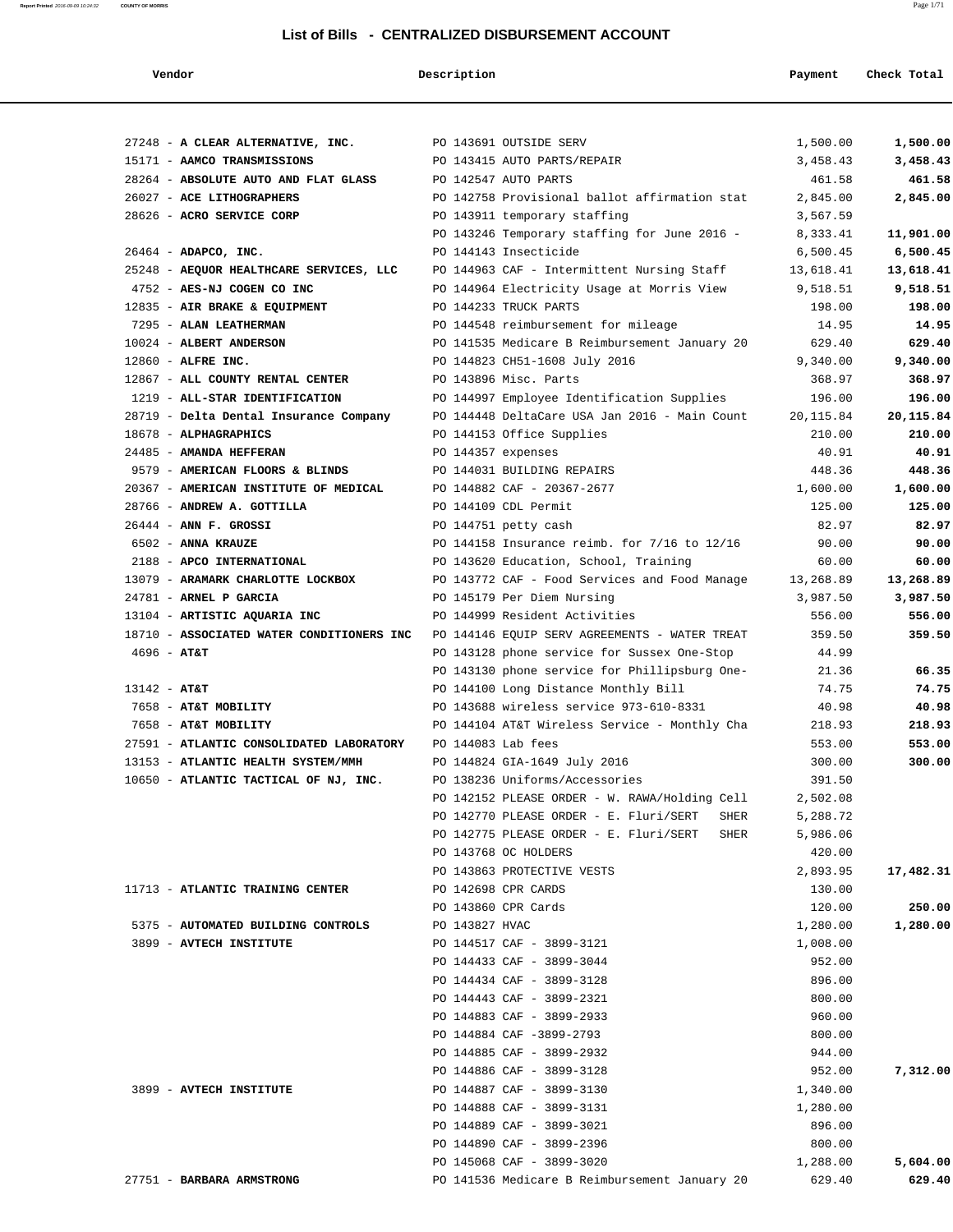#### **List of Bills - CENTRALIZED D**

| Vendor |  |
|--------|--|
|        |  |

**Report Printed** 2016-09-09 10:24:32 **COUNTY OF MORRIS** Page 1/71

| List of Bills - CENTRALIZED DISBURSEMENT ACCOUNT |                                               |            |             |  |  |  |  |
|--------------------------------------------------|-----------------------------------------------|------------|-------------|--|--|--|--|
| Vendor                                           | Description                                   | Payment    | Check Total |  |  |  |  |
|                                                  |                                               |            |             |  |  |  |  |
| 27248 - A CLEAR ALTERNATIVE, INC.                | PO 143691 OUTSIDE SERV                        | 1,500.00   | 1,500.00    |  |  |  |  |
| 15171 - AAMCO TRANSMISSIONS                      | PO 143415 AUTO PARTS/REPAIR                   | 3,458.43   | 3,458.43    |  |  |  |  |
| 28264 - ABSOLUTE AUTO AND FLAT GLASS             | PO 142547 AUTO PARTS                          | 461.58     | 461.58      |  |  |  |  |
| 26027 - ACE LITHOGRAPHERS                        | PO 142758 Provisional ballot affirmation stat | 2,845.00   | 2,845.00    |  |  |  |  |
| 28626 - ACRO SERVICE CORP                        | PO 143911 temporary staffing                  | 3,567.59   |             |  |  |  |  |
|                                                  | PO 143246 Temporary staffing for June 2016 -  | 8,333.41   | 11,901.00   |  |  |  |  |
| 26464 - ADAPCO, INC.                             | PO 144143 Insecticide                         | 6,500.45   | 6,500.45    |  |  |  |  |
| 25248 - AEQUOR HEALTHCARE SERVICES, LLC          | PO 144963 CAF - Intermittent Nursing Staff    | 13,618.41  | 13,618.41   |  |  |  |  |
| 4752 - AES-NJ COGEN CO INC                       | PO 144964 Electricity Usage at Morris View    | 9,518.51   | 9,518.51    |  |  |  |  |
| 12835 - AIR BRAKE & EQUIPMENT                    | PO 144233 TRUCK PARTS                         | 198.00     | 198.00      |  |  |  |  |
| 7295 - ALAN LEATHERMAN                           | PO 144548 reimbursement for mileage           | 14.95      | 14.95       |  |  |  |  |
| 10024 - ALBERT ANDERSON                          | PO 141535 Medicare B Reimbursement January 20 | 629.40     | 629.40      |  |  |  |  |
| 12860 - ALFRE INC.                               | PO 144823 CH51-1608 July 2016                 | 9,340.00   | 9,340.00    |  |  |  |  |
| 12867 - ALL COUNTY RENTAL CENTER                 | PO 143896 Misc. Parts                         | 368.97     | 368.97      |  |  |  |  |
| 1219 - ALL-STAR IDENTIFICATION                   | PO 144997 Employee Identification Supplies    | 196.00     | 196.00      |  |  |  |  |
| 28719 - Delta Dental Insurance Company           | PO 144448 DeltaCare USA Jan 2016 - Main Count | 20, 115.84 | 20,115.84   |  |  |  |  |
| 18678 - ALPHAGRAPHICS                            | PO 144153 Office Supplies                     | 210.00     | 210.00      |  |  |  |  |
| 24485 - AMANDA HEFFERAN                          | PO 144357 expenses                            | 40.91      | 40.91       |  |  |  |  |
| 9579 - AMERICAN FLOORS & BLINDS                  | PO 144031 BUILDING REPAIRS                    | 448.36     | 448.36      |  |  |  |  |
| 20367 - AMERICAN INSTITUTE OF MEDICAL            | PO 144882 CAF - 20367-2677                    | 1,600.00   | 1,600.00    |  |  |  |  |
| 28766 - ANDREW A. GOTTILLA                       | PO 144109 CDL Permit                          | 125.00     | 125.00      |  |  |  |  |
| $26444$ - ANN F. GROSSI                          | PO 144751 petty cash                          | 82.97      | 82.97       |  |  |  |  |
| 6502 - ANNA KRAUZE                               | PO 144158 Insurance reimb. for 7/16 to 12/16  | 90.00      | 90.00       |  |  |  |  |
| 2188 - APCO INTERNATIONAL                        | PO 143620 Education, School, Training         | 60.00      | 60.00       |  |  |  |  |
| 13079 - ARAMARK CHARLOTTE LOCKBOX                | PO 143772 CAF - Food Services and Food Manage | 13,268.89  | 13,268.89   |  |  |  |  |
| 24781 - ARNEL P GARCIA                           | PO 145179 Per Diem Nursing                    | 3,987.50   | 3,987.50    |  |  |  |  |
| 13104 - ARTISTIC AQUARIA INC                     | PO 144999 Resident Activities                 | 556.00     | 556.00      |  |  |  |  |
| 18710 - ASSOCIATED WATER CONDITIONERS INC        | PO 144146 EQUIP SERV AGREEMENTS - WATER TREAT | 359.50     | 359.50      |  |  |  |  |
| $4696 - AT&T$                                    | PO 143128 phone service for Sussex One-Stop   | 44.99      |             |  |  |  |  |
|                                                  | PO 143130 phone service for Phillipsburg One- | 21.36      | 66.35       |  |  |  |  |
| $13142 - AT&T$                                   | PO 144100 Long Distance Monthly Bill          | 74.75      | 74.75       |  |  |  |  |
| 7658 - AT&T MOBILITY                             | PO 143688 wireless service 973-610-8331       | 40.98      | 40.98       |  |  |  |  |
| 7658 - AT&T MOBILITY                             | PO 144104 AT&T Wireless Service - Monthly Cha | 218.93     | 218.93      |  |  |  |  |
| 27591 - ATLANTIC CONSOLIDATED LABORATORY         | PO 144083 Lab fees                            | 553.00     | 553.00      |  |  |  |  |

| 26444 - ANN F. GROSSI                     | PO 144751 petty cash                           | 82.97     | 82.97     |
|-------------------------------------------|------------------------------------------------|-----------|-----------|
| 6502 - ANNA KRAUZE                        | PO 144158 Insurance reimb. for 7/16 to 12/16   | 90.00     | 90.00     |
| 2188 - APCO INTERNATIONAL                 | PO 143620 Education, School, Training          | 60.00     | 60.00     |
| 13079 - ARAMARK CHARLOTTE LOCKBOX         | PO 143772 CAF - Food Services and Food Manage  | 13,268.89 | 13,268.89 |
| 24781 - ARNEL P GARCIA                    | PO 145179 Per Diem Nursing                     | 3,987.50  | 3,987.50  |
| 13104 - ARTISTIC AQUARIA INC              | PO 144999 Resident Activities                  | 556.00    | 556.00    |
| 18710 - ASSOCIATED WATER CONDITIONERS INC | PO 144146 EQUIP SERV AGREEMENTS - WATER TREAT  | 359.50    | 359.50    |
| $4696 - AT&T$                             | PO 143128 phone service for Sussex One-Stop    | 44.99     |           |
|                                           | PO 143130 phone service for Phillipsburg One-  | 21.36     | 66.35     |
| $13142 - AT&T$                            | PO 144100 Long Distance Monthly Bill           | 74.75     | 74.75     |
| 7658 - AT&T MOBILITY                      | PO 143688 wireless service 973-610-8331        | 40.98     | 40.98     |
| 7658 - AT&T MOBILITY                      | PO 144104 AT&T Wireless Service - Monthly Cha  | 218.93    | 218.93    |
| 27591 - ATLANTIC CONSOLIDATED LABORATORY  | PO 144083 Lab fees                             | 553.00    | 553.00    |
| 13153 - ATLANTIC HEALTH SYSTEM/MMH        | PO 144824 GIA-1649 July 2016                   | 300.00    | 300.00    |
| 10650 - ATLANTIC TACTICAL OF NJ, INC.     | PO 138236 Uniforms/Accessories                 | 391.50    |           |
|                                           | PO 142152 PLEASE ORDER - W. RAWA/Holding Cell  | 2,502.08  |           |
|                                           | PO 142770 PLEASE ORDER - E. Fluri/SERT<br>SHER | 5,288.72  |           |
|                                           | PO 142775 PLEASE ORDER - E. Fluri/SERT<br>SHER | 5,986.06  |           |
|                                           | PO 143768 OC HOLDERS                           | 420.00    |           |
|                                           | PO 143863 PROTECTIVE VESTS                     | 2,893.95  | 17,482.31 |
| 11713 - ATLANTIC TRAINING CENTER          | PO 142698 CPR CARDS                            | 130.00    |           |
|                                           | PO 143860 CPR Cards                            | 120.00    | 250.00    |
| 5375 - AUTOMATED BUILDING CONTROLS        | PO 143827 HVAC                                 | 1,280.00  | 1,280.00  |
| 3899 - AVTECH INSTITUTE                   | PO 144517 CAF - 3899-3121                      | 1,008.00  |           |
|                                           | PO 144433 CAF - 3899-3044                      | 952.00    |           |
|                                           | PO 144434 CAF - 3899-3128                      | 896.00    |           |
|                                           | PO 144443 CAF - 3899-2321                      | 800.00    |           |
|                                           | PO 144883 CAF - 3899-2933                      | 960.00    |           |
|                                           | PO 144884 CAF -3899-2793                       | 800.00    |           |
|                                           | PO 144885 CAF - 3899-2932                      | 944.00    |           |
|                                           | PO 144886 CAF - 3899-3128                      | 952.00    | 7,312.00  |
| 3899 - AVTECH INSTITUTE                   | PO 144887 CAF - 3899-3130                      | 1,340.00  |           |
|                                           | PO 144888 CAF - 3899-3131                      | 1,280.00  |           |
|                                           | PO 144889 CAF - 3899-3021                      | 896.00    |           |
|                                           | PO 144890 CAF - 3899-2396                      | 800.00    |           |
|                                           | PO 145068 CAF - 3899-3020                      | 1,288.00  | 5,604.00  |
| 27751 - BARBARA ARMSTRONG                 | PO 141536 Medicare B Reimbursement January 20  | 629.40    | 629.40    |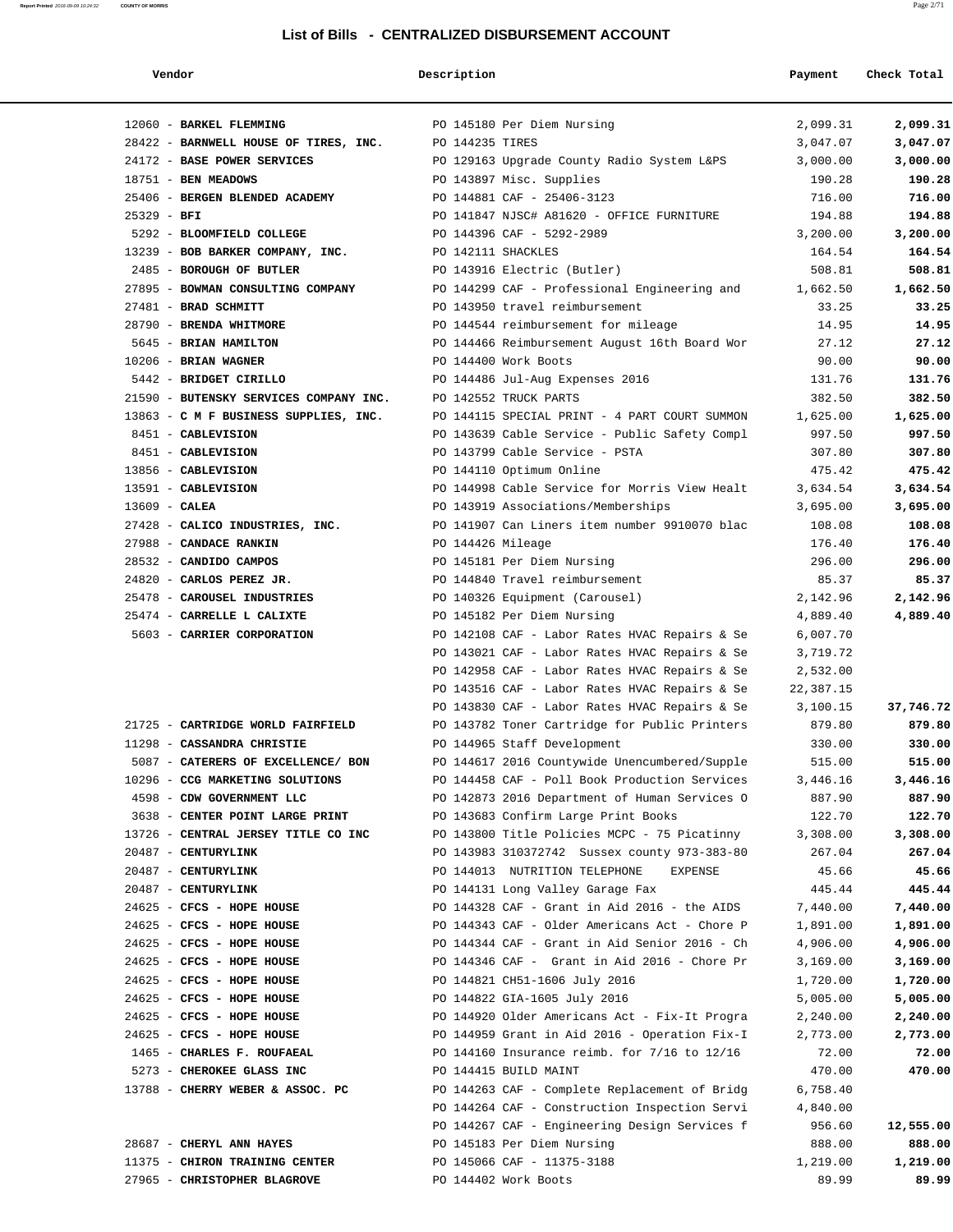| Vendor |  |
|--------|--|
|--------|--|

| Vendor | Description | Payment | Check Total |
|--------|-------------|---------|-------------|

| 12060 - BARKEL FLEMMING<br>28422 - BARNWELL HOUSE OF TIRES, INC. | PO 145180 Per Diem Nursing<br>PO 144235 TIRES                                                 | 2,099.31<br>2,099.31<br>3,047.07<br>3,047.07 |
|------------------------------------------------------------------|-----------------------------------------------------------------------------------------------|----------------------------------------------|
| 24172 - BASE POWER SERVICES                                      | PO 129163 Upgrade County Radio System L&PS                                                    | 3,000.00<br>3,000.00                         |
| 18751 - BEN MEADOWS                                              | PO 143897 Misc. Supplies                                                                      | 190.28<br>190.28                             |
| 25406 - BERGEN BLENDED ACADEMY                                   | PO 144881 CAF - 25406-3123                                                                    | 716.00<br>716.00                             |
| $25329 - BFI$                                                    | PO 141847 NJSC# A81620 - OFFICE FURNITURE                                                     | 194.88<br>194.88                             |
| 5292 - BLOOMFIELD COLLEGE                                        | PO 144396 CAF - 5292-2989                                                                     | 3,200.00<br>3,200.00                         |
| 13239 - BOB BARKER COMPANY, INC.                                 | PO 142111 SHACKLES                                                                            | 164.54<br>164.54                             |
| 2485 - BOROUGH OF BUTLER                                         | PO 143916 Electric (Butler)                                                                   | 508.81<br>508.81                             |
| 27895 - BOWMAN CONSULTING COMPANY                                | PO 144299 CAF - Professional Engineering and                                                  | 1,662.50<br>1,662.50                         |
| 27481 - BRAD SCHMITT                                             | PO 143950 travel reimbursement                                                                | 33.25<br>33.25                               |
| 28790 - BRENDA WHITMORE                                          | PO 144544 reimbursement for mileage                                                           | 14.95<br>14.95                               |
| 5645 - BRIAN HAMILTON                                            | PO 144466 Reimbursement August 16th Board Wor                                                 | 27.12<br>27.12                               |
| $10206$ - BRIAN WAGNER                                           | PO 144400 Work Boots                                                                          | 90.00<br>90.00                               |
| 5442 - BRIDGET CIRILLO                                           | PO 144486 Jul-Aug Expenses 2016                                                               | 131.76<br>131.76                             |
| 21590 - BUTENSKY SERVICES COMPANY INC.                           | PO 142552 TRUCK PARTS                                                                         | 382.50<br>382.50                             |
| 13863 - C M F BUSINESS SUPPLIES, INC.                            | PO 144115 SPECIAL PRINT - 4 PART COURT SUMMON                                                 | 1,625.00<br>1,625.00                         |
| 8451 - CABLEVISION                                               | PO 143639 Cable Service - Public Safety Compl                                                 | 997.50<br>997.50                             |
| 8451 - CABLEVISION                                               | PO 143799 Cable Service - PSTA                                                                | 307.80<br>307.80                             |
| 13856 - CABLEVISION                                              | PO 144110 Optimum Online                                                                      | 475.42<br>475.42                             |
| 13591 - CABLEVISION                                              | PO 144998 Cable Service for Morris View Healt                                                 | 3,634.54<br>3,634.54                         |
| $13609$ - CALEA                                                  | PO 143919 Associations/Memberships                                                            | 3,695.00<br>3,695.00                         |
| 27428 - CALICO INDUSTRIES, INC.                                  | PO 141907 Can Liners item number 9910070 blac                                                 | 108.08<br>108.08                             |
| 27988 - CANDACE RANKIN                                           | PO 144426 Mileage                                                                             | 176.40<br>176.40                             |
| 28532 - CANDIDO CAMPOS                                           | PO 145181 Per Diem Nursing                                                                    | 296.00<br>296.00                             |
| 24820 - CARLOS PEREZ JR.                                         | PO 144840 Travel reimbursement                                                                | 85.37<br>85.37                               |
| 25478 - CAROUSEL INDUSTRIES                                      | PO 140326 Equipment (Carousel)                                                                | 2,142.96<br>2,142.96                         |
| 25474 - CARRELLE L CALIXTE                                       | PO 145182 Per Diem Nursing                                                                    | 4,889.40<br>4,889.40                         |
| 5603 - CARRIER CORPORATION                                       | PO 142108 CAF - Labor Rates HVAC Repairs & Se                                                 | 6,007.70                                     |
|                                                                  | PO 143021 CAF - Labor Rates HVAC Repairs & Se                                                 | 3,719.72                                     |
|                                                                  | PO 142958 CAF - Labor Rates HVAC Repairs & Se                                                 | 2,532.00                                     |
|                                                                  | PO 143516 CAF - Labor Rates HVAC Repairs & Se                                                 | 22,387.15                                    |
|                                                                  | PO 143830 CAF - Labor Rates HVAC Repairs & Se                                                 | 3,100.15<br>37,746.72                        |
| 21725 - CARTRIDGE WORLD FAIRFIELD                                | PO 143782 Toner Cartridge for Public Printers                                                 | 879.80<br>879.80                             |
| 11298 - CASSANDRA CHRISTIE                                       | PO 144965 Staff Development                                                                   | 330.00<br>330.00                             |
| 5087 - CATERERS OF EXCELLENCE/ BON                               | PO 144617 2016 Countywide Unencumbered/Supple                                                 | 515.00<br>515.00                             |
| 10296 - CCG MARKETING SOLUTIONS                                  | PO 144458 CAF - Poll Book Production Services                                                 | 3,446.16<br>3,446.16                         |
| 4598 - CDW GOVERNMENT LLC                                        | PO 142873 2016 Department of Human Services O                                                 | 887.90<br>887.90                             |
| 3638 - CENTER POINT LARGE PRINT                                  | PO 143683 Confirm Large Print Books                                                           | 122.70<br>122.70                             |
| 13726 - CENTRAL JERSEY TITLE CO INC                              | PO 143800 Title Policies MCPC - 75 Picatinny                                                  | 3,308.00<br>3,308.00                         |
| 20487 - CENTURYLINK                                              | PO 143983 310372742 Sussex county 973-383-80                                                  | 267.04<br>267.04                             |
| 20487 - CENTURYLINK                                              | PO 144013 NUTRITION TELEPHONE<br>EXPENSE                                                      | 45.66<br>45.66                               |
| 20487 - CENTURYLINK<br>24625 - CFCS - HOPE HOUSE                 | PO 144131 Long Valley Garage Fax                                                              | 445.44<br>445.44                             |
| 24625 - CFCS - HOPE HOUSE                                        | PO 144328 CAF - Grant in Aid 2016 - the AIDS<br>PO 144343 CAF - Older Americans Act - Chore P | 7,440.00<br>7,440.00<br>1,891.00<br>1,891.00 |
| 24625 - CFCS - HOPE HOUSE                                        | PO 144344 CAF - Grant in Aid Senior 2016 - Ch                                                 | 4,906.00<br>4,906.00                         |
| 24625 - CFCS - HOPE HOUSE                                        | PO 144346 CAF - Grant in Aid 2016 - Chore Pr                                                  | 3,169.00<br>3,169.00                         |
| 24625 - CFCS - HOPE HOUSE                                        | PO 144821 CH51-1606 July 2016                                                                 | 1,720.00<br>1,720.00                         |
| 24625 - CFCS - HOPE HOUSE                                        | PO 144822 GIA-1605 July 2016                                                                  | 5,005.00<br>5,005.00                         |
| 24625 - CFCS - HOPE HOUSE                                        | PO 144920 Older Americans Act - Fix-It Progra                                                 | 2,240.00<br>2,240.00                         |
| 24625 - CFCS - HOPE HOUSE                                        | PO 144959 Grant in Aid 2016 - Operation Fix-I                                                 | 2,773.00<br>2,773.00                         |
| 1465 - CHARLES F. ROUFAEAL                                       | PO 144160 Insurance reimb. for $7/16$ to $12/16$                                              | 72.00<br>72.00                               |
| 5273 - CHEROKEE GLASS INC                                        | PO 144415 BUILD MAINT                                                                         | 470.00<br>470.00                             |
| 13788 - CHERRY WEBER & ASSOC. PC                                 | PO 144263 CAF - Complete Replacement of Bridg                                                 | 6,758.40                                     |
|                                                                  | PO 144264 CAF - Construction Inspection Servi                                                 | 4,840.00                                     |
|                                                                  | PO 144267 CAF - Engineering Design Services f                                                 | 956.60<br>12,555.00                          |
| 28687 - CHERYL ANN HAYES                                         | PO 145183 Per Diem Nursing                                                                    | 888.00<br>888.00                             |
| 11375 - CHIRON TRAINING CENTER                                   | PO 145066 CAF - 11375-3188                                                                    | 1,219.00<br>1,219.00                         |
| 27965 - CHRISTOPHER BLAGROVE                                     | PO 144402 Work Boots                                                                          | 89.99<br>89.99                               |
|                                                                  |                                                                                               |                                              |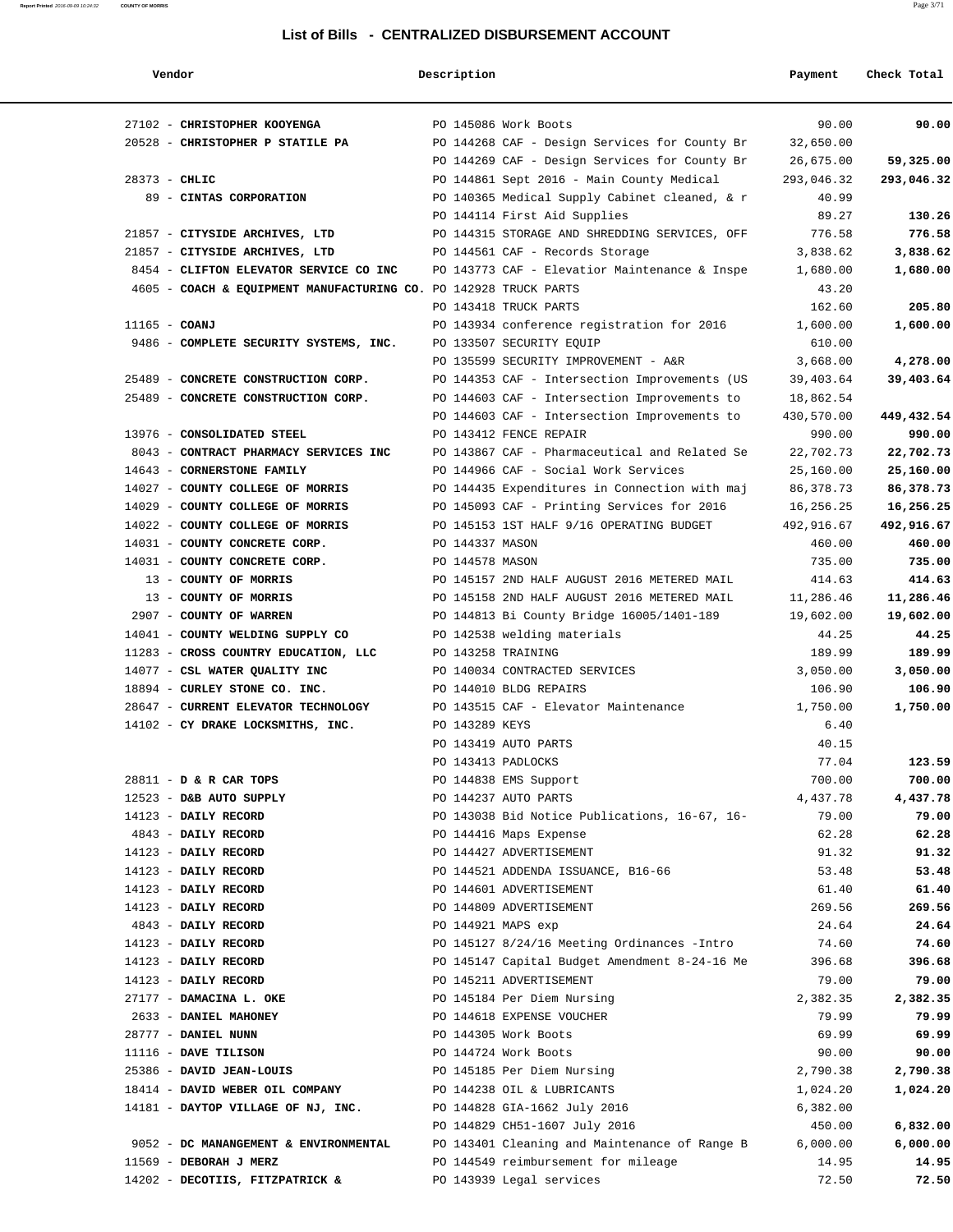| חר | н |
|----|---|
|    |   |

| Vendor                                                           | Description     |                                                                         | Payment        | Check Total        |
|------------------------------------------------------------------|-----------------|-------------------------------------------------------------------------|----------------|--------------------|
| 27102 - CHRISTOPHER KOOYENGA                                     |                 | PO 145086 Work Boots                                                    | 90.00          | 90.00              |
| 20528 - CHRISTOPHER P STATILE PA                                 |                 | PO 144268 CAF - Design Services for County Br                           | 32,650.00      |                    |
|                                                                  |                 | PO 144269 CAF - Design Services for County Br                           | 26,675.00      | 59,325.00          |
| $28373 - CHLIC$                                                  |                 | PO 144861 Sept 2016 - Main County Medical                               | 293,046.32     | 293,046.32         |
| 89 - CINTAS CORPORATION                                          |                 | PO 140365 Medical Supply Cabinet cleaned, & r                           | 40.99          |                    |
|                                                                  |                 | PO 144114 First Aid Supplies                                            | 89.27          | 130.26             |
| 21857 - CITYSIDE ARCHIVES, LTD                                   |                 | PO 144315 STORAGE AND SHREDDING SERVICES, OFF                           | 776.58         | 776.58             |
| 21857 - CITYSIDE ARCHIVES, LTD                                   |                 | PO 144561 CAF - Records Storage                                         | 3,838.62       | 3,838.62           |
| 8454 - CLIFTON ELEVATOR SERVICE CO INC                           |                 | PO 143773 CAF - Elevatior Maintenance & Inspe                           | 1,680.00       | 1,680.00           |
| 4605 - COACH & EQUIPMENT MANUFACTURING CO. PO 142928 TRUCK PARTS |                 |                                                                         | 43.20          |                    |
|                                                                  |                 | PO 143418 TRUCK PARTS                                                   | 162.60         | 205.80             |
| $11165$ - COANJ                                                  |                 | PO 143934 conference registration for 2016                              | 1,600.00       | 1,600.00           |
| 9486 - COMPLETE SECURITY SYSTEMS, INC.                           |                 | PO 133507 SECURITY EQUIP                                                | 610.00         |                    |
|                                                                  |                 | PO 135599 SECURITY IMPROVEMENT - A&R                                    | 3,668.00       | 4,278.00           |
| 25489 - CONCRETE CONSTRUCTION CORP.                              |                 | PO 144353 CAF - Intersection Improvements (US                           | 39,403.64      | 39,403.64          |
| 25489 - CONCRETE CONSTRUCTION CORP.                              |                 | PO 144603 CAF - Intersection Improvements to                            | 18,862.54      |                    |
|                                                                  |                 | PO 144603 CAF - Intersection Improvements to                            | 430,570.00     | 449,432.54         |
| 13976 - CONSOLIDATED STEEL                                       |                 | PO 143412 FENCE REPAIR                                                  | 990.00         | 990.00             |
| 8043 - CONTRACT PHARMACY SERVICES INC                            |                 | PO 143867 CAF - Pharmaceutical and Related Se                           | 22,702.73      | 22,702.73          |
| 14643 - CORNERSTONE FAMILY                                       |                 | PO 144966 CAF - Social Work Services                                    | 25,160.00      | 25,160.00          |
| 14027 - COUNTY COLLEGE OF MORRIS                                 |                 | PO 144435 Expenditures in Connection with maj                           | 86,378.73      | 86,378.73          |
| 14029 - COUNTY COLLEGE OF MORRIS                                 |                 | PO 145093 CAF - Printing Services for 2016                              | 16,256.25      | 16,256.25          |
| 14022 - COUNTY COLLEGE OF MORRIS                                 |                 | PO 145153 1ST HALF 9/16 OPERATING BUDGET                                | 492,916.67     | 492,916.67         |
| 14031 - COUNTY CONCRETE CORP.                                    | PO 144337 MASON |                                                                         | 460.00         | 460.00             |
| 14031 - COUNTY CONCRETE CORP.                                    | PO 144578 MASON |                                                                         | 735.00         | 735.00             |
| 13 - COUNTY OF MORRIS                                            |                 | PO 145157 2ND HALF AUGUST 2016 METERED MAIL                             | 414.63         | 414.63             |
| 13 - COUNTY OF MORRIS                                            |                 | PO 145158 2ND HALF AUGUST 2016 METERED MAIL                             | 11,286.46      | 11,286.46          |
| 2907 - COUNTY OF WARREN                                          |                 | PO 144813 Bi County Bridge 16005/1401-189                               | 19,602.00      | 19,602.00          |
| 14041 - COUNTY WELDING SUPPLY CO                                 |                 | PO 142538 welding materials                                             | 44.25          | 44.25              |
| 11283 - CROSS COUNTRY EDUCATION, LLC                             |                 | PO 143258 TRAINING                                                      | 189.99         | 189.99             |
| 14077 - CSL WATER QUALITY INC                                    |                 | PO 140034 CONTRACTED SERVICES                                           | 3,050.00       | 3,050.00           |
| 18894 - CURLEY STONE CO. INC.                                    |                 | PO 144010 BLDG REPAIRS                                                  | 106.90         | 106.90             |
| 28647 - CURRENT ELEVATOR TECHNOLOGY                              |                 | PO 143515 CAF - Elevator Maintenance                                    | 1,750.00       | 1,750.00           |
| 14102 - CY DRAKE LOCKSMITHS, INC.                                | PO 143289 KEYS  |                                                                         | 6.40           |                    |
|                                                                  |                 | PO 143419 AUTO PARTS                                                    | 40.15          |                    |
|                                                                  |                 | PO 143413 PADLOCKS                                                      | 77.04          | 123.59             |
| 28811 - D & R CAR TOPS<br>12523 - D&B AUTO SUPPLY                |                 | PO 144838 EMS Support<br>PO 144237 AUTO PARTS                           | 700.00         | 700.00<br>4,437.78 |
| 14123 - DAILY RECORD                                             |                 |                                                                         | 4,437.78       |                    |
| 4843 - DAILY RECORD                                              |                 | PO 143038 Bid Notice Publications, 16-67, 16-<br>PO 144416 Maps Expense | 79.00<br>62.28 | 79.00<br>62.28     |
| 14123 - DAILY RECORD                                             |                 | PO 144427 ADVERTISEMENT                                                 | 91.32          | 91.32              |
| 14123 - DAILY RECORD                                             |                 | PO 144521 ADDENDA ISSUANCE, B16-66                                      | 53.48          | 53.48              |
| 14123 - DAILY RECORD                                             |                 | PO 144601 ADVERTISEMENT                                                 | 61.40          | 61.40              |
| 14123 - DAILY RECORD                                             |                 | PO 144809 ADVERTISEMENT                                                 | 269.56         | 269.56             |
| 4843 - DAILY RECORD                                              |                 | PO 144921 MAPS exp                                                      | 24.64          | 24.64              |
| 14123 - DAILY RECORD                                             |                 | PO 145127 8/24/16 Meeting Ordinances -Intro                             | 74.60          | 74.60              |
| 14123 - DAILY RECORD                                             |                 | PO 145147 Capital Budget Amendment 8-24-16 Me                           | 396.68         | 396.68             |
| 14123 - DAILY RECORD                                             |                 | PO 145211 ADVERTISEMENT                                                 | 79.00          | 79.00              |
| 27177 - DAMACINA L. OKE                                          |                 | PO 145184 Per Diem Nursing                                              | 2,382.35       | 2,382.35           |
| 2633 - DANIEL MAHONEY                                            |                 | PO 144618 EXPENSE VOUCHER                                               | 79.99          | 79.99              |
| 28777 - DANIEL NUNN                                              |                 | PO 144305 Work Boots                                                    | 69.99          | 69.99              |
| 11116 - DAVE TILISON                                             |                 | PO 144724 Work Boots                                                    | 90.00          | 90.00              |
| 25386 - DAVID JEAN-LOUIS                                         |                 | PO 145185 Per Diem Nursing                                              | 2,790.38       | 2,790.38           |
| 18414 - DAVID WEBER OIL COMPANY                                  |                 | PO 144238 OIL & LUBRICANTS                                              | 1,024.20       | 1,024.20           |
| 14181 - DAYTOP VILLAGE OF NJ, INC.                               |                 | PO 144828 GIA-1662 July 2016                                            | 6,382.00       |                    |
|                                                                  |                 | PO 144829 CH51-1607 July 2016                                           | 450.00         | 6,832.00           |
| 9052 - DC MANANGEMENT & ENVIRONMENTAL                            |                 | PO 143401 Cleaning and Maintenance of Range B                           | 6,000.00       | 6,000.00           |
| 11569 - DEBORAH J MERZ                                           |                 | PO 144549 reimbursement for mileage                                     | 14.95          | 14.95              |
| 14202 - DECOTIIS, FITZPATRICK &                                  |                 | PO 143939 Legal services                                                | 72.50          | 72.50              |
|                                                                  |                 |                                                                         |                |                    |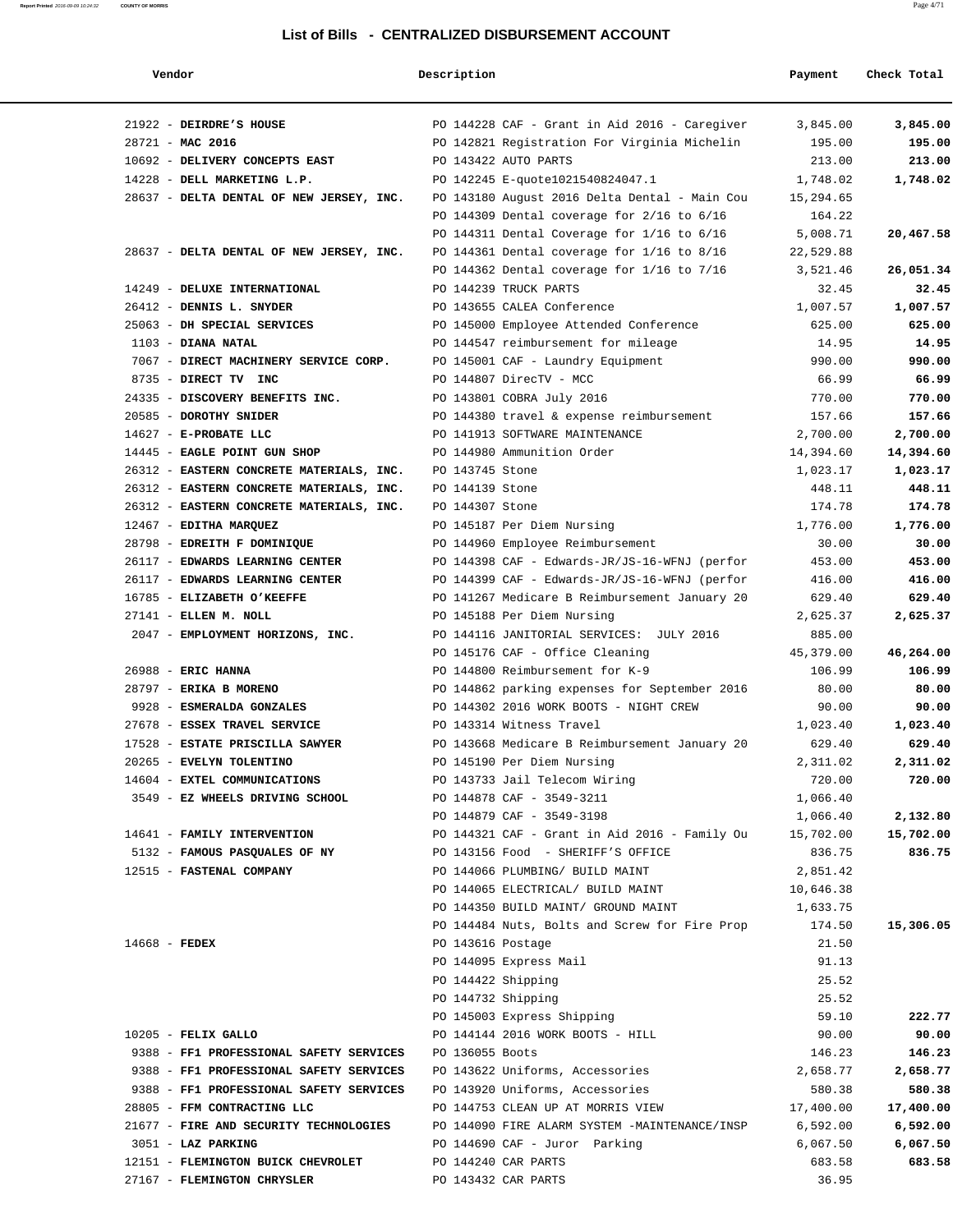#### **Vendor Description Payment Check Total**

**Report Printed** 2016-09-09 10:24:32 **COUNTY OF MORRIS** Page 4/71

| 21922 - DEIRDRE'S HOUSE<br>28721 - MAC 2016 |                   | PO 144228 CAF - Grant in Aid 2016 - Caregiver<br>PO 142821 Registration For Virginia Michelin | 3,845.00<br>195.00 | 3,845.00<br>195.00 |
|---------------------------------------------|-------------------|-----------------------------------------------------------------------------------------------|--------------------|--------------------|
| 10692 - DELIVERY CONCEPTS EAST              |                   | PO 143422 AUTO PARTS                                                                          | 213.00             | 213.00             |
| 14228 - DELL MARKETING L.P.                 |                   | PO 142245 E-quote1021540824047.1                                                              | 1,748.02           | 1,748.02           |
| 28637 - DELTA DENTAL OF NEW JERSEY, INC.    |                   | PO 143180 August 2016 Delta Dental - Main Cou                                                 | 15,294.65          |                    |
|                                             |                   | PO 144309 Dental coverage for $2/16$ to $6/16$                                                | 164.22             |                    |
|                                             |                   | PO 144311 Dental Coverage for 1/16 to 6/16                                                    | 5,008.71           | 20,467.58          |
| 28637 - DELTA DENTAL OF NEW JERSEY, INC.    |                   | PO 144361 Dental coverage for $1/16$ to $8/16$                                                | 22,529.88          |                    |
|                                             |                   | PO 144362 Dental coverage for 1/16 to 7/16                                                    | 3,521.46           | 26,051.34          |
| 14249 - DELUXE INTERNATIONAL                |                   | PO 144239 TRUCK PARTS                                                                         | 32.45              | 32.45              |
| 26412 - DENNIS L. SNYDER                    |                   | PO 143655 CALEA Conference                                                                    | 1,007.57           | 1,007.57           |
| 25063 - DH SPECIAL SERVICES                 |                   | PO 145000 Employee Attended Conference                                                        | 625.00             | 625.00             |
| $1103$ - DIANA NATAL                        |                   | PO 144547 reimbursement for mileage                                                           | 14.95              | 14.95              |
| 7067 - DIRECT MACHINERY SERVICE CORP.       |                   | PO 145001 CAF - Laundry Equipment                                                             | 990.00             | 990.00             |
| 8735 - DIRECT TV INC                        |                   | PO 144807 DirecTV - MCC                                                                       | 66.99              | 66.99              |
| 24335 - DISCOVERY BENEFITS INC.             |                   | PO 143801 COBRA July 2016                                                                     | 770.00             | 770.00             |
| 20585 - DOROTHY SNIDER                      |                   | PO 144380 travel & expense reimbursement                                                      | 157.66             | 157.66             |
| 14627 - E-PROBATE LLC                       |                   | PO 141913 SOFTWARE MAINTENANCE                                                                | 2,700.00           | 2,700.00           |
| 14445 - EAGLE POINT GUN SHOP                |                   | PO 144980 Ammunition Order                                                                    | 14,394.60          | 14,394.60          |
| 26312 - EASTERN CONCRETE MATERIALS, INC.    | PO 143745 Stone   |                                                                                               | 1,023.17           | 1,023.17           |
| 26312 - EASTERN CONCRETE MATERIALS, INC.    | PO 144139 Stone   |                                                                                               | 448.11             | 448.11             |
| 26312 - EASTERN CONCRETE MATERIALS, INC.    | PO 144307 Stone   |                                                                                               | 174.78             | 174.78             |
| 12467 - EDITHA MARQUEZ                      |                   | PO 145187 Per Diem Nursing                                                                    | 1,776.00           | 1,776.00           |
| 28798 - EDREITH F DOMINIQUE                 |                   | PO 144960 Employee Reimbursement                                                              | 30.00              | 30.00              |
| 26117 - EDWARDS LEARNING CENTER             |                   | PO 144398 CAF - Edwards-JR/JS-16-WFNJ (perfor                                                 | 453.00             | 453.00             |
| 26117 - EDWARDS LEARNING CENTER             |                   | PO 144399 CAF - Edwards-JR/JS-16-WFNJ (perfor                                                 | 416.00             | 416.00             |
| 16785 - ELIZABETH O'KEEFFE                  |                   | PO 141267 Medicare B Reimbursement January 20                                                 | 629.40             | 629.40             |
| 27141 - ELLEN M. NOLL                       |                   | PO 145188 Per Diem Nursing                                                                    | 2,625.37           | 2,625.37           |
| 2047 - EMPLOYMENT HORIZONS, INC.            |                   | PO 144116 JANITORIAL SERVICES: JULY 2016                                                      | 885.00             |                    |
|                                             |                   | PO 145176 CAF - Office Cleaning                                                               | 45,379.00          | 46,264.00          |
| 26988 - ERIC HANNA                          |                   | PO 144800 Reimbursement for K-9                                                               | 106.99             | 106.99             |
| 28797 - ERIKA B MORENO                      |                   | PO 144862 parking expenses for September 2016                                                 | 80.00              | 80.00              |
| 9928 - ESMERALDA GONZALES                   |                   | PO 144302 2016 WORK BOOTS - NIGHT CREW                                                        | 90.00              | 90.00              |
| 27678 - ESSEX TRAVEL SERVICE                |                   | PO 143314 Witness Travel                                                                      | 1,023.40           | 1,023.40           |
| 17528 - ESTATE PRISCILLA SAWYER             |                   | PO 143668 Medicare B Reimbursement January 20                                                 | 629.40             | 629.40             |
| 20265 - EVELYN TOLENTINO                    |                   | PO 145190 Per Diem Nursing                                                                    | 2,311.02           | 2,311.02           |
| 14604 - EXTEL COMMUNICATIONS                |                   | PO 143733 Jail Telecom Wiring                                                                 | 720.00             | 720.00             |
| 3549 - EZ WHEELS DRIVING SCHOOL             |                   | PO 144878 CAF - 3549-3211                                                                     | 1,066.40           |                    |
|                                             |                   | PO 144879 CAF - 3549-3198                                                                     | 1,066.40           | 2,132.80           |
| 14641 - FAMILY INTERVENTION                 |                   | PO 144321 CAF - Grant in Aid 2016 - Family Ou                                                 | 15,702.00          | 15,702.00          |
| 5132 - FAMOUS PASQUALES OF NY               |                   | PO 143156 Food - SHERIFF'S OFFICE                                                             | 836.75             | 836.75             |
| 12515 - FASTENAL COMPANY                    |                   | PO 144066 PLUMBING/ BUILD MAINT                                                               | 2,851.42           |                    |
|                                             |                   | PO 144065 ELECTRICAL/ BUILD MAINT                                                             | 10,646.38          |                    |
|                                             |                   | PO 144350 BUILD MAINT/ GROUND MAINT                                                           | 1,633.75           |                    |
|                                             |                   | PO 144484 Nuts, Bolts and Screw for Fire Prop                                                 | 174.50             | 15,306.05          |
| $14668$ - FEDEX                             | PO 143616 Postage |                                                                                               | 21.50              |                    |
|                                             |                   | PO 144095 Express Mail                                                                        | 91.13              |                    |
|                                             |                   | PO 144422 Shipping                                                                            | 25.52              |                    |
|                                             |                   | PO 144732 Shipping                                                                            | 25.52              |                    |
|                                             |                   | PO 145003 Express Shipping                                                                    | 59.10              | 222.77             |
| $10205$ - FELIX GALLO                       |                   | PO 144144 2016 WORK BOOTS - HILL                                                              | 90.00              | 90.00              |
| 9388 - FF1 PROFESSIONAL SAFETY SERVICES     | PO 136055 Boots   |                                                                                               | 146.23             | 146.23             |
| 9388 - FF1 PROFESSIONAL SAFETY SERVICES     |                   | PO 143622 Uniforms, Accessories                                                               | 2,658.77           | 2,658.77           |
| 9388 - FF1 PROFESSIONAL SAFETY SERVICES     |                   | PO 143920 Uniforms, Accessories                                                               | 580.38             | 580.38             |
| 28805 - FFM CONTRACTING LLC                 |                   | PO 144753 CLEAN UP AT MORRIS VIEW                                                             | 17,400.00          | 17,400.00          |
| 21677 - FIRE AND SECURITY TECHNOLOGIES      |                   | PO 144090 FIRE ALARM SYSTEM -MAINTENANCE/INSP                                                 | 6,592.00           | 6,592.00           |
| 3051 - LAZ PARKING                          |                   | PO 144690 CAF - Juror Parking                                                                 | 6,067.50           | 6,067.50           |
| 12151 - FLEMINGTON BUICK CHEVROLET          |                   | PO 144240 CAR PARTS                                                                           | 683.58             | 683.58             |
| 27167 - FLEMINGTON CHRYSLER                 |                   | PO 143432 CAR PARTS                                                                           | 36.95              |                    |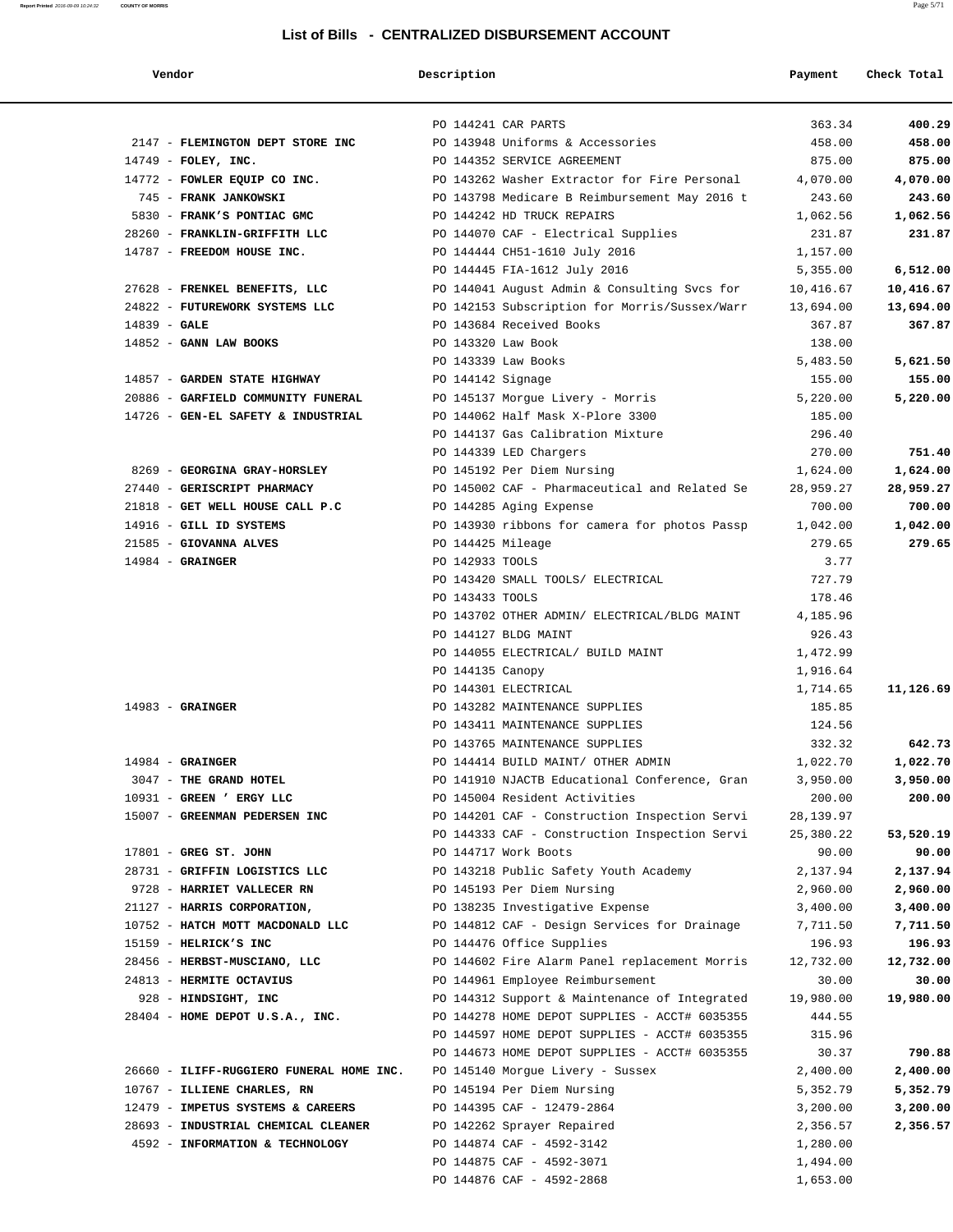| Vendor                                   | Description        |                                               | Payment    | Check Total |
|------------------------------------------|--------------------|-----------------------------------------------|------------|-------------|
|                                          |                    | PO 144241 CAR PARTS                           | 363.34     | 400.29      |
| 2147 - FLEMINGTON DEPT STORE INC         |                    | PO 143948 Uniforms & Accessories              | 458.00     | 458.00      |
| $14749$ - FOLEY, INC.                    |                    | PO 144352 SERVICE AGREEMENT                   | 875.00     | 875.00      |
| 14772 - FOWLER EQUIP CO INC.             |                    | PO 143262 Washer Extractor for Fire Personal  | 4,070.00   | 4,070.00    |
| 745 - FRANK JANKOWSKI                    |                    | PO 143798 Medicare B Reimbursement May 2016 t | 243.60     | 243.60      |
| 5830 - FRANK'S PONTIAC GMC               |                    | PO 144242 HD TRUCK REPAIRS                    | 1,062.56   | 1,062.56    |
| 28260 - FRANKLIN-GRIFFITH LLC            |                    | PO 144070 CAF - Electrical Supplies           | 231.87     | 231.87      |
| 14787 - FREEDOM HOUSE INC.               |                    | PO 144444 CH51-1610 July 2016                 | 1,157.00   |             |
|                                          |                    | PO 144445 FIA-1612 July 2016                  | 5,355.00   | 6,512.00    |
| 27628 - FRENKEL BENEFITS, LLC            |                    | PO 144041 August Admin & Consulting Svcs for  | 10,416.67  | 10,416.67   |
| 24822 - FUTUREWORK SYSTEMS LLC           |                    | PO 142153 Subscription for Morris/Sussex/Warr | 13,694.00  | 13,694.00   |
| $14839 - GALE$                           |                    | PO 143684 Received Books                      | 367.87     | 367.87      |
| 14852 - GANN LAW BOOKS                   | PO 143320 Law Book |                                               | 138.00     |             |
|                                          |                    | PO 143339 Law Books                           | 5,483.50   | 5,621.50    |
| 14857 - GARDEN STATE HIGHWAY             | PO 144142 Signage  |                                               | 155.00     | 155.00      |
| 20886 - GARFIELD COMMUNITY FUNERAL       |                    | PO 145137 Morgue Livery - Morris              | 5,220.00   | 5,220.00    |
| 14726 - GEN-EL SAFETY & INDUSTRIAL       |                    | PO 144062 Half Mask X-Plore 3300              | 185.00     |             |
|                                          |                    | PO 144137 Gas Calibration Mixture             | 296.40     |             |
|                                          |                    | PO 144339 LED Chargers                        | 270.00     | 751.40      |
| 8269 - GEORGINA GRAY-HORSLEY             |                    | PO 145192 Per Diem Nursing                    | 1,624.00   | 1,624.00    |
| 27440 - GERISCRIPT PHARMACY              |                    | PO 145002 CAF - Pharmaceutical and Related Se | 28,959.27  | 28,959.27   |
| 21818 - GET WELL HOUSE CALL P.C          |                    | PO 144285 Aging Expense                       | 700.00     | 700.00      |
| 14916 - GILL ID SYSTEMS                  |                    | PO 143930 ribbons for camera for photos Passp | 1,042.00   | 1,042.00    |
| 21585 - GIOVANNA ALVES                   | PO 144425 Mileage  |                                               | 279.65     | 279.65      |
| $14984$ - GRAINGER                       | PO 142933 TOOLS    |                                               | 3.77       |             |
|                                          |                    | PO 143420 SMALL TOOLS/ ELECTRICAL             | 727.79     |             |
|                                          | PO 143433 TOOLS    |                                               | 178.46     |             |
|                                          |                    | PO 143702 OTHER ADMIN/ ELECTRICAL/BLDG MAINT  | 4,185.96   |             |
|                                          |                    | PO 144127 BLDG MAINT                          | 926.43     |             |
|                                          |                    | PO 144055 ELECTRICAL/ BUILD MAINT             | 1,472.99   |             |
|                                          | PO 144135 Canopy   |                                               | 1,916.64   |             |
|                                          |                    | PO 144301 ELECTRICAL                          | 1,714.65   | 11,126.69   |
| $14983$ - GRAINGER                       |                    | PO 143282 MAINTENANCE SUPPLIES                | 185.85     |             |
|                                          |                    | PO 143411 MAINTENANCE SUPPLIES                | 124.56     |             |
|                                          |                    | PO 143765 MAINTENANCE SUPPLIES                | 332.32     | 642.73      |
| $14984$ - GRAINGER                       |                    | PO 144414 BUILD MAINT/ OTHER ADMIN            | 1,022.70   | 1,022.70    |
| 3047 - THE GRAND HOTEL                   |                    | PO 141910 NJACTB Educational Conference, Gran | 3,950.00   | 3,950.00    |
| 10931 - GREEN ' ERGY LLC                 |                    | PO 145004 Resident Activities                 | 200.00     | 200.00      |
| 15007 - GREENMAN PEDERSEN INC            |                    | PO 144201 CAF - Construction Inspection Servi | 28, 139.97 |             |
|                                          |                    | PO 144333 CAF - Construction Inspection Servi | 25,380.22  | 53,520.19   |
| 17801 - GREG ST. JOHN                    |                    | PO 144717 Work Boots                          | 90.00      | 90.00       |
| 28731 - GRIFFIN LOGISTICS LLC            |                    | PO 143218 Public Safety Youth Academy         | 2,137.94   | 2,137.94    |
| 9728 - HARRIET VALLECER RN               |                    | PO 145193 Per Diem Nursing                    | 2,960.00   | 2,960.00    |
| 21127 - HARRIS CORPORATION,              |                    | PO 138235 Investigative Expense               | 3,400.00   | 3,400.00    |
| 10752 - HATCH MOTT MACDONALD LLC         |                    | PO 144812 CAF - Design Services for Drainage  | 7,711.50   | 7,711.50    |
| 15159 - HELRICK'S INC                    |                    | PO 144476 Office Supplies                     | 196.93     | 196.93      |
| 28456 - HERBST-MUSCIANO, LLC             |                    | PO 144602 Fire Alarm Panel replacement Morris | 12,732.00  | 12,732.00   |
| 24813 - HERMITE OCTAVIUS                 |                    | PO 144961 Employee Reimbursement              | 30.00      | 30.00       |
| 928 - HINDSIGHT, INC                     |                    | PO 144312 Support & Maintenance of Integrated | 19,980.00  | 19,980.00   |
| $28404$ - HOME DEPOT U.S.A., INC.        |                    | PO 144278 HOME DEPOT SUPPLIES - ACCT# 6035355 | 444.55     |             |
|                                          |                    | PO 144597 HOME DEPOT SUPPLIES - ACCT# 6035355 | 315.96     |             |
|                                          |                    | PO 144673 HOME DEPOT SUPPLIES - ACCT# 6035355 | 30.37      | 790.88      |
| 26660 - ILIFF-RUGGIERO FUNERAL HOME INC. |                    | PO 145140 Morgue Livery - Sussex              | 2,400.00   | 2,400.00    |
| 10767 - ILLIENE CHARLES, RN              |                    | PO 145194 Per Diem Nursing                    | 5,352.79   | 5,352.79    |
| 12479 - IMPETUS SYSTEMS & CAREERS        |                    | PO 144395 CAF - 12479-2864                    | 3,200.00   | 3,200.00    |
| 28693 - INDUSTRIAL CHEMICAL CLEANER      |                    | PO 142262 Sprayer Repaired                    | 2,356.57   | 2,356.57    |
| 4592 - INFORMATION & TECHNOLOGY          |                    | PO 144874 CAF - 4592-3142                     | 1,280.00   |             |
|                                          |                    | PO 144875 CAF - 4592-3071                     | 1,494.00   |             |
|                                          |                    | PO 144876 CAF - 4592-2868                     | 1,653.00   |             |
|                                          |                    |                                               |            |             |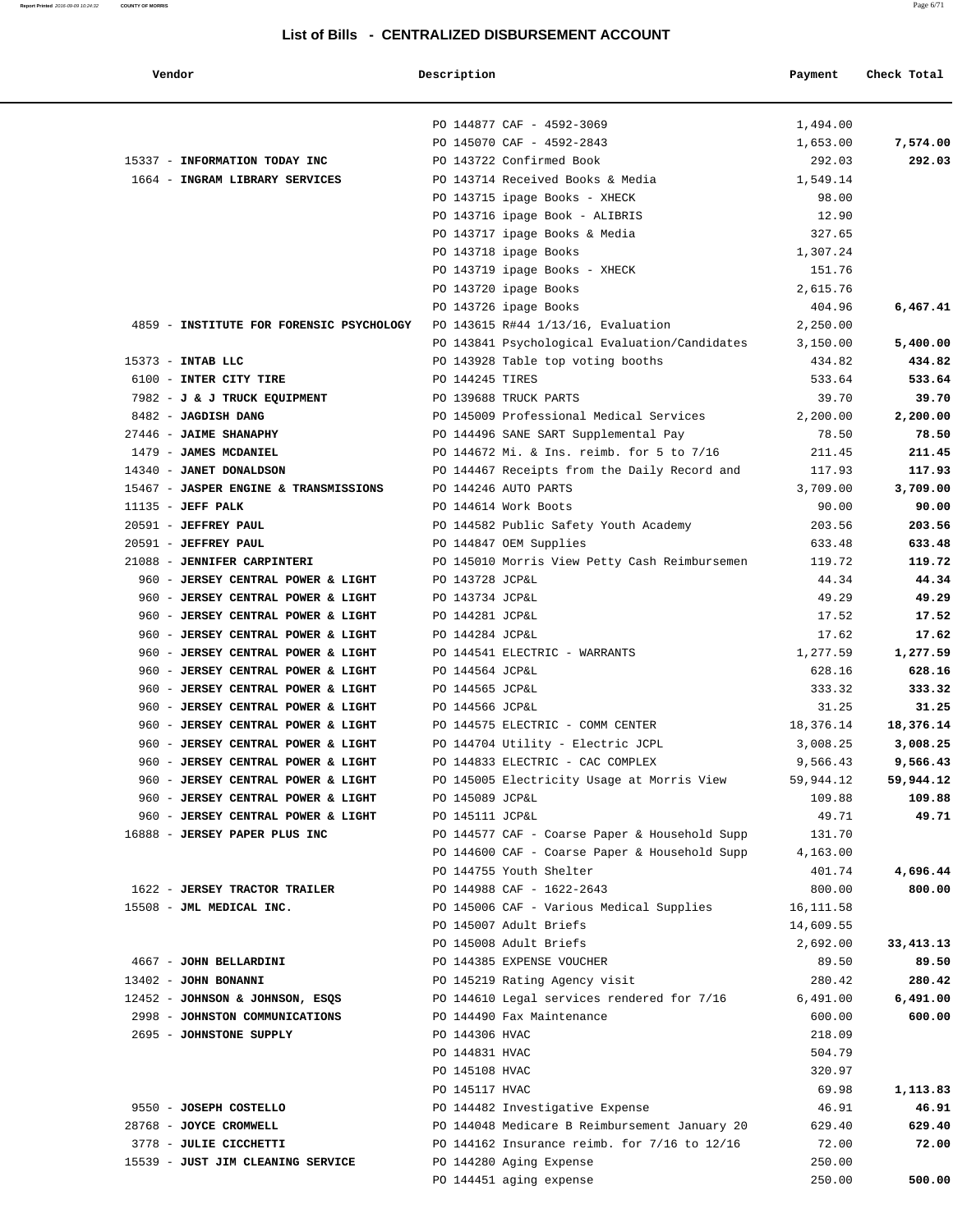**Report Printed** 2016-09-09 10:24:32 **COUNTY OF MORRIS** Page 6/71

#### **List of Bills - CENTRALIZED DISBURSEMENT ACCOUNT**

| Vendor                                              | Description     |                                                  | Payment        | Check Total    |
|-----------------------------------------------------|-----------------|--------------------------------------------------|----------------|----------------|
|                                                     |                 | PO 144877 CAF - 4592-3069                        | 1,494.00       |                |
|                                                     |                 | PO 145070 CAF - 4592-2843                        | 1,653.00       | 7,574.00       |
| 15337 - INFORMATION TODAY INC                       |                 | PO 143722 Confirmed Book                         | 292.03         | 292.03         |
| 1664 - INGRAM LIBRARY SERVICES                      |                 | PO 143714 Received Books & Media                 | 1,549.14       |                |
|                                                     |                 | PO 143715 ipage Books - XHECK                    | 98.00          |                |
|                                                     |                 | PO 143716 ipage Book - ALIBRIS                   | 12.90          |                |
|                                                     |                 | PO 143717 ipage Books & Media                    | 327.65         |                |
|                                                     |                 | PO 143718 ipage Books                            | 1,307.24       |                |
|                                                     |                 | PO 143719 ipage Books - XHECK                    | 151.76         |                |
|                                                     |                 | PO 143720 ipage Books                            | 2,615.76       |                |
|                                                     |                 | PO 143726 ipage Books                            | 404.96         | 6,467.41       |
| 4859 - INSTITUTE FOR FORENSIC PSYCHOLOGY            |                 | PO 143615 R#44 1/13/16, Evaluation               | 2,250.00       |                |
|                                                     |                 | PO 143841 Psychological Evaluation/Candidates    | 3,150.00       | 5,400.00       |
| 15373 - INTAB LLC                                   |                 | PO 143928 Table top voting booths                | 434.82         | 434.82         |
| 6100 - INTER CITY TIRE                              | PO 144245 TIRES |                                                  | 533.64         | 533.64         |
| 7982 - J & J TRUCK EQUIPMENT                        |                 | PO 139688 TRUCK PARTS                            | 39.70          | 39.70          |
| 8482 - JAGDISH DANG                                 |                 | PO 145009 Professional Medical Services          | 2,200.00       | 2,200.00       |
| 27446 - JAIME SHANAPHY                              |                 | PO 144496 SANE SART Supplemental Pay             | 78.50          | 78.50          |
| 1479 - JAMES MCDANIEL                               |                 | PO 144672 Mi. & Ins. reimb. for 5 to 7/16        | 211.45         | 211.45         |
| 14340 - JANET DONALDSON                             |                 | PO 144467 Receipts from the Daily Record and     | 117.93         | 117.93         |
| 15467 - JASPER ENGINE & TRANSMISSIONS               |                 | PO 144246 AUTO PARTS                             | 3,709.00       | 3,709.00       |
| $11135$ - JEFF PALK                                 |                 | PO 144614 Work Boots                             | 90.00          | 90.00          |
| 20591 - JEFFREY PAUL                                |                 | PO 144582 Public Safety Youth Academy            | 203.56         | 203.56         |
| 20591 - JEFFREY PAUL<br>21088 - JENNIFER CARPINTERI |                 | PO 144847 OEM Supplies                           | 633.48         | 633.48         |
| 960 - JERSEY CENTRAL POWER & LIGHT                  | PO 143728 JCP&L | PO 145010 Morris View Petty Cash Reimbursemen    | 119.72         | 119.72         |
| 960 - JERSEY CENTRAL POWER & LIGHT                  | PO 143734 JCP&L |                                                  | 44.34<br>49.29 | 44.34<br>49.29 |
| 960 - JERSEY CENTRAL POWER & LIGHT                  | PO 144281 JCP&L |                                                  | 17.52          | 17.52          |
| 960 - JERSEY CENTRAL POWER & LIGHT                  | PO 144284 JCP&L |                                                  | 17.62          | 17.62          |
| 960 - JERSEY CENTRAL POWER & LIGHT                  |                 | PO 144541 ELECTRIC - WARRANTS                    | 1,277.59       | 1,277.59       |
| 960 - JERSEY CENTRAL POWER & LIGHT                  | PO 144564 JCP&L |                                                  | 628.16         | 628.16         |
| 960 - JERSEY CENTRAL POWER & LIGHT                  | PO 144565 JCP&L |                                                  | 333.32         | 333.32         |
| 960 - JERSEY CENTRAL POWER & LIGHT                  | PO 144566 JCP&L |                                                  | 31.25          | 31.25          |
| 960 - JERSEY CENTRAL POWER & LIGHT                  |                 | PO 144575 ELECTRIC - COMM CENTER                 | 18,376.14      | 18,376.14      |
| 960 - JERSEY CENTRAL POWER & LIGHT                  |                 | PO 144704 Utility - Electric JCPL                | 3,008.25       | 3,008.25       |
| 960 - JERSEY CENTRAL POWER & LIGHT                  |                 | PO 144833 ELECTRIC - CAC COMPLEX                 | 9,566.43       | 9,566.43       |
| 960 - JERSEY CENTRAL POWER & LIGHT                  |                 | PO 145005 Electricity Usage at Morris View       | 59,944.12      | 59,944.12      |
| 960 - JERSEY CENTRAL POWER & LIGHT                  | PO 145089 JCP&L |                                                  | 109.88         | 109.88         |
| 960 - JERSEY CENTRAL POWER & LIGHT                  | PO 145111 JCP&L |                                                  | 49.71          | 49.71          |
| 16888 - JERSEY PAPER PLUS INC                       |                 | PO 144577 CAF - Coarse Paper & Household Supp    | 131.70         |                |
|                                                     |                 | PO 144600 CAF - Coarse Paper & Household Supp    | 4,163.00       |                |
|                                                     |                 | PO 144755 Youth Shelter                          | 401.74         | 4,696.44       |
| 1622 - JERSEY TRACTOR TRAILER                       |                 | PO 144988 CAF - 1622-2643                        | 800.00         | 800.00         |
| 15508 - JML MEDICAL INC.                            |                 | PO 145006 CAF - Various Medical Supplies         | 16,111.58      |                |
|                                                     |                 | PO 145007 Adult Briefs                           | 14,609.55      |                |
|                                                     |                 | PO 145008 Adult Briefs                           | 2,692.00       | 33, 413. 13    |
| 4667 - JOHN BELLARDINI                              |                 | PO 144385 EXPENSE VOUCHER                        | 89.50          | 89.50          |
| 13402 - JOHN BONANNI                                |                 | PO 145219 Rating Agency visit                    | 280.42         | 280.42         |
| 12452 - JOHNSON & JOHNSON, ESQS                     |                 | PO 144610 Legal services rendered for 7/16       | 6,491.00       | 6,491.00       |
| 2998 - JOHNSTON COMMUNICATIONS                      |                 | PO 144490 Fax Maintenance                        | 600.00         | 600.00         |
| 2695 - JOHNSTONE SUPPLY                             | PO 144306 HVAC  |                                                  | 218.09         |                |
|                                                     | PO 144831 HVAC  |                                                  | 504.79         |                |
|                                                     | PO 145108 HVAC  |                                                  | 320.97         |                |
|                                                     | PO 145117 HVAC  |                                                  | 69.98          | 1,113.83       |
| 9550 - JOSEPH COSTELLO                              |                 | PO 144482 Investigative Expense                  | 46.91          | 46.91          |
| 28768 - JOYCE CROMWELL                              |                 | PO 144048 Medicare B Reimbursement January 20    | 629.40         | 629.40         |
| 3778 - JULIE CICCHETTI                              |                 | PO 144162 Insurance reimb. for $7/16$ to $12/16$ | 72.00          | 72.00          |
| 15539 - JUST JIM CLEANING SERVICE                   |                 | PO 144280 Aging Expense                          | 250.00         |                |
|                                                     |                 | PO 144451 aging expense                          | 250.00         | 500.00         |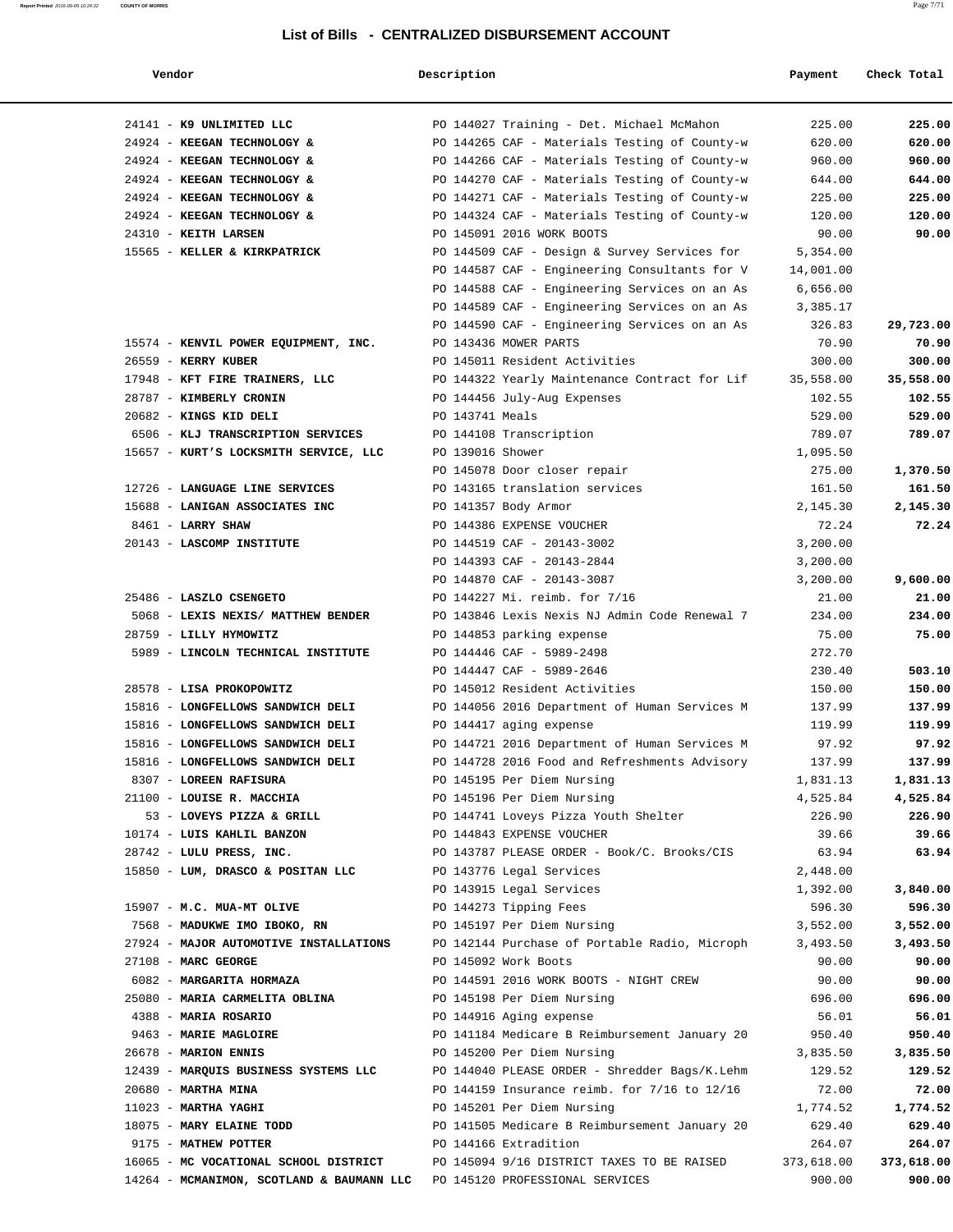|  |  | ī |
|--|--|---|
|  |  |   |

#### **Vendor Description Payment Check Total**

**Report Printed** 2016-09-09 10:24:32 **COUNTY OF MORRIS** Page 7/71

| 24141 - K9 UNLIMITED LLC                  |                 | PO 144027 Training - Det. Michael McMahon     | 225.00     | 225.00     |
|-------------------------------------------|-----------------|-----------------------------------------------|------------|------------|
| 24924 - KEEGAN TECHNOLOGY &               |                 | PO 144265 CAF - Materials Testing of County-w | 620.00     | 620.00     |
| 24924 - KEEGAN TECHNOLOGY &               |                 | PO 144266 CAF - Materials Testing of County-w | 960.00     | 960.00     |
| 24924 - KEEGAN TECHNOLOGY &               |                 | PO 144270 CAF - Materials Testing of County-w | 644.00     | 644.00     |
| 24924 - KEEGAN TECHNOLOGY &               |                 | PO 144271 CAF - Materials Testing of County-w | 225.00     | 225.00     |
| 24924 - KEEGAN TECHNOLOGY &               |                 | PO 144324 CAF - Materials Testing of County-w | 120.00     | 120.00     |
| 24310 - KEITH LARSEN                      |                 | PO 145091 2016 WORK BOOTS                     | 90.00      | 90.00      |
| 15565 - KELLER & KIRKPATRICK              |                 | PO 144509 CAF - Design & Survey Services for  | 5,354.00   |            |
|                                           |                 | PO 144587 CAF - Engineering Consultants for V | 14,001.00  |            |
|                                           |                 | PO 144588 CAF - Engineering Services on an As | 6,656.00   |            |
|                                           |                 | PO 144589 CAF - Engineering Services on an As | 3,385.17   |            |
|                                           |                 | PO 144590 CAF - Engineering Services on an As | 326.83     | 29,723.00  |
| 15574 - KENVIL POWER EQUIPMENT, INC.      |                 | PO 143436 MOWER PARTS                         | 70.90      | 70.90      |
| $26559$ - KERRY KUBER                     |                 | PO 145011 Resident Activities                 | 300.00     | 300.00     |
| 17948 - KFT FIRE TRAINERS, LLC            |                 | PO 144322 Yearly Maintenance Contract for Lif | 35,558.00  | 35,558.00  |
| 28787 - KIMBERLY CRONIN                   |                 | PO 144456 July-Aug Expenses                   | 102.55     | 102.55     |
| 20682 - KINGS KID DELI                    | PO 143741 Meals |                                               | 529.00     | 529.00     |
| 6506 - KLJ TRANSCRIPTION SERVICES         |                 | PO 144108 Transcription                       | 789.07     | 789.07     |
| 15657 - KURT'S LOCKSMITH SERVICE, LLC     |                 | PO 139016 Shower                              | 1,095.50   |            |
|                                           |                 | PO 145078 Door closer repair                  | 275.00     | 1,370.50   |
| 12726 - LANGUAGE LINE SERVICES            |                 | PO 143165 translation services                | 161.50     | 161.50     |
| 15688 - LANIGAN ASSOCIATES INC            |                 | PO 141357 Body Armor                          | 2,145.30   | 2,145.30   |
| 8461 - LARRY SHAW                         |                 | PO 144386 EXPENSE VOUCHER                     | 72.24      | 72.24      |
| 20143 - LASCOMP INSTITUTE                 |                 | PO 144519 CAF - 20143-3002                    | 3,200.00   |            |
|                                           |                 | PO 144393 CAF - 20143-2844                    | 3,200.00   |            |
|                                           |                 | PO 144870 CAF - 20143-3087                    | 3,200.00   | 9,600.00   |
| 25486 - LASZLO CSENGETO                   |                 | PO 144227 Mi. reimb. for 7/16                 | 21.00      | 21.00      |
| 5068 - LEXIS NEXIS/ MATTHEW BENDER        |                 | PO 143846 Lexis Nexis NJ Admin Code Renewal 7 | 234.00     | 234.00     |
| 28759 - LILLY HYMOWITZ                    |                 | PO 144853 parking expense                     | 75.00      | 75.00      |
| 5989 - LINCOLN TECHNICAL INSTITUTE        |                 | PO 144446 CAF - 5989-2498                     | 272.70     |            |
|                                           |                 | PO 144447 CAF - 5989-2646                     | 230.40     | 503.10     |
| 28578 - LISA PROKOPOWITZ                  |                 | PO 145012 Resident Activities                 | 150.00     | 150.00     |
| 15816 - LONGFELLOWS SANDWICH DELI         |                 | PO 144056 2016 Department of Human Services M | 137.99     | 137.99     |
| 15816 - LONGFELLOWS SANDWICH DELI         |                 | PO 144417 aging expense                       | 119.99     | 119.99     |
| 15816 - LONGFELLOWS SANDWICH DELI         |                 | PO 144721 2016 Department of Human Services M | 97.92      | 97.92      |
| 15816 - LONGFELLOWS SANDWICH DELI         |                 | PO 144728 2016 Food and Refreshments Advisory | 137.99     | 137.99     |
| 8307 - LOREEN RAFISURA                    |                 | PO 145195 Per Diem Nursing                    | 1,831.13   | 1,831.13   |
| 21100 - LOUISE R. MACCHIA                 |                 | PO 145196 Per Diem Nursing                    | 4,525.84   | 4,525.84   |
| 53 - LOVEYS PIZZA & GRILL                 |                 | PO 144741 Loveys Pizza Youth Shelter          | 226.90     | 226.90     |
| 10174 - LUIS KAHLIL BANZON                |                 | PO 144843 EXPENSE VOUCHER                     | 39.66      | 39.66      |
| 28742 - LULU PRESS, INC.                  |                 | PO 143787 PLEASE ORDER - Book/C. Brooks/CIS   | 63.94      | 63.94      |
| 15850 - LUM, DRASCO & POSITAN LLC         |                 | PO 143776 Legal Services                      | 2,448.00   |            |
|                                           |                 | PO 143915 Legal Services                      | 1,392.00   | 3,840.00   |
| 15907 - M.C. MUA-MT OLIVE                 |                 | PO 144273 Tipping Fees                        | 596.30     | 596.30     |
| 7568 - MADUKWE IMO IBOKO, RN              |                 | PO 145197 Per Diem Nursing                    | 3,552.00   | 3,552.00   |
| 27924 - MAJOR AUTOMOTIVE INSTALLATIONS    |                 | PO 142144 Purchase of Portable Radio, Microph | 3,493.50   | 3,493.50   |
| 27108 - MARC GEORGE                       |                 | PO 145092 Work Boots                          | 90.00      | 90.00      |
| 6082 - MARGARITA HORMAZA                  |                 | PO 144591 2016 WORK BOOTS - NIGHT CREW        | 90.00      | 90.00      |
| 25080 - MARIA CARMELITA OBLINA            |                 | PO 145198 Per Diem Nursing                    | 696.00     | 696.00     |
| 4388 - MARIA ROSARIO                      |                 | PO 144916 Aging expense                       | 56.01      | 56.01      |
| 9463 - MARIE MAGLOIRE                     |                 | PO 141184 Medicare B Reimbursement January 20 | 950.40     | 950.40     |
| 26678 - MARION ENNIS                      |                 | PO 145200 Per Diem Nursing                    | 3,835.50   | 3,835.50   |
| 12439 - MARQUIS BUSINESS SYSTEMS LLC      |                 | PO 144040 PLEASE ORDER - Shredder Bags/K.Lehm | 129.52     | 129.52     |
| $20680$ - MARTHA MINA                     |                 | PO 144159 Insurance reimb. for 7/16 to 12/16  | 72.00      | 72.00      |
| $11023$ - MARTHA YAGHI                    |                 | PO 145201 Per Diem Nursing                    | 1,774.52   | 1,774.52   |
| 18075 - MARY ELAINE TODD                  |                 | PO 141505 Medicare B Reimbursement January 20 | 629.40     | 629.40     |
| 9175 - MATHEW POTTER                      |                 | PO 144166 Extradition                         | 264.07     | 264.07     |
| 16065 - MC VOCATIONAL SCHOOL DISTRICT     |                 | PO 145094 9/16 DISTRICT TAXES TO BE RAISED    | 373,618.00 | 373,618.00 |
| 14264 - MCMANIMON, SCOTLAND & BAUMANN LLC |                 | PO 145120 PROFESSIONAL SERVICES               | 900.00     | 900.00     |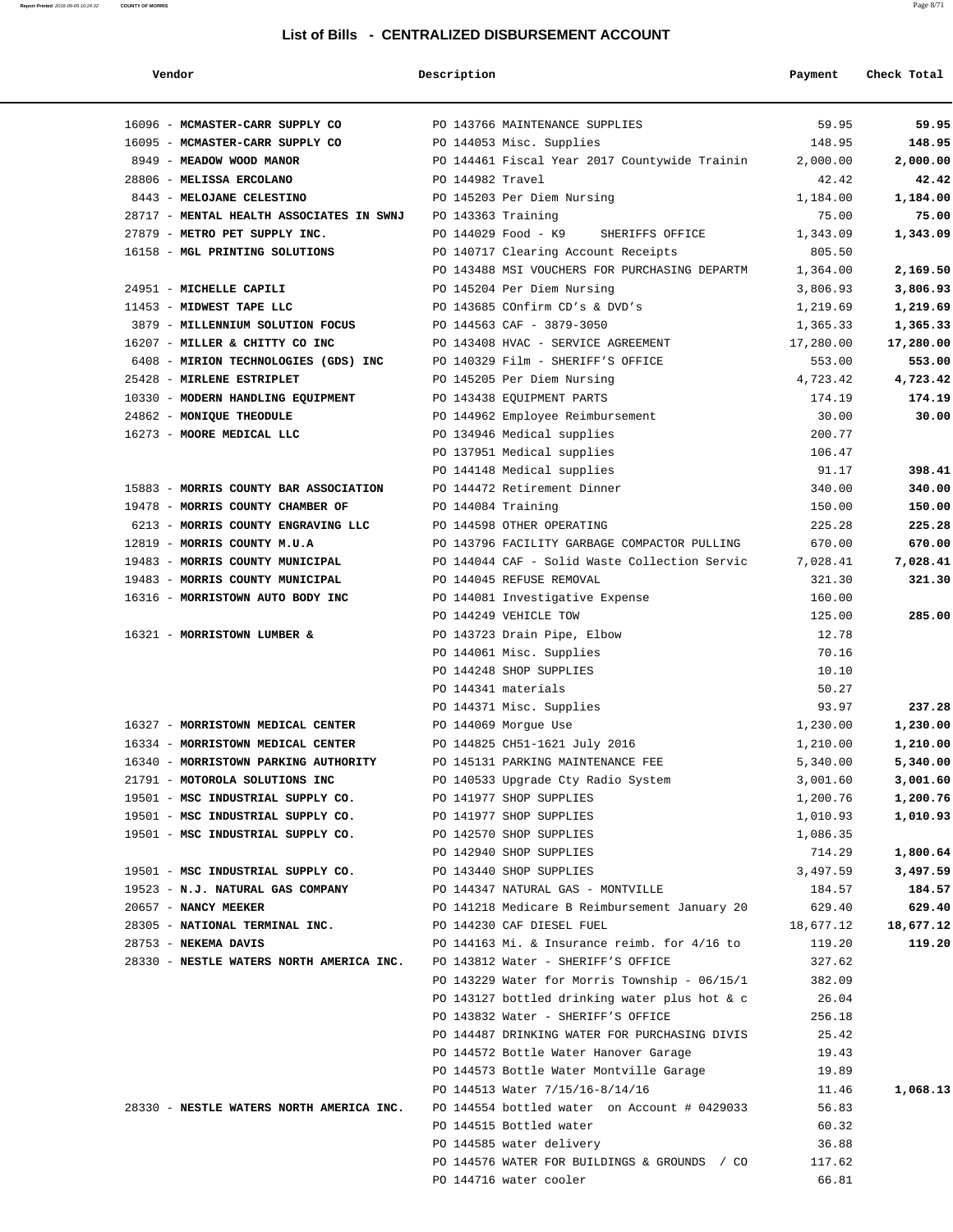| Vendor                                                                                | Description        |                                               | Payment   | Check Total |
|---------------------------------------------------------------------------------------|--------------------|-----------------------------------------------|-----------|-------------|
| 16096 - MCMASTER-CARR SUPPLY CO                                                       |                    | PO 143766 MAINTENANCE SUPPLIES                | 59.95     | 59.95       |
| 16095 - MCMASTER-CARR SUPPLY CO                                                       |                    | PO 144053 Misc. Supplies                      | 148.95    | 148.95      |
| 8949 - MEADOW WOOD MANOR                                                              |                    | PO 144461 Fiscal Year 2017 Countywide Trainin | 2,000.00  | 2,000.00    |
| 28806 - MELISSA ERCOLANO                                                              | PO 144982 Travel   |                                               | 42.42     | 42.42       |
| 8443 - MELOJANE CELESTINO                                                             |                    | PO 145203 Per Diem Nursing                    | 1,184.00  | 1,184.00    |
| 28717 - MENTAL HEALTH ASSOCIATES IN SWNJ                                              | PO 143363 Training |                                               | 75.00     | 75.00       |
| 27879 - METRO PET SUPPLY INC.                                                         |                    | PO 144029 Food - K9<br>SHERIFFS OFFICE        | 1,343.09  | 1,343.09    |
| 16158 - MGL PRINTING SOLUTIONS                                                        |                    | PO 140717 Clearing Account Receipts           | 805.50    |             |
|                                                                                       |                    | PO 143488 MSI VOUCHERS FOR PURCHASING DEPARTM | 1,364.00  | 2,169.50    |
| 24951 - MICHELLE CAPILI                                                               |                    | PO 145204 Per Diem Nursing                    | 3,806.93  | 3,806.93    |
| 11453 - MIDWEST TAPE LLC                                                              |                    | PO 143685 COnfirm CD's & DVD's                | 1,219.69  | 1,219.69    |
| 3879 - MILLENNIUM SOLUTION FOCUS                                                      |                    | PO 144563 CAF - 3879-3050                     | 1,365.33  | 1,365.33    |
| 16207 - MILLER & CHITTY CO INC                                                        |                    | PO 143408 HVAC - SERVICE AGREEMENT            | 17,280.00 | 17,280.00   |
| 6408 - MIRION TECHNOLOGIES (GDS) INC                                                  |                    | PO 140329 Film - SHERIFF'S OFFICE             | 553.00    | 553.00      |
| 25428 - MIRLENE ESTRIPLET                                                             |                    | PO 145205 Per Diem Nursing                    | 4,723.42  | 4,723.42    |
| 10330 - MODERN HANDLING EQUIPMENT                                                     |                    | PO 143438 EOUIPMENT PARTS                     | 174.19    | 174.19      |
| 24862 - MONIQUE THEODULE                                                              |                    | PO 144962 Employee Reimbursement              | 30.00     | 30.00       |
| 16273 - MOORE MEDICAL LLC                                                             |                    | PO 134946 Medical supplies                    | 200.77    |             |
|                                                                                       |                    | PO 137951 Medical supplies                    | 106.47    |             |
|                                                                                       |                    | PO 144148 Medical supplies                    | 91.17     | 398.41      |
| 15883 - MORRIS COUNTY BAR ASSOCIATION                                                 |                    | PO 144472 Retirement Dinner                   | 340.00    | 340.00      |
| 19478 - MORRIS COUNTY CHAMBER OF                                                      | PO 144084 Training |                                               | 150.00    | 150.00      |
| 6213 - MORRIS COUNTY ENGRAVING LLC                                                    |                    | PO 144598 OTHER OPERATING                     | 225.28    | 225.28      |
| 12819 - MORRIS COUNTY M.U.A                                                           |                    | PO 143796 FACILITY GARBAGE COMPACTOR PULLING  | 670.00    | 670.00      |
| 19483 - MORRIS COUNTY MUNICIPAL                                                       |                    | PO 144044 CAF - Solid Waste Collection Servic | 7,028.41  | 7,028.41    |
| 19483 - MORRIS COUNTY MUNICIPAL                                                       |                    | PO 144045 REFUSE REMOVAL                      | 321.30    | 321.30      |
| 16316 - MORRISTOWN AUTO BODY INC                                                      |                    | PO 144081 Investigative Expense               | 160.00    |             |
|                                                                                       |                    | PO 144249 VEHICLE TOW                         | 125.00    | 285.00      |
| 16321 - MORRISTOWN LUMBER &                                                           |                    | PO 143723 Drain Pipe, Elbow                   | 12.78     |             |
|                                                                                       |                    | PO 144061 Misc. Supplies                      | 70.16     |             |
|                                                                                       |                    | PO 144248 SHOP SUPPLIES                       | 10.10     |             |
|                                                                                       |                    | PO 144341 materials                           | 50.27     |             |
|                                                                                       |                    | PO 144371 Misc. Supplies                      | 93.97     | 237.28      |
| 16327 - MORRISTOWN MEDICAL CENTER                                                     |                    | PO 144069 Morgue Use                          | 1,230.00  | 1,230.00    |
| 16334 - MORRISTOWN MEDICAL CENTER                                                     |                    | PO 144825 CH51-1621 July 2016                 | 1,210.00  | 1,210.00    |
| 16340 - MORRISTOWN PARKING AUTHORITY                                                  |                    | PO 145131 PARKING MAINTENANCE FEE             | 5,340.00  | 5,340.00    |
| 21791 - MOTOROLA SOLUTIONS INC                                                        |                    | PO 140533 Upgrade Cty Radio System            | 3,001.60  | 3,001.60    |
| 19501 - MSC INDUSTRIAL SUPPLY CO.                                                     |                    | PO 141977 SHOP SUPPLIES                       | 1,200.76  | 1,200.76    |
| 19501 - MSC INDUSTRIAL SUPPLY CO.                                                     |                    | PO 141977 SHOP SUPPLIES                       | 1,010.93  | 1,010.93    |
| 19501 - MSC INDUSTRIAL SUPPLY CO.                                                     |                    | PO 142570 SHOP SUPPLIES                       | 1,086.35  |             |
|                                                                                       |                    | PO 142940 SHOP SUPPLIES                       | 714.29    | 1,800.64    |
| 19501 - MSC INDUSTRIAL SUPPLY CO.                                                     |                    | PO 143440 SHOP SUPPLIES                       | 3,497.59  | 3,497.59    |
| 19523 - N.J. NATURAL GAS COMPANY                                                      |                    | PO 144347 NATURAL GAS - MONTVILLE             | 184.57    | 184.57      |
| 20657 - NANCY MEEKER                                                                  |                    | PO 141218 Medicare B Reimbursement January 20 | 629.40    | 629.40      |
| 28305 - NATIONAL TERMINAL INC.                                                        |                    | PO 144230 CAF DIESEL FUEL                     | 18,677.12 | 18,677.12   |
| 28753 - NEKEMA DAVIS                                                                  |                    | PO 144163 Mi. & Insurance reimb. for 4/16 to  | 119.20    | 119.20      |
| 28330 - NESTLE WATERS NORTH AMERICA INC. PO 143812 Water - SHERIFF'S OFFICE           |                    |                                               | 327.62    |             |
|                                                                                       |                    | PO 143229 Water for Morris Township - 06/15/1 | 382.09    |             |
|                                                                                       |                    | PO 143127 bottled drinking water plus hot & c | 26.04     |             |
|                                                                                       |                    | PO 143832 Water - SHERIFF'S OFFICE            | 256.18    |             |
|                                                                                       |                    | PO 144487 DRINKING WATER FOR PURCHASING DIVIS | 25.42     |             |
|                                                                                       |                    | PO 144572 Bottle Water Hanover Garage         | 19.43     |             |
|                                                                                       |                    | PO 144573 Bottle Water Montville Garage       | 19.89     |             |
|                                                                                       |                    | PO 144513 Water 7/15/16-8/14/16               | 11.46     | 1,068.13    |
| 28330 - NESTLE WATERS NORTH AMERICA INC. PO 144554 bottled water on Account # 0429033 |                    |                                               | 56.83     |             |
|                                                                                       |                    | PO 144515 Bottled water                       | 60.32     |             |
|                                                                                       |                    | PO 144585 water delivery                      | 36.88     |             |
|                                                                                       |                    | PO 144576 WATER FOR BUILDINGS & GROUNDS / CO  | 117.62    |             |
|                                                                                       |                    | PO 144716 water cooler                        | 66.81     |             |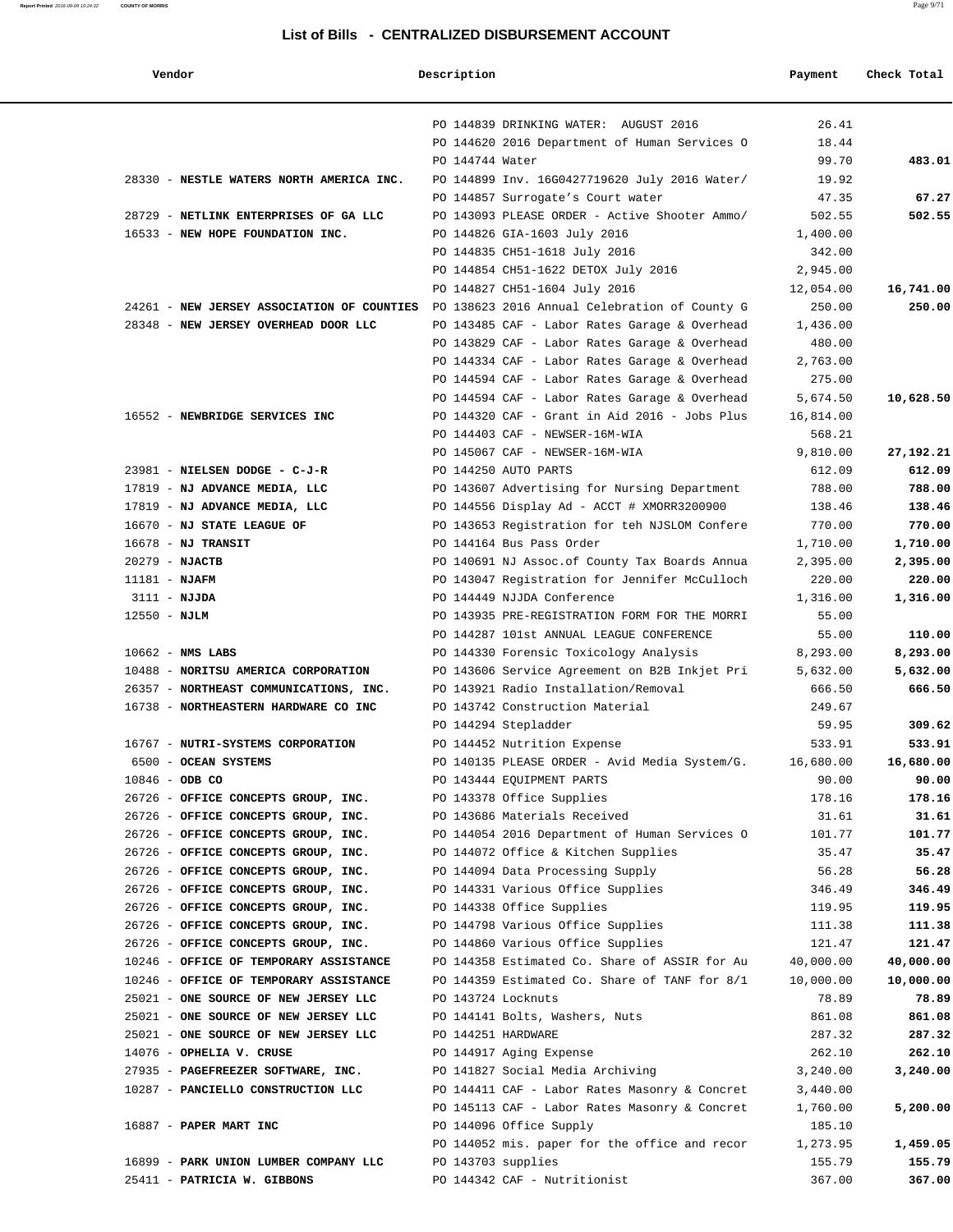#### **Vendor Description Payment Check Total**

|                                                                                |                 | PO 144839 DRINKING WATER: AUGUST 2016                                                 | 26.41            |           |
|--------------------------------------------------------------------------------|-----------------|---------------------------------------------------------------------------------------|------------------|-----------|
|                                                                                |                 | PO 144620 2016 Department of Human Services O                                         | 18.44            |           |
|                                                                                | PO 144744 Water |                                                                                       | 99.70            | 483.01    |
| 28330 - NESTLE WATERS NORTH AMERICA INC.                                       |                 | PO 144899 Inv. 16G0427719620 July 2016 Water/                                         | 19.92            |           |
|                                                                                |                 | PO 144857 Surrogate's Court water                                                     | 47.35            | 67.27     |
| 28729 - NETLINK ENTERPRISES OF GA LLC                                          |                 | PO 143093 PLEASE ORDER - Active Shooter Ammo/                                         | 502.55           | 502.55    |
| 16533 - NEW HOPE FOUNDATION INC.                                               |                 | PO 144826 GIA-1603 July 2016                                                          | 1,400.00         |           |
|                                                                                |                 | PO 144835 CH51-1618 July 2016                                                         | 342.00           |           |
|                                                                                |                 | PO 144854 CH51-1622 DETOX July 2016                                                   | 2,945.00         |           |
|                                                                                |                 | PO 144827 CH51-1604 July 2016                                                         | 12,054.00        | 16,741.00 |
| 24261 - NEW JERSEY ASSOCIATION OF COUNTIES                                     |                 | PO 138623 2016 Annual Celebration of County G                                         | 250.00           | 250.00    |
| 28348 - NEW JERSEY OVERHEAD DOOR LLC                                           |                 | PO 143485 CAF - Labor Rates Garage & Overhead                                         | 1,436.00         |           |
|                                                                                |                 | PO 143829 CAF - Labor Rates Garage & Overhead                                         | 480.00           |           |
|                                                                                |                 | PO 144334 CAF - Labor Rates Garage & Overhead                                         | 2,763.00         |           |
|                                                                                |                 | PO 144594 CAF - Labor Rates Garage & Overhead                                         | 275.00           |           |
|                                                                                |                 | PO 144594 CAF - Labor Rates Garage & Overhead                                         | 5,674.50         | 10,628.50 |
| 16552 - NEWBRIDGE SERVICES INC                                                 |                 | PO 144320 CAF - Grant in Aid 2016 - Jobs Plus                                         | 16,814.00        |           |
|                                                                                |                 | PO 144403 CAF - NEWSER-16M-WIA                                                        | 568.21           |           |
|                                                                                |                 | PO 145067 CAF - NEWSER-16M-WIA                                                        | 9,810.00         | 27,192.21 |
| 23981 - NIELSEN DODGE - C-J-R                                                  |                 | PO 144250 AUTO PARTS                                                                  | 612.09           | 612.09    |
| 17819 - NJ ADVANCE MEDIA, LLC                                                  |                 | PO 143607 Advertising for Nursing Department                                          | 788.00           | 788.00    |
| 17819 - NJ ADVANCE MEDIA, LLC                                                  |                 | PO 144556 Display Ad - ACCT # XMORR3200900                                            | 138.46           | 138.46    |
| 16670 - NJ STATE LEAGUE OF                                                     |                 | PO 143653 Registration for teh NJSLOM Confere                                         | 770.00           | 770.00    |
| $16678$ - NJ TRANSIT                                                           |                 | PO 144164 Bus Pass Order                                                              | 1,710.00         | 1,710.00  |
| $20279$ - NJACTB                                                               |                 | PO 140691 NJ Assoc. of County Tax Boards Annua                                        | 2,395.00         | 2,395.00  |
| $11181 - NJAFM$                                                                |                 | PO 143047 Registration for Jennifer McCulloch                                         | 220.00           | 220.00    |
| $3111 - NJJDA$                                                                 |                 | PO 144449 NJJDA Conference                                                            | 1,316.00         | 1,316.00  |
| $12550 - NJLM$                                                                 |                 | PO 143935 PRE-REGISTRATION FORM FOR THE MORRI                                         | 55.00            |           |
|                                                                                |                 | PO 144287 101st ANNUAL LEAGUE CONFERENCE                                              | 55.00            | 110.00    |
| $10662$ - NMS LABS                                                             |                 | PO 144330 Forensic Toxicology Analysis                                                | 8,293.00         | 8,293.00  |
| 10488 - NORITSU AMERICA CORPORATION                                            |                 | PO 143606 Service Agreement on B2B Inkjet Pri<br>PO 143921 Radio Installation/Removal | 5,632.00         | 5,632.00  |
| 26357 - NORTHEAST COMMUNICATIONS, INC.<br>16738 - NORTHEASTERN HARDWARE CO INC |                 | PO 143742 Construction Material                                                       | 666.50<br>249.67 | 666.50    |
|                                                                                |                 | PO 144294 Stepladder                                                                  | 59.95            | 309.62    |
| 16767 - NUTRI-SYSTEMS CORPORATION                                              |                 | PO 144452 Nutrition Expense                                                           | 533.91           | 533.91    |
| 6500 - OCEAN SYSTEMS                                                           |                 |                                                                                       | 16,680.00        | 16,680.00 |
| $10846 - ODB CO$                                                               |                 | PO 140135 PLEASE ORDER - Avid Media System/G.<br>PO 143444 EQUIPMENT PARTS            | 90.00            | 90.00     |
| 26726 - OFFICE CONCEPTS GROUP, INC.                                            |                 | PO 143378 Office Supplies                                                             | 178.16           | 178.16    |
| 26726 - OFFICE CONCEPTS GROUP, INC.                                            |                 | PO 143686 Materials Received                                                          | 31.61            | 31.61     |
| 26726 - OFFICE CONCEPTS GROUP, INC.                                            |                 | PO 144054 2016 Department of Human Services O                                         | 101.77           | 101.77    |
| 26726 - OFFICE CONCEPTS GROUP, INC.                                            |                 | PO 144072 Office & Kitchen Supplies                                                   | 35.47            | 35.47     |
| 26726 - OFFICE CONCEPTS GROUP, INC.                                            |                 | PO 144094 Data Processing Supply                                                      | 56.28            | 56.28     |
| 26726 - OFFICE CONCEPTS GROUP, INC.                                            |                 | PO 144331 Various Office Supplies                                                     | 346.49           | 346.49    |
| 26726 - OFFICE CONCEPTS GROUP, INC.                                            |                 | PO 144338 Office Supplies                                                             | 119.95           | 119.95    |
| 26726 - OFFICE CONCEPTS GROUP, INC.                                            |                 | PO 144798 Various Office Supplies                                                     | 111.38           | 111.38    |
| 26726 - OFFICE CONCEPTS GROUP, INC.                                            |                 | PO 144860 Various Office Supplies                                                     | 121.47           | 121.47    |
| 10246 - OFFICE OF TEMPORARY ASSISTANCE                                         |                 | PO 144358 Estimated Co. Share of ASSIR for Au                                         | 40,000.00        | 40,000.00 |
| 10246 - OFFICE OF TEMPORARY ASSISTANCE                                         |                 | PO 144359 Estimated Co. Share of TANF for 8/1                                         | 10,000.00        | 10,000.00 |
| 25021 - ONE SOURCE OF NEW JERSEY LLC                                           |                 | PO 143724 Locknuts                                                                    | 78.89            | 78.89     |
| 25021 - ONE SOURCE OF NEW JERSEY LLC                                           |                 | PO 144141 Bolts, Washers, Nuts                                                        | 861.08           | 861.08    |
| 25021 - ONE SOURCE OF NEW JERSEY LLC                                           |                 | PO 144251 HARDWARE                                                                    | 287.32           | 287.32    |
| 14076 - OPHELIA V. CRUSE                                                       |                 | PO 144917 Aging Expense                                                               | 262.10           | 262.10    |
| 27935 - PAGEFREEZER SOFTWARE, INC.                                             |                 | PO 141827 Social Media Archiving                                                      | 3,240.00         | 3,240.00  |
| 10287 - PANCIELLO CONSTRUCTION LLC                                             |                 | PO 144411 CAF - Labor Rates Masonry & Concret                                         | 3,440.00         |           |
|                                                                                |                 | PO 145113 CAF - Labor Rates Masonry & Concret                                         | 1,760.00         | 5,200.00  |
| 16887 - PAPER MART INC                                                         |                 | PO 144096 Office Supply                                                               | 185.10           |           |
|                                                                                |                 | PO 144052 mis. paper for the office and recor                                         | 1,273.95         | 1,459.05  |
| 16899 - PARK UNION LUMBER COMPANY LLC                                          |                 | PO 143703 supplies                                                                    | 155.79           | 155.79    |
| 25411 - PATRICIA W. GIBBONS                                                    |                 | PO 144342 CAF - Nutritionist                                                          | 367.00           | 367.00    |
|                                                                                |                 |                                                                                       |                  |           |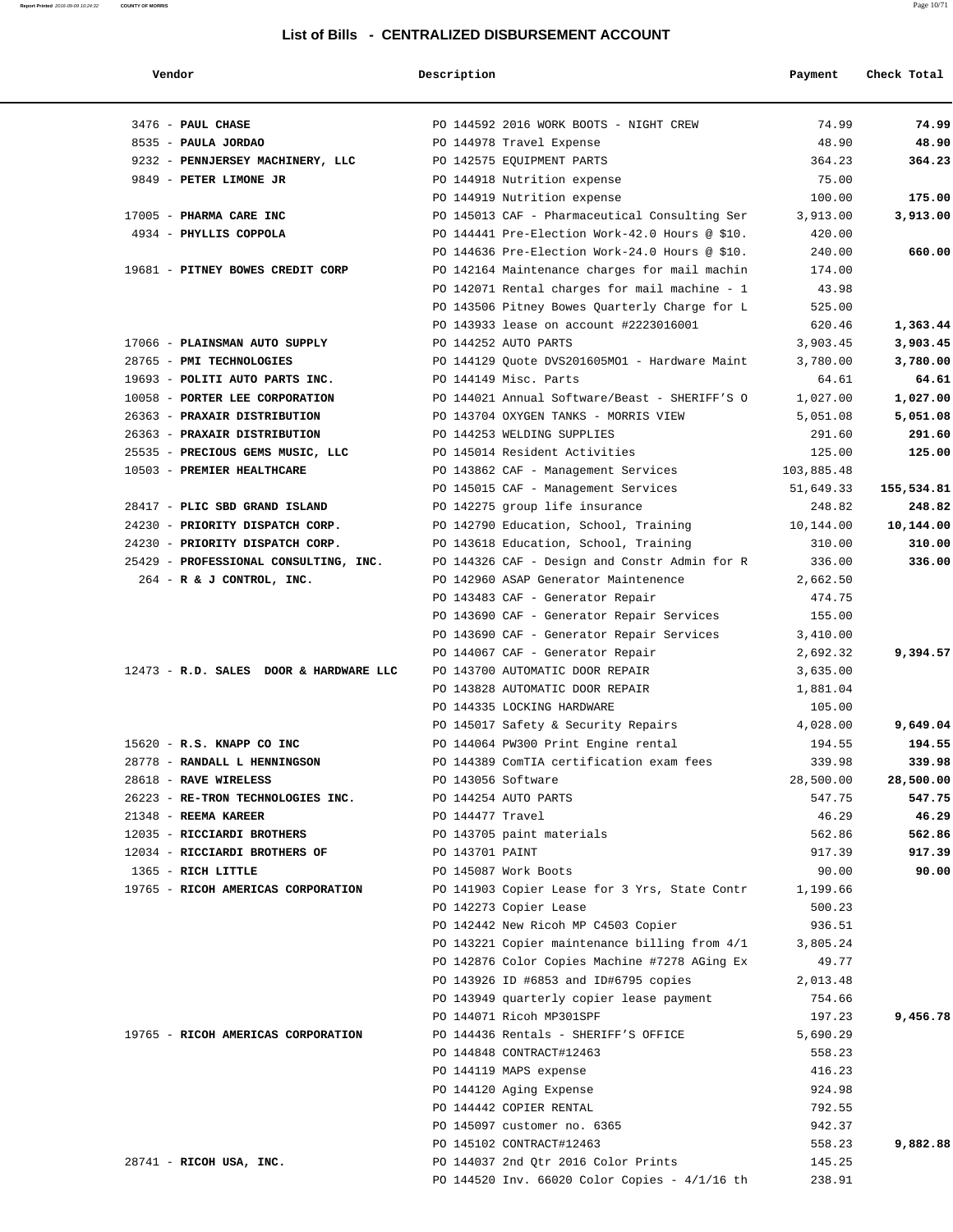| Vendor                                 | Description          |                                                                       | Payment             | Check Total          |
|----------------------------------------|----------------------|-----------------------------------------------------------------------|---------------------|----------------------|
| 3476 - PAUL CHASE                      |                      | PO 144592 2016 WORK BOOTS - NIGHT CREW                                | 74.99               | 74.99                |
| 8535 - PAULA JORDAO                    |                      | PO 144978 Travel Expense                                              | 48.90               | 48.90                |
| 9232 - PENNJERSEY MACHINERY, LLC       |                      | PO 142575 EQUIPMENT PARTS                                             | 364.23              | 364.23               |
| 9849 - PETER LIMONE JR                 |                      | PO 144918 Nutrition expense                                           | 75.00               |                      |
|                                        |                      | PO 144919 Nutrition expense                                           | 100.00              | 175.00               |
| 17005 - PHARMA CARE INC                |                      | PO 145013 CAF - Pharmaceutical Consulting Ser                         | 3,913.00            | 3,913.00             |
| 4934 - PHYLLIS COPPOLA                 |                      | PO 144441 Pre-Election Work-42.0 Hours @ \$10.                        | 420.00              |                      |
|                                        |                      | PO 144636 Pre-Election Work-24.0 Hours @ \$10.                        | 240.00              | 660.00               |
| 19681 - PITNEY BOWES CREDIT CORP       |                      | PO 142164 Maintenance charges for mail machin                         | 174.00              |                      |
|                                        |                      | PO 142071 Rental charges for mail machine - 1                         | 43.98               |                      |
|                                        |                      | PO 143506 Pitney Bowes Quarterly Charge for L                         | 525.00              |                      |
|                                        |                      | PO 143933 lease on account #2223016001                                | 620.46              | 1,363.44             |
| 17066 - PLAINSMAN AUTO SUPPLY          |                      | PO 144252 AUTO PARTS                                                  | 3,903.45            | 3,903.45             |
| 28765 - PMI TECHNOLOGIES               |                      | PO 144129 Quote DVS201605MO1 - Hardware Maint                         | 3,780.00            | 3,780.00             |
| 19693 - POLITI AUTO PARTS INC.         |                      | PO 144149 Misc. Parts                                                 | 64.61               | 64.61                |
| 10058 - PORTER LEE CORPORATION         |                      | PO 144021 Annual Software/Beast - SHERIFF'S O                         | 1,027.00            | 1,027.00             |
| 26363 - PRAXAIR DISTRIBUTION           |                      | PO 143704 OXYGEN TANKS - MORRIS VIEW                                  | 5,051.08            | 5,051.08             |
| 26363 - PRAXAIR DISTRIBUTION           |                      | PO 144253 WELDING SUPPLIES                                            | 291.60              | 291.60               |
| 25535 - PRECIOUS GEMS MUSIC, LLC       |                      | PO 145014 Resident Activities                                         | 125.00              | 125.00               |
| 10503 - PREMIER HEALTHCARE             |                      | PO 143862 CAF - Management Services 103,885.48                        |                     |                      |
| 28417 - PLIC SBD GRAND ISLAND          |                      | PO 145015 CAF - Management Services<br>PO 142275 group life insurance | 51,649.33<br>248.82 | 155,534.81<br>248.82 |
| 24230 - PRIORITY DISPATCH CORP.        |                      | PO 142790 Education, School, Training                                 | 10,144.00           | 10,144.00            |
| 24230 - PRIORITY DISPATCH CORP.        |                      | PO 143618 Education, School, Training                                 | 310.00              | 310.00               |
| 25429 - PROFESSIONAL CONSULTING, INC.  |                      | PO 144326 CAF - Design and Constr Admin for R                         | 336.00              | 336.00               |
| $264$ - R & J CONTROL, INC.            |                      | PO 142960 ASAP Generator Maintenence                                  | 2,662.50            |                      |
|                                        |                      | PO 143483 CAF - Generator Repair                                      | 474.75              |                      |
|                                        |                      | PO 143690 CAF - Generator Repair Services                             | 155.00              |                      |
|                                        |                      | PO 143690 CAF - Generator Repair Services                             | 3,410.00            |                      |
|                                        |                      | PO 144067 CAF - Generator Repair                                      | 2,692.32            | 9,394.57             |
| 12473 - R.D. SALES DOOR & HARDWARE LLC |                      | PO 143700 AUTOMATIC DOOR REPAIR                                       | 3,635.00            |                      |
|                                        |                      | PO 143828 AUTOMATIC DOOR REPAIR                                       | 1,881.04            |                      |
|                                        |                      | PO 144335 LOCKING HARDWARE                                            | 105.00              |                      |
|                                        |                      | PO 145017 Safety & Security Repairs                                   | 4,028.00            | 9,649.04             |
| 15620 - R.S. KNAPP CO INC              |                      | PO 144064 PW300 Print Engine rental                                   | 194.55              | 194.55               |
| 28778 - RANDALL L HENNINGSON           |                      | PO 144389 ComTIA certification exam fees                              | 339.98              | 339.98               |
| 28618 - RAVE WIRELESS                  | PO 143056 Software   |                                                                       | 28,500.00           | 28,500.00            |
| 26223 - RE-TRON TECHNOLOGIES INC.      | PO 144254 AUTO PARTS |                                                                       | 547.75              | 547.75               |
| 21348 - REEMA KAREER                   | PO 144477 Travel     |                                                                       | 46.29               | 46.29                |
| 12035 - RICCIARDI BROTHERS             |                      | PO 143705 paint materials                                             | 562.86              | 562.86               |
| 12034 - RICCIARDI BROTHERS OF          | PO 143701 PAINT      |                                                                       | 917.39              | 917.39               |
| 1365 - RICH LITTLE                     |                      | PO 145087 Work Boots                                                  | 90.00               | 90.00                |
| 19765 - RICOH AMERICAS CORPORATION     |                      | PO 141903 Copier Lease for 3 Yrs, State Contr                         | 1,199.66            |                      |
|                                        |                      | PO 142273 Copier Lease                                                | 500.23              |                      |
|                                        |                      | PO 142442 New Ricoh MP C4503 Copier                                   | 936.51              |                      |
|                                        |                      | PO 143221 Copier maintenance billing from 4/1                         | 3,805.24            |                      |
|                                        |                      | PO 142876 Color Copies Machine #7278 AGing Ex                         | 49.77               |                      |
|                                        |                      | PO 143926 ID #6853 and ID#6795 copies                                 | 2,013.48            |                      |
|                                        |                      | PO 143949 quarterly copier lease payment                              | 754.66              |                      |
|                                        |                      | PO 144071 Ricoh MP301SPF                                              | 197.23              | 9,456.78             |
| 19765 - RICOH AMERICAS CORPORATION     |                      | PO 144436 Rentals - SHERIFF'S OFFICE                                  | 5,690.29            |                      |
|                                        |                      | PO 144848 CONTRACT#12463                                              | 558.23              |                      |
|                                        |                      | PO 144119 MAPS expense                                                | 416.23              |                      |
|                                        |                      | PO 144120 Aging Expense                                               | 924.98              |                      |
|                                        |                      | PO 144442 COPIER RENTAL                                               | 792.55              |                      |
|                                        |                      | PO 145097 customer no. 6365                                           | 942.37              |                      |
|                                        |                      | PO 145102 CONTRACT#12463                                              | 558.23              | 9,882.88             |
| 28741 - RICOH USA, INC.                |                      | PO 144037 2nd Qtr 2016 Color Prints                                   | 145.25              |                      |
|                                        |                      | PO 144520 Inv. 66020 Color Copies - 4/1/16 th                         | 238.91              |                      |

**Report Printed** 2016-09-09 10:24:32 **COUNTY OF MORRIS** Page 10/71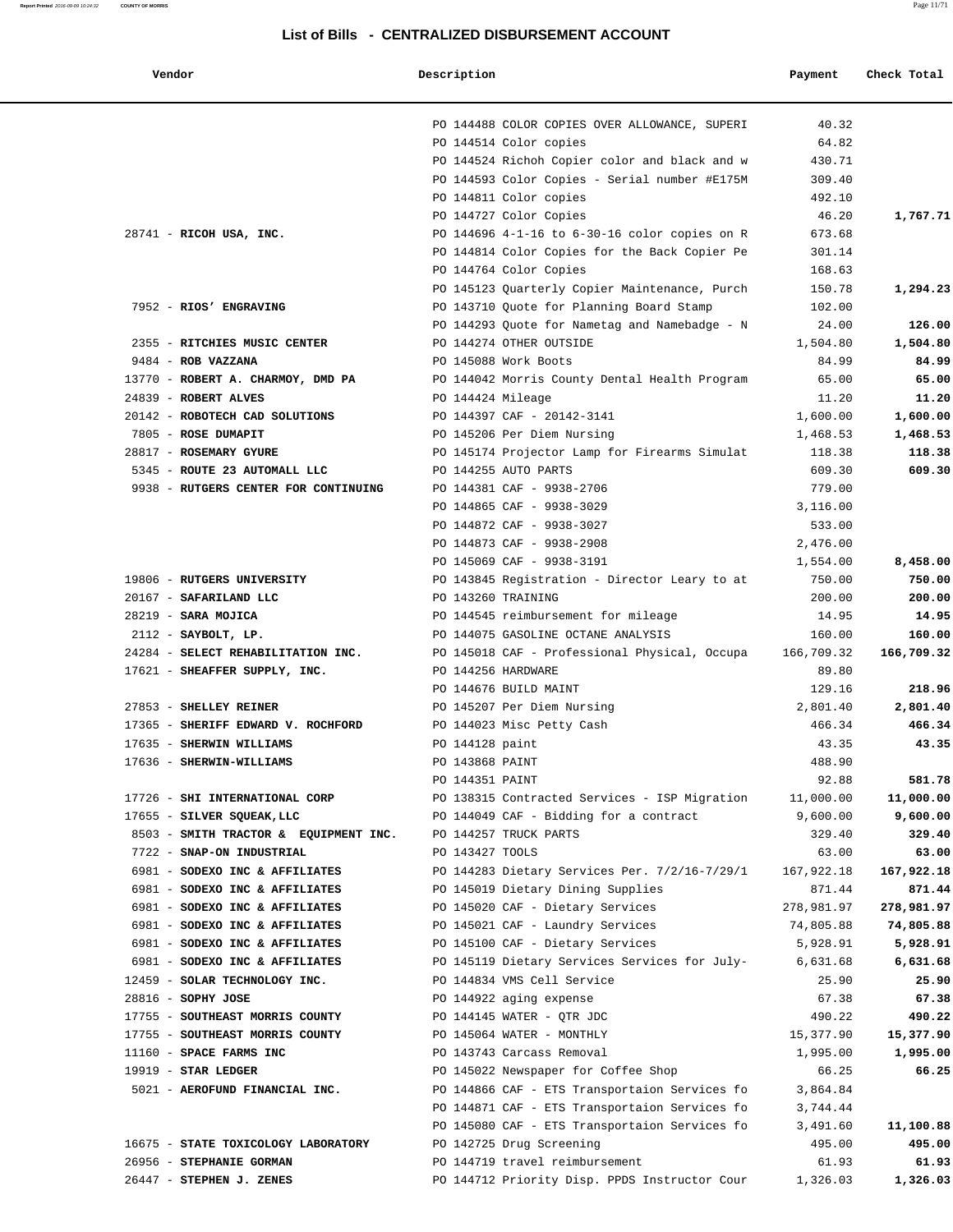#### **Report Printed** 2016-09-09 10:24:32 **COUNTY OF MORRIS** Page 11/71

#### **List of Bills - CENTRALIZED DISBURSEMENT ACCOUNT**

PO 144488 COLOR COPIES OVER ALLOWANCE, SUPERI 40.32

 **Vendor Description Payment Check Total**

|                                                                                  |                    | PO 144514 Color copies                                  | 64.82      |            |
|----------------------------------------------------------------------------------|--------------------|---------------------------------------------------------|------------|------------|
|                                                                                  |                    | PO 144524 Richoh Copier color and black and w           | 430.71     |            |
|                                                                                  |                    | PO 144593 Color Copies - Serial number #E175M           | 309.40     |            |
|                                                                                  |                    | PO 144811 Color copies                                  | 492.10     |            |
|                                                                                  |                    | PO 144727 Color Copies                                  | 46.20      | 1,767.71   |
| 28741 - RICOH USA, INC.                                                          |                    | PO 144696 4-1-16 to 6-30-16 color copies on R           | 673.68     |            |
|                                                                                  |                    | PO 144814 Color Copies for the Back Copier Pe           | 301.14     |            |
|                                                                                  |                    | PO 144764 Color Copies                                  | 168.63     |            |
|                                                                                  |                    | PO 145123 Quarterly Copier Maintenance, Purch           | 150.78     | 1,294.23   |
| 7952 - RIOS' ENGRAVING                                                           |                    | PO 143710 Quote for Planning Board Stamp                | 102.00     |            |
|                                                                                  |                    | PO 144293 Quote for Nametag and Namebadge - N           | 24.00      | 126.00     |
| 2355 - RITCHIES MUSIC CENTER                                                     |                    | PO 144274 OTHER OUTSIDE                                 | 1,504.80   | 1,504.80   |
| 9484 - ROB VAZZANA                                                               |                    | PO 145088 Work Boots                                    | 84.99      | 84.99      |
| 13770 - ROBERT A. CHARMOY, DMD PA PO 144042 Morris County Dental Health Program  |                    |                                                         | 65.00      | 65.00      |
| 24839 - ROBERT ALVES                                                             | PO 144424 Mileage  |                                                         | 11.20      | 11.20      |
| 20142 - ROBOTECH CAD SOLUTIONS                                                   |                    | PO 144397 CAF - 20142-3141                              | 1,600.00   | 1,600.00   |
| 7805 - ROSE DUMAPIT                                                              |                    | PO 145206 Per Diem Nursing                              | 1,468.53   | 1,468.53   |
| 28817 - ROSEMARY GYURE                                                           |                    | PO 145174 Projector Lamp for Firearms Simulat           | 118.38     | 118.38     |
| 5345 - ROUTE 23 AUTOMALL LLC                                                     |                    |                                                         |            | 609.30     |
|                                                                                  |                    | PO 144255 AUTO PARTS                                    | 609.30     |            |
| 9938 - RUTGERS CENTER FOR CONTINUING                                             |                    | PO 144381 CAF - 9938-2706                               | 779.00     |            |
|                                                                                  |                    | PO 144865 CAF - 9938-3029                               | 3,116.00   |            |
|                                                                                  |                    | PO 144872 CAF - 9938-3027                               | 533.00     |            |
|                                                                                  |                    | PO 144873 CAF - 9938-2908                               | 2,476.00   |            |
|                                                                                  |                    | PO 145069 CAF - 9938-3191                               | 1,554.00   | 8,458.00   |
| 19806 - RUTGERS UNIVERSITY                                                       |                    | PO 143845 Registration - Director Leary to at           | 750.00     | 750.00     |
| 20167 - SAFARILAND LLC                                                           |                    | PO 143260 TRAINING                                      | 200.00     | 200.00     |
| 28219 - SARA MOJICA                                                              |                    | PO 144545 reimbursement for mileage                     | 14.95      | 14.95      |
| $2112$ - SAYBOLT, LP.                                                            |                    | PO 144075 GASOLINE OCTANE ANALYSIS                      | 160.00     | 160.00     |
| 24284 - SELECT REHABILITATION INC. PO 145018 CAF - Professional Physical, Occupa |                    |                                                         | 166,709.32 | 166,709.32 |
| 17621 - SHEAFFER SUPPLY, INC.                                                    | PO 144256 HARDWARE |                                                         | 89.80      |            |
|                                                                                  |                    | PO 144676 BUILD MAINT                                   | 129.16     | 218.96     |
| 27853 - SHELLEY REINER                                                           |                    | PO 145207 Per Diem Nursing                              | 2,801.40   | 2,801.40   |
| 17365 - SHERIFF EDWARD V. ROCHFORD                                               |                    | PO 144023 Misc Petty Cash                               | 466.34     | 466.34     |
| 17635 - SHERWIN WILLIAMS                                                         | PO 144128 paint    |                                                         | 43.35      | 43.35      |
| 17636 - SHERWIN-WILLIAMS                                                         | PO 143868 PAINT    |                                                         | 488.90     |            |
|                                                                                  | PO 144351 PAINT    |                                                         | 92.88      | 581.78     |
| 17726 - SHI INTERNATIONAL CORP                                                   |                    | PO 138315 Contracted Services - ISP Migration 11,000.00 |            | 11,000.00  |
| 17655 - SILVER SQUEAK, LLC                                                       |                    | PO 144049 CAF - Bidding for a contract                  | 9,600.00   | 9,600.00   |
| 8503 - SMITH TRACTOR & EQUIPMENT INC.                                            |                    | PO 144257 TRUCK PARTS                                   | 329.40     | 329.40     |
| 7722 - SNAP-ON INDUSTRIAL                                                        | PO 143427 TOOLS    |                                                         | 63.00      | 63.00      |
| 6981 - SODEXO INC & AFFILIATES                                                   |                    | PO 144283 Dietary Services Per. 7/2/16-7/29/1           | 167,922.18 | 167,922.18 |
| 6981 - SODEXO INC & AFFILIATES                                                   |                    | PO 145019 Dietary Dining Supplies                       | 871.44     | 871.44     |
| 6981 - SODEXO INC & AFFILIATES                                                   |                    | PO 145020 CAF - Dietary Services                        | 278,981.97 | 278,981.97 |
| 6981 - SODEXO INC & AFFILIATES                                                   |                    | PO 145021 CAF - Laundry Services                        | 74,805.88  | 74,805.88  |
| 6981 - SODEXO INC & AFFILIATES                                                   |                    | PO 145100 CAF - Dietary Services                        | 5,928.91   | 5,928.91   |
| 6981 - SODEXO INC & AFFILIATES                                                   |                    | PO 145119 Dietary Services Services for July-           | 6,631.68   | 6,631.68   |
| 12459 - SOLAR TECHNOLOGY INC.                                                    |                    | PO 144834 VMS Cell Service                              | 25.90      | 25.90      |
|                                                                                  |                    |                                                         |            |            |
| 28816 - SOPHY JOSE                                                               |                    | PO 144922 aging expense                                 | 67.38      | 67.38      |
| 17755 - SOUTHEAST MORRIS COUNTY                                                  |                    | PO 144145 WATER - QTR JDC                               | 490.22     | 490.22     |
| 17755 - SOUTHEAST MORRIS COUNTY                                                  |                    | PO 145064 WATER - MONTHLY                               | 15,377.90  | 15,377.90  |
| 11160 - SPACE FARMS INC                                                          |                    | PO 143743 Carcass Removal                               | 1,995.00   | 1,995.00   |
| $19919$ - STAR LEDGER                                                            |                    | PO 145022 Newspaper for Coffee Shop                     | 66.25      | 66.25      |
| 5021 - AEROFUND FINANCIAL INC.                                                   |                    | PO 144866 CAF - ETS Transportaion Services fo           | 3,864.84   |            |
|                                                                                  |                    | PO 144871 CAF - ETS Transportaion Services fo           | 3,744.44   |            |
|                                                                                  |                    | PO 145080 CAF - ETS Transportaion Services fo           | 3,491.60   | 11,100.88  |
| 16675 - STATE TOXICOLOGY LABORATORY                                              |                    | PO 142725 Drug Screening                                | 495.00     | 495.00     |
| 26956 - STEPHANIE GORMAN                                                         |                    | PO 144719 travel reimbursement                          | 61.93      | 61.93      |
| $26447$ - STEPHEN J. ZENES                                                       |                    | PO 144712 Priority Disp. PPDS Instructor Cour           | 1,326.03   | 1,326.03   |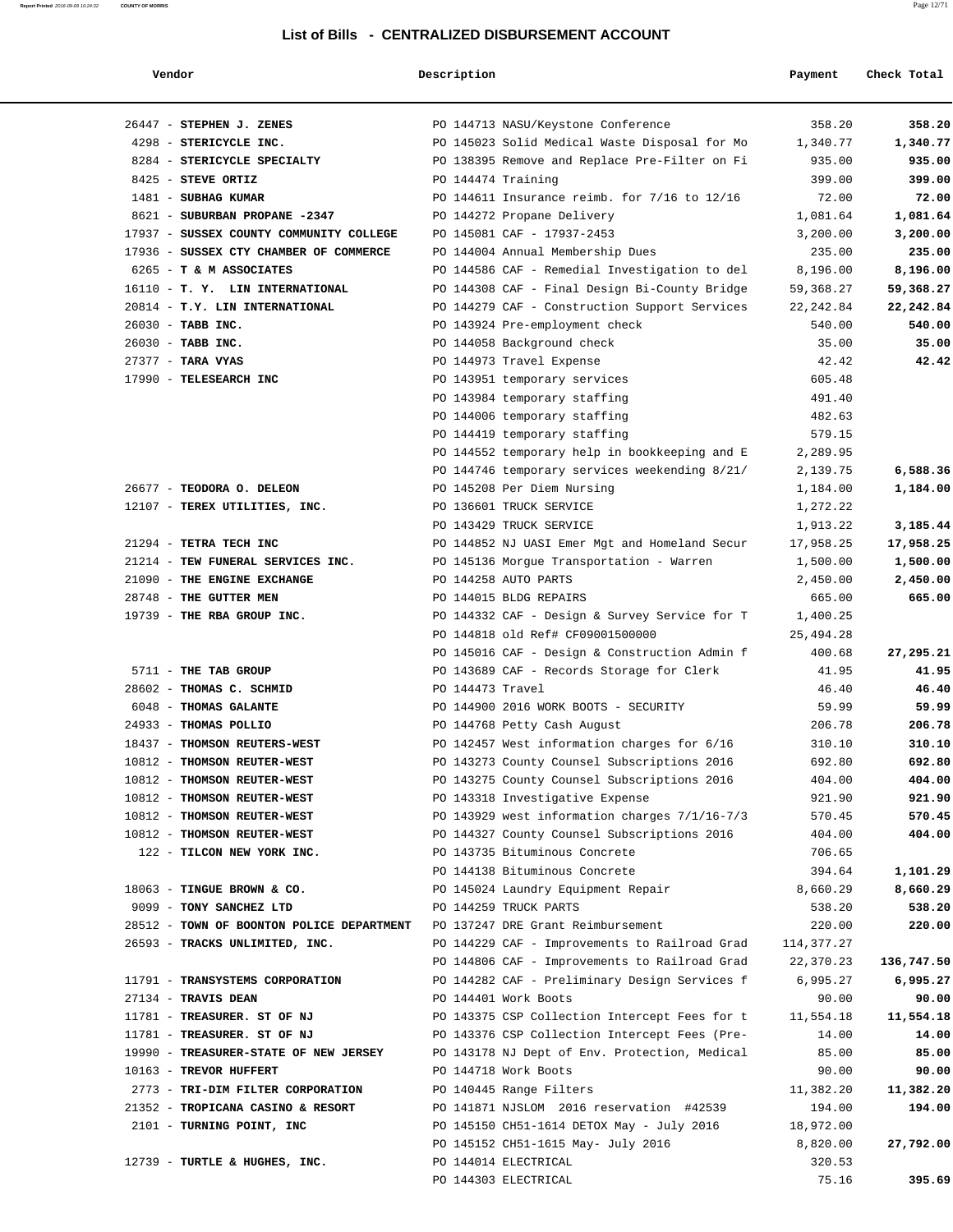**Report Printed** 2016-09-09 10:24:32 **COUNTY OF MORRIS** Page 12/71

| endor |
|-------|
|-------|

#### **Vendor Description Payment Check Total**

| 26447 - STEPHEN J. ZENES                                                    | PO 144713 NASU/Keystone Conference            | 358.20     | 358.20     |
|-----------------------------------------------------------------------------|-----------------------------------------------|------------|------------|
| 4298 - STERICYCLE INC.                                                      | PO 145023 Solid Medical Waste Disposal for Mo | 1,340.77   | 1,340.77   |
| 8284 - STERICYCLE SPECIALTY                                                 | PO 138395 Remove and Replace Pre-Filter on Fi | 935.00     | 935.00     |
| 8425 - STEVE ORTIZ                                                          | PO 144474 Training                            | 399.00     | 399.00     |
| 1481 - SUBHAG KUMAR                                                         | PO 144611 Insurance reimb. for 7/16 to 12/16  | 72.00      | 72.00      |
| 8621 - SUBURBAN PROPANE -2347                                               | PO 144272 Propane Delivery                    | 1,081.64   | 1,081.64   |
| 17937 - SUSSEX COUNTY COMMUNITY COLLEGE                                     | PO 145081 CAF - 17937-2453                    | 3,200.00   | 3,200.00   |
| 17936 - SUSSEX CTY CHAMBER OF COMMERCE                                      | PO 144004 Annual Membership Dues              | 235.00     | 235.00     |
| 6265 - T & M ASSOCIATES                                                     | PO 144586 CAF - Remedial Investigation to del | 8,196.00   | 8,196.00   |
| 16110 - T. Y. LIN INTERNATIONAL                                             | PO 144308 CAF - Final Design Bi-County Bridge | 59,368.27  | 59,368.27  |
| 20814 - T.Y. LIN INTERNATIONAL                                              | PO 144279 CAF - Construction Support Services | 22,242.84  | 22,242.84  |
| 26030 - TABB INC.                                                           | PO 143924 Pre-employment check                | 540.00     | 540.00     |
| 26030 - TABB INC.                                                           | PO 144058 Background check                    | 35.00      | 35.00      |
| $27377 -$ TARA VYAS                                                         | PO 144973 Travel Expense                      | 42.42      | 42.42      |
| 17990 - TELESEARCH INC                                                      | PO 143951 temporary services                  | 605.48     |            |
|                                                                             | PO 143984 temporary staffing                  | 491.40     |            |
|                                                                             | PO 144006 temporary staffing                  | 482.63     |            |
|                                                                             | PO 144419 temporary staffing                  | 579.15     |            |
|                                                                             | PO 144552 temporary help in bookkeeping and E | 2,289.95   |            |
|                                                                             | PO 144746 temporary services weekending 8/21/ | 2,139.75   | 6,588.36   |
| 26677 - TEODORA O. DELEON                                                   | PO 145208 Per Diem Nursing                    | 1,184.00   | 1,184.00   |
| 12107 - TEREX UTILITIES, INC.                                               | PO 136601 TRUCK SERVICE                       | 1,272.22   |            |
|                                                                             | PO 143429 TRUCK SERVICE                       | 1,913.22   | 3,185.44   |
| 21294 - TETRA TECH INC                                                      | PO 144852 NJ UASI Emer Mgt and Homeland Secur | 17,958.25  | 17,958.25  |
| 21214 - TEW FUNERAL SERVICES INC.                                           | PO 145136 Morgue Transportation - Warren      | 1,500.00   | 1,500.00   |
| 21090 - THE ENGINE EXCHANGE                                                 | PO 144258 AUTO PARTS                          | 2,450.00   | 2,450.00   |
| 28748 - THE GUTTER MEN                                                      | PO 144015 BLDG REPAIRS                        | 665.00     | 665.00     |
| 19739 - THE RBA GROUP INC.                                                  | PO 144332 CAF - Design & Survey Service for T | 1,400.25   |            |
|                                                                             | PO 144818 old Ref# CF09001500000              | 25,494.28  |            |
|                                                                             | PO 145016 CAF - Design & Construction Admin f | 400.68     | 27,295.21  |
| 5711 - THE TAB GROUP                                                        | PO 143689 CAF - Records Storage for Clerk     | 41.95      | 41.95      |
| 28602 - THOMAS C. SCHMID                                                    | PO 144473 Travel                              | 46.40      | 46.40      |
| 6048 - THOMAS GALANTE                                                       | PO 144900 2016 WORK BOOTS - SECURITY          | 59.99      | 59.99      |
| 24933 - THOMAS POLLIO                                                       | PO 144768 Petty Cash August                   | 206.78     | 206.78     |
| 18437 - THOMSON REUTERS-WEST                                                | PO 142457 West information charges for 6/16   | 310.10     | 310.10     |
| 10812 - THOMSON REUTER-WEST                                                 | PO 143273 County Counsel Subscriptions 2016   | 692.80     | 692.80     |
| 10812 - THOMSON REUTER-WEST                                                 | PO 143275 County Counsel Subscriptions 2016   | 404.00     | 404.00     |
| 10812 - THOMSON REUTER-WEST                                                 | PO 143318 Investigative Expense               | 921.90     | 921.90     |
| 10812 - THOMSON REUTER-WEST                                                 | PO 143929 west information charges 7/1/16-7/3 | 570.45     | 570.45     |
| 10812 - THOMSON REUTER-WEST                                                 | PO 144327 County Counsel Subscriptions 2016   | 404.00     | 404.00     |
| 122 - TILCON NEW YORK INC.                                                  | PO 143735 Bituminous Concrete                 | 706.65     |            |
|                                                                             | PO 144138 Bituminous Concrete                 | 394.64     | 1,101.29   |
| 18063 - TINGUE BROWN & CO.                                                  | PO 145024 Laundry Equipment Repair            | 8,660.29   | 8,660.29   |
| 9099 - TONY SANCHEZ LTD                                                     | PO 144259 TRUCK PARTS                         | 538.20     | 538.20     |
| 28512 - TOWN OF BOONTON POLICE DEPARTMENT PO 137247 DRE Grant Reimbursement |                                               | 220.00     | 220.00     |
| 26593 - TRACKS UNLIMITED, INC.                                              | PO 144229 CAF - Improvements to Railroad Grad | 114,377.27 |            |
|                                                                             | PO 144806 CAF - Improvements to Railroad Grad | 22,370.23  | 136,747.50 |
| 11791 - TRANSYSTEMS CORPORATION                                             | PO 144282 CAF - Preliminary Design Services f | 6,995.27   | 6,995.27   |
| 27134 - TRAVIS DEAN                                                         | PO 144401 Work Boots                          | 90.00      | 90.00      |
| 11781 - TREASURER. ST OF NJ                                                 | PO 143375 CSP Collection Intercept Fees for t | 11,554.18  | 11,554.18  |
| 11781 - TREASURER. ST OF NJ                                                 | PO 143376 CSP Collection Intercept Fees (Pre- | 14.00      | 14.00      |
| 19990 - TREASURER-STATE OF NEW JERSEY                                       | PO 143178 NJ Dept of Env. Protection, Medical | 85.00      | 85.00      |
| 10163 - TREVOR HUFFERT                                                      | PO 144718 Work Boots                          | 90.00      | 90.00      |
| 2773 - TRI-DIM FILTER CORPORATION                                           | PO 140445 Range Filters                       | 11,382.20  | 11,382.20  |
| 21352 - TROPICANA CASINO & RESORT                                           | PO 141871 NJSLOM 2016 reservation #42539      | 194.00     | 194.00     |
| 2101 - TURNING POINT, INC                                                   | PO 145150 CH51-1614 DETOX May - July 2016     | 18,972.00  |            |
|                                                                             | PO 145152 CH51-1615 May- July 2016            | 8,820.00   | 27,792.00  |
| 12739 - TURTLE & HUGHES, INC.                                               | PO 144014 ELECTRICAL                          | 320.53     |            |
|                                                                             | PO 144303 ELECTRICAL                          | 75.16      | 395.69     |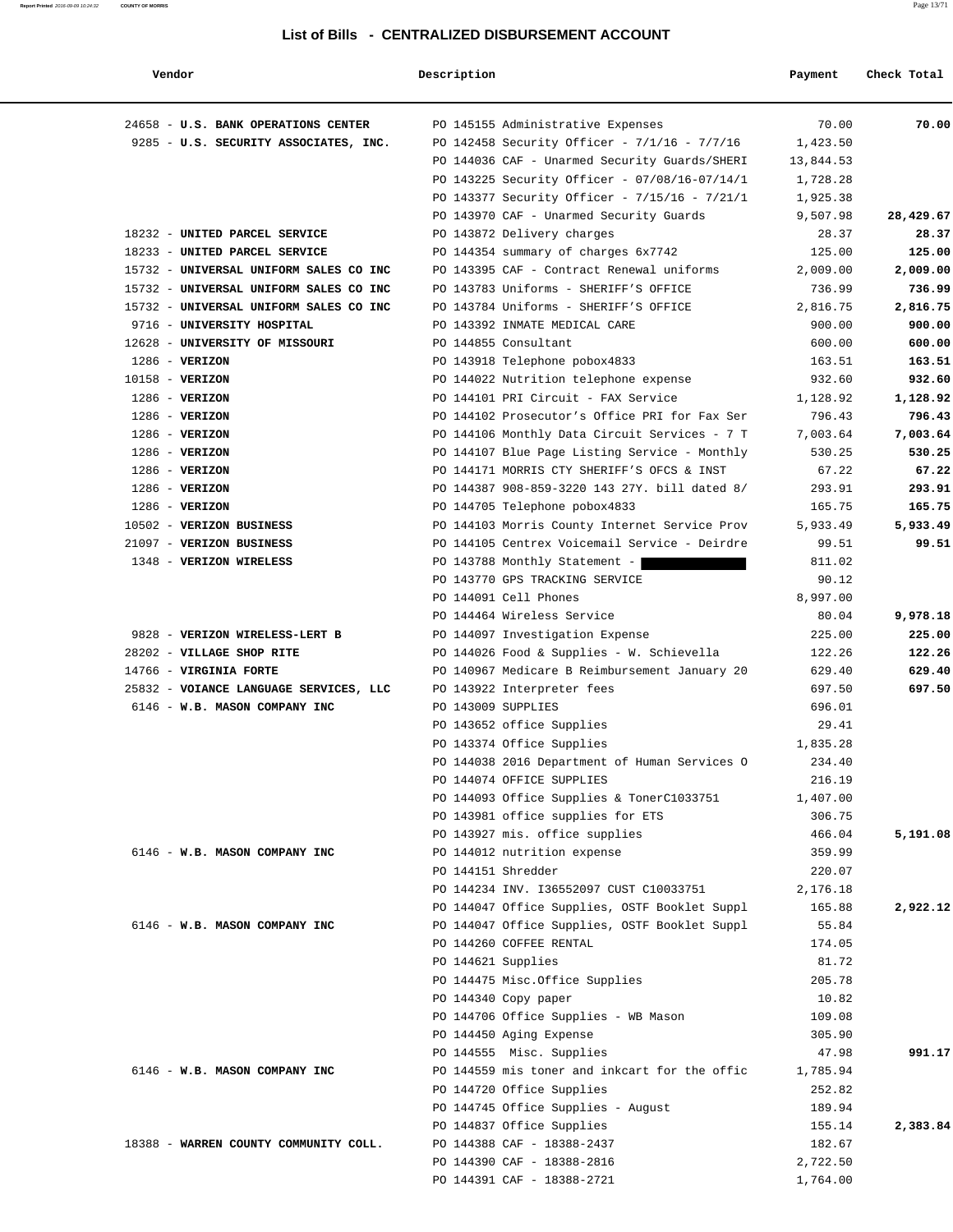#### **Report Printed** 2016-09-09 10:24:32 **COUNTY OF MORRIS** Page 13/71

#### **List of Bills - CENTRALIZED DISBURSEMENT ACCOUNT**

| Vendor                                 | Description |                                               | Payment   | Check Total |
|----------------------------------------|-------------|-----------------------------------------------|-----------|-------------|
| 24658 - U.S. BANK OPERATIONS CENTER    |             | PO 145155 Administrative Expenses             | 70.00     | 70.00       |
| 9285 - U.S. SECURITY ASSOCIATES, INC.  |             | PO 142458 Security Officer - 7/1/16 - 7/7/16  | 1,423.50  |             |
|                                        |             | PO 144036 CAF - Unarmed Security Guards/SHERI | 13,844.53 |             |
|                                        |             | PO 143225 Security Officer - 07/08/16-07/14/1 | 1,728.28  |             |
|                                        |             | PO 143377 Security Officer - 7/15/16 - 7/21/1 | 1,925.38  |             |
|                                        |             | PO 143970 CAF - Unarmed Security Guards       | 9,507.98  | 28,429.67   |
| 18232 - UNITED PARCEL SERVICE          |             | PO 143872 Delivery charges                    | 28.37     | 28.37       |
| 18233 - UNITED PARCEL SERVICE          |             | PO 144354 summary of charges 6x7742           | 125.00    | 125.00      |
| 15732 - UNIVERSAL UNIFORM SALES CO INC |             | PO 143395 CAF - Contract Renewal uniforms     | 2,009.00  | 2,009.00    |
| 15732 - UNIVERSAL UNIFORM SALES CO INC |             | PO 143783 Uniforms - SHERIFF'S OFFICE         | 736.99    | 736.99      |
| 15732 - UNIVERSAL UNIFORM SALES CO INC |             | PO 143784 Uniforms - SHERIFF'S OFFICE         | 2,816.75  | 2,816.75    |
| 9716 - UNIVERSITY HOSPITAL             |             | PO 143392 INMATE MEDICAL CARE                 | 900.00    | 900.00      |
| 12628 - UNIVERSITY OF MISSOURI         |             | PO 144855 Consultant                          | 600.00    | 600.00      |
| $1286$ - VERIZON                       |             | PO 143918 Telephone pobox4833                 | 163.51    | 163.51      |
| 10158 - VERIZON                        |             | PO 144022 Nutrition telephone expense         | 932.60    | 932.60      |
| $1286 - VERIZON$                       |             | PO 144101 PRI Circuit - FAX Service           | 1,128.92  | 1,128.92    |
| $1286$ - VERIZON                       |             | PO 144102 Prosecutor's Office PRI for Fax Ser | 796.43    | 796.43      |
| $1286$ - VERIZON                       |             | PO 144106 Monthly Data Circuit Services - 7 T | 7,003.64  | 7,003.64    |
| $1286$ - VERIZON                       |             | PO 144107 Blue Page Listing Service - Monthly | 530.25    | 530.25      |
| $1286$ - VERIZON                       |             | PO 144171 MORRIS CTY SHERIFF'S OFCS & INST    | 67.22     | 67.22       |
| $1286$ - VERIZON                       |             | PO 144387 908-859-3220 143 27Y. bill dated 8/ | 293.91    | 293.91      |
| $1286$ - VERIZON                       |             | PO 144705 Telephone pobox4833                 | 165.75    | 165.75      |
| 10502 - VERIZON BUSINESS               |             | PO 144103 Morris County Internet Service Prov | 5,933.49  | 5,933.49    |
| 21097 - VERIZON BUSINESS               |             | PO 144105 Centrex Voicemail Service - Deirdre | 99.51     | 99.51       |
| 1348 - VERIZON WIRELESS                |             | PO 143788 Monthly Statement -                 | 811.02    |             |
|                                        |             | PO 143770 GPS TRACKING SERVICE                | 90.12     |             |
|                                        |             | PO 144091 Cell Phones                         | 8,997.00  |             |
|                                        |             | PO 144464 Wireless Service                    | 80.04     | 9,978.18    |
| 9828 - VERIZON WIRELESS-LERT B         |             | PO 144097 Investigation Expense               | 225.00    | 225.00      |
| 28202 - VILLAGE SHOP RITE              |             | PO 144026 Food & Supplies - W. Schievella     | 122.26    | 122.26      |
| 14766 - VIRGINIA FORTE                 |             | PO 140967 Medicare B Reimbursement January 20 | 629.40    | 629.40      |
| 25832 - VOIANCE LANGUAGE SERVICES, LLC |             | PO 143922 Interpreter fees                    | 697.50    | 697.50      |
| 6146 - W.B. MASON COMPANY INC          |             | PO 143009 SUPPLIES                            | 696.01    |             |
|                                        |             | PO 143652 office Supplies                     | 29.41     |             |
|                                        |             | PO 143374 Office Supplies                     | 1,835.28  |             |
|                                        |             | PO 144038 2016 Department of Human Services O | 234.40    |             |
|                                        |             | PO 144074 OFFICE SUPPLIES                     | 216.19    |             |
|                                        |             | PO 144093 Office Supplies & TonerC1033751     | 1,407.00  |             |
|                                        |             | PO 143981 office supplies for ETS             | 306.75    |             |
|                                        |             | PO 143927 mis. office supplies                | 466.04    | 5,191.08    |
| 6146 - W.B. MASON COMPANY INC          |             | PO 144012 nutrition expense                   | 359.99    |             |
|                                        |             | PO 144151 Shredder                            | 220.07    |             |
|                                        |             | PO 144234 INV. I36552097 CUST C10033751       | 2,176.18  |             |
|                                        |             | PO 144047 Office Supplies, OSTF Booklet Suppl | 165.88    | 2,922.12    |
| 6146 - W.B. MASON COMPANY INC          |             | PO 144047 Office Supplies, OSTF Booklet Suppl | 55.84     |             |
|                                        |             | PO 144260 COFFEE RENTAL                       | 174.05    |             |
|                                        |             | PO 144621 Supplies                            | 81.72     |             |
|                                        |             | PO 144475 Misc.Office Supplies                | 205.78    |             |
|                                        |             | PO 144340 Copy paper                          | 10.82     |             |
|                                        |             | PO 144706 Office Supplies - WB Mason          | 109.08    |             |
|                                        |             | PO 144450 Aging Expense                       | 305.90    |             |
|                                        |             | PO 144555 Misc. Supplies                      | 47.98     | 991.17      |
| 6146 - W.B. MASON COMPANY INC          |             | PO 144559 mis toner and inkcart for the offic | 1,785.94  |             |
|                                        |             | PO 144720 Office Supplies                     | 252.82    |             |
|                                        |             | PO 144745 Office Supplies - August            | 189.94    |             |
|                                        |             | PO 144837 Office Supplies                     | 155.14    | 2,383.84    |
| 18388 - WARREN COUNTY COMMUNITY COLL.  |             | PO 144388 CAF - 18388-2437                    | 182.67    |             |
|                                        |             | PO 144390 CAF - 18388-2816                    | 2,722.50  |             |
|                                        |             | PO 144391 CAF - 18388-2721                    | 1,764.00  |             |
|                                        |             |                                               |           |             |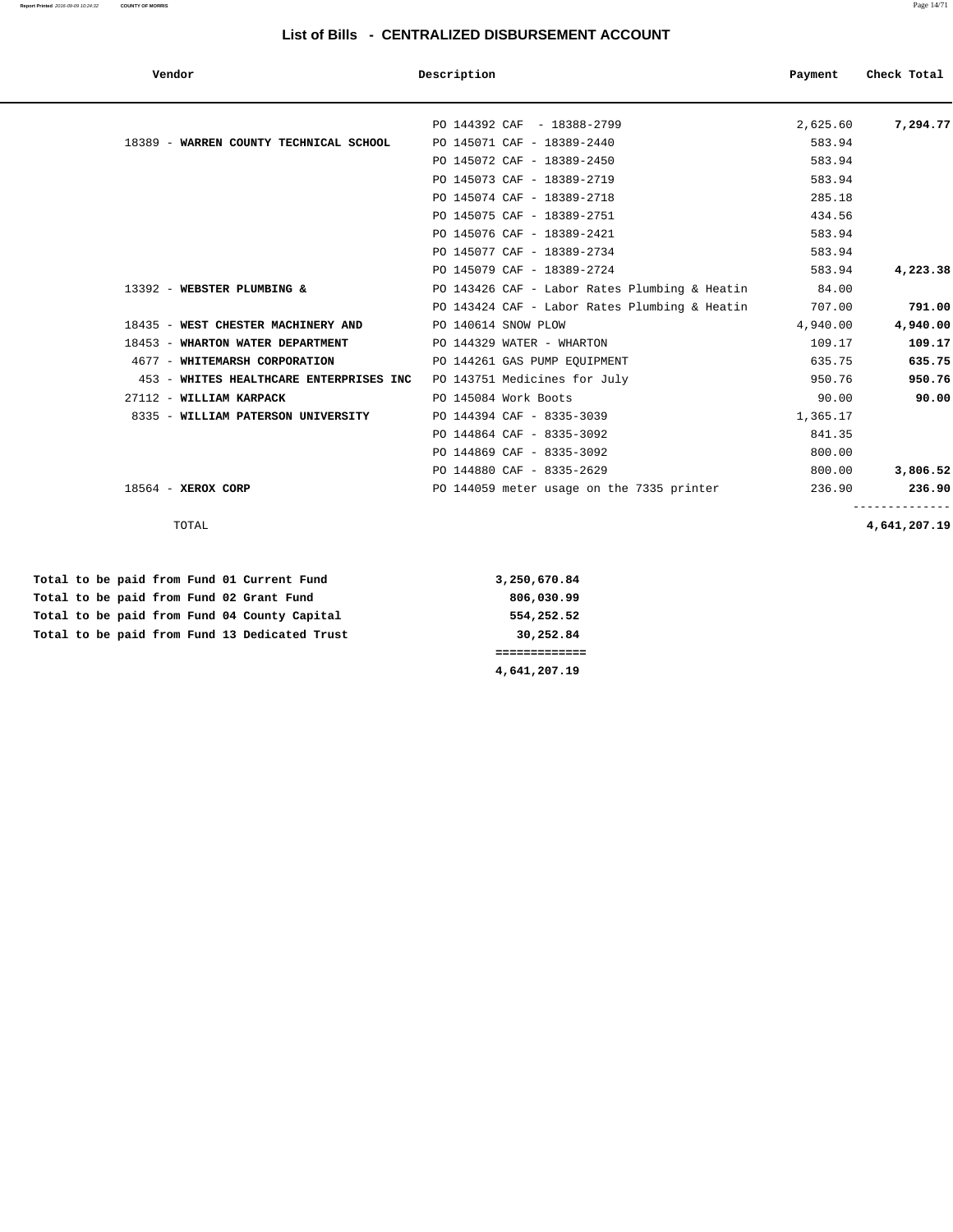#### **Report Printed** 2016-09-09 10:24:32 **COUNTY OF MORRIS** Page 14/71

#### **List of Bills - CENTRALIZED DISBURSEMENT ACCOUNT**

| Vendor                                                               | Description                                   | Payment  | Check Total  |
|----------------------------------------------------------------------|-----------------------------------------------|----------|--------------|
|                                                                      | PO 144392 CAF - 18388-2799                    | 2,625.60 | 7,294.77     |
| 18389 - WARREN COUNTY TECHNICAL SCHOOL                               | PO 145071 CAF - 18389-2440                    | 583.94   |              |
|                                                                      | PO 145072 CAF - 18389-2450                    | 583.94   |              |
|                                                                      | PO 145073 CAF - 18389-2719                    | 583.94   |              |
|                                                                      | PO 145074 CAF - 18389-2718                    | 285.18   |              |
|                                                                      | PO 145075 CAF - 18389-2751                    | 434.56   |              |
|                                                                      | PO 145076 CAF - 18389-2421                    | 583.94   |              |
|                                                                      | PO 145077 CAF - 18389-2734                    | 583.94   |              |
|                                                                      | PO 145079 CAF - 18389-2724                    | 583.94   | 4,223.38     |
| 13392 - WEBSTER PLUMBING &                                           | PO 143426 CAF - Labor Rates Plumbing & Heatin | 84.00    |              |
|                                                                      | PO 143424 CAF - Labor Rates Plumbing & Heatin | 707.00   | 791.00       |
| 18435 - WEST CHESTER MACHINERY AND                                   | PO 140614 SNOW PLOW                           | 4,940.00 | 4,940.00     |
| 18453 - WHARTON WATER DEPARTMENT                                     | PO 144329 WATER - WHARTON                     | 109.17   | 109.17       |
| 4677 - WHITEMARSH CORPORATION                                        | PO 144261 GAS PUMP EQUIPMENT                  | 635.75   | 635.75       |
| 453 - WHITES HEALTHCARE ENTERPRISES INC PO 143751 Medicines for July |                                               | 950.76   | 950.76       |
| 27112 - WILLIAM KARPACK                                              | PO 145084 Work Boots                          | 90.00    | 90.00        |
| 8335 - WILLIAM PATERSON UNIVERSITY                                   | PO 144394 CAF - 8335-3039                     | 1,365.17 |              |
|                                                                      | PO 144864 CAF - 8335-3092                     | 841.35   |              |
|                                                                      | PO 144869 CAF - 8335-3092                     | 800.00   |              |
|                                                                      | PO 144880 CAF - 8335-2629                     | 800.00   | 3,806.52     |
| $18564$ - XEROX CORP                                                 | PO 144059 meter usage on the 7335 printer     | 236.90   | 236.90       |
| TOTAL                                                                |                                               |          | 4,641,207.19 |
|                                                                      |                                               |          |              |
| Total to be paid from Fund 01 Current Fund                           | 3,250,670.84                                  |          |              |
| Total to be paid from Fund 02 Grant Fund                             | 806,030.99                                    |          |              |
| Total to be paid from Fund 04 County Capital                         | 554,252.52                                    |          |              |
| Total to be paid from Fund 13 Dedicated Trust                        | 30,252.84                                     |          |              |
|                                                                      | =============                                 |          |              |

 **4,641,207.19**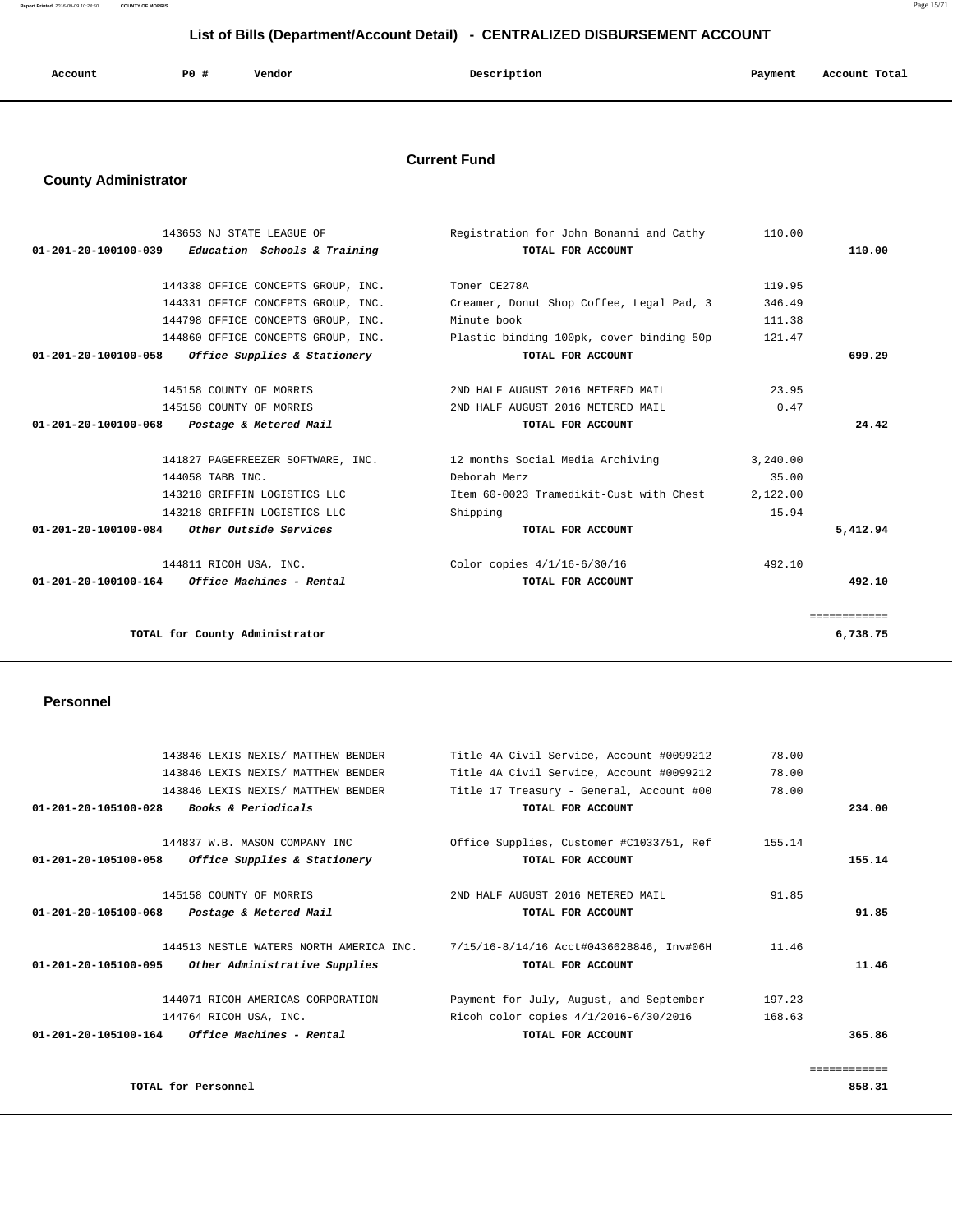**Report Printed** 2016-09-09 10:24:50 **COUNTY OF MORRIS** Page 15/71

# **List of Bills (Department/Account Detail) - CENTRALIZED DISBURSEMENT ACCOUNT**

| Account | <b>PO #</b> | Vendor<br>. | Description<br>$\sim$ $\sim$ $\sim$ | Payment<br>$\sim$ $\sim$ | Account Total |
|---------|-------------|-------------|-------------------------------------|--------------------------|---------------|
|         |             |             |                                     |                          |               |

# **Current Fund**

# **County Administrator**

|                      | 143653 NJ STATE LEAGUE OF                           | Registration for John Bonanni and Cathy  | 110.00   |              |
|----------------------|-----------------------------------------------------|------------------------------------------|----------|--------------|
| 01-201-20-100100-039 | Education Schools & Training                        | TOTAL FOR ACCOUNT                        |          | 110.00       |
|                      |                                                     |                                          |          |              |
|                      | 144338 OFFICE CONCEPTS GROUP, INC.                  | Toner CE278A                             | 119.95   |              |
|                      | 144331 OFFICE CONCEPTS GROUP, INC.                  | Creamer, Donut Shop Coffee, Legal Pad, 3 | 346.49   |              |
|                      | 144798 OFFICE CONCEPTS GROUP, INC.                  | Minute book                              | 111.38   |              |
|                      | 144860 OFFICE CONCEPTS GROUP, INC.                  | Plastic binding 100pk, cover binding 50p | 121.47   |              |
|                      | $01-201-20-100100-058$ Office Supplies & Stationery | TOTAL FOR ACCOUNT                        |          | 699.29       |
|                      |                                                     |                                          |          |              |
|                      | 145158 COUNTY OF MORRIS                             | 2ND HALF AUGUST 2016 METERED MAIL        | 23.95    |              |
|                      | 145158 COUNTY OF MORRIS                             | 2ND HALF AUGUST 2016 METERED MAIL        | 0.47     |              |
| 01-201-20-100100-068 | Postage & Metered Mail                              | TOTAL FOR ACCOUNT                        |          | 24.42        |
|                      |                                                     |                                          |          |              |
|                      | 141827 PAGEFREEZER SOFTWARE, INC.                   | 12 months Social Media Archiving         | 3.240.00 |              |
|                      | 144058 TABB INC.                                    | Deborah Merz                             | 35.00    |              |
|                      | 143218 GRIFFIN LOGISTICS LLC                        | Item 60-0023 Tramedikit-Cust with Chest  | 2,122.00 |              |
|                      | 143218 GRIFFIN LOGISTICS LLC                        | Shipping                                 | 15.94    |              |
|                      | $01-201-20-100100-084$ Other Outside Services       | TOTAL FOR ACCOUNT                        |          | 5,412.94     |
|                      |                                                     |                                          |          |              |
|                      | 144811 RICOH USA, INC.                              | Color copies $4/1/16-6/30/16$            | 492.10   |              |
|                      | $01-201-20-100100-164$ Office Machines - Rental     | TOTAL FOR ACCOUNT                        |          | 492.10       |
|                      |                                                     |                                          |          |              |
|                      |                                                     |                                          |          | ============ |
|                      | TOTAL for County Administrator                      |                                          |          | 6,738.75     |
|                      |                                                     |                                          |          |              |

# **Personnel**

|                      | 143846 LEXIS NEXIS/ MATTHEW BENDER              | Title 4A Civil Service, Account #0099212                                         | 78.00  |              |
|----------------------|-------------------------------------------------|----------------------------------------------------------------------------------|--------|--------------|
|                      | 143846 LEXIS NEXIS/ MATTHEW BENDER              | Title 4A Civil Service, Account #0099212                                         | 78.00  |              |
|                      | 143846 LEXIS NEXIS/ MATTHEW BENDER              | Title 17 Treasury - General, Account #00                                         | 78.00  |              |
| 01-201-20-105100-028 | <i>Books &amp; Periodicals</i>                  | TOTAL FOR ACCOUNT                                                                |        | 234.00       |
|                      | 144837 W.B. MASON COMPANY INC                   | Office Supplies, Customer #C1033751, Ref                                         | 155.14 |              |
| 01-201-20-105100-058 | Office Supplies & Stationery                    | TOTAL FOR ACCOUNT                                                                |        | 155.14       |
|                      | 145158 COUNTY OF MORRIS                         | 2ND HALF AUGUST 2016 METERED MAIL                                                | 91.85  |              |
| 01-201-20-105100-068 | Postage & Metered Mail                          | TOTAL FOR ACCOUNT                                                                |        | 91.85        |
|                      |                                                 | 144513 NESTLE WATERS NORTH AMERICA INC. 7/15/16-8/14/16 Acct#0436628846, Inv#06H | 11.46  |              |
| 01-201-20-105100-095 | Other Administrative Supplies                   | TOTAL FOR ACCOUNT                                                                |        | 11.46        |
|                      | 144071 RICOH AMERICAS CORPORATION               | Payment for July, August, and September                                          | 197.23 |              |
|                      | 144764 RICOH USA, INC.                          | Ricoh color copies $4/1/2016 - 6/30/2016$                                        | 168.63 |              |
|                      | $01-201-20-105100-164$ Office Machines - Rental | TOTAL FOR ACCOUNT                                                                |        | 365.86       |
|                      |                                                 |                                                                                  |        | ============ |
|                      | TOTAL for Personnel                             |                                                                                  |        | 858.31       |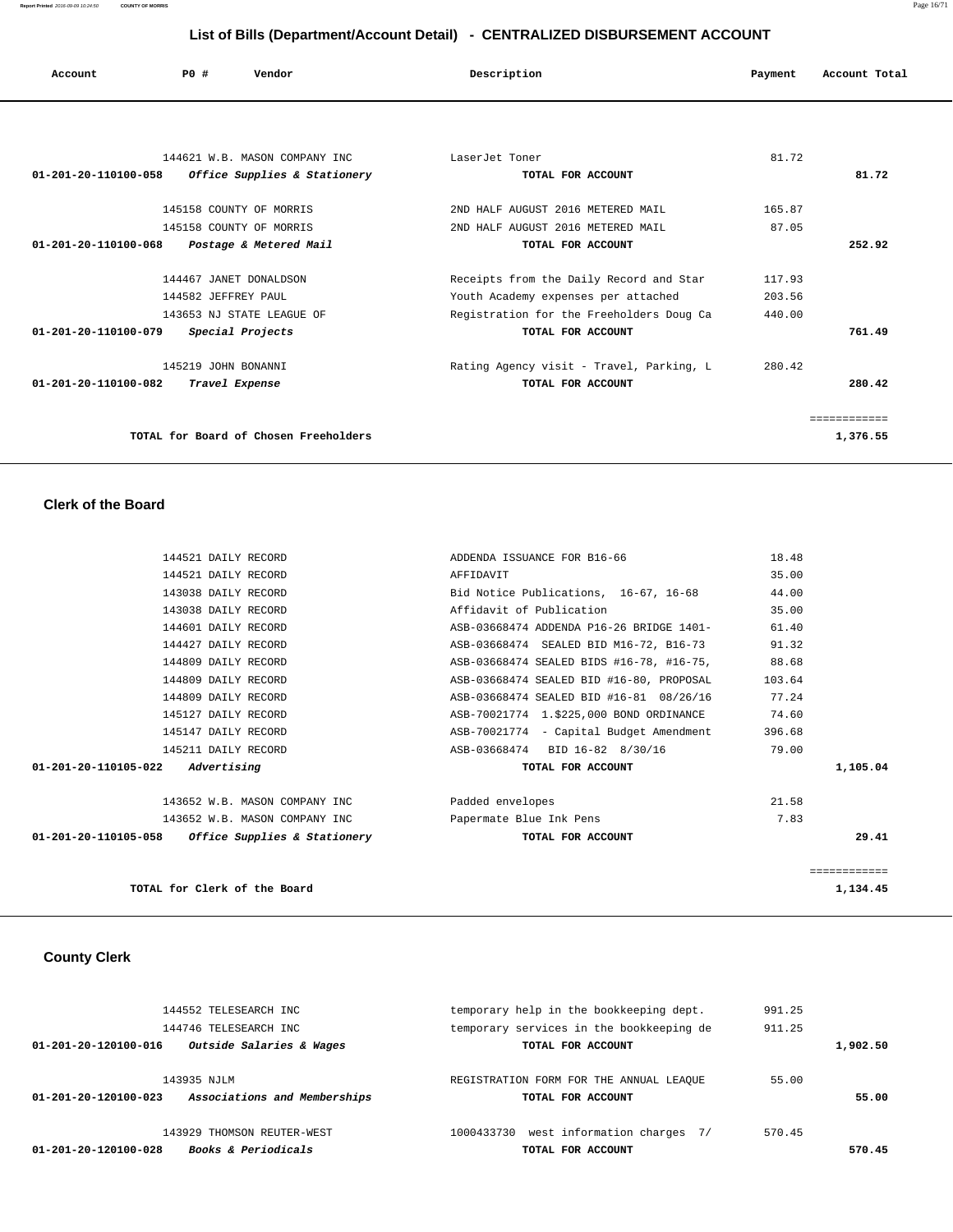| Account              | PO#                     | Vendor                                                        | Description                              | Payment | Account Total |
|----------------------|-------------------------|---------------------------------------------------------------|------------------------------------------|---------|---------------|
|                      |                         |                                                               |                                          |         |               |
| 01-201-20-110100-058 |                         | 144621 W.B. MASON COMPANY INC<br>Office Supplies & Stationery | LaserJet Toner<br>TOTAL FOR ACCOUNT      | 81.72   | 81.72         |
|                      |                         |                                                               |                                          |         |               |
|                      | 145158 COUNTY OF MORRIS |                                                               | 2ND HALF AUGUST 2016 METERED MAIL        | 165.87  |               |
|                      | 145158 COUNTY OF MORRIS |                                                               | 2ND HALF AUGUST 2016 METERED MAIL        | 87.05   |               |
| 01-201-20-110100-068 |                         | Postage & Metered Mail                                        | TOTAL FOR ACCOUNT                        |         | 252.92        |
|                      |                         |                                                               |                                          |         |               |
|                      | 144467 JANET DONALDSON  |                                                               | Receipts from the Daily Record and Star  | 117.93  |               |
|                      | 144582 JEFFREY PAUL     |                                                               | Youth Academy expenses per attached      | 203.56  |               |
|                      |                         | 143653 NJ STATE LEAGUE OF                                     | Registration for the Freeholders Doug Ca | 440.00  |               |
| 01-201-20-110100-079 |                         | Special Projects                                              | TOTAL FOR ACCOUNT                        |         | 761.49        |
|                      | 145219 JOHN BONANNI     |                                                               | Rating Agency visit - Travel, Parking, L | 280.42  |               |
| 01-201-20-110100-082 | Travel Expense          |                                                               | TOTAL FOR ACCOUNT                        |         | 280.42        |
|                      |                         |                                                               |                                          |         |               |
|                      |                         |                                                               |                                          |         | ------------  |

**TOTAL for Board of Chosen Freeholders 1,376.55**

# **Clerk of the Board**

| 144521 DAILY RECORD                                 | ADDENDA ISSUANCE FOR B16-66              | 18.48       |
|-----------------------------------------------------|------------------------------------------|-------------|
| 144521 DAILY RECORD                                 | AFFIDAVIT                                | 35.00       |
| 143038 DAILY RECORD                                 | Bid Notice Publications, 16-67, 16-68    | 44.00       |
| 143038 DAILY RECORD                                 | Affidavit of Publication                 | 35.00       |
| 144601 DAILY RECORD                                 | ASB-03668474 ADDENDA P16-26 BRIDGE 1401- | 61.40       |
| 144427 DAILY RECORD                                 | ASB-03668474 SEALED BID M16-72, B16-73   | 91.32       |
| 144809 DAILY RECORD                                 | ASB-03668474 SEALED BIDS #16-78, #16-75, | 88.68       |
| 144809 DAILY RECORD                                 | ASB-03668474 SEALED BID #16-80, PROPOSAL | 103.64      |
| 144809 DAILY RECORD                                 | ASB-03668474 SEALED BID #16-81 08/26/16  | 77.24       |
| 145127 DAILY RECORD                                 | ASB-70021774 1.\$225,000 BOND ORDINANCE  | 74.60       |
| 145147 DAILY RECORD                                 | ASB-70021774 - Capital Budget Amendment  | 396.68      |
| 145211 DAILY RECORD                                 | ASB-03668474 BID 16-82 8/30/16           | 79.00       |
| $01 - 201 - 20 - 110105 - 022$ Advertising          | TOTAL FOR ACCOUNT                        | 1,105.04    |
| 143652 W.B. MASON COMPANY INC                       | Padded envelopes                         | 21.58       |
| 143652 W.B. MASON COMPANY INC                       | Papermate Blue Ink Pens                  | 7.83        |
| $01-201-20-110105-058$ Office Supplies & Stationery | TOTAL FOR ACCOUNT                        | 29.41       |
|                                                     |                                          | =========== |
| TOTAL for Clerk of the Board                        |                                          | 1,134.45    |

#### **County Clerk**

|          | 991.25 | temporary help in the bookkeeping dept.                       | 144552 TELESEARCH INC                                                     |
|----------|--------|---------------------------------------------------------------|---------------------------------------------------------------------------|
| 1,902.50 | 911.25 | temporary services in the bookkeeping de<br>TOTAL FOR ACCOUNT | 144746 TELESEARCH INC<br>Outside Salaries & Wages<br>01-201-20-120100-016 |
|          | 55.00  | REGISTRATION FORM FOR THE ANNUAL LEAOUE                       | 143935 NJLM                                                               |
| 55.00    |        | TOTAL FOR ACCOUNT                                             | Associations and Memberships<br>01-201-20-120100-023                      |
|          | 570.45 | west information charges 7/<br>1000433730                     | 143929 THOMSON REUTER-WEST                                                |
| 570.45   |        | TOTAL FOR ACCOUNT                                             | <b>Books &amp; Periodicals</b><br>01-201-20-120100-028                    |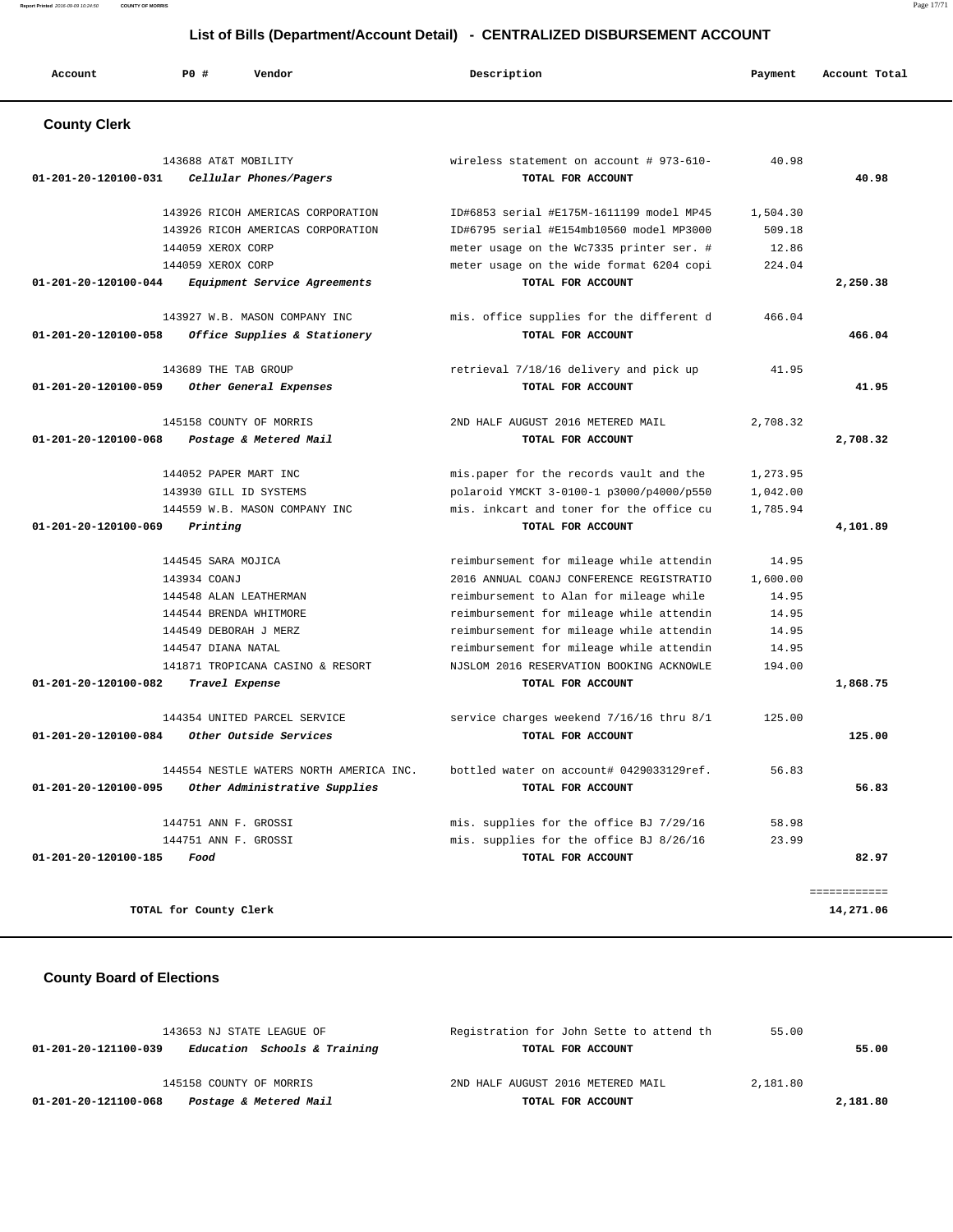**Report Printed** 2016-09-09 10:24:50 **COUNTY OF MORRIS** Page 17/71

# **List of Bills (Department/Account Detail) - CENTRALIZED DISBURSEMENT ACCOUNT**

| Account              | P0#          | Vendor                                            |                                                               | Description                                                   | Payment  | Account Total |
|----------------------|--------------|---------------------------------------------------|---------------------------------------------------------------|---------------------------------------------------------------|----------|---------------|
| <b>County Clerk</b>  |              |                                                   |                                                               |                                                               |          |               |
| 01-201-20-120100-031 |              | 143688 AT&T MOBILITY<br>Cellular Phones/Pagers    |                                                               | wireless statement on account # 973-610-<br>TOTAL FOR ACCOUNT | 40.98    | 40.98         |
|                      |              |                                                   | 143926 RICOH AMERICAS CORPORATION                             | ID#6853 serial #E175M-1611199 model MP45                      | 1,504.30 |               |
|                      |              |                                                   | 143926 RICOH AMERICAS CORPORATION                             | ID#6795 serial #E154mb10560 model MP3000                      | 509.18   |               |
|                      |              | 144059 XEROX CORP                                 |                                                               | meter usage on the Wc7335 printer ser. #                      | 12.86    |               |
|                      |              | 144059 XEROX CORP                                 |                                                               | meter usage on the wide format 6204 copi                      | 224.04   |               |
| 01-201-20-120100-044 |              |                                                   | Equipment Service Agreements                                  | TOTAL FOR ACCOUNT                                             |          | 2,250.38      |
| 01-201-20-120100-058 |              |                                                   | 143927 W.B. MASON COMPANY INC<br>Office Supplies & Stationery | mis. office supplies for the different d<br>TOTAL FOR ACCOUNT | 466.04   | 466.04        |
|                      |              | 143689 THE TAB GROUP                              |                                                               | retrieval 7/18/16 delivery and pick up                        | 41.95    |               |
| 01-201-20-120100-059 |              | Other General Expenses                            |                                                               | TOTAL FOR ACCOUNT                                             |          | 41.95         |
| 01-201-20-120100-068 |              | 145158 COUNTY OF MORRIS<br>Postage & Metered Mail |                                                               | 2ND HALF AUGUST 2016 METERED MAIL<br>TOTAL FOR ACCOUNT        | 2,708.32 | 2,708.32      |
|                      |              | 144052 PAPER MART INC                             |                                                               | mis.paper for the records vault and the                       | 1,273.95 |               |
|                      |              | 143930 GILL ID SYSTEMS                            |                                                               | polaroid YMCKT 3-0100-1 p3000/p4000/p550                      | 1,042.00 |               |
|                      |              |                                                   | 144559 W.B. MASON COMPANY INC                                 | mis, inkcart and toner for the office cu                      | 1,785.94 |               |
| 01-201-20-120100-069 |              | Printing                                          |                                                               | TOTAL FOR ACCOUNT                                             |          | 4,101.89      |
|                      |              | 144545 SARA MOJICA                                |                                                               | reimbursement for mileage while attendin                      | 14.95    |               |
|                      | 143934 COANJ |                                                   |                                                               | 2016 ANNUAL COANJ CONFERENCE REGISTRATIO                      | 1,600.00 |               |
|                      |              | 144548 ALAN LEATHERMAN                            |                                                               | reimbursement to Alan for mileage while                       | 14.95    |               |
|                      |              | 144544 BRENDA WHITMORE                            |                                                               | reimbursement for mileage while attendin                      | 14.95    |               |
|                      |              | 144549 DEBORAH J MERZ                             |                                                               | reimbursement for mileage while attendin                      | 14.95    |               |
|                      |              | 144547 DIANA NATAL                                |                                                               | reimbursement for mileage while attendin                      | 14.95    |               |
|                      |              |                                                   | 141871 TROPICANA CASINO & RESORT                              | NJSLOM 2016 RESERVATION BOOKING ACKNOWLE                      | 194.00   |               |
| 01-201-20-120100-082 |              | Travel Expense                                    |                                                               | TOTAL FOR ACCOUNT                                             |          | 1,868.75      |
|                      |              | 144354 UNITED PARCEL SERVICE                      |                                                               | service charges weekend 7/16/16 thru 8/1                      | 125.00   |               |
| 01-201-20-120100-084 |              | Other Outside Services                            |                                                               | TOTAL FOR ACCOUNT                                             |          | 125.00        |
|                      |              |                                                   | 144554 NESTLE WATERS NORTH AMERICA INC.                       | bottled water on account# 0429033129ref.                      | 56.83    |               |
| 01-201-20-120100-095 |              |                                                   | Other Administrative Supplies                                 | TOTAL FOR ACCOUNT                                             |          | 56.83         |
|                      |              | 144751 ANN F. GROSSI                              |                                                               | mis. supplies for the office BJ 7/29/16                       | 58.98    |               |
|                      |              | 144751 ANN F. GROSSI                              |                                                               | mis. supplies for the office BJ 8/26/16                       | 23.99    |               |
| 01-201-20-120100-185 | Food         |                                                   |                                                               | TOTAL FOR ACCOUNT                                             |          | 82.97         |
|                      |              |                                                   |                                                               |                                                               |          | ============  |
|                      |              | TOTAL for County Clerk                            |                                                               |                                                               |          | 14,271.06     |

# **County Board of Elections**

| 143653 NJ STATE LEAGUE OF                            | Registration for John Sette to attend th | 55.00    |
|------------------------------------------------------|------------------------------------------|----------|
| Education Schools & Training<br>01-201-20-121100-039 | TOTAL FOR ACCOUNT                        | 55.00    |
|                                                      |                                          |          |
| 145158 COUNTY OF MORRIS                              | 2ND HALF AUGUST 2016 METERED MAIL        | 2,181.80 |
| Postage & Metered Mail<br>01-201-20-121100-068       | TOTAL FOR ACCOUNT                        | 2,181.80 |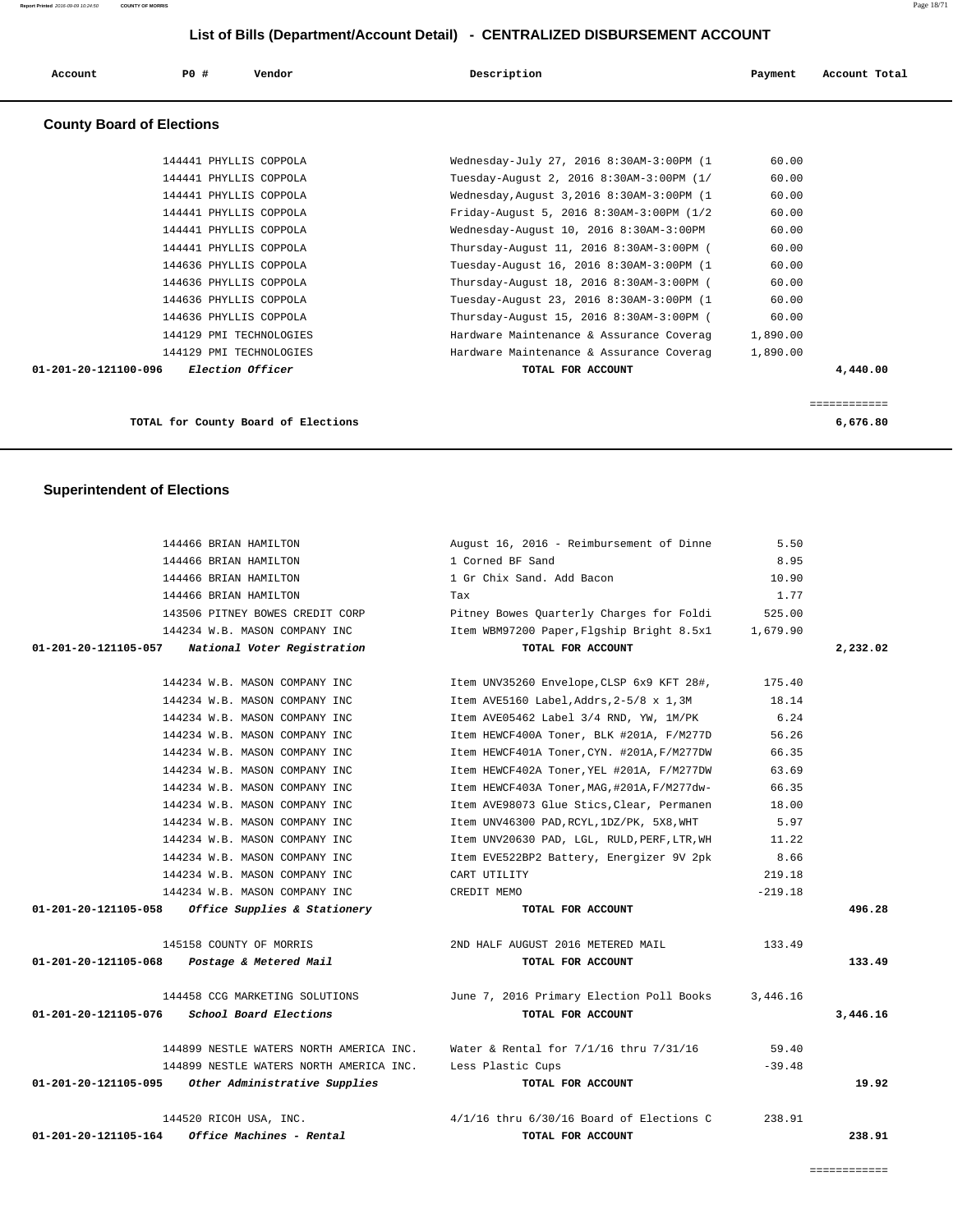| Account                          | PO#                     | Vendor                  | Description                                | Payment  | Account Total |
|----------------------------------|-------------------------|-------------------------|--------------------------------------------|----------|---------------|
| <b>County Board of Elections</b> |                         |                         |                                            |          |               |
|                                  | 144441 PHYLLIS COPPOLA  |                         | Wednesday-July 27, 2016 8:30AM-3:00PM (1   | 60.00    |               |
|                                  | 144441 PHYLLIS COPPOLA  |                         | Tuesday-August 2, 2016 8:30AM-3:00PM (1/   | 60.00    |               |
|                                  | 144441 PHYLLIS COPPOLA  |                         | Wednesday, August 3, 2016 8:30AM-3:00PM (1 | 60.00    |               |
|                                  | 144441 PHYLLIS COPPOLA  |                         | Friday-August 5, 2016 8:30AM-3:00PM (1/2   | 60.00    |               |
|                                  | 144441 PHYLLIS COPPOLA  |                         | Wednesday-August 10, 2016 8:30AM-3:00PM    | 60.00    |               |
|                                  | 144441 PHYLLIS COPPOLA  |                         | Thursday-August 11, 2016 8:30AM-3:00PM (   | 60.00    |               |
|                                  | 144636 PHYLLIS COPPOLA  |                         | Tuesday-August 16, 2016 8:30AM-3:00PM (1   | 60.00    |               |
|                                  | 144636 PHYLLIS COPPOLA  |                         | Thursday-August 18, 2016 8:30AM-3:00PM (   | 60.00    |               |
|                                  | 144636 PHYLLIS COPPOLA  |                         | Tuesday-August 23, 2016 8:30AM-3:00PM (1   | 60.00    |               |
|                                  | 144636 PHYLLIS COPPOLA  |                         | Thursday-August 15, 2016 8:30AM-3:00PM (   | 60.00    |               |
|                                  | 144129 PMI TECHNOLOGIES |                         | Hardware Maintenance & Assurance Coverag   | 1,890.00 |               |
|                                  | 144129 PMI TECHNOLOGIES |                         | Hardware Maintenance & Assurance Coverag   | 1,890.00 |               |
| $01 - 201 - 20 - 121100 - 096$   |                         | <i>Election Officer</i> | TOTAL FOR ACCOUNT                          |          | 4,440.00      |

============

**TOTAL for County Board of Elections 6,676.80**

# **Superintendent of Elections**

|                      | 144466 BRIAN HAMILTON                              | August 16, 2016 - Reimbursement of Dinne     | 5.50      |          |
|----------------------|----------------------------------------------------|----------------------------------------------|-----------|----------|
|                      | 144466 BRIAN HAMILTON                              | 1 Corned BF Sand                             | 8.95      |          |
|                      | 144466 BRIAN HAMILTON                              | 1 Gr Chix Sand. Add Bacon                    | 10.90     |          |
|                      | 144466 BRIAN HAMILTON                              | Tax                                          | 1.77      |          |
|                      | 143506 PITNEY BOWES CREDIT CORP                    | Pitney Bowes Quarterly Charges for Foldi     | 525.00    |          |
|                      | 144234 W.B. MASON COMPANY INC                      | Item WBM97200 Paper, Flgship Bright 8.5x1    | 1,679.90  |          |
| 01-201-20-121105-057 | National Voter Registration                        | TOTAL FOR ACCOUNT                            |           | 2,232.02 |
|                      | 144234 W.B. MASON COMPANY INC                      | Item UNV35260 Envelope, CLSP 6x9 KFT 28#,    | 175.40    |          |
|                      | 144234 W.B. MASON COMPANY INC                      | Item AVE5160 Label, Addrs, 2-5/8 x 1, 3M     | 18.14     |          |
|                      | 144234 W.B. MASON COMPANY INC                      | Item AVE05462 Label 3/4 RND, YW, 1M/PK       | 6.24      |          |
|                      | 144234 W.B. MASON COMPANY INC                      | Item HEWCF400A Toner, BLK #201A, F/M277D     | 56.26     |          |
|                      | 144234 W.B. MASON COMPANY INC                      | Item HEWCF401A Toner, CYN. #201A, F/M277DW   | 66.35     |          |
|                      | 144234 W.B. MASON COMPANY INC                      | Item HEWCF402A Toner, YEL #201A, F/M277DW    | 63.69     |          |
|                      | 144234 W.B. MASON COMPANY INC                      | Item HEWCF403A Toner, MAG, #201A, F/M277dw-  | 66.35     |          |
|                      | 144234 W.B. MASON COMPANY INC                      | Item AVE98073 Glue Stics, Clear, Permanen    | 18.00     |          |
|                      | 144234 W.B. MASON COMPANY INC                      | Item UNV46300 PAD, RCYL, 1DZ/PK, 5X8, WHT    | 5.97      |          |
|                      | 144234 W.B. MASON COMPANY INC                      | Item UNV20630 PAD, LGL, RULD, PERF, LTR, WH  | 11.22     |          |
|                      | 144234 W.B. MASON COMPANY INC                      | Item EVE522BP2 Battery, Energizer 9V 2pk     | 8.66      |          |
|                      | 144234 W.B. MASON COMPANY INC                      | CART UTILITY                                 | 219.18    |          |
|                      | 144234 W.B. MASON COMPANY INC                      | CREDIT MEMO                                  | $-219.18$ |          |
| 01-201-20-121105-058 | Office Supplies & Stationery                       | TOTAL FOR ACCOUNT                            |           | 496.28   |
|                      | 145158 COUNTY OF MORRIS                            | 2ND HALF AUGUST 2016 METERED MAIL            | 133.49    |          |
|                      | 01-201-20-121105-068 Postage & Metered Mail        | TOTAL FOR ACCOUNT                            |           | 133.49   |
|                      | 144458 CCG MARKETING SOLUTIONS                     | June 7, 2016 Primary Election Poll Books     | 3,446.16  |          |
| 01-201-20-121105-076 | School Board Elections                             | TOTAL FOR ACCOUNT                            |           | 3,446.16 |
|                      | 144899 NESTLE WATERS NORTH AMERICA INC.            | Water & Rental for $7/1/16$ thru $7/31/16$   | 59.40     |          |
|                      | 144899 NESTLE WATERS NORTH AMERICA INC.            | Less Plastic Cups                            | $-39.48$  |          |
|                      | 01-201-20-121105-095 Other Administrative Supplies | TOTAL FOR ACCOUNT                            |           | 19.92    |
|                      | 144520 RICOH USA, INC.                             | $4/1/16$ thru $6/30/16$ Board of Elections C | 238.91    |          |
| 01-201-20-121105-164 | Office Machines - Rental                           | TOTAL FOR ACCOUNT                            |           | 238.91   |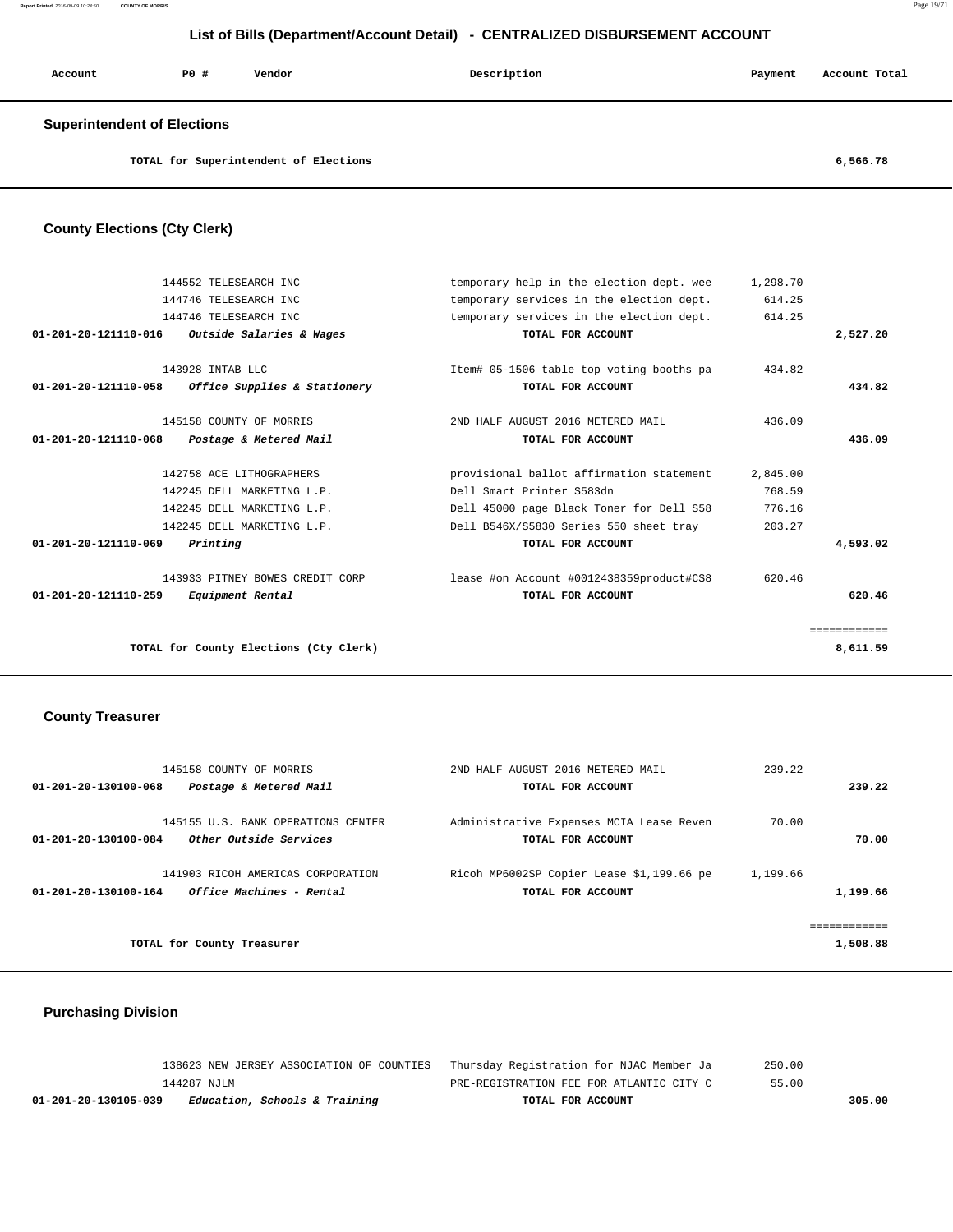| Account                     | <b>PO #</b> | Vendor | Description | Payment | Account Total |
|-----------------------------|-------------|--------|-------------|---------|---------------|
| Cunorintondont of Elootiano |             |        |             |         |               |

#### **Superintendent of Elections**

**TOTAL for Superintendent of Elections 6,566.78**

# **County Elections (Cty Clerk)**

|                                | 144552 TELESEARCH INC                             | temporary help in the election dept. wee | 1,298.70 |              |
|--------------------------------|---------------------------------------------------|------------------------------------------|----------|--------------|
|                                | 144746 TELESEARCH INC                             | temporary services in the election dept. | 614.25   |              |
|                                | 144746 TELESEARCH INC                             | temporary services in the election dept. | 614.25   |              |
| $01 - 201 - 20 - 121110 - 016$ | Outside Salaries & Wages                          | TOTAL FOR ACCOUNT                        |          | 2,527.20     |
|                                | 143928 INTAB LLC                                  | Item# 05-1506 table top voting booths pa | 434.82   |              |
|                                | 01-201-20-121110-058 Office Supplies & Stationery | TOTAL FOR ACCOUNT                        |          | 434.82       |
|                                | 145158 COUNTY OF MORRIS                           | 2ND HALF AUGUST 2016 METERED MAIL        | 436.09   |              |
| 01-201-20-121110-068           | Postage & Metered Mail                            | TOTAL FOR ACCOUNT                        |          | 436.09       |
|                                | 142758 ACE LITHOGRAPHERS                          | provisional ballot affirmation statement | 2,845.00 |              |
|                                | 142245 DELL MARKETING L.P.                        | Dell Smart Printer S583dn                | 768.59   |              |
|                                | 142245 DELL MARKETING L.P.                        | Dell 45000 page Black Toner for Dell S58 | 776.16   |              |
|                                | 142245 DELL MARKETING L.P.                        | Dell B546X/S5830 Series 550 sheet tray   | 203.27   |              |
| 01-201-20-121110-069           | Printing                                          | TOTAL FOR ACCOUNT                        |          | 4,593.02     |
|                                | 143933 PITNEY BOWES CREDIT CORP                   | lease #on Account #0012438359product#CS8 | 620.46   |              |
| $01 - 201 - 20 - 121110 - 259$ | <i>Equipment Rental</i>                           | TOTAL FOR ACCOUNT                        |          | 620.46       |
|                                |                                                   |                                          |          | ============ |
|                                | TOTAL for County Elections (Cty Clerk)            |                                          |          | 8,611.59     |
|                                |                                                   |                                          |          |              |

#### **County Treasurer**

| 145158 COUNTY OF MORRIS                                                                             | 2ND HALF AUGUST 2016 METERED MAIL                              | 239.22               |
|-----------------------------------------------------------------------------------------------------|----------------------------------------------------------------|----------------------|
| Postage & Metered Mail<br>01-201-20-130100-068                                                      | TOTAL FOR ACCOUNT                                              | 239.22               |
| 145155 U.S. BANK OPERATIONS CENTER<br>Other Outside Services<br>01-201-20-130100-084                | Administrative Expenses MCIA Lease Reven<br>TOTAL FOR ACCOUNT  | 70.00<br>70.00       |
| 141903 RICOH AMERICAS CORPORATION<br><i><b>Office Machines - Rental</b></i><br>01-201-20-130100-164 | Ricoh MP6002SP Copier Lease \$1,199.66 pe<br>TOTAL FOR ACCOUNT | 1,199.66<br>1,199.66 |
|                                                                                                     |                                                                | .                    |
| TOTAL for County Treasurer                                                                          |                                                                | 1,508.88             |

# **Purchasing Division**

| 138623 NEW JERSEY ASSOCIATION OF COUNTIES Thursday Registration for NJAC Member Ja |                                          | 250.00 |
|------------------------------------------------------------------------------------|------------------------------------------|--------|
| 144287 NJLM                                                                        | PRE-REGISTRATION FEE FOR ATLANTIC CITY C | 55.00  |
| <i>Education, Schools &amp; Training</i><br>01-201-20-130105-039                   | TOTAL FOR ACCOUNT                        | 305.00 |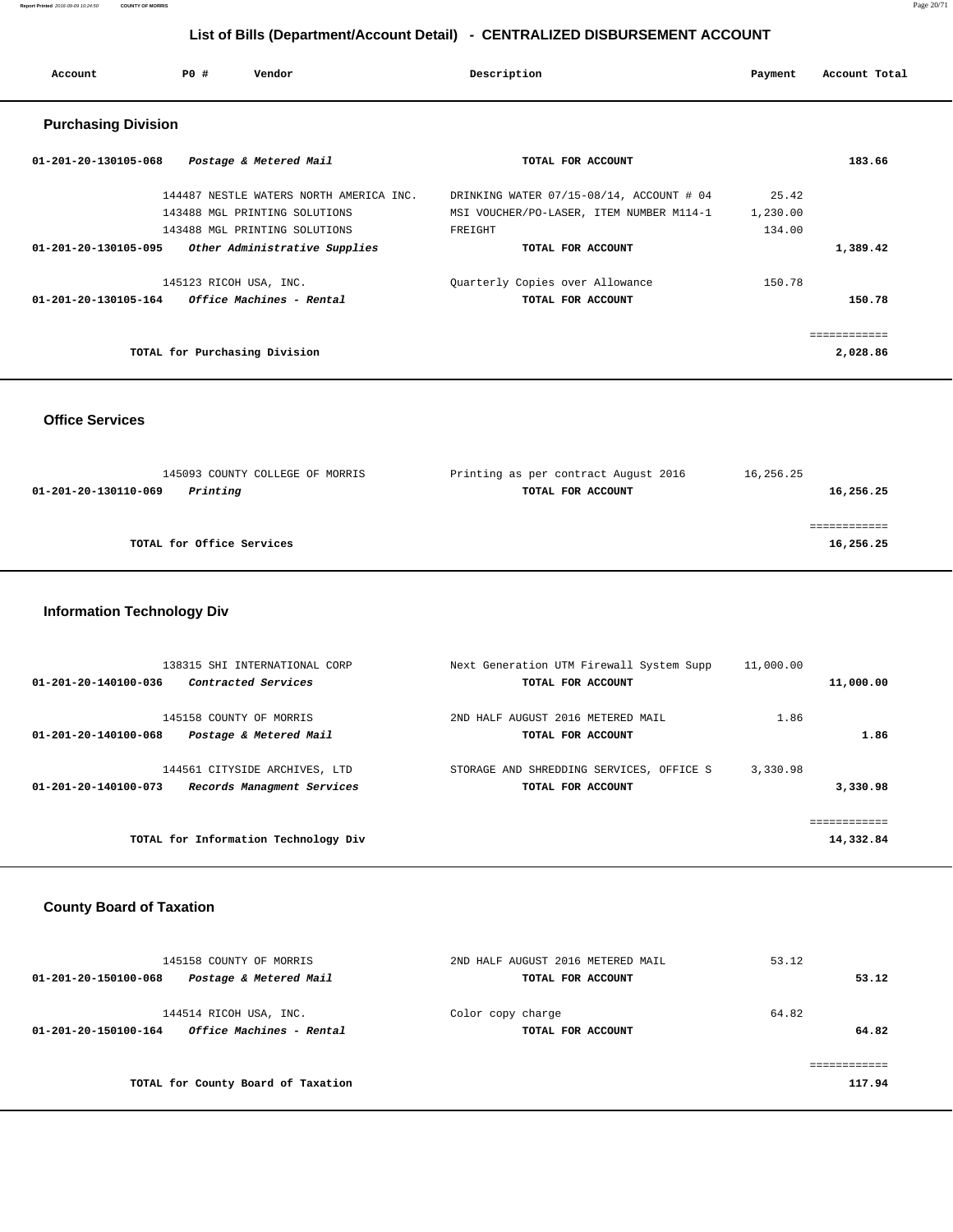| Account                        | PO#<br>Vendor                           | Description                              | Payment  | Account Total |  |
|--------------------------------|-----------------------------------------|------------------------------------------|----------|---------------|--|
| <b>Purchasing Division</b>     |                                         |                                          |          |               |  |
| $01 - 201 - 20 - 130105 - 068$ | Postage & Metered Mail                  | TOTAL FOR ACCOUNT                        |          | 183.66        |  |
|                                | 144487 NESTLE WATERS NORTH AMERICA INC. | DRINKING WATER 07/15-08/14, ACCOUNT # 04 | 25.42    |               |  |
|                                | 143488 MGL PRINTING SOLUTIONS           | MSI VOUCHER/PO-LASER, ITEM NUMBER M114-1 | 1,230.00 |               |  |
|                                | 143488 MGL PRINTING SOLUTIONS           | FREIGHT                                  | 134.00   |               |  |
| 01-201-20-130105-095           | Other Administrative Supplies           | TOTAL FOR ACCOUNT                        |          | 1,389.42      |  |
|                                | 145123 RICOH USA, INC.                  | Quarterly Copies over Allowance          | 150.78   |               |  |
| 01-201-20-130105-164           | <i><b>Office Machines - Rental</b></i>  | TOTAL FOR ACCOUNT                        |          | 150.78        |  |
|                                |                                         |                                          |          | .             |  |
|                                | TOTAL for Purchasing Division           |                                          |          | 2,028.86      |  |

 **Office Services** 

 145093 COUNTY COLLEGE OF MORRIS Printing as per contract August 2016 16,256.25  **01-201-20-130110-069 Printing TOTAL FOR ACCOUNT 16,256.25** ============ **TOTAL for Office Services 16,256.25**

#### **Information Technology Div**

| 11,000.00   | Next Generation UTM Firewall System Supp               | 138315 SHI INTERNATIONAL CORP                                             |
|-------------|--------------------------------------------------------|---------------------------------------------------------------------------|
| 11,000.00   | TOTAL FOR ACCOUNT                                      | Contracted Services<br>01-201-20-140100-036                               |
|             |                                                        |                                                                           |
| 1.86        |                                                        |                                                                           |
|             |                                                        |                                                                           |
| 3,330.98    | STORAGE AND SHREDDING SERVICES, OFFICE S               | 144561 CITYSIDE ARCHIVES, LTD                                             |
| 3,330.98    | TOTAL FOR ACCOUNT                                      | Records Managment Services<br>01-201-20-140100-073                        |
|             |                                                        |                                                                           |
| :========== |                                                        |                                                                           |
| 14,332.84   |                                                        | TOTAL for Information Technology Div                                      |
| 1.86        | 2ND HALF AUGUST 2016 METERED MAIL<br>TOTAL FOR ACCOUNT | 145158 COUNTY OF MORRIS<br>01-201-20-140100-068<br>Postage & Metered Mail |

#### **County Board of Taxation**

| 145158 COUNTY OF MORRIS                                                    | 2ND HALF AUGUST 2016 METERED MAIL      | 53.12          |
|----------------------------------------------------------------------------|----------------------------------------|----------------|
| Postage & Metered Mail<br>01-201-20-150100-068                             | TOTAL FOR ACCOUNT                      | 53.12          |
| 144514 RICOH USA, INC.<br>Office Machines - Rental<br>01-201-20-150100-164 | Color copy charge<br>TOTAL FOR ACCOUNT | 64.82<br>64.82 |
|                                                                            |                                        |                |
| TOTAL for County Board of Taxation                                         |                                        | 117.94         |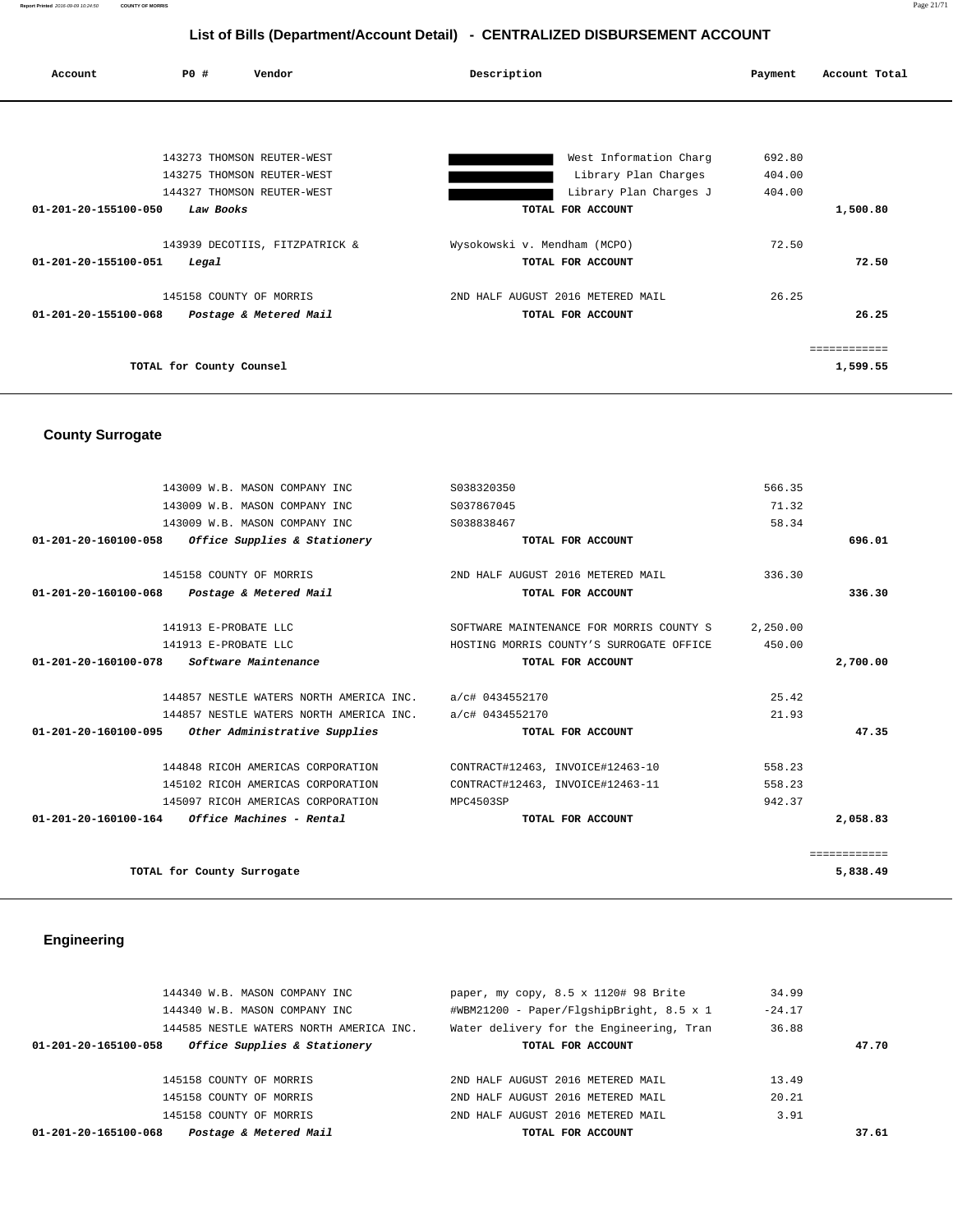**Report Printed** 2016-09-09 10:24:50 **COUNTY OF MORRIS** Page 21/71

# **List of Bills (Department/Account Detail) - CENTRALIZED DISBURSEMENT ACCOUNT**

| PO#<br>Account                          | Vendor                         | Description                       | Payment | Account Total |
|-----------------------------------------|--------------------------------|-----------------------------------|---------|---------------|
|                                         |                                |                                   |         |               |
|                                         | 143273 THOMSON REUTER-WEST     | West Information Charg            | 692.80  |               |
|                                         | 143275 THOMSON REUTER-WEST     | Library Plan Charges              | 404.00  |               |
|                                         | 144327 THOMSON REUTER-WEST     | Library Plan Charges J            | 404.00  |               |
| 01-201-20-155100-050<br>Law Books       |                                | TOTAL FOR ACCOUNT                 |         | 1,500.80      |
|                                         | 143939 DECOTIIS, FITZPATRICK & | Wysokowski v. Mendham (MCPO)      | 72.50   |               |
| $01 - 201 - 20 - 155100 - 051$<br>Legal |                                | TOTAL FOR ACCOUNT                 |         | 72.50         |
| 145158 COUNTY OF MORRIS                 |                                | 2ND HALF AUGUST 2016 METERED MAIL | 26.25   |               |
| 01-201-20-155100-068                    | Postage & Metered Mail         | TOTAL FOR ACCOUNT                 |         | 26.25         |
|                                         |                                |                                   |         | ============  |
| TOTAL for County Counsel                |                                |                                   |         | 1,599.55      |

# **County Surrogate**

|                      | 143009 W.B. MASON COMPANY INC                           | S038320350                               | 566.35   |              |
|----------------------|---------------------------------------------------------|------------------------------------------|----------|--------------|
|                      | 143009 W.B. MASON COMPANY INC                           | S037867045                               | 71.32    |              |
|                      | 143009 W.B. MASON COMPANY INC                           | S038838467                               | 58.34    |              |
| 01-201-20-160100-058 | <i>Office Supplies &amp; Stationery</i>                 | TOTAL FOR ACCOUNT                        |          | 696.01       |
|                      |                                                         |                                          |          |              |
|                      | 145158 COUNTY OF MORRIS                                 | 2ND HALF AUGUST 2016 METERED MAIL        | 336.30   |              |
|                      | 01-201-20-160100-068 Postage & Metered Mail             | TOTAL FOR ACCOUNT                        |          | 336.30       |
|                      | 141913 E-PROBATE LLC                                    | SOFTWARE MAINTENANCE FOR MORRIS COUNTY S | 2,250.00 |              |
|                      | 141913 E-PROBATE LLC                                    | HOSTING MORRIS COUNTY'S SURROGATE OFFICE | 450.00   |              |
| 01-201-20-160100-078 | <i>Software Maintenance</i>                             | TOTAL FOR ACCOUNT                        |          | 2,700.00     |
|                      |                                                         |                                          |          |              |
|                      | 144857 NESTLE WATERS NORTH AMERICA INC. a/c# 0434552170 |                                          | 25.42    |              |
|                      | 144857 NESTLE WATERS NORTH AMERICA INC. a/c# 0434552170 |                                          | 21.93    |              |
|                      | 01-201-20-160100-095 Other Administrative Supplies      | TOTAL FOR ACCOUNT                        |          | 47.35        |
|                      | 144848 RICOH AMERICAS CORPORATION                       | CONTRACT#12463, INVOICE#12463-10         | 558.23   |              |
|                      | 145102 RICOH AMERICAS CORPORATION                       | CONTRACT#12463, INVOICE#12463-11         | 558.23   |              |
|                      | 145097 RICOH AMERICAS CORPORATION                       | MPC4503SP                                | 942.37   |              |
|                      | $01 - 201 - 20 - 160100 - 164$ Office Machines - Rental |                                          |          |              |
|                      |                                                         | TOTAL FOR ACCOUNT                        |          | 2,058.83     |
|                      |                                                         |                                          |          | ============ |
|                      | TOTAL for County Surrogate                              |                                          |          | 5,838.49     |
|                      |                                                         |                                          |          |              |
|                      |                                                         |                                          |          |              |

# **Engineering**

| 144340 W.B. MASON COMPANY INC                        | paper, my copy, $8.5 \times 1120$ # 98 Brite | 34.99    |       |
|------------------------------------------------------|----------------------------------------------|----------|-------|
| 144340 W.B. MASON COMPANY INC                        | #WBM21200 - Paper/FlgshipBright, 8.5 x 1     | $-24.17$ |       |
| 144585 NESTLE WATERS NORTH AMERICA INC.              | Water delivery for the Engineering, Tran     | 36.88    |       |
| Office Supplies & Stationery<br>01-201-20-165100-058 | TOTAL FOR ACCOUNT                            |          | 47.70 |
|                                                      |                                              |          |       |
| 145158 COUNTY OF MORRIS                              | 2ND HALF AUGUST 2016 METERED MAIL            | 13.49    |       |
| 145158 COUNTY OF MORRIS                              | 2ND HALF AUGUST 2016 METERED MAIL            | 20.21    |       |
| 145158 COUNTY OF MORRIS                              | 2ND HALF AUGUST 2016 METERED MAIL            | 3.91     |       |
| Postage & Metered Mail<br>01-201-20-165100-068       | TOTAL FOR ACCOUNT                            |          | 37.61 |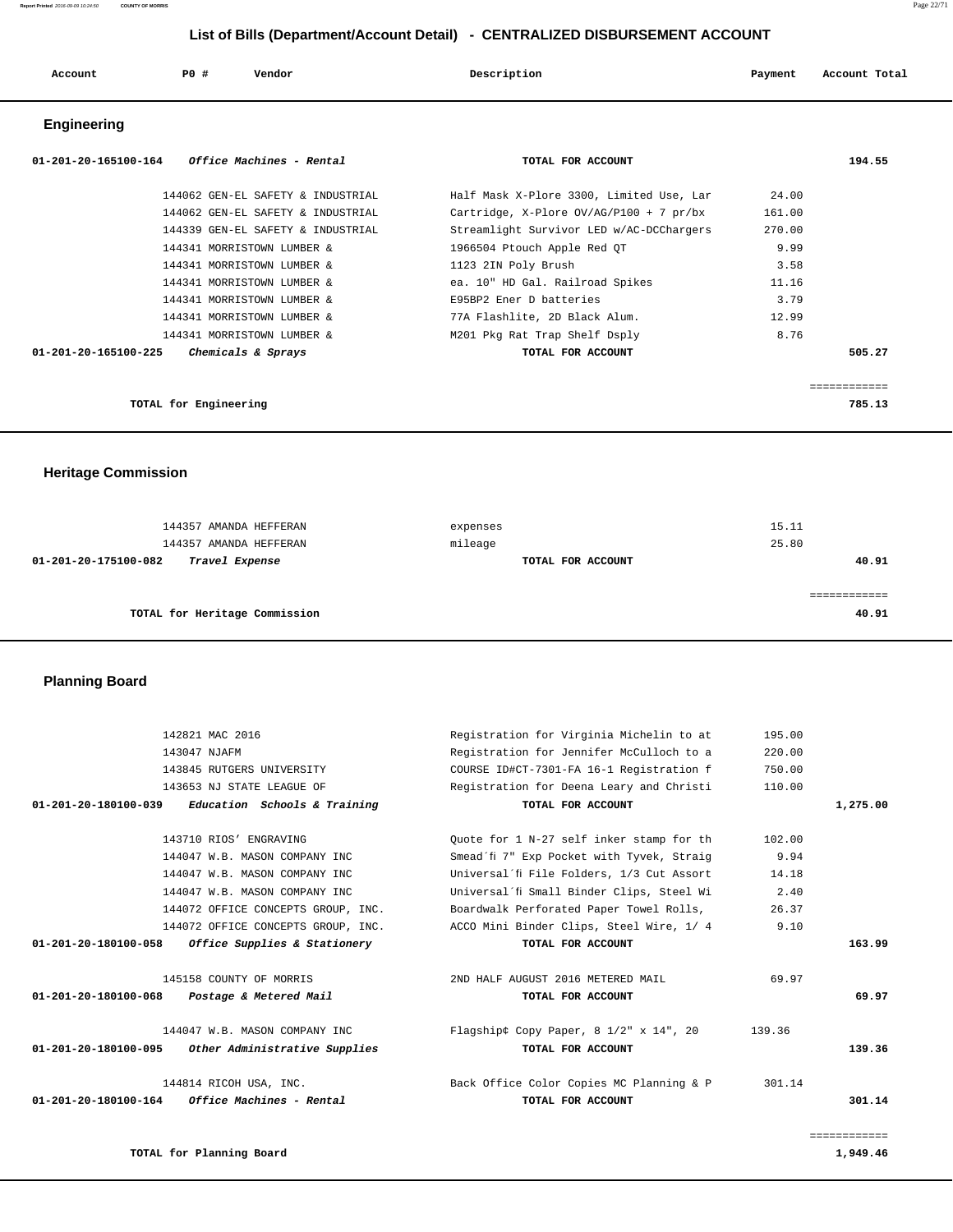| Account<br>. | P <sub>0</sub> | Vendor | Description | Payment | Account Total |
|--------------|----------------|--------|-------------|---------|---------------|
|              |                |        |             |         |               |

# **Engineering**

| <i>Office Machines - Rental</i><br>01-201-20-165100-164 | TOTAL FOR ACCOUNT                         |        | 194.55 |
|---------------------------------------------------------|-------------------------------------------|--------|--------|
| 144062 GEN-EL SAFETY & INDUSTRIAL                       | Half Mask X-Plore 3300, Limited Use, Lar  | 24.00  |        |
| 144062 GEN-EL SAFETY & INDUSTRIAL                       | Cartridge, X-Plore $OV/AG/P100 + 7 pr/bx$ | 161.00 |        |
| 144339 GEN-EL SAFETY & INDUSTRIAL                       | Streamlight Survivor LED w/AC-DCChargers  | 270.00 |        |
| 144341 MORRISTOWN LUMBER &                              | 1966504 Ptouch Apple Red OT               | 9.99   |        |
| 144341 MORRISTOWN LUMBER &                              | 1123 2IN Poly Brush                       | 3.58   |        |
| 144341 MORRISTOWN LUMBER &                              | ea. 10" HD Gal. Railroad Spikes           | 11.16  |        |
| 144341 MORRISTOWN LUMBER &                              | E95BP2 Ener D batteries                   | 3.79   |        |
| 144341 MORRISTOWN LUMBER &                              | 77A Flashlite, 2D Black Alum.             | 12.99  |        |
| 144341 MORRISTOWN LUMBER &                              | M201 Pkg Rat Trap Shelf Dsply             | 8.76   |        |
| 01-201-20-165100-225<br>Chemicals & Sprays              | TOTAL FOR ACCOUNT                         |        | 505.27 |
|                                                         |                                           |        |        |
|                                                         |                                           |        |        |
| TOTAL for Engineering                                   |                                           |        | 785.13 |

 **Heritage Commission** 

| 144357 AMANDA HEFFERAN                 | expenses          | 15.11 |
|----------------------------------------|-------------------|-------|
| 144357 AMANDA HEFFERAN                 | mileage           | 25.80 |
| 01-201-20-175100-082<br>Travel Expense | TOTAL FOR ACCOUNT | 40.91 |
|                                        |                   |       |
|                                        |                   |       |
| TOTAL for Heritage Commission          |                   | 40.91 |
|                                        |                   |       |

# **Planning Board**

|              | 195.00 | Registration for Virginia Michelin to at       | 142821 MAC 2016                                                |
|--------------|--------|------------------------------------------------|----------------------------------------------------------------|
|              | 220.00 | Registration for Jennifer McCulloch to a       | 143047 NJAFM                                                   |
|              | 750.00 | COURSE ID#CT-7301-FA 16-1 Registration f       | 143845 RUTGERS UNIVERSITY                                      |
|              | 110.00 | Registration for Deena Leary and Christi       | 143653 NJ STATE LEAGUE OF                                      |
| 1,275.00     |        | TOTAL FOR ACCOUNT                              | $01 - 201 - 20 - 180100 - 039$<br>Education Schools & Training |
|              | 102.00 | Ouote for 1 N-27 self inker stamp for th       | 143710 RIOS' ENGRAVING                                         |
|              | 9.94   | Smead'fi 7" Exp Pocket with Tyvek, Straig      | 144047 W.B. MASON COMPANY INC                                  |
|              | 14.18  | Universal'fi File Folders, 1/3 Cut Assort      | 144047 W.B. MASON COMPANY INC                                  |
|              | 2.40   | Universal'fi Small Binder Clips, Steel Wi      | 144047 W.B. MASON COMPANY INC                                  |
|              | 26.37  | Boardwalk Perforated Paper Towel Rolls,        | 144072 OFFICE CONCEPTS GROUP, INC.                             |
|              | 9.10   | ACCO Mini Binder Clips, Steel Wire, 1/ 4       | 144072 OFFICE CONCEPTS GROUP, INC.                             |
| 163.99       |        | TOTAL FOR ACCOUNT                              | $01 - 201 - 20 - 180100 - 058$<br>Office Supplies & Stationery |
|              | 69.97  | 2ND HALF AUGUST 2016 METERED MAIL              | 145158 COUNTY OF MORRIS                                        |
| 69.97        |        | TOTAL FOR ACCOUNT                              | $01 - 201 - 20 - 180100 - 068$<br>Postage & Metered Mail       |
|              | 139.36 | Flagshipâ & Copy Paper, 8 $1/2$ " x $14$ ", 20 | 144047 W.B. MASON COMPANY INC                                  |
| 139.36       |        | TOTAL FOR ACCOUNT                              | 01-201-20-180100-095<br>Other Administrative Supplies          |
|              | 301.14 | Back Office Color Copies MC Planning & P       | 144814 RICOH USA, INC.                                         |
| 301.14       |        | TOTAL FOR ACCOUNT                              | $01-201-20-180100-164$ Office Machines - Rental                |
| ============ |        |                                                |                                                                |
| 1,949.46     |        |                                                | TOTAL for Planning Board                                       |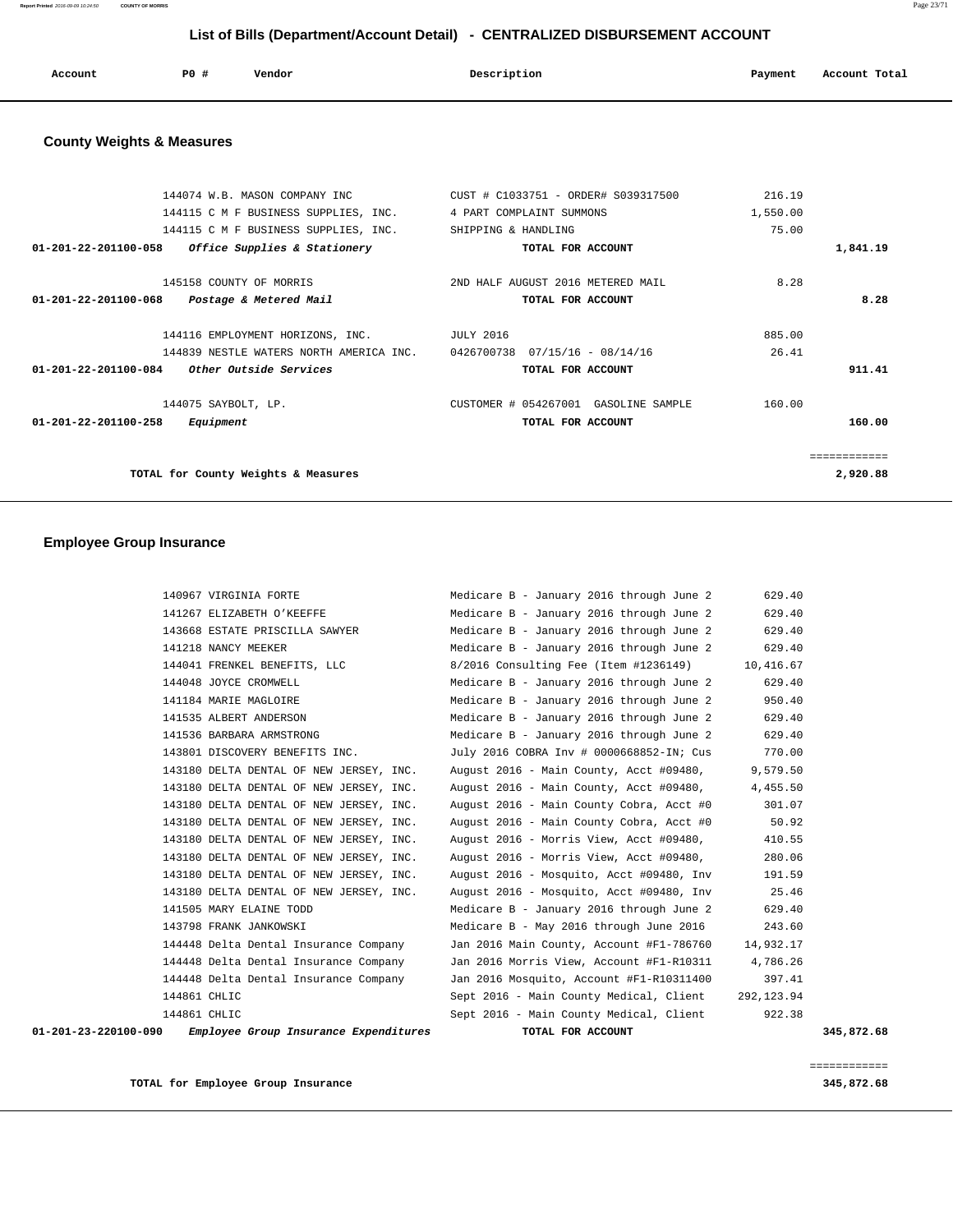**Report Printed** 2016-09-09 10:24:50 **COUNTY OF MORRIS** Page 23/71

# **List of Bills (Department/Account Detail) - CENTRALIZED DISBURSEMENT ACCOUNT**

| Account<br>. | P0 # | Vendor<br>. | Description<br>. | Payment | Account Total<br>.<br>. |
|--------------|------|-------------|------------------|---------|-------------------------|
|              |      |             |                  |         |                         |

# **County Weights & Measures**

|                                | 144074 W.B. MASON COMPANY INC              | CUST # C1033751 - ORDER# S039317500  | 216.19   |             |
|--------------------------------|--------------------------------------------|--------------------------------------|----------|-------------|
|                                | 144115 C M F BUSINESS SUPPLIES, INC.       | 4 PART COMPLAINT SUMMONS             | 1,550.00 |             |
|                                | 144115 C M F BUSINESS SUPPLIES, INC.       | SHIPPING & HANDLING                  | 75.00    |             |
| $01 - 201 - 22 - 201100 - 058$ | Office Supplies & Stationery               | TOTAL FOR ACCOUNT                    |          | 1,841.19    |
|                                | 145158 COUNTY OF MORRIS                    | 2ND HALF AUGUST 2016 METERED MAIL    | 8.28     |             |
| $01 - 201 - 22 - 201100 - 068$ | Postage & Metered Mail                     | TOTAL FOR ACCOUNT                    |          | 8.28        |
|                                | 144116 EMPLOYMENT HORIZONS, INC. JULY 2016 |                                      | 885.00   |             |
|                                | 144839 NESTLE WATERS NORTH AMERICA INC.    | 0426700738  07/15/16 - 08/14/16      | 26.41    |             |
| 01-201-22-201100-084           | <i>Other Outside Services</i>              | TOTAL FOR ACCOUNT                    |          | 911.41      |
|                                | 144075 SAYBOLT, LP.                        | CUSTOMER # 054267001 GASOLINE SAMPLE | 160.00   |             |
| $01 - 201 - 22 - 201100 - 258$ | Equipment                                  | TOTAL FOR ACCOUNT                    |          | 160.00      |
|                                |                                            |                                      |          | eeeeeeeeeee |
|                                | TOTAL for County Weights & Measures        |                                      |          | 2,920.88    |
|                                |                                            |                                      |          |             |

# **Employee Group Insurance**

| 01-201-23-220100-090 Employee Group Insurance Expenditures | TOTAL FOR ACCOUNT                              |             | 345,872.68 |
|------------------------------------------------------------|------------------------------------------------|-------------|------------|
| 144861 CHLIC                                               | Sept 2016 - Main County Medical, Client        | 922.38      |            |
| 144861 CHLIC                                               | Sept 2016 - Main County Medical, Client        | 292, 123.94 |            |
| 144448 Delta Dental Insurance Company                      | Jan 2016 Mosquito, Account #F1-R10311400       | 397.41      |            |
| 144448 Delta Dental Insurance Company                      | Jan 2016 Morris View, Account #F1-R10311       | 4,786.26    |            |
| 144448 Delta Dental Insurance Company                      | Jan 2016 Main County, Account #F1-786760       | 14,932.17   |            |
| 143798 FRANK JANKOWSKI                                     | Medicare B - May 2016 through June 2016        | 243.60      |            |
| 141505 MARY ELAINE TODD                                    | Medicare B - January 2016 through June 2       | 629.40      |            |
| 143180 DELTA DENTAL OF NEW JERSEY, INC.                    | August 2016 - Mosquito, Acct #09480, Inv 25.46 |             |            |
| 143180 DELTA DENTAL OF NEW JERSEY, INC.                    | August 2016 - Mosquito, Acct #09480, Inv       | 191.59      |            |
| 143180 DELTA DENTAL OF NEW JERSEY, INC.                    | August 2016 - Morris View, Acct #09480,        | 280.06      |            |
| 143180 DELTA DENTAL OF NEW JERSEY, INC.                    | August 2016 - Morris View, Acct #09480,        | 410.55      |            |
| 143180 DELTA DENTAL OF NEW JERSEY, INC.                    | August 2016 - Main County Cobra, Acct #0       | 50.92       |            |
| 143180 DELTA DENTAL OF NEW JERSEY, INC.                    | August 2016 - Main County Cobra, Acct #0       | 301.07      |            |
| 143180 DELTA DENTAL OF NEW JERSEY, INC.                    | August 2016 - Main County, Acct #09480,        | 4,455.50    |            |
| 143180 DELTA DENTAL OF NEW JERSEY, INC.                    | August 2016 - Main County, Acct #09480,        | 9,579.50    |            |
| 143801 DISCOVERY BENEFITS INC.                             | July 2016 COBRA Inv # 0000668852-IN; Cus       | 770.00      |            |
| 141536 BARBARA ARMSTRONG                                   | Medicare B - January 2016 through June 2       | 629.40      |            |
| 141535 ALBERT ANDERSON                                     | Medicare B - January 2016 through June 2       | 629.40      |            |
| 141184 MARIE MAGLOIRE                                      | Medicare B - January 2016 through June 2       | 950.40      |            |
| 144048 JOYCE CROMWELL                                      | Medicare B - January 2016 through June 2       | 629.40      |            |
| 144041 FRENKEL BENEFITS, LLC                               | 8/2016 Consulting Fee (Item #1236149)          | 10,416.67   |            |
| 141218 NANCY MEEKER                                        | Medicare B - January 2016 through June 2       | 629.40      |            |
| 143668 ESTATE PRISCILLA SAWYER                             | Medicare B - January 2016 through June 2       | 629.40      |            |
| 141267 ELIZABETH O'KEEFFE                                  | Medicare B - January 2016 through June 2       | 629.40      |            |
| 140967 VIRGINIA FORTE                                      | Medicare B - January 2016 through June 2       | 629.40      |            |

**TOTAL for Employee Group Insurance 345,872.68**

============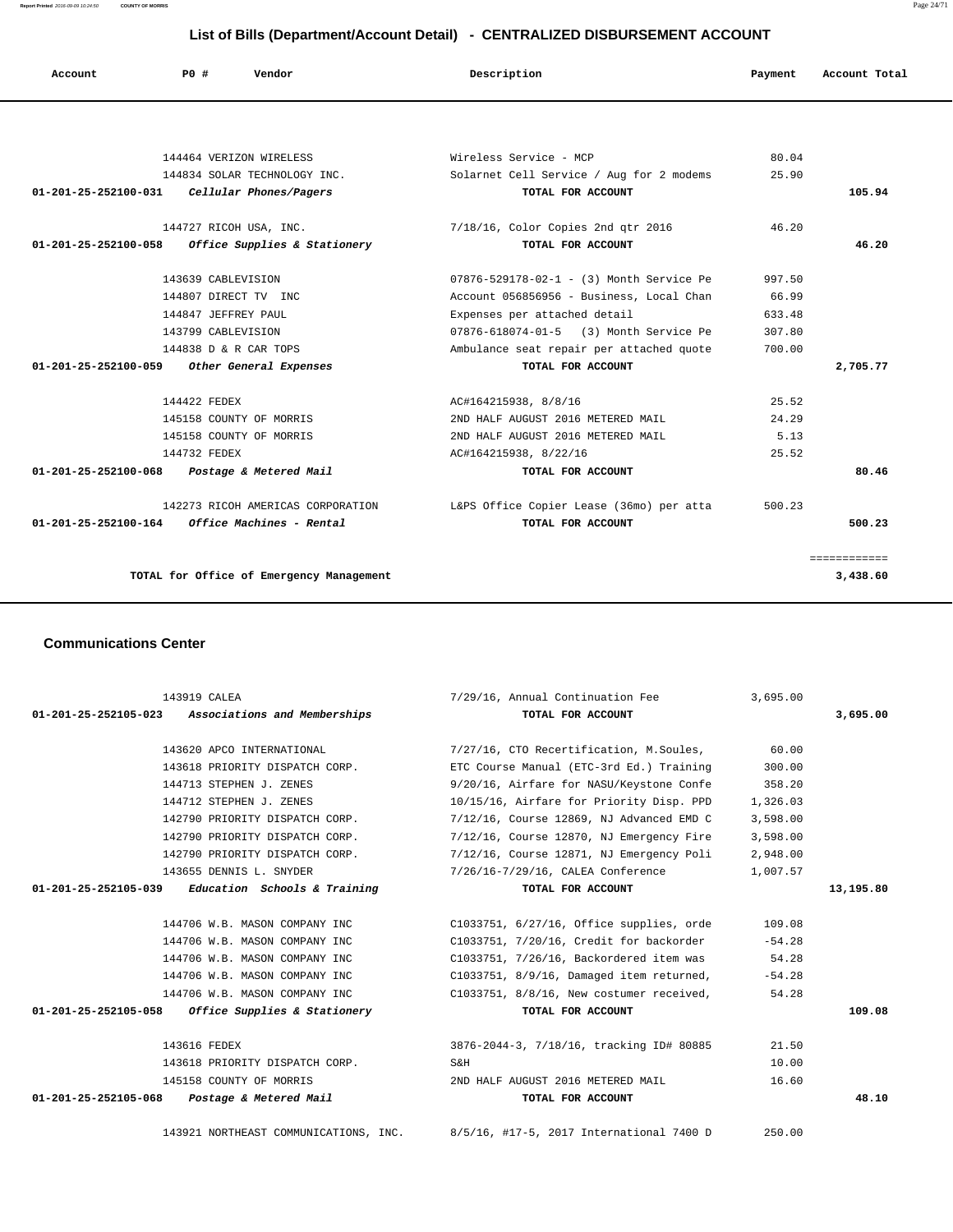**Report Printed** 2016-09-09 10:24:50 **COUNTY OF MORRIS** Page 24/71

============

| List of Bills (Department/Account Detail) - CENTRALIZED DISBURSEMENT ACCOUNT |                        |                                   |                                          |         |               |  |
|------------------------------------------------------------------------------|------------------------|-----------------------------------|------------------------------------------|---------|---------------|--|
| Account                                                                      | PO#                    | Vendor                            | Description                              | Payment | Account Total |  |
|                                                                              |                        |                                   |                                          |         |               |  |
|                                                                              |                        | 144464 VERIZON WIRELESS           | Wireless Service - MCP                   | 80.04   |               |  |
|                                                                              |                        | 144834 SOLAR TECHNOLOGY INC.      | Solarnet Cell Service / Aug for 2 modems | 25.90   |               |  |
| 01-201-25-252100-031                                                         |                        | Cellular Phones/Pagers            | TOTAL FOR ACCOUNT                        |         | 105.94        |  |
|                                                                              | 144727 RICOH USA, INC. |                                   | 7/18/16, Color Copies 2nd gtr 2016       | 46.20   |               |  |
| 01-201-25-252100-058                                                         |                        | Office Supplies & Stationery      | TOTAL FOR ACCOUNT                        |         | 46.20         |  |
|                                                                              | 143639 CABLEVISION     |                                   | 07876-529178-02-1 - (3) Month Service Pe | 997.50  |               |  |
|                                                                              | 144807 DIRECT TV INC   |                                   | Account 056856956 - Business, Local Chan | 66.99   |               |  |
|                                                                              | 144847 JEFFREY PAUL    |                                   | Expenses per attached detail             | 633.48  |               |  |
|                                                                              | 143799 CABLEVISION     |                                   | 07876-618074-01-5 (3) Month Service Pe   | 307.80  |               |  |
|                                                                              | 144838 D & R CAR TOPS  |                                   | Ambulance seat repair per attached quote | 700.00  |               |  |
| 01-201-25-252100-059 Other General Expenses                                  |                        |                                   | TOTAL FOR ACCOUNT                        |         | 2,705.77      |  |
|                                                                              | 144422 FEDEX           |                                   | AC#164215938, 8/8/16                     | 25.52   |               |  |
|                                                                              |                        | 145158 COUNTY OF MORRIS           | 2ND HALF AUGUST 2016 METERED MAIL        | 24.29   |               |  |
|                                                                              |                        | 145158 COUNTY OF MORRIS           | 2ND HALF AUGUST 2016 METERED MAIL        | 5.13    |               |  |
|                                                                              | 144732 FEDEX           |                                   | AC#164215938, 8/22/16                    | 25.52   |               |  |
| 01-201-25-252100-068 Postage & Metered Mail                                  |                        |                                   | TOTAL FOR ACCOUNT                        |         | 80.46         |  |
|                                                                              |                        | 142273 RICOH AMERICAS CORPORATION | L&PS Office Copier Lease (36mo) per atta | 500.23  |               |  |

 **01-201-25-252100-164 Office Machines - Rental TOTAL FOR ACCOUNT 500.23**

**TOTAL for Office of Emergency Management 3,438.60**

#### **Communications Center**

| 143919 CALEA                                        | 7/29/16, Annual Continuation Fee                                               | 3,695.00 |           |
|-----------------------------------------------------|--------------------------------------------------------------------------------|----------|-----------|
| 01-201-25-252105-023 Associations and Memberships   | TOTAL FOR ACCOUNT                                                              |          | 3,695,00  |
| 143620 APCO INTERNATIONAL                           | 7/27/16, CTO Recertification, M.Soules,                                        | 60.00    |           |
| 143618 PRIORITY DISPATCH CORP.                      | ETC Course Manual (ETC-3rd Ed.) Training                                       | 300.00   |           |
| 144713 STEPHEN J. ZENES                             | 9/20/16, Airfare for NASU/Keystone Confe                                       | 358.20   |           |
| 144712 STEPHEN J. ZENES                             | 10/15/16, Airfare for Priority Disp. PPD                                       | 1,326.03 |           |
| 142790 PRIORITY DISPATCH CORP.                      | 7/12/16, Course 12869, NJ Advanced EMD C                                       | 3,598.00 |           |
| 142790 PRIORITY DISPATCH CORP.                      | 7/12/16, Course 12870, NJ Emergency Fire                                       | 3,598.00 |           |
| 142790 PRIORITY DISPATCH CORP.                      | 7/12/16, Course 12871, NJ Emergency Poli                                       | 2,948.00 |           |
| 143655 DENNIS L. SNYDER                             | 7/26/16-7/29/16, CALEA Conference                                              | 1,007.57 |           |
| $01-201-25-252105-039$ Education Schools & Training | TOTAL FOR ACCOUNT                                                              |          | 13,195.80 |
|                                                     |                                                                                |          |           |
| 144706 W.B. MASON COMPANY INC                       | C1033751, 6/27/16, Office supplies, orde                                       | 109.08   |           |
| 144706 W.B. MASON COMPANY INC                       | C1033751, 7/20/16, Credit for backorder                                        | $-54.28$ |           |
| 144706 W.B. MASON COMPANY INC                       | C1033751, 7/26/16, Backordered item was                                        | 54.28    |           |
| 144706 W.B. MASON COMPANY INC                       | C1033751, 8/9/16, Damaged item returned,                                       | $-54.28$ |           |
| 144706 W.B. MASON COMPANY INC                       | C1033751, 8/8/16, New costumer received,                                       | 54.28    |           |
| $01-201-25-252105-058$ Office Supplies & Stationery | TOTAL FOR ACCOUNT                                                              |          | 109.08    |
| 143616 FEDEX                                        | 3876-2044-3, 7/18/16, tracking ID# 80885                                       | 21.50    |           |
| 143618 PRIORITY DISPATCH CORP.                      | S&H                                                                            | 10.00    |           |
| 145158 COUNTY OF MORRIS                             | 2ND HALF AUGUST 2016 METERED MAIL                                              | 16.60    |           |
| 01-201-25-252105-068 Postage & Metered Mail         | TOTAL FOR ACCOUNT                                                              |          | 48.10     |
|                                                     | 143921 NORTHEAST COMMUNICATIONS, INC. 8/5/16, #17-5, 2017 International 7400 D | 250.00   |           |
|                                                     |                                                                                |          |           |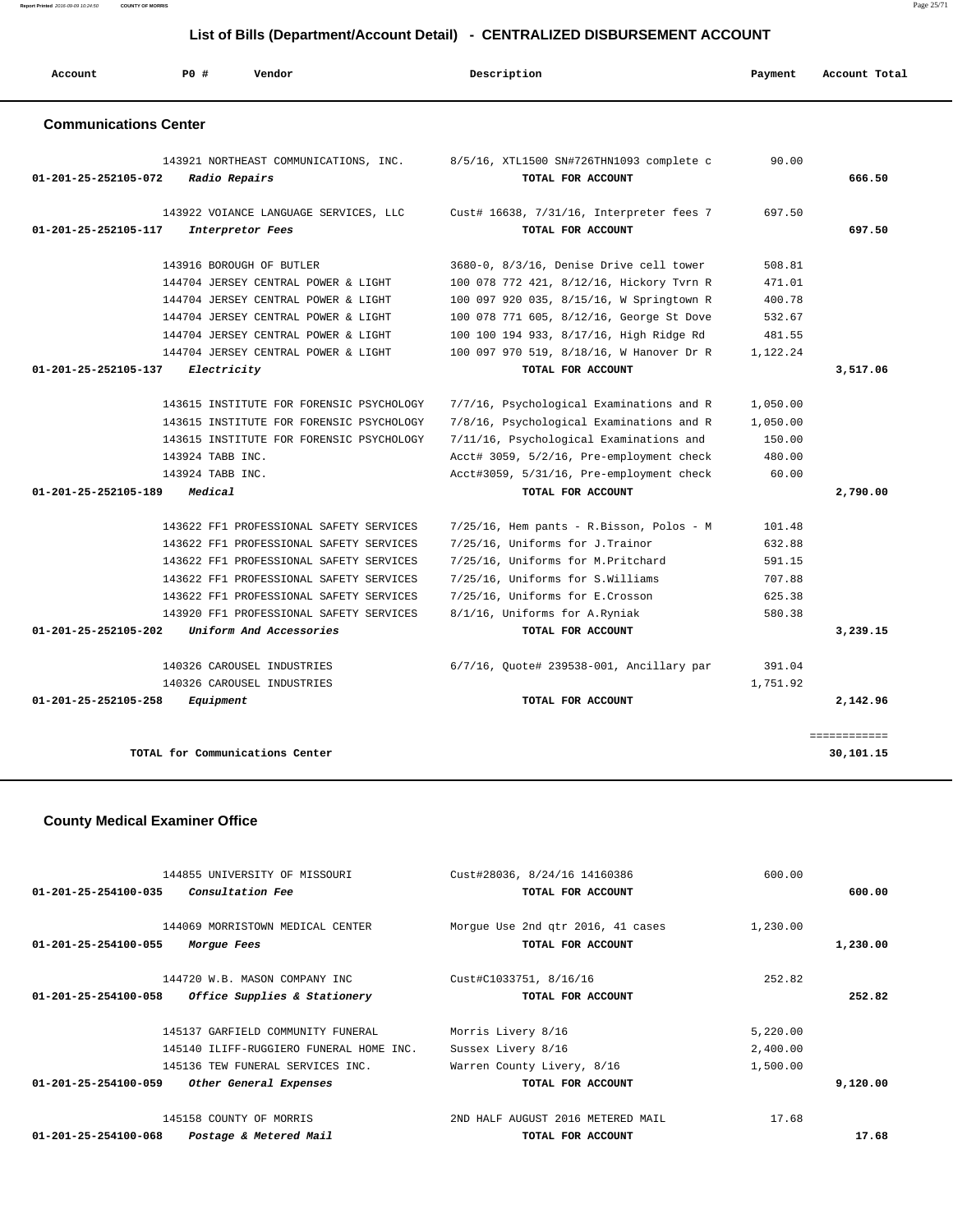| Account                        | <b>PO #</b> | Vendor                                                                                                                                                                                                                                                                                    | Description                                                                                                                                                                                                                                        | Payment                                                  | Account Total             |
|--------------------------------|-------------|-------------------------------------------------------------------------------------------------------------------------------------------------------------------------------------------------------------------------------------------------------------------------------------------|----------------------------------------------------------------------------------------------------------------------------------------------------------------------------------------------------------------------------------------------------|----------------------------------------------------------|---------------------------|
| <b>Communications Center</b>   |             |                                                                                                                                                                                                                                                                                           |                                                                                                                                                                                                                                                    |                                                          |                           |
| 01-201-25-252105-072           |             | 143921 NORTHEAST COMMUNICATIONS, INC.<br>Radio Repairs                                                                                                                                                                                                                                    | 8/5/16, XTL1500 SN#726THN1093 complete c<br>TOTAL FOR ACCOUNT                                                                                                                                                                                      | 90.00                                                    | 666.50                    |
| 01-201-25-252105-117           |             | 143922 VOIANCE LANGUAGE SERVICES, LLC<br>Interpretor Fees                                                                                                                                                                                                                                 | Cust# 16638, 7/31/16, Interpreter fees 7<br>TOTAL FOR ACCOUNT                                                                                                                                                                                      | 697.50                                                   | 697.50                    |
|                                |             | 143916 BOROUGH OF BUTLER<br>144704 JERSEY CENTRAL POWER & LIGHT<br>144704 JERSEY CENTRAL POWER & LIGHT<br>144704 JERSEY CENTRAL POWER & LIGHT<br>144704 JERSEY CENTRAL POWER & LIGHT                                                                                                      | 3680-0, 8/3/16, Denise Drive cell tower<br>100 078 772 421, 8/12/16, Hickory Tvrn R<br>100 097 920 035, 8/15/16, W Springtown R<br>100 078 771 605, 8/12/16, George St Dove<br>100 100 194 933, 8/17/16, High Ridge Rd                             | 508.81<br>471.01<br>400.78<br>532.67<br>481.55           |                           |
| 01-201-25-252105-137           |             | 144704 JERSEY CENTRAL POWER & LIGHT<br>Electricity                                                                                                                                                                                                                                        | 100 097 970 519, 8/18/16, W Hanover Dr R<br>TOTAL FOR ACCOUNT                                                                                                                                                                                      | 1,122.24                                                 | 3,517.06                  |
| 01-201-25-252105-189           | Medical     | 143615 INSTITUTE FOR FORENSIC PSYCHOLOGY<br>143615 INSTITUTE FOR FORENSIC PSYCHOLOGY<br>143615 INSTITUTE FOR FORENSIC PSYCHOLOGY<br>143924 TABB INC.<br>143924 TABB INC.                                                                                                                  | 7/7/16, Psychological Examinations and R<br>7/8/16, Psychological Examinations and R<br>7/11/16, Psychological Examinations and<br>Acct# 3059, 5/2/16, Pre-employment check<br>Acct#3059, 5/31/16, Pre-employment check<br>TOTAL FOR ACCOUNT       | 1,050.00<br>1,050.00<br>150.00<br>480.00<br>60.00        | 2,790.00                  |
| $01 - 201 - 25 - 252105 - 202$ |             | 143622 FF1 PROFESSIONAL SAFETY SERVICES<br>143622 FF1 PROFESSIONAL SAFETY SERVICES<br>143622 FF1 PROFESSIONAL SAFETY SERVICES<br>143622 FF1 PROFESSIONAL SAFETY SERVICES<br>143622 FF1 PROFESSIONAL SAFETY SERVICES<br>143920 FF1 PROFESSIONAL SAFETY SERVICES<br>Uniform And Accessories | $7/25/16$ , Hem pants - R.Bisson, Polos - M<br>7/25/16, Uniforms for J. Trainor<br>7/25/16, Uniforms for M. Pritchard<br>7/25/16, Uniforms for S.Williams<br>7/25/16, Uniforms for E.Crosson<br>8/1/16, Uniforms for A.Ryniak<br>TOTAL FOR ACCOUNT | 101.48<br>632.88<br>591.15<br>707.88<br>625.38<br>580.38 | 3,239.15                  |
| 01-201-25-252105-258           |             | 140326 CAROUSEL INDUSTRIES<br>140326 CAROUSEL INDUSTRIES<br>Equipment                                                                                                                                                                                                                     | 6/7/16, Quote# 239538-001, Ancillary par<br>TOTAL FOR ACCOUNT                                                                                                                                                                                      | 391.04<br>1,751.92                                       | 2,142.96                  |
|                                |             | TOTAL for Communications Center                                                                                                                                                                                                                                                           |                                                                                                                                                                                                                                                    |                                                          | ============<br>30,101.15 |

# **County Medical Examiner Office**

| 144855 UNIVERSITY OF MISSOURI                            | Cust#28036, 8/24/16 14160386      | 600.00   |          |
|----------------------------------------------------------|-----------------------------------|----------|----------|
| <i>Consultation Fee</i><br>01-201-25-254100-035          | TOTAL FOR ACCOUNT                 |          | 600.00   |
|                                                          |                                   |          |          |
| 144069 MORRISTOWN MEDICAL CENTER                         | Morgue Use 2nd qtr 2016, 41 cases | 1,230.00 |          |
| 01-201-25-254100-055<br>Morgue Fees                      | TOTAL FOR ACCOUNT                 |          | 1,230.00 |
|                                                          |                                   |          |          |
| 144720 W.B. MASON COMPANY INC                            | Cust#C1033751, 8/16/16            | 252.82   |          |
| 01-201-25-254100-058<br>Office Supplies & Stationery     | TOTAL FOR ACCOUNT                 |          | 252.82   |
|                                                          |                                   |          |          |
| 145137 GARFIELD COMMUNITY FUNERAL                        | Morris Livery 8/16                | 5,220.00 |          |
| 145140 ILIFF-RUGGIERO FUNERAL HOME INC.                  | Sussex Livery 8/16                | 2,400.00 |          |
| 145136 TEW FUNERAL SERVICES INC.                         | Warren County Livery, 8/16        | 1,500.00 |          |
| $01 - 201 - 25 - 254100 - 059$<br>Other General Expenses | TOTAL FOR ACCOUNT                 |          | 9,120.00 |
|                                                          |                                   |          |          |
| 145158 COUNTY OF MORRIS                                  | 2ND HALF AUGUST 2016 METERED MAIL | 17.68    |          |
| 01-201-25-254100-068<br>Postage & Metered Mail           | TOTAL FOR ACCOUNT                 |          | 17.68    |

**Report Printed** 2016-09-09 10:24:50 **COUNTY OF MORRIS** Page 25/71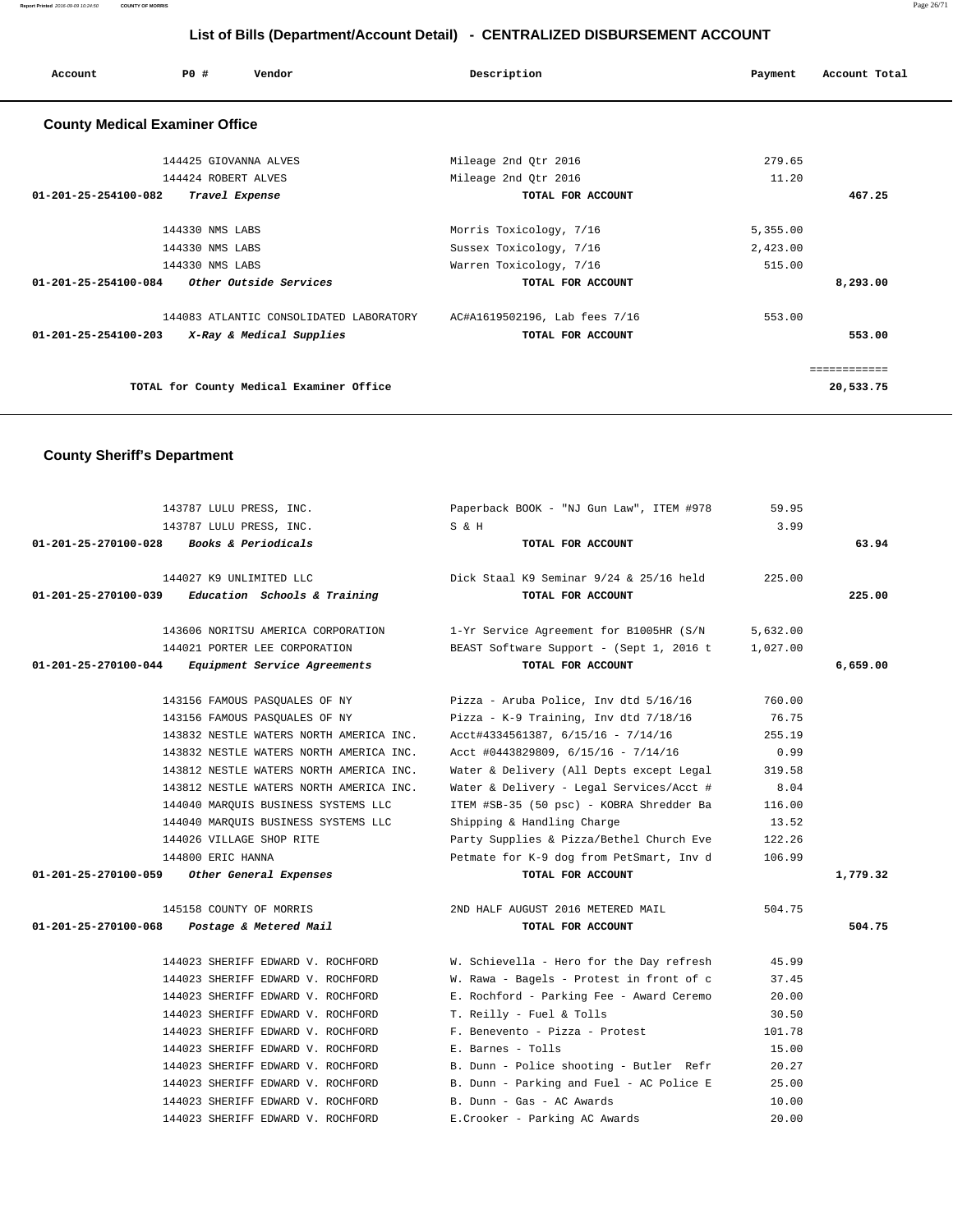| Account                               | PO#                   | Vendor                                   | Description                   | Payment  | Account Total |  |  |  |
|---------------------------------------|-----------------------|------------------------------------------|-------------------------------|----------|---------------|--|--|--|
| <b>County Medical Examiner Office</b> |                       |                                          |                               |          |               |  |  |  |
|                                       | 144425 GIOVANNA ALVES |                                          | Mileage 2nd Qtr 2016          | 279.65   |               |  |  |  |
|                                       | 144424 ROBERT ALVES   |                                          | Mileage 2nd Qtr 2016          | 11.20    |               |  |  |  |
| $01 - 201 - 25 - 254100 - 082$        | Travel Expense        |                                          | TOTAL FOR ACCOUNT             |          | 467.25        |  |  |  |
|                                       |                       |                                          |                               |          |               |  |  |  |
|                                       | 144330 NMS LABS       |                                          | Morris Toxicology, 7/16       | 5,355.00 |               |  |  |  |
| 144330 NMS LABS                       |                       |                                          | Sussex Toxicology, 7/16       | 2,423.00 |               |  |  |  |
|                                       | 144330 NMS LABS       |                                          | Warren Toxicology, 7/16       | 515.00   |               |  |  |  |
| 01-201-25-254100-084                  |                       | Other Outside Services                   | TOTAL FOR ACCOUNT             |          | 8,293.00      |  |  |  |
|                                       |                       | 144083 ATLANTIC CONSOLIDATED LABORATORY  | AC#A1619502196, Lab fees 7/16 | 553.00   |               |  |  |  |
| $01 - 201 - 25 - 254100 - 203$        |                       | X-Ray & Medical Supplies                 | TOTAL FOR ACCOUNT             |          | 553.00        |  |  |  |
|                                       |                       |                                          |                               |          | ============  |  |  |  |
|                                       |                       | TOTAL for County Medical Examiner Office |                               |          | 20,533.75     |  |  |  |

# **County Sheriff's Department**

|                      | 143787 LULU PRESS, INC.                             | Paperback BOOK - "NJ Gun Law", ITEM #978                                | 59.95    |          |
|----------------------|-----------------------------------------------------|-------------------------------------------------------------------------|----------|----------|
|                      | 143787 LULU PRESS, INC.                             | S & H                                                                   | 3.99     |          |
|                      | 01-201-25-270100-028 Books & Periodicals            | TOTAL FOR ACCOUNT                                                       |          | 63.94    |
|                      | 144027 K9 UNLIMITED LLC                             | Dick Staal K9 Seminar $9/24$ & 25/16 held                               | 225.00   |          |
|                      | $01-201-25-270100-039$ Education Schools & Training | TOTAL FOR ACCOUNT                                                       |          | 225.00   |
|                      | 143606 NORITSU AMERICA CORPORATION                  | 1-Yr Service Agreement for B1005HR (S/N                                 | 5,632.00 |          |
|                      | 144021 PORTER LEE CORPORATION                       | BEAST Software Support - (Sept 1, 2016 t                                | 1,027.00 |          |
| 01-201-25-270100-044 | <i>Equipment Service Agreements</i>                 | TOTAL FOR ACCOUNT                                                       |          | 6,659.00 |
|                      |                                                     | 143156 FAMOUS PASQUALES OF NY The Pizza - Aruba Police, Inv dtd 5/16/16 | 760.00   |          |
|                      | 143156 FAMOUS PASOUALES OF NY                       | Pizza - K-9 Training, Inv dtd 7/18/16                                   | 76.75    |          |
|                      | 143832 NESTLE WATERS NORTH AMERICA INC.             | Acct#4334561387, 6/15/16 - 7/14/16                                      | 255.19   |          |
|                      | 143832 NESTLE WATERS NORTH AMERICA INC.             | Acct #0443829809, 6/15/16 - 7/14/16                                     | 0.99     |          |
|                      | 143812 NESTLE WATERS NORTH AMERICA INC.             | Water & Delivery (All Depts except Legal                                | 319.58   |          |
|                      | 143812 NESTLE WATERS NORTH AMERICA INC.             | Water & Delivery - Legal Services/Acct #                                | 8.04     |          |
|                      | 144040 MARQUIS BUSINESS SYSTEMS LLC                 | ITEM #SB-35 (50 psc) - KOBRA Shredder Ba                                | 116.00   |          |
|                      | 144040 MARQUIS BUSINESS SYSTEMS LLC                 | Shipping & Handling Charge                                              | 13.52    |          |
|                      | 144026 VILLAGE SHOP RITE                            | Party Supplies & Pizza/Bethel Church Eve                                | 122.26   |          |
|                      | 144800 ERIC HANNA                                   | Petmate for K-9 dog from PetSmart, Inv d                                | 106.99   |          |
|                      | 01-201-25-270100-059 Other General Expenses         | TOTAL FOR ACCOUNT                                                       |          | 1,779.32 |
|                      | 145158 COUNTY OF MORRIS                             | 2ND HALF AUGUST 2016 METERED MAIL                                       | 504.75   |          |
|                      | 01-201-25-270100-068 Postage & Metered Mail         | TOTAL FOR ACCOUNT                                                       |          | 504.75   |
|                      | 144023 SHERIFF EDWARD V. ROCHFORD                   | W. Schievella - Hero for the Day refresh                                | 45.99    |          |
|                      | 144023 SHERIFF EDWARD V. ROCHFORD                   | W. Rawa - Bagels - Protest in front of c                                | 37.45    |          |
|                      | 144023 SHERIFF EDWARD V. ROCHFORD                   | E. Rochford - Parking Fee - Award Ceremo                                | 20.00    |          |
|                      | 144023 SHERIFF EDWARD V. ROCHFORD                   | T. Reilly - Fuel & Tolls                                                | 30.50    |          |
|                      | 144023 SHERIFF EDWARD V. ROCHFORD                   | F. Benevento - Pizza - Protest                                          | 101.78   |          |
|                      | 144023 SHERIFF EDWARD V. ROCHFORD                   | E. Barnes - Tolls                                                       | 15.00    |          |
|                      | 144023 SHERIFF EDWARD V. ROCHFORD                   | B. Dunn - Police shooting - Butler Refr                                 | 20.27    |          |
|                      | 144023 SHERIFF EDWARD V. ROCHFORD                   | B. Dunn - Parking and Fuel - AC Police E                                | 25.00    |          |
|                      | 144023 SHERIFF EDWARD V. ROCHFORD                   | B. Dunn - Gas - AC Awards                                               | 10.00    |          |
|                      | 144023 SHERIFF EDWARD V. ROCHFORD                   | E.Crooker - Parking AC Awards                                           | 20.00    |          |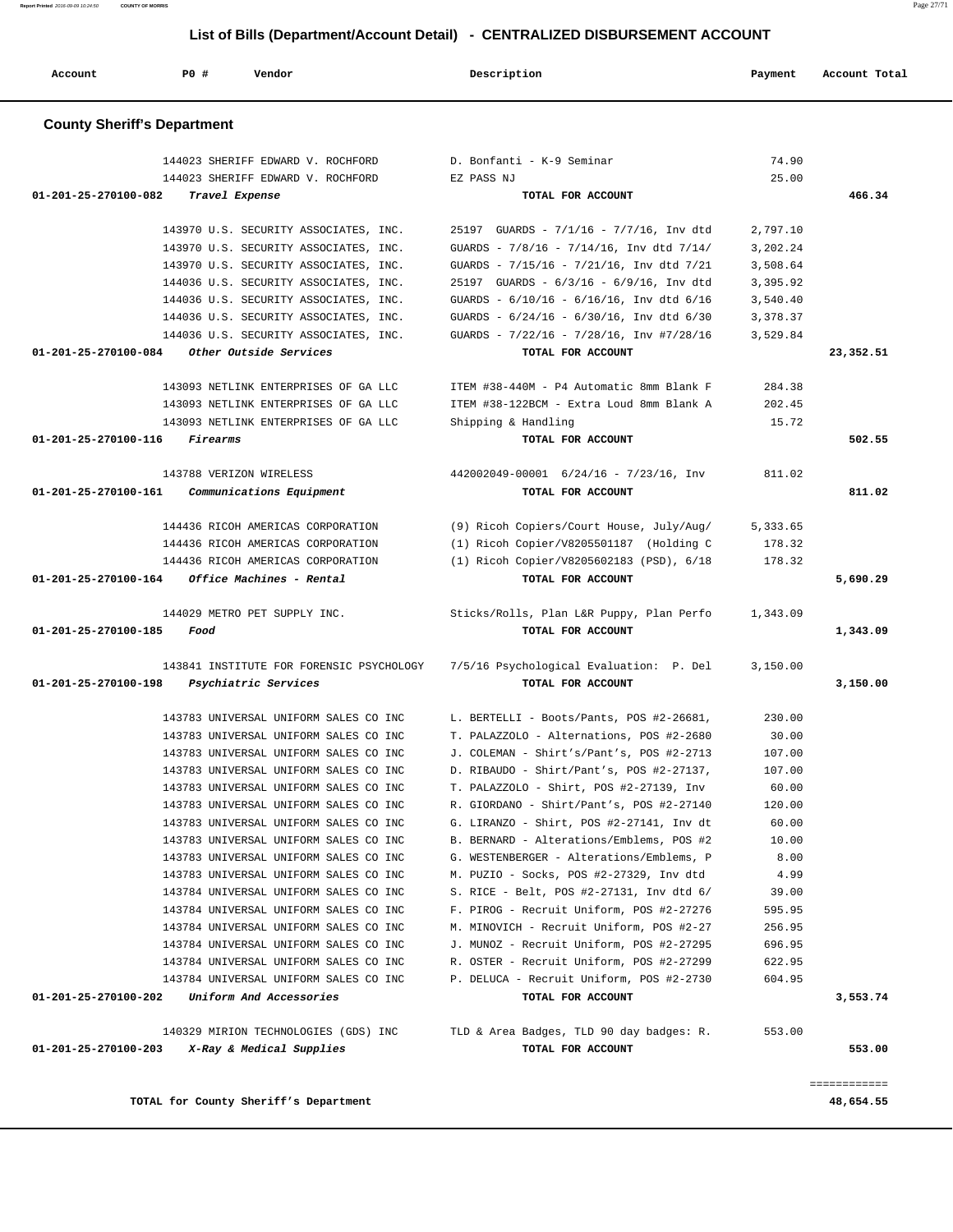| Account              | PO#                                | Vendor                                                                         | Description                                                                          | Payment         | Account Total |
|----------------------|------------------------------------|--------------------------------------------------------------------------------|--------------------------------------------------------------------------------------|-----------------|---------------|
|                      | <b>County Sheriff's Department</b> |                                                                                |                                                                                      |                 |               |
|                      |                                    | 144023 SHERIFF EDWARD V. ROCHFORD                                              | D. Bonfanti - K-9 Seminar                                                            | 74.90           |               |
|                      |                                    | 144023 SHERIFF EDWARD V. ROCHFORD                                              | EZ PASS NJ                                                                           | 25.00           |               |
| 01-201-25-270100-082 | Travel Expense                     |                                                                                | TOTAL FOR ACCOUNT                                                                    |                 | 466.34        |
|                      |                                    | 143970 U.S. SECURITY ASSOCIATES, INC.                                          | 25197 GUARDS - 7/1/16 - 7/7/16, Inv dtd                                              | 2,797.10        |               |
|                      |                                    | 143970 U.S. SECURITY ASSOCIATES, INC.                                          | GUARDS - 7/8/16 - 7/14/16, Inv dtd 7/14/                                             | 3,202.24        |               |
|                      |                                    | 143970 U.S. SECURITY ASSOCIATES, INC.                                          | GUARDS - 7/15/16 - 7/21/16, Inv dtd 7/21                                             | 3,508.64        |               |
|                      |                                    | 144036 U.S. SECURITY ASSOCIATES, INC.                                          | 25197 GUARDS - 6/3/16 - 6/9/16, Inv dtd                                              | 3,395.92        |               |
|                      |                                    | 144036 U.S. SECURITY ASSOCIATES, INC.                                          | GUARDS - 6/10/16 - 6/16/16, Inv dtd 6/16                                             | 3,540.40        |               |
|                      |                                    | 144036 U.S. SECURITY ASSOCIATES, INC.                                          | GUARDS - $6/24/16$ - $6/30/16$ , Inv dtd $6/30$                                      | 3,378.37        |               |
|                      |                                    | 144036 U.S. SECURITY ASSOCIATES, INC.                                          | GUARDS - $7/22/16$ - $7/28/16$ , Inv #7/28/16                                        | 3,529.84        |               |
| 01-201-25-270100-084 |                                    | Other Outside Services                                                         | TOTAL FOR ACCOUNT                                                                    |                 | 23,352.51     |
|                      |                                    | 143093 NETLINK ENTERPRISES OF GA LLC                                           | ITEM #38-440M - P4 Automatic 8mm Blank F                                             | 284.38          |               |
|                      |                                    | 143093 NETLINK ENTERPRISES OF GA LLC                                           | ITEM #38-122BCM - Extra Loud 8mm Blank A                                             | 202.45          |               |
|                      |                                    | 143093 NETLINK ENTERPRISES OF GA LLC                                           | Shipping & Handling                                                                  | 15.72           |               |
| 01-201-25-270100-116 | <i>Firearms</i>                    |                                                                                | TOTAL FOR ACCOUNT                                                                    |                 | 502.55        |
|                      | 143788 VERIZON WIRELESS            |                                                                                | 442002049-00001 6/24/16 - 7/23/16, Inv                                               | 811.02          |               |
| 01-201-25-270100-161 |                                    | Communications Equipment                                                       | TOTAL FOR ACCOUNT                                                                    |                 | 811.02        |
|                      |                                    |                                                                                |                                                                                      |                 |               |
|                      |                                    | 144436 RICOH AMERICAS CORPORATION                                              | (9) Ricoh Copiers/Court House, July/Aug/                                             | 5,333.65        |               |
|                      |                                    | 144436 RICOH AMERICAS CORPORATION                                              | (1) Ricoh Copier/V8205501187 (Holding C                                              | 178.32          |               |
|                      |                                    | 144436 RICOH AMERICAS CORPORATION                                              | (1) Ricoh Copier/V8205602183 (PSD), 6/18                                             | 178.32          |               |
| 01-201-25-270100-164 |                                    | Office Machines - Rental                                                       | TOTAL FOR ACCOUNT                                                                    |                 | 5,690.29      |
|                      |                                    | 144029 METRO PET SUPPLY INC.                                                   | Sticks/Rolls, Plan L&R Puppy, Plan Perfo                                             | 1,343.09        |               |
| 01-201-25-270100-185 | Food                               |                                                                                | TOTAL FOR ACCOUNT                                                                    |                 | 1,343.09      |
|                      |                                    | 143841 INSTITUTE FOR FORENSIC PSYCHOLOGY                                       | 7/5/16 Psychological Evaluation: P. Del                                              | 3,150.00        |               |
| 01-201-25-270100-198 |                                    | Psychiatric Services                                                           | TOTAL FOR ACCOUNT                                                                    |                 | 3,150.00      |
|                      |                                    | 143783 UNIVERSAL UNIFORM SALES CO INC                                          | L. BERTELLI - Boots/Pants, POS #2-26681,                                             | 230.00          |               |
|                      |                                    | 143783 UNIVERSAL UNIFORM SALES CO INC                                          | T. PALAZZOLO - Alternations, POS #2-2680                                             | 30.00           |               |
|                      |                                    | 143783 UNIVERSAL UNIFORM SALES CO INC                                          | J. COLEMAN - Shirt's/Pant's, POS #2-2713                                             | 107.00          |               |
|                      |                                    | 143783 UNIVERSAL UNIFORM SALES CO INC                                          | D. RIBAUDO - Shirt/Pant's, POS #2-27137,                                             | 107.00          |               |
|                      |                                    | 143783 UNIVERSAL UNIFORM SALES CO INC                                          | T. PALAZZOLO - Shirt, POS #2-27139, Inv                                              | 60.00           |               |
|                      |                                    | 143783 UNIVERSAL UNIFORM SALES CO INC                                          | R. GIORDANO - Shirt/Pant's, POS #2-27140                                             | 120.00          |               |
|                      |                                    | 143783 UNIVERSAL UNIFORM SALES CO INC                                          | G. LIRANZO - Shirt, POS #2-27141, Inv dt                                             | 60.00           |               |
|                      |                                    | 143783 UNIVERSAL UNIFORM SALES CO INC                                          | B. BERNARD - Alterations/Emblems, POS #2                                             | 10.00           |               |
|                      |                                    | 143783 UNIVERSAL UNIFORM SALES CO INC                                          | G. WESTENBERGER - Alterations/Emblems, P                                             | 8.00            |               |
|                      |                                    | 143783 UNIVERSAL UNIFORM SALES CO INC                                          | M. PUZIO - Socks, POS #2-27329, Inv dtd                                              | 4.99            |               |
|                      |                                    | 143784 UNIVERSAL UNIFORM SALES CO INC<br>143784 UNIVERSAL UNIFORM SALES CO INC | S. RICE - Belt, POS #2-27131, Inv dtd 6/<br>F. PIROG - Recruit Uniform, POS #2-27276 | 39.00<br>595.95 |               |
|                      |                                    | 143784 UNIVERSAL UNIFORM SALES CO INC                                          | M. MINOVICH - Recruit Uniform, POS #2-27                                             | 256.95          |               |
|                      |                                    | 143784 UNIVERSAL UNIFORM SALES CO INC                                          | J. MUNOZ - Recruit Uniform, POS #2-27295                                             | 696.95          |               |
|                      |                                    | 143784 UNIVERSAL UNIFORM SALES CO INC                                          | R. OSTER - Recruit Uniform, POS #2-27299                                             | 622.95          |               |
|                      |                                    | 143784 UNIVERSAL UNIFORM SALES CO INC                                          | P. DELUCA - Recruit Uniform, POS #2-2730                                             | 604.95          |               |
| 01-201-25-270100-202 |                                    | Uniform And Accessories                                                        | TOTAL FOR ACCOUNT                                                                    |                 | 3,553.74      |
|                      |                                    | 140329 MIRION TECHNOLOGIES (GDS) INC                                           | TLD & Area Badges, TLD 90 day badges: R.                                             | 553.00          |               |
| 01-201-25-270100-203 |                                    | X-Ray & Medical Supplies                                                       | TOTAL FOR ACCOUNT                                                                    |                 | 553.00        |
|                      |                                    |                                                                                |                                                                                      |                 |               |
|                      |                                    |                                                                                |                                                                                      |                 | ============  |
|                      |                                    | TOTAL for County Sheriff's Department                                          |                                                                                      |                 | 48,654.55     |

**Report Printed** 2016-09-09 10:24:50 **COUNTY OF MORRIS** Page 27/71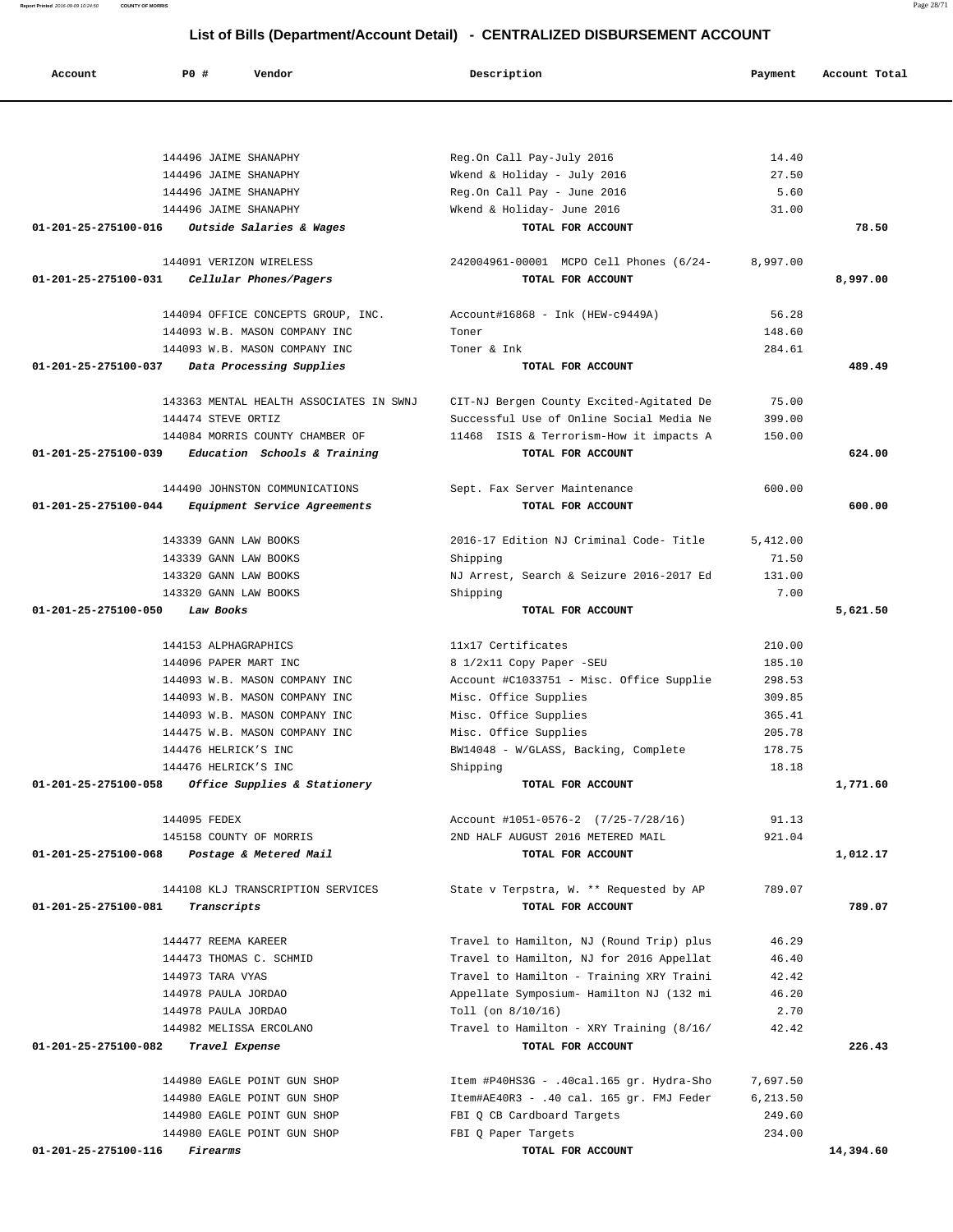**Account P0 # Vendor Description Payment Account Total** 144496 JAIME SHANAPHY Reg.On Call Pay-July 2016 14.40 144496 JAIME SHANAPHY Wkend & Holiday - July 2016 27.50 144496 JAIME SHANAPHY Reg.On Call Pay - June 2016 5.60 144496 JAIME SHANAPHY Wkend & Holiday- June 2016 31.00  **01-201-25-275100-016 Outside Salaries & Wages TOTAL FOR ACCOUNT 78.50** 144091 VERIZON WIRELESS 242004961-00001 MCPO Cell Phones (6/24- 8,997.00  **01-201-25-275100-031 Cellular Phones/Pagers TOTAL FOR ACCOUNT 8,997.00** 144094 OFFICE CONCEPTS GROUP, INC. Account#16868 - Ink (HEW-c9449A) 56.28 144093 W.B. MASON COMPANY INC Toner 148.60 144093 W.B. MASON COMPANY INC Toner & Ink 284.61  **01-201-25-275100-037 Data Processing Supplies TOTAL FOR ACCOUNT 489.49** 143363 MENTAL HEALTH ASSOCIATES IN SWNJ CIT-NJ Bergen County Excited-Agitated De 75.00 144474 STEVE ORTIZ Successful Use of Online Social Media Ne 399.00 144084 MORRIS COUNTY CHAMBER OF 11468 ISIS & Terrorism-How it impacts A 150.00  **01-201-25-275100-039 Education Schools & Training TOTAL FOR ACCOUNT 624.00** 144490 JOHNSTON COMMUNICATIONS Sept. Fax Server Maintenance 600.00  **01-201-25-275100-044 Equipment Service Agreements TOTAL FOR ACCOUNT 600.00** 143339 GANN LAW BOOKS 2016-17 Edition NJ Criminal Code- Title 5,412.00 143339 GANN LAW BOOKS Shipping 71.50 143320 GANN LAW BOOKS NJ Arrest, Search & Seizure 2016-2017 Ed 131.00 143320 GANN LAW BOOKS Shipping 7.00  **01-201-25-275100-050 Law Books TOTAL FOR ACCOUNT 5,621.50** 144153 ALPHAGRAPHICS 11x17 Certificates 210.00 144096 PAPER MART INC 8 1/2x11 Copy Paper -SEU 185.10 144093 W.B. MASON COMPANY INC Account #C1033751 - Misc. Office Supplie 298.53 144093 W.B. MASON COMPANY INC Misc. Office Supplies 309.85 144093 W.B. MASON COMPANY INC Misc. Office Supplies 365.41 144475 W.B. MASON COMPANY INC Misc. Office Supplies 205.78 144476 HELRICK'S INC BW14048 - W/GLASS, Backing, Complete 178.75 144476 HELRICK'S INC Shipping 18.18  **01-201-25-275100-058 Office Supplies & Stationery TOTAL FOR ACCOUNT 1,771.60** 144095 FEDEX Account #1051-0576-2 (7/25-7/28/16) 91.13 145158 COUNTY OF MORRIS 2ND HALF AUGUST 2016 METERED MAIL 921.04  **01-201-25-275100-068 Postage & Metered Mail TOTAL FOR ACCOUNT 1,012.17** 144108 KLJ TRANSCRIPTION SERVICES State v Terpstra, W. \*\* Requested by AP 789.07  **01-201-25-275100-081 Transcripts TOTAL FOR ACCOUNT 789.07** 144477 REEMA KAREER Travel to Hamilton, NJ (Round Trip) plus 46.29 144473 THOMAS C. SCHMID Travel to Hamilton, NJ for 2016 Appellat 46.40 144973 TARA VYAS Travel to Hamilton - Training XRY Traini 42.42 144978 PAULA JORDAO Appellate Symposium- Hamilton NJ (132 mi 46.20 144978 PAULA JORDAO Toll (on 8/10/16) 2.70 144982 MELISSA ERCOLANO Travel to Hamilton - XRY Training (8/16/ 42.42  **01-201-25-275100-082 Travel Expense TOTAL FOR ACCOUNT 226.43** 144980 EAGLE POINT GUN SHOP Item #P40HS3G - .40cal.165 gr. Hydra-Sho 7,697.50 144980 EAGLE POINT GUN SHOP Item#AE40R3 - .40 cal. 165 gr. FMJ Feder 6,213.50 144980 EAGLE POINT GUN SHOP FBI Q CB Cardboard Targets 249.60 144980 EAGLE POINT GUN SHOP FBI Q Paper Targets 234.00

 **01-201-25-275100-116 Firearms TOTAL FOR ACCOUNT 14,394.60**

# **List of Bills (Department/Account Detail) - CENTRALIZED DISBURSEMENT ACCOUNT**

**Report Printed** 2016-09-09 10:24:50 **COUNTY OF MORRIS** Page 28/71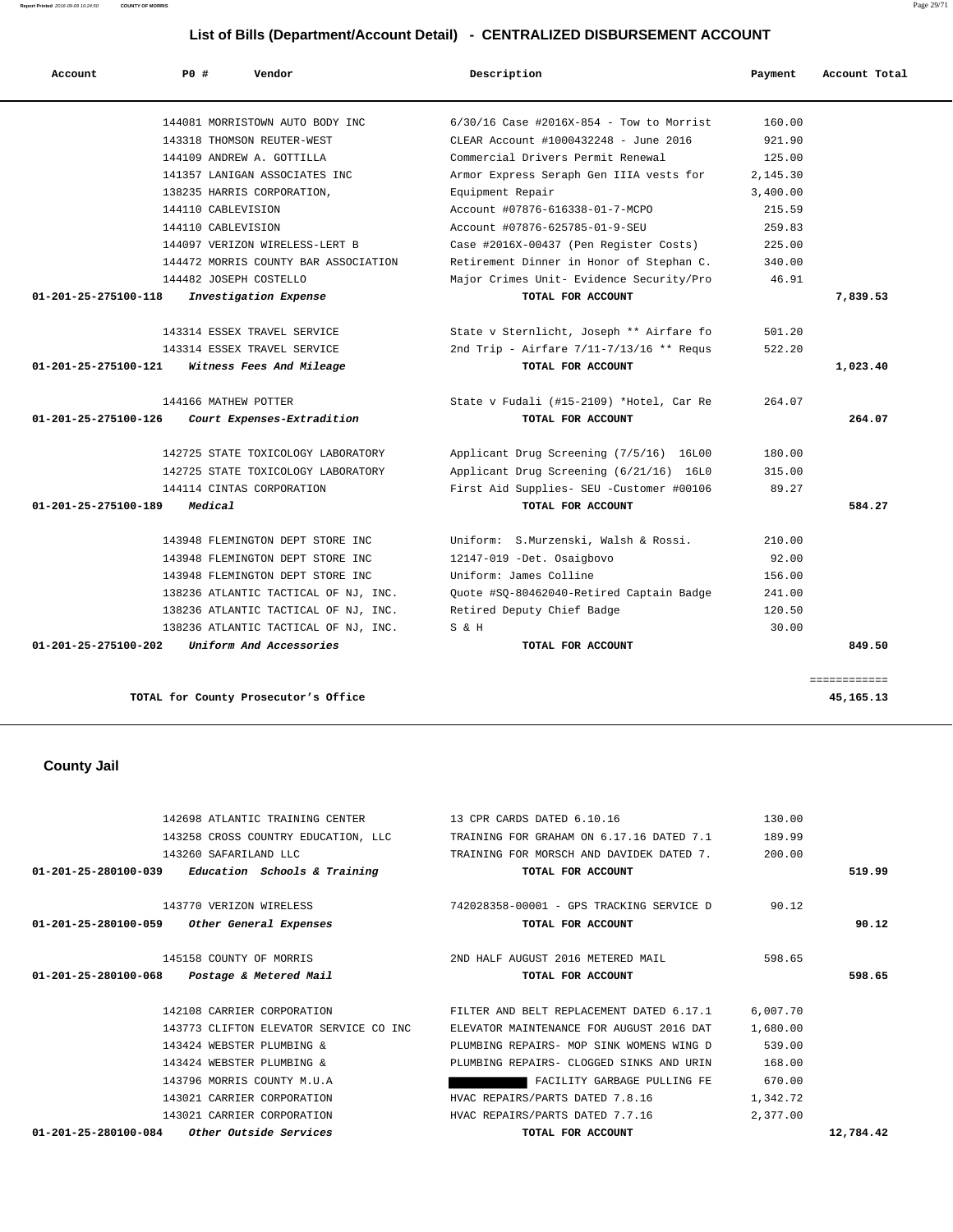**Report Printed** 2016-09-09 10:24:50 **COUNTY OF MORRIS** Page 29/71

# **List of Bills (Department/Account Detail) - CENTRALIZED DISBURSEMENT ACCOUNT**

| Account                        | <b>PO #</b>            | Vendor                               | Description                                | Payment  | Account Total |
|--------------------------------|------------------------|--------------------------------------|--------------------------------------------|----------|---------------|
|                                |                        | 144081 MORRISTOWN AUTO BODY INC      | $6/30/16$ Case #2016X-854 - Tow to Morrist | 160.00   |               |
|                                |                        | 143318 THOMSON REUTER-WEST           | CLEAR Account #1000432248 - June 2016      | 921.90   |               |
|                                |                        | 144109 ANDREW A. GOTTILLA            | Commercial Drivers Permit Renewal          | 125.00   |               |
|                                |                        | 141357 LANIGAN ASSOCIATES INC        | Armor Express Seraph Gen IIIA vests for    | 2,145.30 |               |
|                                |                        | 138235 HARRIS CORPORATION,           | Equipment Repair                           | 3,400.00 |               |
|                                | 144110 CABLEVISION     |                                      | Account #07876-616338-01-7-MCPO            | 215.59   |               |
|                                | 144110 CABLEVISION     |                                      | Account #07876-625785-01-9-SEU             | 259.83   |               |
|                                |                        | 144097 VERIZON WIRELESS-LERT B       | Case #2016X-00437 (Pen Register Costs)     | 225.00   |               |
|                                |                        | 144472 MORRIS COUNTY BAR ASSOCIATION | Retirement Dinner in Honor of Stephan C.   | 340.00   |               |
|                                | 144482 JOSEPH COSTELLO |                                      | Major Crimes Unit- Evidence Security/Pro   | 46.91    |               |
| 01-201-25-275100-118           |                        | Investigation Expense                | TOTAL FOR ACCOUNT                          |          | 7,839.53      |
|                                |                        | 143314 ESSEX TRAVEL SERVICE          | State v Sternlicht, Joseph ** Airfare fo   | 501.20   |               |
|                                |                        | 143314 ESSEX TRAVEL SERVICE          | 2nd Trip - Airfare 7/11-7/13/16 ** Requs   | 522.20   |               |
| $01 - 201 - 25 - 275100 - 121$ |                        | Witness Fees And Mileage             | TOTAL FOR ACCOUNT                          |          | 1,023.40      |
|                                | 144166 MATHEW POTTER   |                                      | State v Fudali (#15-2109) *Hotel, Car Re   | 264.07   |               |
| 01-201-25-275100-126           |                        | Court Expenses-Extradition           | TOTAL FOR ACCOUNT                          |          | 264.07        |
|                                |                        | 142725 STATE TOXICOLOGY LABORATORY   | Applicant Drug Screening (7/5/16) 16L00    | 180.00   |               |
|                                |                        | 142725 STATE TOXICOLOGY LABORATORY   | Applicant Drug Screening (6/21/16) 16L0    | 315.00   |               |
|                                |                        | 144114 CINTAS CORPORATION            | First Aid Supplies- SEU -Customer #00106   | 89.27    |               |
| 01-201-25-275100-189           | Medical                |                                      | TOTAL FOR ACCOUNT                          |          | 584.27        |
|                                |                        | 143948 FLEMINGTON DEPT STORE INC     | Uniform: S.Murzenski, Walsh & Rossi.       | 210.00   |               |
|                                |                        | 143948 FLEMINGTON DEPT STORE INC     | 12147-019 -Det. Osaigbovo                  | 92.00    |               |
|                                |                        | 143948 FLEMINGTON DEPT STORE INC     | Uniform: James Colline                     | 156.00   |               |
|                                |                        | 138236 ATLANTIC TACTICAL OF NJ, INC. | Quote #SQ-80462040-Retired Captain Badge   | 241.00   |               |
|                                |                        | 138236 ATLANTIC TACTICAL OF NJ, INC. | Retired Deputy Chief Badge                 | 120.50   |               |
|                                |                        | 138236 ATLANTIC TACTICAL OF NJ, INC. | S & H                                      | 30.00    |               |
| 01-201-25-275100-202           |                        | Uniform And Accessories              | TOTAL FOR ACCOUNT                          |          | 849.50        |
|                                |                        |                                      |                                            |          | ============  |
|                                |                        | TOTAL for County Prosecutor's Office |                                            |          | 45,165.13     |
|                                |                        |                                      |                                            |          |               |
| <b>County Jail</b>             |                        |                                      |                                            |          |               |
|                                |                        |                                      |                                            |          |               |
|                                |                        | 142698 ATLANTIC TRAINING CENTER      | 13 CPR CARDS DATED 6.10.16                 | 130.00   |               |
|                                |                        | 143258 CROSS COUNTRY EDUCATION, LLC  | TRAINING FOR GRAHAM ON 6.17.16 DATED 7.1   | 189.99   |               |
|                                | 143260 SAFARILAND LLC  |                                      | TRAINING FOR MORSCH AND DAVIDEK DATED 7.   | 200.00   |               |
| 01-201-25-280100-039           |                        | Education Schools & Training         | TOTAL FOR ACCOUNT                          |          | 519.99        |
|                                |                        | 143770 VERIZON WIRELESS              | 742028358-00001 - GPS TRACKING SERVICE D   | 90.12    |               |
| 01-201-25-280100-059           |                        | Other General Expenses               | TOTAL FOR ACCOUNT                          |          | 90.12         |
|                                |                        | 145158 COUNTY OF MORRIS              | 2ND HALF AUGUST 2016 METERED MAIL          | 598.65   |               |
| 01-201-25-280100-068           |                        | Postage & Metered Mail               | TOTAL FOR ACCOUNT                          |          | 598.65        |
|                                |                        | 142108 CARRIER CORPORATION           | FILTER AND BELT REPLACEMENT DATED 6.17.1   | 6,007.70 |               |

 143773 CLIFTON ELEVATOR SERVICE CO INC ELEVATOR MAINTENANCE FOR AUGUST 2016 DAT 1,680.00 PLUMBING REPAIRS- MOP SINK WOMENS WING D 539.00 143424 WEBSTER PLUMBING & PLUMBING REPAIRS- CLOGGED SINKS AND URIN 168.00 143796 MORRIS COUNTY M.U.A FACILITY GARBAGE PULLING FE 670.00 143021 CARRIER CORPORATION HVAC REPAIRS/PARTS DATED 7.8.16 1,342.72 143021 CARRIER CORPORATION HVAC REPAIRS/PARTS DATED 7.7.16 2,377.00  **01-201-25-280100-084 Other Outside Services TOTAL FOR ACCOUNT 12,784.42**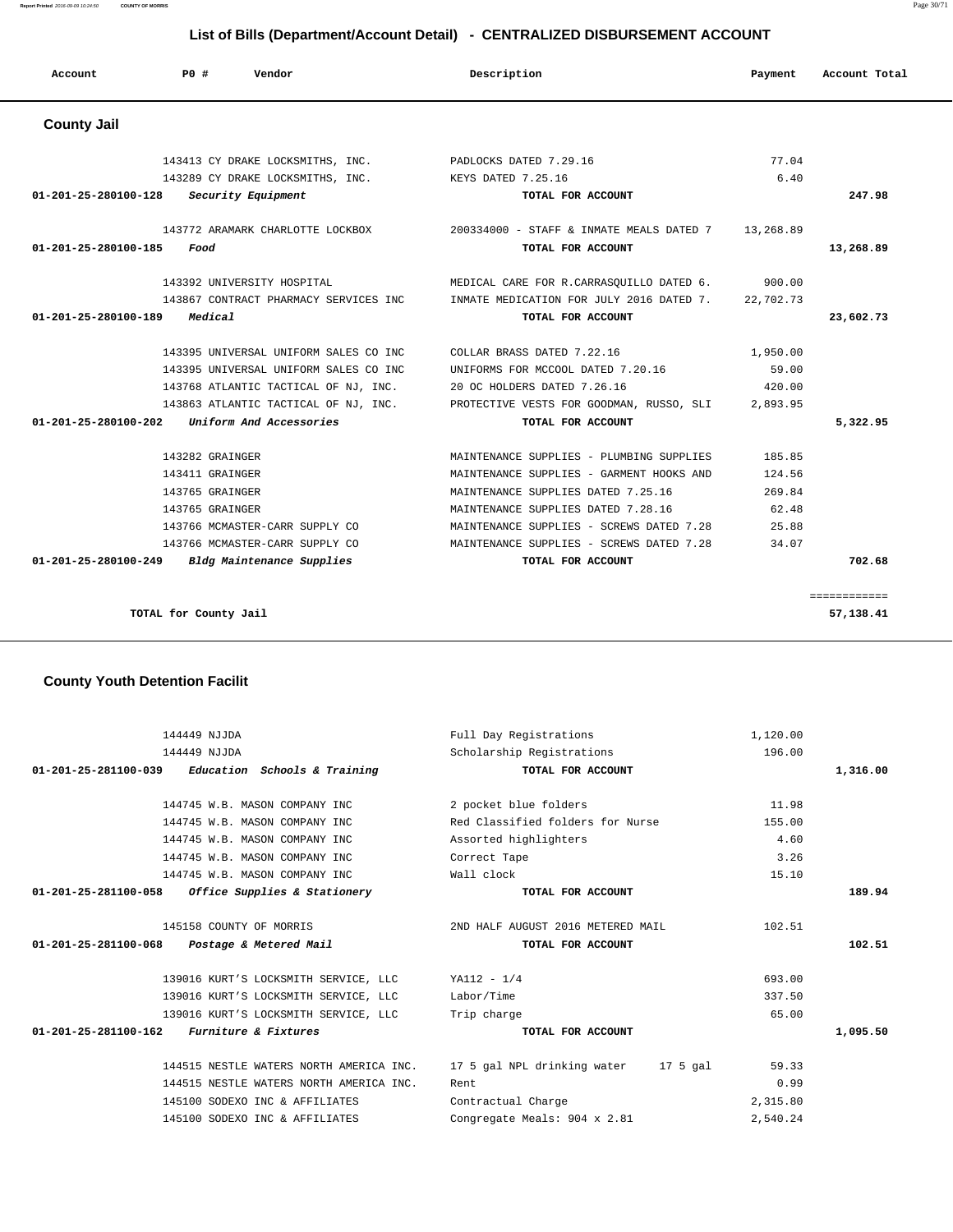# **Account P0 # Vendor Description Payment Account Total**

# **County Jail**

|           | 77.04     |                                                                               | 143413 CY DRAKE LOCKSMITHS, INC. PADLOCKS DATED 7.29.16          |
|-----------|-----------|-------------------------------------------------------------------------------|------------------------------------------------------------------|
|           | 6.40      |                                                                               | 143289 CY DRAKE LOCKSMITHS, INC. KEYS DATED 7.25.16              |
| 247.98    |           | TOTAL FOR ACCOUNT                                                             | 01-201-25-280100-128<br>Security Equipment                       |
|           | 13,268.89 | 143772 ARAMARK CHARLOTTE LOCKBOX 200334000 - STAFF & INMATE MEALS DATED 7     |                                                                  |
| 13,268.89 |           | TOTAL FOR ACCOUNT                                                             | 01-201-25-280100-185<br>Food                                     |
|           | 900.00    | MEDICAL CARE FOR R.CARRASOUILLO DATED 6.                                      | 143392 UNIVERSITY HOSPITAL                                       |
|           | 22,702.73 | INMATE MEDICATION FOR JULY 2016 DATED 7.                                      | 143867 CONTRACT PHARMACY SERVICES INC                            |
| 23,602.73 |           | TOTAL FOR ACCOUNT                                                             | 01-201-25-280100-189<br>Medical                                  |
|           | 1,950.00  | COLLAR BRASS DATED 7.22.16                                                    | 143395 UNIVERSAL UNIFORM SALES CO INC                            |
|           | 59.00     | UNIFORMS FOR MCCOOL DATED 7.20.16                                             | 143395 UNIVERSAL UNIFORM SALES CO INC                            |
|           | 420.00    |                                                                               | 143768 ATLANTIC TACTICAL OF NJ, INC. 20 OC HOLDERS DATED 7.26.16 |
|           | 2,893.95  | 143863 ATLANTIC TACTICAL OF NJ, INC. PROTECTIVE VESTS FOR GOODMAN, RUSSO, SLI |                                                                  |
| 5,322.95  |           | TOTAL FOR ACCOUNT                                                             | $01 - 201 - 25 - 280100 - 202$<br>Uniform And Accessories        |
|           | 185.85    | MAINTENANCE SUPPLIES - PLUMBING SUPPLIES                                      | 143282 GRAINGER                                                  |
|           | 124.56    | MAINTENANCE SUPPLIES - GARMENT HOOKS AND                                      | 143411 GRAINGER                                                  |
|           | 269.84    | MAINTENANCE SUPPLIES DATED 7.25.16                                            | 143765 GRAINGER                                                  |
|           | 62.48     | MAINTENANCE SUPPLIES DATED 7.28.16                                            | 143765 GRAINGER                                                  |
|           | 25.88     | MAINTENANCE SUPPLIES - SCREWS DATED 7.28                                      | 143766 MCMASTER-CARR SUPPLY CO                                   |
|           | 34.07     | MAINTENANCE SUPPLIES - SCREWS DATED 7.28                                      | 143766 MCMASTER-CARR SUPPLY CO                                   |
|           |           | TOTAL FOR ACCOUNT                                                             | 01-201-25-280100-249<br>Bldg Maintenance Supplies                |

**TOTAL for County Jail 57,138.41**

# **County Youth Detention Facilit**

| 144449 NJJDA                                        | Full Day Registrations               | 1,120.00 |          |
|-----------------------------------------------------|--------------------------------------|----------|----------|
| 144449 NJJDA                                        | Scholarship Registrations            | 196.00   |          |
| $01-201-25-281100-039$ Education Schools & Training | TOTAL FOR ACCOUNT                    |          | 1,316.00 |
| 144745 W.B. MASON COMPANY INC                       | 2 pocket blue folders                | 11.98    |          |
| 144745 W.B. MASON COMPANY INC                       | Red Classified folders for Nurse     | 155.00   |          |
| 144745 W.B. MASON COMPANY INC                       | Assorted highlighters                | 4.60     |          |
| 144745 W.B. MASON COMPANY INC                       | Correct Tape                         | 3.26     |          |
| 144745 W.B. MASON COMPANY INC                       | Wall clock                           | 15.10    |          |
| 01-201-25-281100-058 Office Supplies & Stationery   | TOTAL FOR ACCOUNT                    |          | 189.94   |
| 145158 COUNTY OF MORRIS                             | 2ND HALF AUGUST 2016 METERED MAIL    | 102.51   |          |
| 01-201-25-281100-068 Postage & Metered Mail         | TOTAL FOR ACCOUNT                    |          | 102.51   |
| 139016 KURT'S LOCKSMITH SERVICE, LLC                | $YA112 - 1/4$                        | 693.00   |          |
| 139016 KURT'S LOCKSMITH SERVICE, LLC                | Labor/Time                           | 337.50   |          |
| 139016 KURT'S LOCKSMITH SERVICE, LLC                | Trip charge                          | 65.00    |          |
| $01 - 201 - 25 - 281100 - 162$ Furniture & Fixtures | TOTAL FOR ACCOUNT                    |          | 1,095.50 |
| 144515 NESTLE WATERS NORTH AMERICA INC.             | 17 5 gal NPL drinking water 17 5 gal | 59.33    |          |
| 144515 NESTLE WATERS NORTH AMERICA INC.             | Rent                                 | 0.99     |          |
| 145100 SODEXO INC & AFFILIATES                      | Contractual Charge                   | 2,315.80 |          |
| 145100 SODEXO INC & AFFILIATES                      | Congregate Meals: 904 x 2.81         | 2,540.24 |          |
|                                                     |                                      |          |          |

# **List of Bills (Department/Account Detail) - CENTRALIZED DISBURSEMENT ACCOUNT**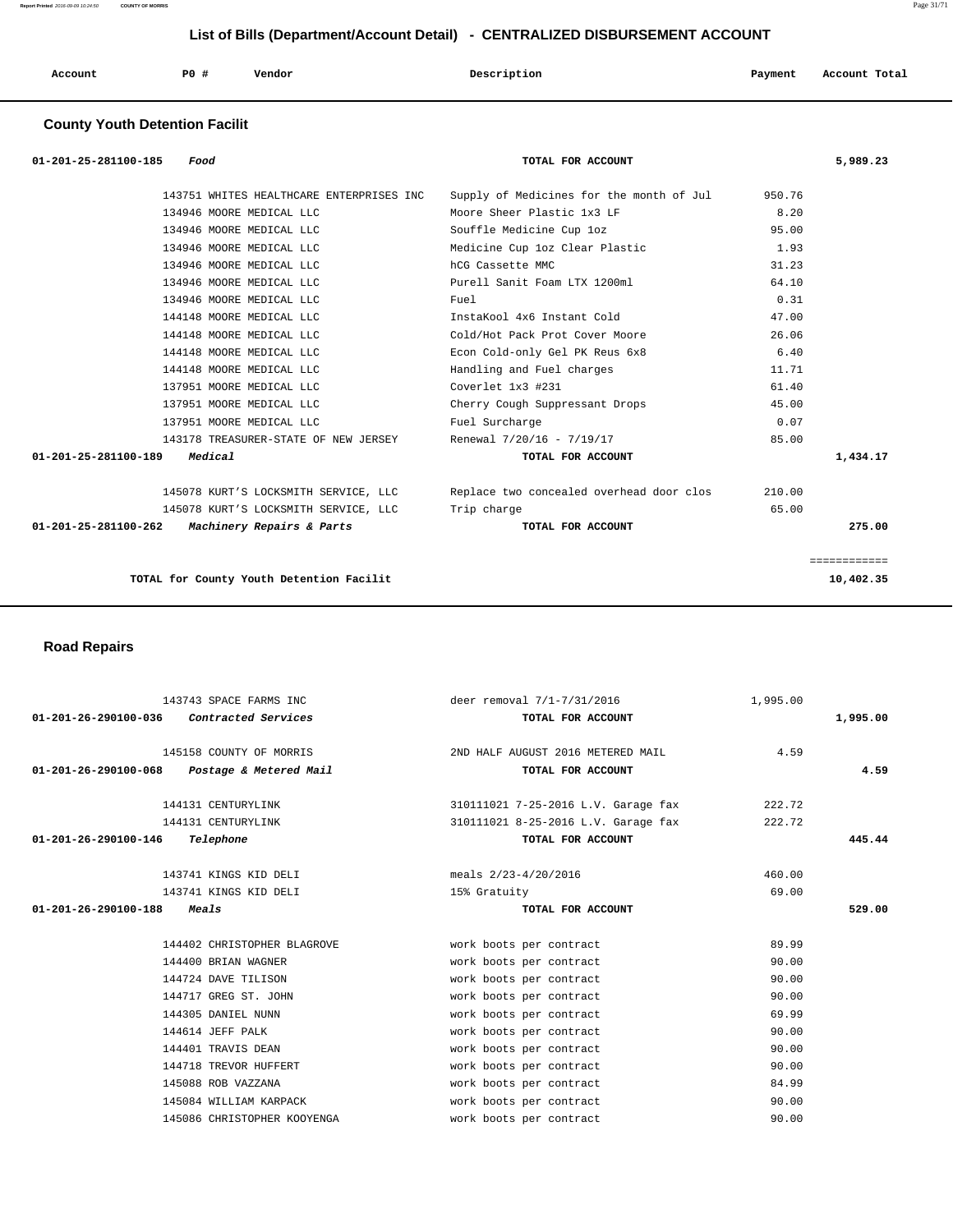| Account | PO# | Vendor | Description | Payment | Account Total |
|---------|-----|--------|-------------|---------|---------------|
|         |     |        |             |         |               |

# **County Youth Detention Facilit**

| 01-201-25-281100-185<br>Food                      | TOTAL FOR ACCOUNT                        |        | 5,989.23     |
|---------------------------------------------------|------------------------------------------|--------|--------------|
| 143751 WHITES HEALTHCARE ENTERPRISES INC          | Supply of Medicines for the month of Jul | 950.76 |              |
| 134946 MOORE MEDICAL LLC                          | Moore Sheer Plastic 1x3 LF               | 8.20   |              |
| 134946 MOORE MEDICAL LLC                          | Souffle Medicine Cup loz                 | 95.00  |              |
| 134946 MOORE MEDICAL LLC                          | Medicine Cup loz Clear Plastic           | 1.93   |              |
| 134946 MOORE MEDICAL LLC                          | hCG Cassette MMC                         | 31.23  |              |
| 134946 MOORE MEDICAL LLC                          | Purell Sanit Foam LTX 1200ml             | 64.10  |              |
| 134946 MOORE MEDICAL LLC                          | Fuel                                     | 0.31   |              |
| 144148 MOORE MEDICAL LLC                          | InstaKool 4x6 Instant Cold               | 47.00  |              |
| 144148 MOORE MEDICAL LLC                          | Cold/Hot Pack Prot Cover Moore           | 26.06  |              |
| 144148 MOORE MEDICAL LLC                          | Econ Cold-only Gel PK Reus 6x8           | 6.40   |              |
| 144148 MOORE MEDICAL LLC                          | Handling and Fuel charges                | 11.71  |              |
| 137951 MOORE MEDICAL LLC                          | Coverlet 1x3 #231                        | 61.40  |              |
| 137951 MOORE MEDICAL LLC                          | Cherry Cough Suppressant Drops           | 45.00  |              |
| 137951 MOORE MEDICAL LLC                          | Fuel Surcharge                           | 0.07   |              |
| 143178 TREASURER-STATE OF NEW JERSEY              | Renewal 7/20/16 - 7/19/17                | 85.00  |              |
| 01-201-25-281100-189<br>Medical                   | TOTAL FOR ACCOUNT                        |        | 1,434.17     |
| 145078 KURT'S LOCKSMITH SERVICE, LLC              | Replace two concealed overhead door clos | 210.00 |              |
| 145078 KURT'S LOCKSMITH SERVICE, LLC              | Trip charge                              | 65.00  |              |
| 01-201-25-281100-262<br>Machinery Repairs & Parts | TOTAL FOR ACCOUNT                        |        | 275.00       |
|                                                   |                                          |        | ============ |
| TOTAL for County Youth Detention Facilit          |                                          |        | 10,402.35    |
|                                                   |                                          |        |              |

 **Road Repairs** 

|                                             | 143743 SPACE FARMS INC      | deer removal 7/1-7/31/2016          | 1,995.00 |          |
|---------------------------------------------|-----------------------------|-------------------------------------|----------|----------|
| 01-201-26-290100-036                        | <i>Contracted Services</i>  | TOTAL FOR ACCOUNT                   |          | 1,995.00 |
|                                             |                             |                                     |          |          |
|                                             | 145158 COUNTY OF MORRIS     | 2ND HALF AUGUST 2016 METERED MAIL   | 4.59     |          |
| 01-201-26-290100-068 Postage & Metered Mail |                             | TOTAL FOR ACCOUNT                   |          | 4.59     |
|                                             | 144131 CENTURYLINK          | 310111021 7-25-2016 L.V. Garage fax | 222.72   |          |
|                                             | 144131 CENTURYLINK          | 310111021 8-25-2016 L.V. Garage fax | 222.72   |          |
| 01-201-26-290100-146                        | Telephone                   | TOTAL FOR ACCOUNT                   |          | 445.44   |
|                                             |                             |                                     |          |          |
|                                             | 143741 KINGS KID DELI       | meals 2/23-4/20/2016                | 460.00   |          |
|                                             | 143741 KINGS KID DELI       | 15% Gratuity                        | 69.00    |          |
| 01-201-26-290100-188                        | <i><b>Meals</b></i>         | TOTAL FOR ACCOUNT                   |          | 529.00   |
|                                             |                             |                                     |          |          |
|                                             | 144402 CHRISTOPHER BLAGROVE | work boots per contract             | 89.99    |          |
|                                             | 144400 BRIAN WAGNER         | work boots per contract             | 90.00    |          |
|                                             | 144724 DAVE TILISON         | work boots per contract             | 90.00    |          |
|                                             | 144717 GREG ST. JOHN        | work boots per contract             | 90.00    |          |
|                                             | 144305 DANIEL NUNN          | work boots per contract             | 69.99    |          |
|                                             | 144614 JEFF PALK            | work boots per contract             | 90.00    |          |
|                                             | 144401 TRAVIS DEAN          | work boots per contract             | 90.00    |          |
|                                             | 144718 TREVOR HUFFERT       | work boots per contract             | 90.00    |          |
|                                             | 145088 ROB VAZZANA          | work boots per contract             | 84.99    |          |
|                                             | 145084 WILLIAM KARPACK      | work boots per contract             | 90.00    |          |
|                                             | 145086 CHRISTOPHER KOOYENGA | work boots per contract             | 90.00    |          |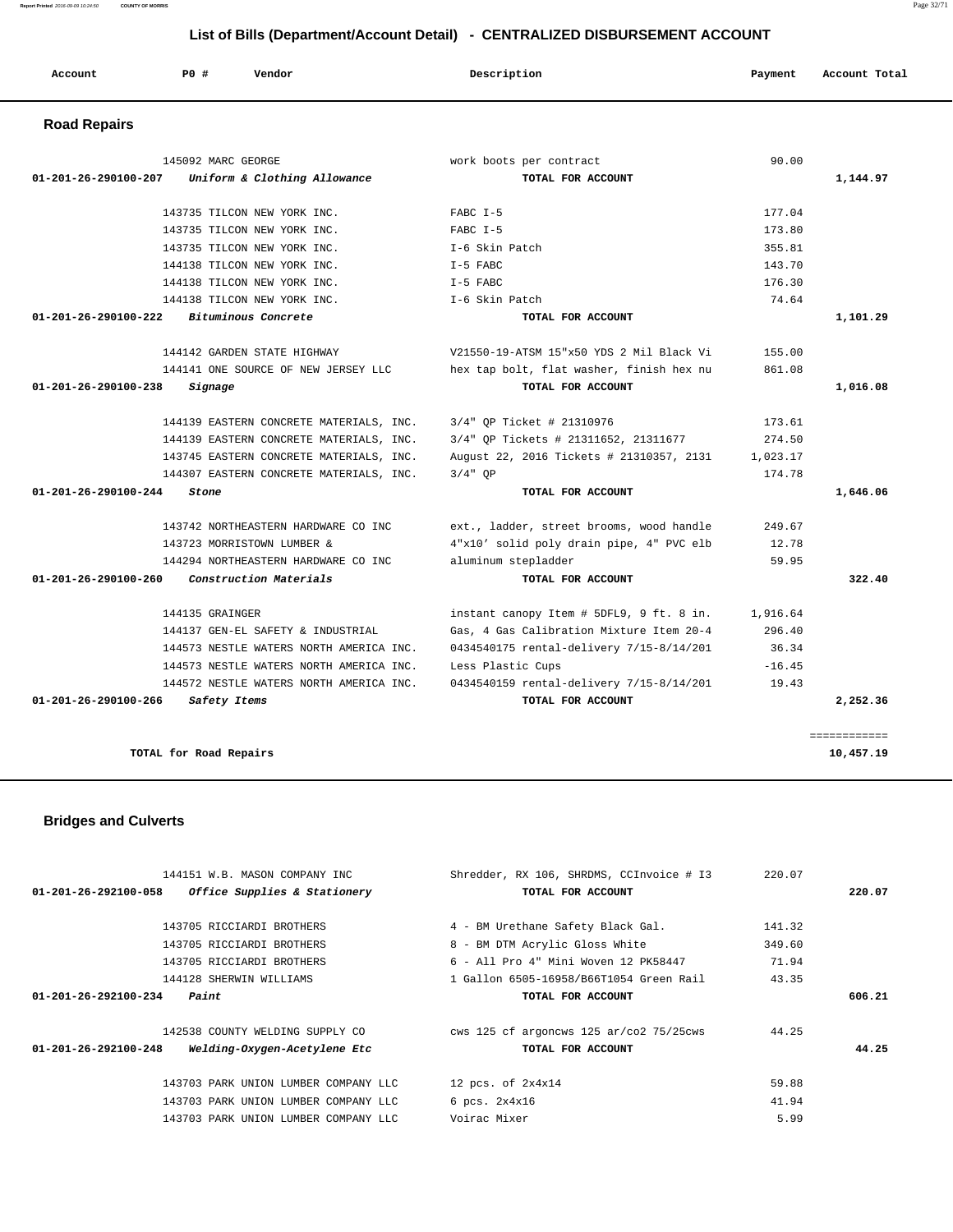| Account                        | PO#                    | Vendor                                  | Description                              | Payment  | Account Total |
|--------------------------------|------------------------|-----------------------------------------|------------------------------------------|----------|---------------|
| <b>Road Repairs</b>            |                        |                                         |                                          |          |               |
|                                | 145092 MARC GEORGE     |                                         | work boots per contract                  | 90.00    |               |
| $01 - 201 - 26 - 290100 - 207$ |                        | Uniform & Clothing Allowance            | TOTAL FOR ACCOUNT                        |          | 1,144.97      |
|                                |                        | 143735 TILCON NEW YORK INC.             | $FABC$ $I-5$                             | 177.04   |               |
|                                |                        | 143735 TILCON NEW YORK INC.             | $FARC$ T-5                               | 173.80   |               |
|                                |                        | 143735 TILCON NEW YORK INC.             | I-6 Skin Patch                           | 355.81   |               |
|                                |                        | 144138 TILCON NEW YORK INC.             | $I-5$ FABC                               | 143.70   |               |
|                                |                        | 144138 TILCON NEW YORK INC.             | $T-5$ FABC                               | 176.30   |               |
|                                |                        | 144138 TILCON NEW YORK INC.             | I-6 Skin Patch                           | 74.64    |               |
| 01-201-26-290100-222           |                        | Bituminous Concrete                     | TOTAL FOR ACCOUNT                        |          | 1,101.29      |
|                                |                        | 144142 GARDEN STATE HIGHWAY             | V21550-19-ATSM 15"x50 YDS 2 Mil Black Vi | 155.00   |               |
|                                |                        | 144141 ONE SOURCE OF NEW JERSEY LLC     | hex tap bolt, flat washer, finish hex nu | 861.08   |               |
| 01-201-26-290100-238           | Signage                |                                         | TOTAL FOR ACCOUNT                        |          | 1,016.08      |
|                                |                        | 144139 EASTERN CONCRETE MATERIALS, INC. | 3/4" OP Ticket # 21310976                | 173.61   |               |
|                                |                        | 144139 EASTERN CONCRETE MATERIALS, INC. | 3/4" OP Tickets # 21311652, 21311677     | 274.50   |               |
|                                |                        | 143745 EASTERN CONCRETE MATERIALS, INC. | August 22, 2016 Tickets # 21310357, 2131 | 1,023.17 |               |
|                                |                        | 144307 EASTERN CONCRETE MATERIALS, INC. | $3/4"$ OP                                | 174.78   |               |
| 01-201-26-290100-244           | Stone                  |                                         | TOTAL FOR ACCOUNT                        |          | 1,646.06      |
|                                |                        | 143742 NORTHEASTERN HARDWARE CO INC     | ext., ladder, street brooms, wood handle | 249.67   |               |
|                                |                        | 143723 MORRISTOWN LUMBER &              | 4"x10' solid poly drain pipe, 4" PVC elb | 12.78    |               |
|                                |                        | 144294 NORTHEASTERN HARDWARE CO INC.    | aluminum stepladder                      | 59.95    |               |
| $01 - 201 - 26 - 290100 - 260$ |                        | Construction Materials                  | TOTAL FOR ACCOUNT                        |          | 322.40        |
|                                | 144135 GRAINGER        |                                         | instant canopy Item # 5DFL9, 9 ft. 8 in. | 1,916.64 |               |
|                                |                        | 144137 GEN-EL SAFETY & INDUSTRIAL       | Gas, 4 Gas Calibration Mixture Item 20-4 | 296.40   |               |
|                                |                        | 144573 NESTLE WATERS NORTH AMERICA INC. | 0434540175 rental-delivery 7/15-8/14/201 | 36.34    |               |
|                                |                        | 144573 NESTLE WATERS NORTH AMERICA INC. | Less Plastic Cups                        | $-16.45$ |               |
|                                |                        | 144572 NESTLE WATERS NORTH AMERICA INC. | 0434540159 rental-delivery 7/15-8/14/201 | 19.43    |               |
| $01 - 201 - 26 - 290100 - 266$ | Safety Items           |                                         | TOTAL FOR ACCOUNT                        |          | 2,252.36      |
|                                |                        |                                         |                                          |          | ============  |
|                                | TOTAL for Road Repairs |                                         |                                          |          | 10,457.19     |

 **Bridges and Culverts** 

 144151 W.B. MASON COMPANY INC Shredder, RX 106, SHRDMS, CCInvoice # I3 220.07  **01-201-26-292100-058 Office Supplies & Stationery TOTAL FOR ACCOUNT 220.07** 143705 RICCIARDI BROTHERS 4 - BM Urethane Safety Black Gal. 141.32 143705 RICCIARDI BROTHERS 8 - BM DTM Acrylic Gloss White 349.60 143705 RICCIARDI BROTHERS 6 - All Pro 4" Mini Woven 12 PK58447 71.94 144128 SHERWIN WILLIAMS 1 Gallon 6505-16958/B66T1054 Green Rail 43.35  **01-201-26-292100-234 Paint TOTAL FOR ACCOUNT 606.21** 142538 COUNTY WELDING SUPPLY CO cws 125 cf argoncws 125 ar/co2 75/25cws 44.25  **01-201-26-292100-248 Welding-Oxygen-Acetylene Etc TOTAL FOR ACCOUNT 44.25** 143703 PARK UNION LUMBER COMPANY LLC 12 pcs. of 2x4x14 59.88 143703 PARK UNION LUMBER COMPANY LLC 6 pcs.  $2x4x16$  41.94 143703 PARK UNION LUMBER COMPANY LLC Voirac Mixer 5.99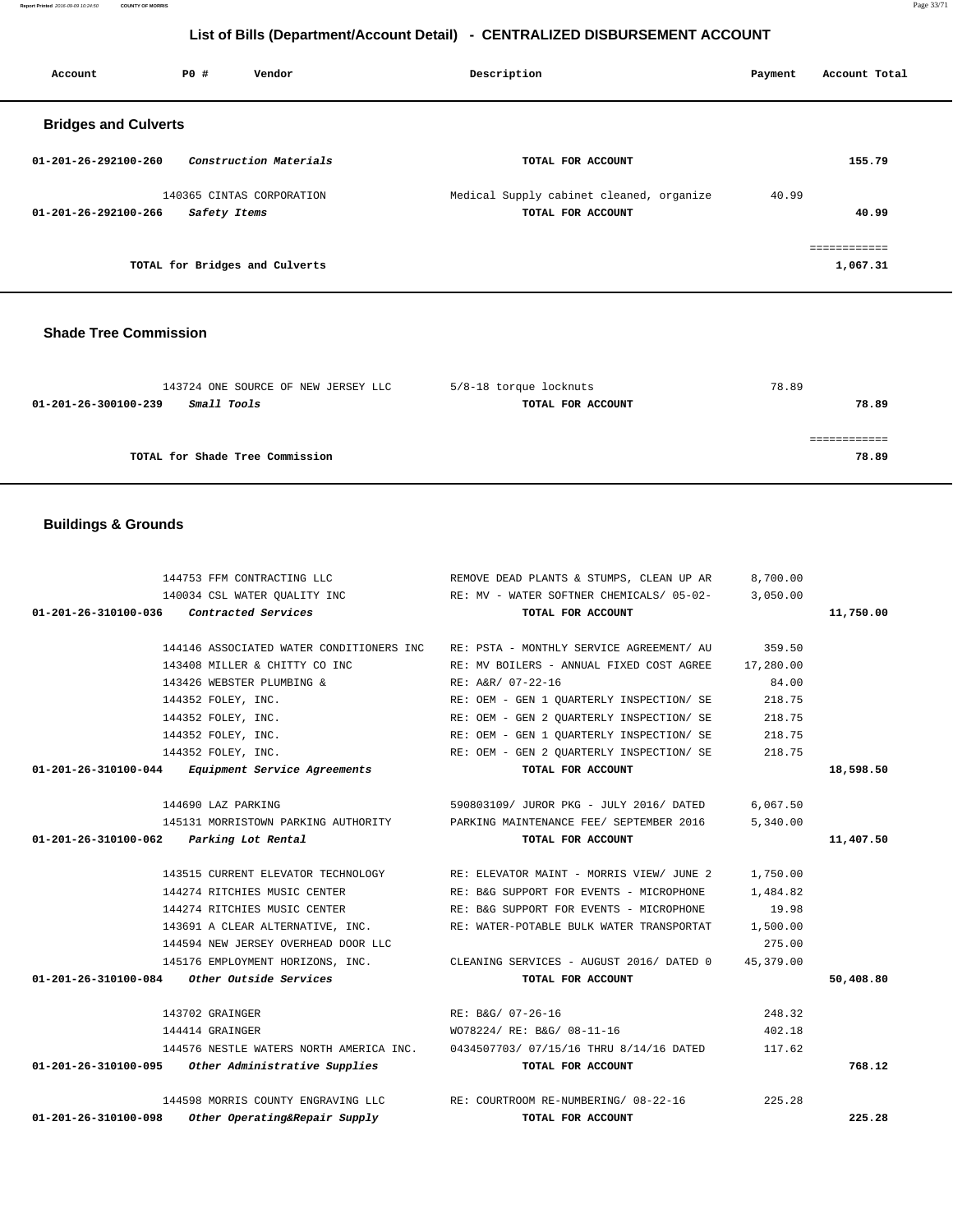**Report Printed** 2016-09-09 10:24:50 **COUNTY OF MORRIS** Page 33/71

# **List of Bills (Department/Account Detail) - CENTRALIZED DISBURSEMENT ACCOUNT**

| Account                        | PO#          | Vendor                         | Description                                                   | Payment | Account Total            |
|--------------------------------|--------------|--------------------------------|---------------------------------------------------------------|---------|--------------------------|
| <b>Bridges and Culverts</b>    |              |                                |                                                               |         |                          |
| $01 - 201 - 26 - 292100 - 260$ |              | Construction Materials         | TOTAL FOR ACCOUNT                                             |         | 155.79                   |
| 01-201-26-292100-266           | Safety Items | 140365 CINTAS CORPORATION      | Medical Supply cabinet cleaned, organize<br>TOTAL FOR ACCOUNT | 40.99   | 40.99                    |
|                                |              | TOTAL for Bridges and Culverts |                                                               |         | ------------<br>1,067.31 |

# **Shade Tree Commission**

| 143724 ONE SOURCE OF NEW JERSEY LLC | 5/8-18 torque locknuts | 78.89 |
|-------------------------------------|------------------------|-------|
| Small Tools<br>01-201-26-300100-239 | TOTAL FOR ACCOUNT      | 78.89 |
|                                     |                        |       |
|                                     |                        |       |
| TOTAL for Shade Tree Commission     |                        | 78.89 |

# **Buildings & Grounds**

| 144753 FFM CONTRACTING LLC                                      | REMOVE DEAD PLANTS & STUMPS, CLEAN UP AR                                          | 8,700.00  |           |
|-----------------------------------------------------------------|-----------------------------------------------------------------------------------|-----------|-----------|
|                                                                 | 140034 CSL WATER QUALITY INC RE: MV - WATER SOFTNER CHEMICALS/ 05-02- 3,050.00    |           |           |
| 01-201-26-310100-036 Contracted Services                        | TOTAL FOR ACCOUNT                                                                 |           | 11,750.00 |
|                                                                 |                                                                                   |           |           |
|                                                                 | 144146 ASSOCIATED WATER CONDITIONERS INC RE: PSTA - MONTHLY SERVICE AGREEMENT/ AU | 359.50    |           |
| 143408 MILLER & CHITTY CO INC                                   | RE: MV BOILERS - ANNUAL FIXED COST AGREE                                          | 17,280.00 |           |
| 143426 WEBSTER PLUMBING &                                       | RE: A&R/ 07-22-16                                                                 | 84.00     |           |
| 144352 FOLEY, INC.                                              | RE: OEM - GEN 1 QUARTERLY INSPECTION/ SE                                          | 218.75    |           |
| 144352 FOLEY, INC.                                              | RE: OEM - GEN 2 OUARTERLY INSPECTION/ SE                                          | 218.75    |           |
| 144352 FOLEY, INC.                                              | RE: OEM - GEN 1 OUARTERLY INSPECTION/ SE                                          | 218.75    |           |
| 144352 FOLEY, INC.                                              | RE: OEM - GEN 2 OUARTERLY INSPECTION/ SE                                          | 218.75    |           |
| 01-201-26-310100-044 Equipment Service Agreements               | TOTAL FOR ACCOUNT                                                                 |           | 18,598.50 |
|                                                                 |                                                                                   |           |           |
| 144690 LAZ PARKING                                              | 590803109/ JUROR PKG - JULY 2016/ DATED                                           | 6,067.50  |           |
|                                                                 | 145131 MORRISTOWN PARKING AUTHORITY PARKING MAINTENANCE FEE/ SEPTEMBER 2016       | 5,340.00  |           |
| 01-201-26-310100-062 Parking Lot Rental                         | TOTAL FOR ACCOUNT                                                                 |           | 11,407.50 |
|                                                                 |                                                                                   |           |           |
|                                                                 | 143515 CURRENT ELEVATOR TECHNOLOGY RE: ELEVATOR MAINT - MORRIS VIEW/ JUNE 2       | 1,750.00  |           |
| 144274 RITCHIES MUSIC CENTER                                    | RE: B&G SUPPORT FOR EVENTS - MICROPHONE 1,484.82                                  |           |           |
|                                                                 | 144274 RITCHIES MUSIC CENTER THE RE: B&G SUPPORT FOR EVENTS - MICROPHONE          | 19.98     |           |
|                                                                 | 143691 A CLEAR ALTERNATIVE, INC. THE: WATER-POTABLE BULK WATER TRANSPORTAT        | 1,500.00  |           |
| 144594 NEW JERSEY OVERHEAD DOOR LLC                             |                                                                                   | 275.00    |           |
|                                                                 | 145176 EMPLOYMENT HORIZONS, INC. CLEANING SERVICES - AUGUST 2016/ DATED 0         | 45,379.00 |           |
| $01-201-26-310100-084$ Other Outside Services                   | TOTAL FOR ACCOUNT                                                                 |           | 50,408.80 |
|                                                                 |                                                                                   |           |           |
| 143702 GRAINGER                                                 | RE: B&G/ 07-26-16                                                                 | 248.32    |           |
| 144414 GRAINGER                                                 | WO78224/ RE: B&G/ 08-11-16                                                        | 402.18    |           |
|                                                                 | 144576 NESTLE WATERS NORTH AMERICA INC. 0434507703/07/15/16 THRU 8/14/16 DATED    | 117.62    |           |
| 01-201-26-310100-095 Other Administrative Supplies              | TOTAL FOR ACCOUNT                                                                 |           | 768.12    |
|                                                                 |                                                                                   |           |           |
|                                                                 | 144598 MORRIS COUNTY ENGRAVING LLC RE: COURTROOM RE-NUMBERING/ 08-22-16           | 225.28    |           |
| $01 - 201 - 26 - 310100 - 098$<br>Other Operating&Repair Supply | TOTAL FOR ACCOUNT                                                                 |           | 225.28    |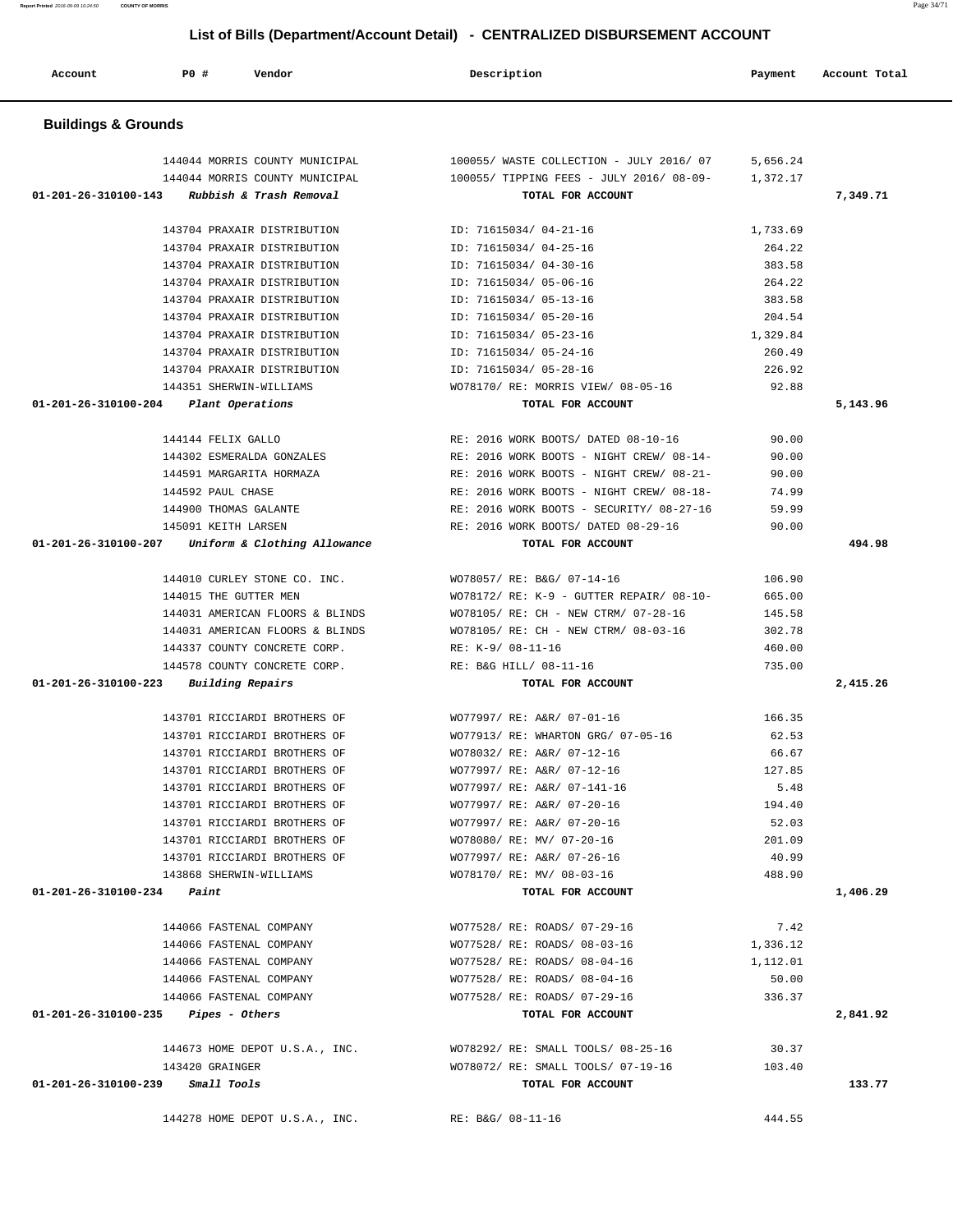| Account                               | P0 #                    | Vendor                                                       | Description                                                  | Payment           | Account Total |
|---------------------------------------|-------------------------|--------------------------------------------------------------|--------------------------------------------------------------|-------------------|---------------|
| <b>Buildings &amp; Grounds</b>        |                         |                                                              |                                                              |                   |               |
|                                       |                         | 144044 MORRIS COUNTY MUNICIPAL                               | 100055/ WASTE COLLECTION - JULY 2016/ 07                     | 5,656.24          |               |
|                                       |                         | 144044 MORRIS COUNTY MUNICIPAL                               | 100055/ TIPPING FEES - JULY 2016/ 08-09-                     | 1,372.17          |               |
| 01-201-26-310100-143                  |                         | Rubbish & Trash Removal                                      | TOTAL FOR ACCOUNT                                            |                   | 7,349.71      |
|                                       |                         | 143704 PRAXAIR DISTRIBUTION                                  | ID: 71615034/ 04-21-16                                       | 1,733.69          |               |
|                                       |                         | 143704 PRAXAIR DISTRIBUTION                                  | ID: 71615034/ 04-25-16                                       | 264.22            |               |
|                                       |                         | 143704 PRAXAIR DISTRIBUTION                                  | ID: 71615034/ 04-30-16                                       | 383.58            |               |
|                                       |                         | 143704 PRAXAIR DISTRIBUTION                                  | ID: 71615034/ 05-06-16                                       | 264.22            |               |
|                                       |                         | 143704 PRAXAIR DISTRIBUTION                                  | ID: 71615034/ 05-13-16                                       | 383.58            |               |
|                                       |                         | 143704 PRAXAIR DISTRIBUTION                                  | ID: 71615034/ 05-20-16                                       | 204.54            |               |
|                                       |                         | 143704 PRAXAIR DISTRIBUTION                                  | ID: 71615034/ 05-23-16                                       | 1,329.84          |               |
|                                       |                         | 143704 PRAXAIR DISTRIBUTION                                  | ID: 71615034/ 05-24-16                                       | 260.49            |               |
|                                       |                         | 143704 PRAXAIR DISTRIBUTION                                  | ID: 71615034/ 05-28-16                                       | 226.92            |               |
|                                       |                         | 144351 SHERWIN-WILLIAMS                                      | WO78170/ RE: MORRIS VIEW/ 08-05-16                           | 92.88             |               |
| 01-201-26-310100-204 Plant Operations |                         |                                                              | TOTAL FOR ACCOUNT                                            |                   | 5,143.96      |
|                                       | 144144 FELIX GALLO      |                                                              | RE: 2016 WORK BOOTS/ DATED 08-10-16                          | 90.00             |               |
|                                       |                         | 144302 ESMERALDA GONZALES                                    | RE: 2016 WORK BOOTS - NIGHT CREW/ 08-14-                     | 90.00             |               |
|                                       |                         | 144591 MARGARITA HORMAZA                                     | RE: 2016 WORK BOOTS - NIGHT CREW/ 08-21-                     | 90.00             |               |
|                                       | 144592 PAUL CHASE       |                                                              | RE: 2016 WORK BOOTS - NIGHT CREW/ 08-18-                     | 74.99             |               |
|                                       | 144900 THOMAS GALANTE   |                                                              | RE: 2016 WORK BOOTS - SECURITY/ 08-27-16                     | 59.99             |               |
|                                       | 145091 KEITH LARSEN     |                                                              | RE: 2016 WORK BOOTS/ DATED 08-29-16                          | 90.00             |               |
|                                       |                         | 01-201-26-310100-207 Uniform & Clothing Allowance            | TOTAL FOR ACCOUNT                                            |                   | 494.98        |
|                                       |                         | 144010 CURLEY STONE CO. INC.                                 | WO78057/ RE: B&G/ 07-14-16                                   | 106.90            |               |
|                                       | 144015 THE GUTTER MEN   |                                                              | $WO78172/RE: K-9 - GUTTER REPAIR/ 08-10-$                    | 665.00            |               |
|                                       |                         | 144031 AMERICAN FLOORS & BLINDS                              | WO78105/ RE: CH - NEW CTRM/ 07-28-16                         | 145.58            |               |
|                                       |                         | 144031 AMERICAN FLOORS & BLINDS                              | WO78105/ RE: CH - NEW CTRM/ 08-03-16                         | 302.78            |               |
|                                       |                         | 144337 COUNTY CONCRETE CORP.                                 | RE: K-9/ 08-11-16                                            | 460.00            |               |
|                                       |                         | 144578 COUNTY CONCRETE CORP.                                 | RE: B&G HILL/ 08-11-16                                       | 735.00            |               |
| 01-201-26-310100-223                  | Building Repairs        |                                                              | TOTAL FOR ACCOUNT                                            |                   | 2,415.26      |
|                                       |                         | 143701 RICCIARDI BROTHERS OF                                 | WO77997/ RE: A&R/ 07-01-16                                   | 166.35            |               |
|                                       |                         |                                                              | WO77913/ RE: WHARTON GRG/ 07-05-16                           | 62.53             |               |
|                                       |                         | 143701 RICCIARDI BROTHERS OF<br>143701 RICCIARDI BROTHERS OF | WO78032/ RE: A&R/ 07-12-16                                   | 66.67             |               |
|                                       |                         | 143701 RICCIARDI BROTHERS OF                                 | WO77997/ RE: A&R/ 07-12-16                                   | 127.85            |               |
|                                       |                         | 143701 RICCIARDI BROTHERS OF                                 | WO77997/ RE: A&R/ 07-141-16                                  | 5.48              |               |
|                                       |                         | 143701 RICCIARDI BROTHERS OF                                 | WO77997/ RE: A&R/ 07-20-16                                   | 194.40            |               |
|                                       |                         | 143701 RICCIARDI BROTHERS OF                                 | WO77997/ RE: A&R/ 07-20-16                                   | 52.03             |               |
|                                       |                         | 143701 RICCIARDI BROTHERS OF                                 | WO78080/ RE: MV/ 07-20-16                                    | 201.09            |               |
|                                       |                         | 143701 RICCIARDI BROTHERS OF                                 | WO77997/ RE: A&R/ 07-26-16                                   | 40.99             |               |
|                                       |                         | 143868 SHERWIN-WILLIAMS                                      | WO78170/ RE: MV/ 08-03-16                                    | 488.90            |               |
| $01-201-26-310100-234$ Paint          |                         |                                                              | TOTAL FOR ACCOUNT                                            |                   | 1,406.29      |
|                                       |                         |                                                              |                                                              |                   |               |
|                                       |                         | 144066 FASTENAL COMPANY                                      | WO77528/ RE: ROADS/ 07-29-16                                 | 7.42              |               |
|                                       | 144066 FASTENAL COMPANY | 144066 FASTENAL COMPANY                                      | WO77528/ RE: ROADS/ 08-03-16<br>WO77528/ RE: ROADS/ 08-04-16 | 1,336.12          |               |
|                                       | 144066 FASTENAL COMPANY |                                                              | WO77528/ RE: ROADS/ 08-04-16                                 | 1,112.01<br>50.00 |               |
|                                       |                         | 144066 FASTENAL COMPANY                                      | WO77528/ RE: ROADS/ 07-29-16                                 | 336.37            |               |
| $01-201-26-310100-235$ Pipes - Others |                         |                                                              | TOTAL FOR ACCOUNT                                            |                   | 2,841.92      |
|                                       |                         |                                                              |                                                              |                   |               |
|                                       |                         | 144673 HOME DEPOT U.S.A., INC.                               | WO78292/ RE: SMALL TOOLS/ 08-25-16                           | 30.37             |               |
|                                       | 143420 GRAINGER         |                                                              | WO78072/ RE: SMALL TOOLS/ 07-19-16                           | 103.40            |               |
| $01-201-26-310100-239$ Small Tools    |                         |                                                              | TOTAL FOR ACCOUNT                                            |                   | 133.77        |
|                                       |                         | 144278 HOME DEPOT U.S.A., INC.                               | RE: B&G/ 08-11-16                                            | 444.55            |               |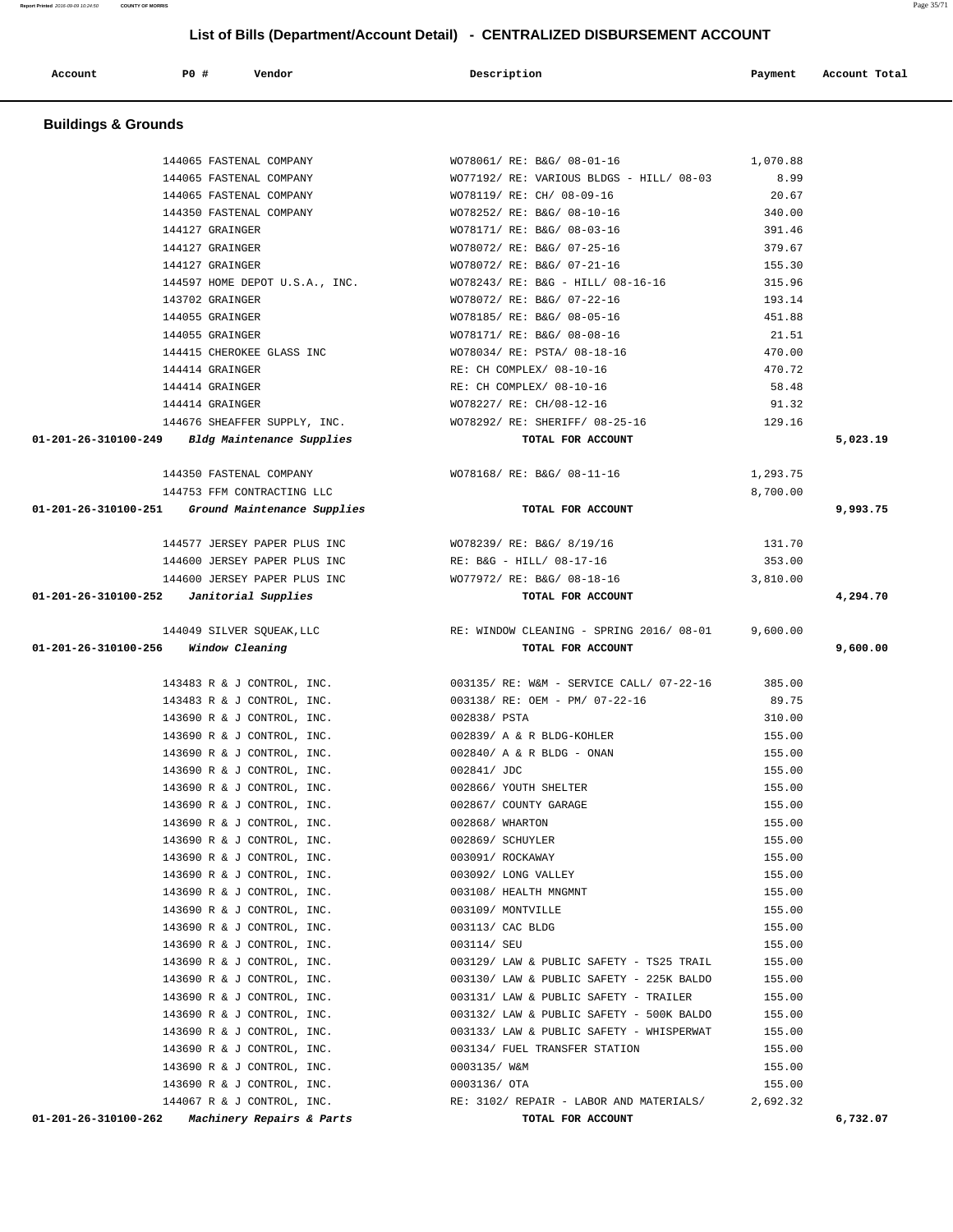|                                            |      | List of Bills (Bepartment/19999411, Betail)              | <u>ULITITY LEILED DIUDUITULINEITI AU</u>        |                  |               |
|--------------------------------------------|------|----------------------------------------------------------|-------------------------------------------------|------------------|---------------|
| Account                                    | P0 # | Vendor                                                   | Description                                     | Payment          | Account Total |
| <b>Buildings &amp; Grounds</b>             |      |                                                          |                                                 |                  |               |
|                                            |      | 144065 FASTENAL COMPANY                                  | WO78061/ RE: B&G/ 08-01-16                      | 1,070.88         |               |
|                                            |      | 144065 FASTENAL COMPANY                                  | WO77192/ RE: VARIOUS BLDGS - HILL/ 08-03        | 8.99             |               |
|                                            |      | 144065 FASTENAL COMPANY                                  | WO78119/ RE: CH/ 08-09-16                       | 20.67            |               |
|                                            |      | 144350 FASTENAL COMPANY                                  | WO78252/ RE: B&G/ 08-10-16                      | 340.00           |               |
|                                            |      | 144127 GRAINGER                                          | WO78171/ RE: B&G/ 08-03-16                      | 391.46           |               |
|                                            |      | 144127 GRAINGER                                          | WO78072/ RE: B&G/ 07-25-16                      | 379.67           |               |
|                                            |      | 144127 GRAINGER                                          | WO78072/ RE: B&G/ 07-21-16                      | 155.30           |               |
|                                            |      | 144597 HOME DEPOT U.S.A., INC.                           | WO78243/ RE: B&G - HILL/ 08-16-16               | 315.96           |               |
|                                            |      | 143702 GRAINGER                                          | WO78072/ RE: B&G/ 07-22-16                      | 193.14           |               |
|                                            |      | 144055 GRAINGER                                          | WO78185/ RE: B&G/ 08-05-16                      | 451.88           |               |
|                                            |      | 144055 GRAINGER                                          | WO78171/ RE: B&G/ 08-08-16                      | 21.51            |               |
|                                            |      | 144415 CHEROKEE GLASS INC                                | WO78034/ RE: PSTA/ 08-18-16                     | 470.00           |               |
|                                            |      | 144414 GRAINGER                                          | RE: CH COMPLEX/ 08-10-16                        | 470.72           |               |
|                                            |      | 144414 GRAINGER                                          | RE: CH COMPLEX/ 08-10-16                        | 58.48            |               |
|                                            |      | 144414 GRAINGER                                          | WO78227/ RE: CH/08-12-16                        | 91.32            |               |
|                                            |      | 144676 SHEAFFER SUPPLY, INC.                             | WO78292/ RE: SHERIFF/ 08-25-16                  | 129.16           |               |
|                                            |      | 01-201-26-310100-249 Bldg Maintenance Supplies           | TOTAL FOR ACCOUNT                               |                  | 5,023.19      |
|                                            |      | 144350 FASTENAL COMPANY                                  | WO78168/ RE: B&G/ 08-11-16                      | 1,293.75         |               |
|                                            |      | 144753 FFM CONTRACTING LLC                               |                                                 | 8,700.00         |               |
|                                            |      | 01-201-26-310100-251 Ground Maintenance Supplies         | TOTAL FOR ACCOUNT                               |                  | 9,993.75      |
|                                            |      |                                                          |                                                 |                  |               |
|                                            |      | 144577 JERSEY PAPER PLUS INC                             | WO78239/ RE: B&G/ 8/19/16                       | 131.70           |               |
|                                            |      | 144600 JERSEY PAPER PLUS INC                             | RE: B&G - HILL/ 08-17-16                        | 353.00           |               |
|                                            |      | 144600 JERSEY PAPER PLUS INC                             | WO77972/ RE: B&G/ 08-18-16                      | 3,810.00         |               |
| $01-201-26-310100-252$ Janitorial Supplies |      |                                                          | TOTAL FOR ACCOUNT                               |                  | 4,294.70      |
|                                            |      | 144049 SILVER SQUEAK, LLC                                | RE: WINDOW CLEANING - SPRING 2016/08-01         | 9,600.00         |               |
| 01-201-26-310100-256 Window Cleaning       |      |                                                          | TOTAL FOR ACCOUNT                               |                  | 9,600.00      |
|                                            |      |                                                          |                                                 |                  |               |
|                                            |      | 143483 R & J CONTROL, INC.                               | 003135/ RE: W&M - SERVICE CALL/ 07-22-16 385.00 |                  |               |
|                                            |      | 143483 R & J CONTROL, INC.                               | 003138/ RE: OEM - PM/ 07-22-16                  | 89.75            |               |
|                                            |      | 143690 R & J CONTROL, INC.                               | 002838/ PSTA                                    | 310.00           |               |
|                                            |      | 143690 R & J CONTROL, INC.                               | 002839/ A & R BLDG-KOHLER                       | 155.00           |               |
|                                            |      | 143690 R & J CONTROL, INC.                               | 002840/ A & R BLDG - ONAN                       | 155.00           |               |
|                                            |      | 143690 R & J CONTROL, INC.                               | 002841/ JDC                                     | 155.00           |               |
|                                            |      | 143690 R & J CONTROL, INC.                               | 002866/ YOUTH SHELTER                           | 155.00           |               |
|                                            |      | 143690 R & J CONTROL, INC.                               | 002867/ COUNTY GARAGE                           | 155.00           |               |
|                                            |      | 143690 R & J CONTROL, INC.                               | 002868/ WHARTON                                 | 155.00           |               |
|                                            |      | 143690 R & J CONTROL, INC.                               | 002869/ SCHUYLER                                | 155.00           |               |
|                                            |      | 143690 R & J CONTROL, INC.                               | 003091/ ROCKAWAY                                | 155.00           |               |
|                                            |      | 143690 R & J CONTROL, INC.<br>143690 R & J CONTROL, INC. | 003092/ LONG VALLEY<br>003108/ HEALTH MNGMNT    | 155.00<br>155.00 |               |
|                                            |      | 143690 R & J CONTROL, INC.                               | 003109/ MONTVILLE                               | 155.00           |               |
|                                            |      | 143690 R & J CONTROL, INC.                               | 003113/ CAC BLDG                                | 155.00           |               |
|                                            |      | 143690 R & J CONTROL, INC.                               | 003114/ SEU                                     | 155.00           |               |
|                                            |      | 143690 R & J CONTROL, INC.                               | 003129/ LAW & PUBLIC SAFETY - TS25 TRAIL        | 155.00           |               |
|                                            |      | 143690 R & J CONTROL, INC.                               | 003130/ LAW & PUBLIC SAFETY - 225K BALDO        | 155.00           |               |
|                                            |      | 143690 R & J CONTROL, INC.                               | 003131/ LAW & PUBLIC SAFETY - TRAILER           | 155.00           |               |
|                                            |      | 143690 R & J CONTROL, INC.                               | 003132/ LAW & PUBLIC SAFETY - 500K BALDO        | 155.00           |               |
|                                            |      | 143690 R & J CONTROL, INC.                               | 003133/ LAW & PUBLIC SAFETY - WHISPERWAT        | 155.00           |               |
|                                            |      | 143690 R & J CONTROL, INC.                               | 003134/ FUEL TRANSFER STATION                   | 155.00           |               |
|                                            |      | 143690 R & J CONTROL, INC.                               | 0003135/ W&M                                    | 155.00           |               |
|                                            |      | 143690 R & J CONTROL, INC.                               | 0003136/ OTA                                    | 155.00           |               |

144067 R & J CONTROL, INC. RE: 3102/ REPAIR - LABOR AND MATERIALS/ 2,692.32

 **01-201-26-310100-262 Machinery Repairs & Parts TOTAL FOR ACCOUNT 6,732.07**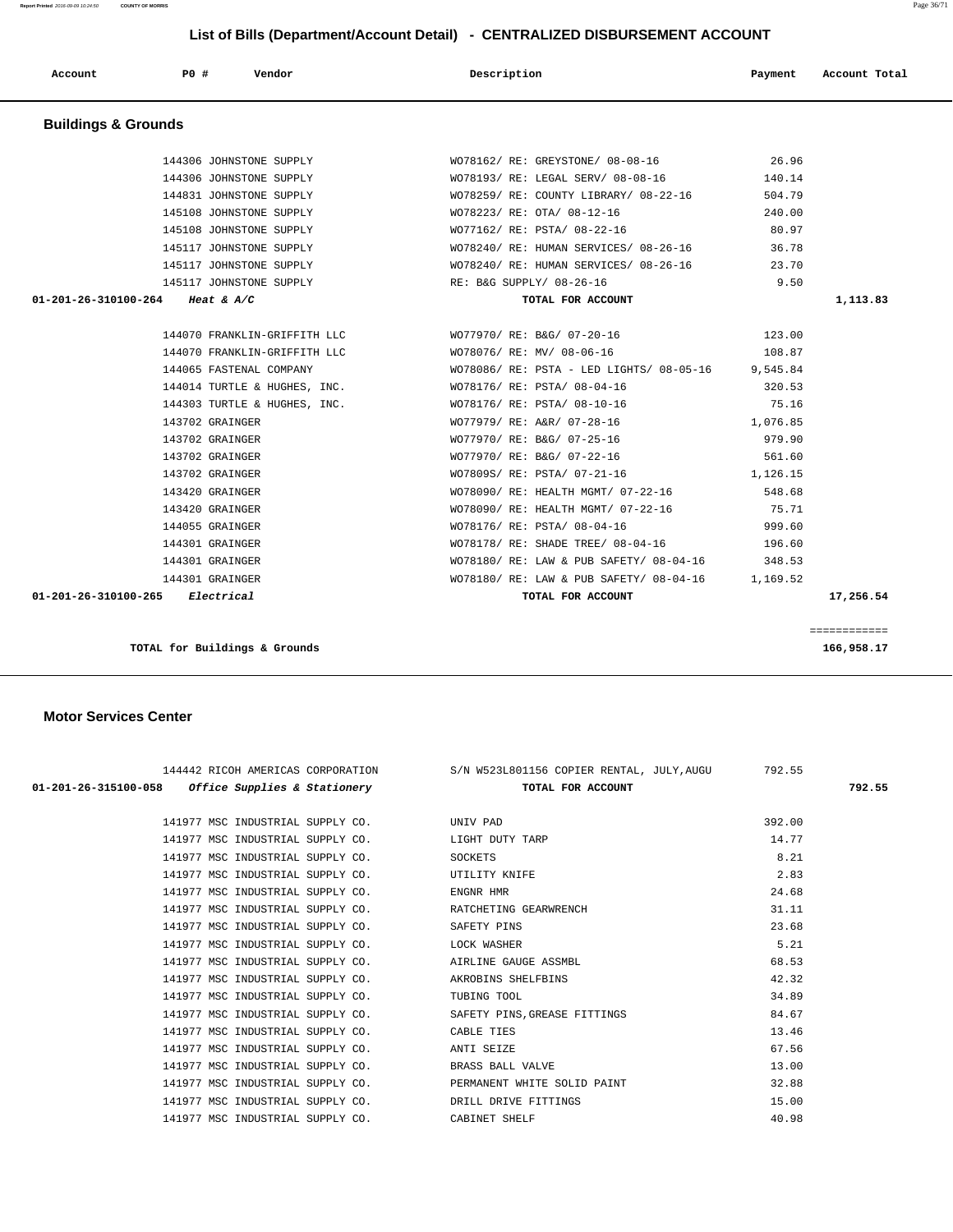144306 JOHNSTONE SUPPLY WO78162/ RE: GREYSTONE/ 08-08-16 26.96

 **Account P0 # Vendor Description Payment Account Total**

**Report Printed** 2016-09-09 10:24:50 **COUNTY OF MORRIS** Page 36/71

| JOHNSTONE SUPPLY      | WO78240/ RE: HUMAN SERVICES/ 08-26-16             | 36.78    |  |
|-----------------------|---------------------------------------------------|----------|--|
| JOHNSTONE SUPPLY      | WO78240/ RE: HUMAN SERVICES/ 08-26-16 23.70       |          |  |
| JOHNSTONE SUPPLY      | RE: B&G SUPPLY/ 08-26-16                          | 9.50     |  |
| at & A/C              | TOTAL FOR ACCOUNT                                 |          |  |
|                       |                                                   |          |  |
|                       | FRANKLIN-GRIFFITH LLC WO77970/RE: B&G/07-20-16    | 123.00   |  |
| FRANKLIN-GRIFFITH LLC | WO78076/ RE: MV/ 08-06-16                         | 108.87   |  |
| FASTENAL COMPANY      | WO78086/ RE: PSTA - LED LIGHTS/ 08-05-16 9,545.84 |          |  |
| TURTLE & HUGHES, INC. | WO78176/ RE: PSTA/ 08-04-16                       | 320.53   |  |
| TURTLE & HUGHES, INC. | WO78176/RE: PSTA/08-10-16 75.16                   |          |  |
| GRAINGER              | WO77979/ RE: A&R/ 07-28-16                        | 1,076.85 |  |
| GRAINGER              | WO77970/ RE: B&G/ 07-25-16                        | 979.90   |  |
| GRAINGER              | WO77970/ RE: B&G/ 07-22-16 561.60                 |          |  |
| GRAINGER              | WO7809S/ RE: PSTA/ 07-21-16                       | 1,126.15 |  |
| GRAINGER              | WO78090/ RE: HEALTH MGMT/ 07-22-16                | 548.68   |  |
| GRAINGER              | WO78090/ RE: HEALTH MGMT/ 07-22-16 75.71          |          |  |
| GRAINGER              | WO78176/ RE: PSTA/ 08-04-16                       | 999.60   |  |
| GRAINGER              | WO78178/ RE: SHADE TREE/ 08-04-16 196.60          |          |  |
| CRAINCER              | MO78180 / PF: LAM & DIIR SAFFTY / 08-04-16 348 53 |          |  |

 **Buildings & Grounds** 

|                                           | 144306 JOHNSTONE SUPPLY                                 | WO78193/ RE: LEGAL SERV/ 08-08-16                        | 140.14       |
|-------------------------------------------|---------------------------------------------------------|----------------------------------------------------------|--------------|
|                                           | 144831 JOHNSTONE SUPPLY                                 | WO78259/RE: COUNTY LIBRARY/ 08-22-16                     | 504.79       |
|                                           | 145108 JOHNSTONE SUPPLY                                 | WO78223/ RE: OTA/ 08-12-16                               | 240.00       |
|                                           | 145108 JOHNSTONE SUPPLY                                 | WO77162/ RE: PSTA/ 08-22-16                              | 80.97        |
|                                           | 145117 JOHNSTONE SUPPLY                                 | WO78240/ RE: HUMAN SERVICES/ 08-26-16 36.78              |              |
|                                           | 145117 JOHNSTONE SUPPLY                                 | WO78240/ RE: HUMAN SERVICES/ 08-26-16 23.70              |              |
|                                           | 145117 JOHNSTONE SUPPLY                                 | RE: B&G SUPPLY/ 08-26-16                                 | 9.50         |
| 01-201-26-310100-264 Heat & A/C           |                                                         | TOTAL FOR ACCOUNT                                        | 1,113.83     |
|                                           | 144070 FRANKLIN-GRIFFITH LLC WO77970/ RE: B&G/ 07-20-16 |                                                          | 123.00       |
|                                           | 144070 FRANKLIN-GRIFFITH LLC                            | WO78076/ RE: MV/ 08-06-16                                | 108.87       |
|                                           | 144065 FASTENAL COMPANY                                 | WO78086/ RE: PSTA - LED LIGHTS/ 08-05-16 9,545.84        |              |
|                                           |                                                         | 144014 TURTLE & HUGHES, INC. WO78176/ RE: PSTA/ 08-04-16 | 320.53       |
|                                           | 144303 TURTLE & HUGHES, INC.                            | WO78176/ RE: PSTA/ 08-10-16                              | 75.16        |
|                                           | 143702 GRAINGER                                         | WO77979/ RE: A&R/ 07-28-16 1,076.85                      |              |
|                                           | 143702 GRAINGER                                         | WO77970/ RE: B&G/ 07-25-16                               | 979.90       |
|                                           | 143702 GRAINGER                                         | WO77970/ RE: B&G/ 07-22-16                               | 561.60       |
|                                           | 143702 GRAINGER                                         | WO7809S/RE: PSTA/ 07-21-16 1,126.15                      |              |
|                                           | 143420 GRAINGER                                         | WO78090/ RE: HEALTH MGMT/ 07-22-16 548.68                |              |
|                                           | 143420 GRAINGER                                         | WO78090/ RE: HEALTH MGMT/ 07-22-16 75.71                 |              |
|                                           | 144055 GRAINGER                                         | WO78176/ RE: PSTA/ 08-04-16                              | 999.60       |
|                                           | 144301 GRAINGER                                         | WO78178/ RE: SHADE TREE/ 08-04-16                        | 196.60       |
|                                           | 144301 GRAINGER                                         | WO78180/ RE: LAW & PUB SAFETY/ 08-04-16 348.53           |              |
|                                           | 144301 GRAINGER                                         | WO78180/ RE: LAW & PUB SAFETY/ 08-04-16 1,169.52         |              |
| $01 - 201 - 26 - 310100 - 265$ Electrical |                                                         | TOTAL FOR ACCOUNT                                        | 17,256.54    |
|                                           |                                                         |                                                          |              |
|                                           |                                                         |                                                          | ============ |

**TOTAL for Buildings & Grounds 166,958.17**

 **Motor Services Center** 

|                                                                     |                                                     | 144442 RICOH AMERICAS CORPORATION S/N W523L801156 COPIER RENTAL, JULY, AUGU 792.55 |        |        |
|---------------------------------------------------------------------|-----------------------------------------------------|------------------------------------------------------------------------------------|--------|--------|
| 01-201-26-315100-058 Office Supplies & Stationery TOTAL FOR ACCOUNT |                                                     |                                                                                    |        | 792.55 |
|                                                                     |                                                     |                                                                                    |        |        |
| 141977 MSC INDUSTRIAL SUPPLY CO. UNIV PAD                           |                                                     |                                                                                    | 392.00 |        |
| 141977 MSC INDUSTRIAL SUPPLY CO. LIGHT DUTY TARP                    |                                                     |                                                                                    | 14.77  |        |
| 141977 MSC INDUSTRIAL SUPPLY CO.                                    |                                                     | SOCKETS                                                                            | 8.21   |        |
| 141977 MSC INDUSTRIAL SUPPLY CO. UTILITY KNIFE                      |                                                     |                                                                                    | 2.83   |        |
| 141977 MSC INDUSTRIAL SUPPLY CO.                                    |                                                     | ENGNR HMR                                                                          | 24.68  |        |
|                                                                     |                                                     | 141977 MSC INDUSTRIAL SUPPLY CO. RATCHETING GEARWRENCH                             | 31.11  |        |
|                                                                     | 141977 MSC INDUSTRIAL SUPPLY CO. SAFETY PINS        |                                                                                    | 23.68  |        |
|                                                                     |                                                     |                                                                                    | 5.21   |        |
|                                                                     |                                                     |                                                                                    | 68.53  |        |
|                                                                     | 141977 MSC INDUSTRIAL SUPPLY CO. AKROBINS SHELFBINS |                                                                                    | 42.32  |        |
| 141977 MSC INDUSTRIAL SUPPLY CO. TUBING TOOL                        |                                                     |                                                                                    | 34.89  |        |
|                                                                     |                                                     | 141977 MSC INDUSTRIAL SUPPLY CO.<br>141977 MSC INDUSTRIAL SUPPLY CO. CABLE TIES    | 84.67  |        |
| 141977 MSC INDUSTRIAL SUPPLY CO. CABLE TIES                         |                                                     |                                                                                    | 13.46  |        |
|                                                                     | 141977 MSC INDUSTRIAL SUPPLY CO. ANTI SEIZE         |                                                                                    | 67.56  |        |
|                                                                     | 141977 MSC INDUSTRIAL SUPPLY CO. BRASS BALL VALVE   |                                                                                    | 13.00  |        |
|                                                                     |                                                     | 141977 MSC INDUSTRIAL SUPPLY CO. PERMANENT WHITE SOLID PAINT                       | 32.88  |        |
|                                                                     |                                                     | 141977 MSC INDUSTRIAL SUPPLY CO. THE DRILL DRIVE FITTINGS                          | 15.00  |        |
|                                                                     | 141977 MSC INDUSTRIAL SUPPLY CO. CABINET SHELF      |                                                                                    | 40.98  |        |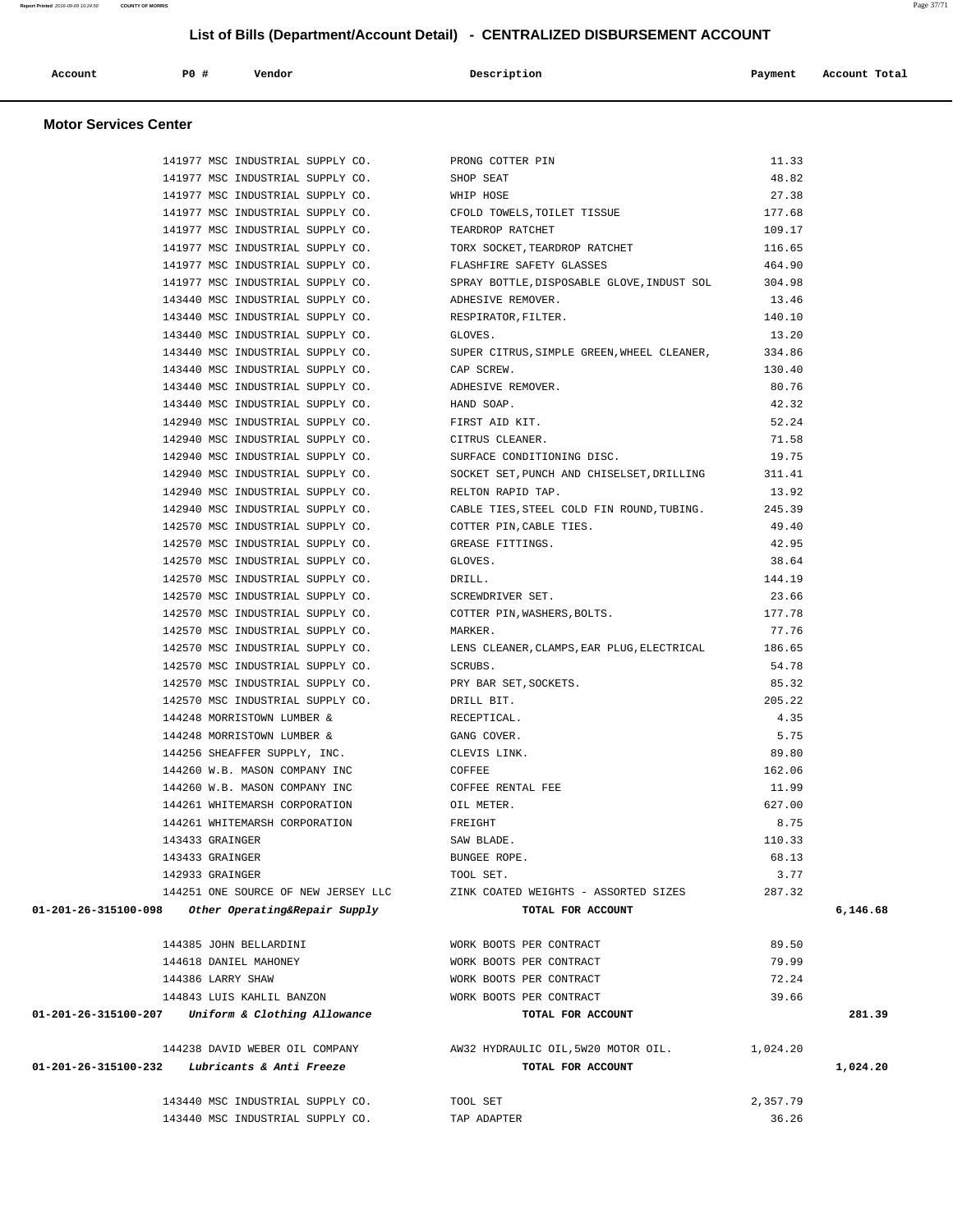| Account | <b>PO #</b> | Vendor | Description | Payment | Account Total |
|---------|-------------|--------|-------------|---------|---------------|
|         |             |        |             |         |               |

# **Motor Services Center**

| 141977 MSC INDUSTRIAL SUPPLY CO. THE PRONG COTTER PIN      |                                                                                           | 11.33         |          |
|------------------------------------------------------------|-------------------------------------------------------------------------------------------|---------------|----------|
| 141977 MSC INDUSTRIAL SUPPLY CO. SHOP SEAT                 |                                                                                           | 48.82         |          |
| 141977 MSC INDUSTRIAL SUPPLY CO.                           | WHIP HOSE                                                                                 | 27.38         |          |
| 141977 MSC INDUSTRIAL SUPPLY CO.                           | CFOLD TOWELS, TOILET TISSUE                                                               | 177.68        |          |
| 141977 MSC INDUSTRIAL SUPPLY CO.                           | TEARDROP RATCHET                                                                          | 109.17        |          |
| 141977 MSC INDUSTRIAL SUPPLY CO.                           | TORX SOCKET, TEARDROP RATCHET                                                             | 116.65        |          |
| 141977 MSC INDUSTRIAL SUPPLY CO. THASHFIRE SAFETY GLASSES  |                                                                                           | 464.90        |          |
|                                                            | 141977 MSC INDUSTRIAL SUPPLY CO. SPRAY BOTTLE, DISPOSABLE GLOVE, INDUST SOL 304.98        |               |          |
| 143440 MSC INDUSTRIAL SUPPLY CO. ADHESIVE REMOVER.         |                                                                                           | 13.46         |          |
| 143440 MSC INDUSTRIAL SUPPLY CO.                           | RESPIRATOR, FILTER.                                                                       | 140.10        |          |
| 143440 MSC INDUSTRIAL SUPPLY CO.                           | GLOVES.                                                                                   | 13.20         |          |
| 143440 MSC INDUSTRIAL SUPPLY CO.                           | SUPER CITRUS, SIMPLE GREEN, WHEEL CLEANER,                                                | 334.86        |          |
| 143440 MSC INDUSTRIAL SUPPLY CO.                           | CAP SCREW.                                                                                | 130.40        |          |
| 143440 MSC INDUSTRIAL SUPPLY CO. ADHESIVE REMOVER.         |                                                                                           | 80.76         |          |
| 143440 MSC INDUSTRIAL SUPPLY CO. HAND SOAP.                |                                                                                           | 42.32         |          |
| 142940 MSC INDUSTRIAL SUPPLY CO. FIRST AID KIT.            |                                                                                           | 52.24         |          |
| 142940 MSC INDUSTRIAL SUPPLY CO. CITRUS CLEANER.           |                                                                                           | 71.58         |          |
| 142940 MSC INDUSTRIAL SUPPLY CO.                           | SURFACE CONDITIONING DISC.                                                                | 19.75         |          |
| 142940 MSC INDUSTRIAL SUPPLY CO.                           | SOCKET SET, PUNCH AND CHISELSET, DRILLING                                                 | 311.41        |          |
| 142940 MSC INDUSTRIAL SUPPLY CO.                           | RELTON RAPID TAP.                                                                         | 13.92         |          |
| 142940 MSC INDUSTRIAL SUPPLY CO.                           | CABLE TIES, STEEL COLD FIN ROUND, TUBING. 245.39                                          |               |          |
| 142570 MSC INDUSTRIAL SUPPLY CO. COTTER PIN, CABLE TIES.   |                                                                                           | 49.40         |          |
| 142570 MSC INDUSTRIAL SUPPLY CO. GREASE FITTINGS.          |                                                                                           | 42.95         |          |
| 142570 MSC INDUSTRIAL SUPPLY CO.                           | GLOVES.                                                                                   | 38.64         |          |
| 142570 MSC INDUSTRIAL SUPPLY CO.                           | DRILL.                                                                                    | 144.19        |          |
| 142570 MSC INDUSTRIAL SUPPLY CO.                           | SCREWDRIVER SET.                                                                          | 23.66         |          |
| 142570 MSC INDUSTRIAL SUPPLY CO.                           | COTTER PIN, WASHERS, BOLTS.                                                               | 177.78        |          |
| 142570 MSC INDUSTRIAL SUPPLY CO.                           | MARKER.                                                                                   | 77.76         |          |
|                                                            | 186.65 112570 MSC INDUSTRIAL SUPPLY CO. LENS CLEANER, CLAMPS, EAR PLUG, ELECTRICAL 186.65 |               |          |
| 142570 MSC INDUSTRIAL SUPPLY CO. SCRUBS.                   |                                                                                           | 54.78         |          |
| 142570 MSC INDUSTRIAL SUPPLY CO. THE PRY BAR SET, SOCKETS. |                                                                                           | 85.32         |          |
| 142570 MSC INDUSTRIAL SUPPLY CO.                           | DRILL BIT.                                                                                | 205.22        |          |
| 144248 MORRISTOWN LUMBER &                                 | RECEPTICAL.                                                                               | 4.35          |          |
| 144248 MORRISTOWN LUMBER &                                 | GANG COVER.                                                                               | 5.75          |          |
| 144256 SHEAFFER SUPPLY, INC.                               | CLEVIS LINK.                                                                              | 89.80         |          |
| 144260 W.B. MASON COMPANY INC                              | COFFEE                                                                                    | 162.06        |          |
| 144260 W.B. MASON COMPANY INC COFFEE RENTAL FEE            |                                                                                           | 11.99         |          |
| 144261 WHITEMARSH CORPORATION OIL METER.                   |                                                                                           | 627.00        |          |
| 144261 WHITEMARSH CORPORATION                              | FREIGHT                                                                                   | 8.75          |          |
| 143433 GRAINGER                                            | SAW BLADE.                                                                                | 110.33        |          |
| 143433 GRAINGER                                            | BUNGEE ROPE.                                                                              | 68.13<br>3.77 |          |
| 142933 GRAINGER<br>144251 ONE SOURCE OF NEW JERSEY LLC     | TOOL SET.                                                                                 | 287.32        |          |
| 01-201-26-315100-098                                       | ZINK COATED WEIGHTS - ASSORTED SIZES<br>TOTAL FOR ACCOUNT                                 |               | 6,146.68 |
| Other Operating&Repair Supply                              |                                                                                           |               |          |
| 144385 JOHN BELLARDINI                                     | WORK BOOTS PER CONTRACT                                                                   | 89.50         |          |
| 144618 DANIEL MAHONEY                                      | WORK BOOTS PER CONTRACT                                                                   | 79.99         |          |
| 144386 LARRY SHAW                                          | WORK BOOTS PER CONTRACT                                                                   | 72.24         |          |
| 144843 LUIS KAHLIL BANZON                                  | WORK BOOTS PER CONTRACT                                                                   | 39.66         |          |
| 01-201-26-315100-207 Uniform & Clothing Allowance          | TOTAL FOR ACCOUNT                                                                         |               | 281.39   |
|                                                            |                                                                                           |               |          |
| 144238 DAVID WEBER OIL COMPANY                             | AW32 HYDRAULIC OIL, 5W20 MOTOR OIL.                                                       | 1,024.20      |          |
| Lubricants & Anti Freeze<br>01-201-26-315100-232           | TOTAL FOR ACCOUNT                                                                         |               | 1,024.20 |
|                                                            |                                                                                           |               |          |
| 143440 MSC INDUSTRIAL SUPPLY CO.                           | TOOL SET                                                                                  | 2,357.79      |          |
| 143440 MSC INDUSTRIAL SUPPLY CO.                           | TAP ADAPTER                                                                               | 36.26         |          |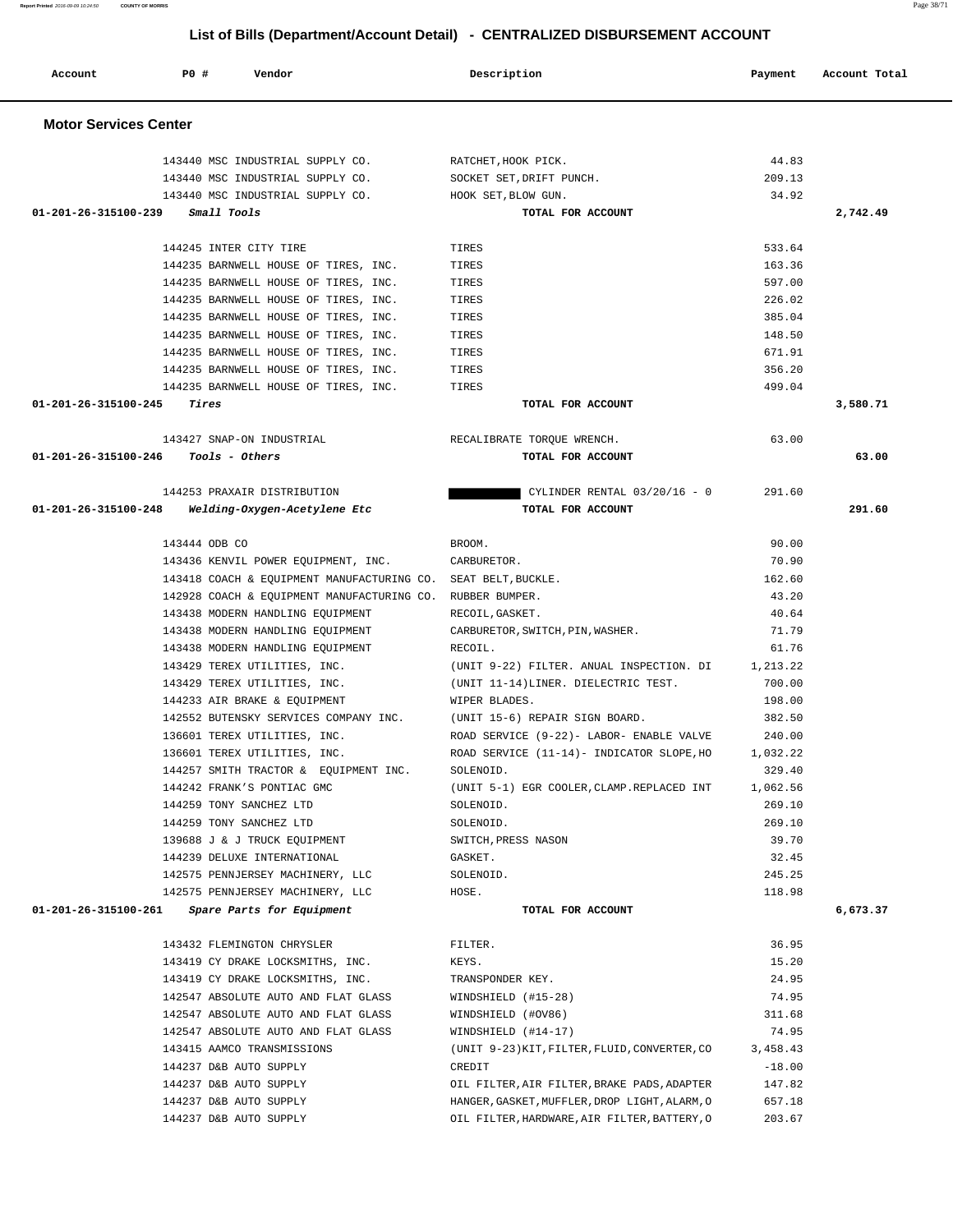| 143440 MSC INDUSTRIAL SUPPLY CO.                              | RATCHET, HOOK PICK.                               | 44.83    |          |
|---------------------------------------------------------------|---------------------------------------------------|----------|----------|
| 143440 MSC INDUSTRIAL SUPPLY CO.                              | SOCKET SET,DRIFT PUNCH.                           | 209.13   |          |
| 143440 MSC INDUSTRIAL SUPPLY CO.                              | HOOK SET, BLOW GUN.                               | 34.92    |          |
| 01-201-26-315100-239 Small Tools                              | TOTAL FOR ACCOUNT                                 |          | 2,742.49 |
|                                                               |                                                   |          |          |
| 144245 INTER CITY TIRE                                        | TIRES                                             | 533.64   |          |
| 144235 BARNWELL HOUSE OF TIRES, INC.                          | TIRES                                             | 163.36   |          |
| 144235 BARNWELL HOUSE OF TIRES, INC.                          | TIRES                                             | 597.00   |          |
| 144235 BARNWELL HOUSE OF TIRES, INC.                          | TIRES                                             | 226.02   |          |
| 144235 BARNWELL HOUSE OF TIRES, INC.                          | TIRES                                             | 385.04   |          |
| 144235 BARNWELL HOUSE OF TIRES, INC.                          | TIRES                                             | 148.50   |          |
| 144235 BARNWELL HOUSE OF TIRES, INC.                          | TIRES                                             | 671.91   |          |
| 144235 BARNWELL HOUSE OF TIRES, INC.                          | TIRES                                             | 356.20   |          |
| 144235 BARNWELL HOUSE OF TIRES, INC.                          | TIRES                                             | 499.04   |          |
| 01-201-26-315100-245<br>Tires                                 | TOTAL FOR ACCOUNT                                 |          | 3,580.71 |
|                                                               |                                                   |          |          |
| 143427 SNAP-ON INDUSTRIAL                                     | RECALIBRATE TORQUE WRENCH.                        | 63.00    |          |
| $01 - 201 - 26 - 315100 - 246$ Tools - Others                 | TOTAL FOR ACCOUNT                                 |          | 63.00    |
|                                                               |                                                   |          |          |
| 144253 PRAXAIR DISTRIBUTION                                   | CYLINDER RENTAL 03/20/16 - 0                      | 291.60   |          |
| 01-201-26-315100-248<br>Welding-Oxygen-Acetylene Etc          | TOTAL FOR ACCOUNT                                 |          | 291.60   |
|                                                               |                                                   |          |          |
| 143444 ODB CO                                                 | BROOM.                                            | 90.00    |          |
| 143436 KENVIL POWER EQUIPMENT, INC.                           | CARBURETOR.                                       | 70.90    |          |
| 143418 COACH & EQUIPMENT MANUFACTURING CO. SEAT BELT, BUCKLE. |                                                   | 162.60   |          |
| 142928 COACH & EQUIPMENT MANUFACTURING CO. RUBBER BUMPER.     |                                                   | 43.20    |          |
| 143438 MODERN HANDLING EQUIPMENT                              | RECOIL, GASKET.                                   | 40.64    |          |
| 143438 MODERN HANDLING EQUIPMENT                              | CARBURETOR, SWITCH, PIN, WASHER.                  | 71.79    |          |
| 143438 MODERN HANDLING EQUIPMENT                              | RECOIL.                                           | 61.76    |          |
| 143429 TEREX UTILITIES, INC.                                  | (UNIT 9-22) FILTER. ANUAL INSPECTION. DI 1,213.22 |          |          |
| 143429 TEREX UTILITIES, INC.                                  | (UNIT 11-14)LINER. DIELECTRIC TEST.               | 700.00   |          |
| 144233 AIR BRAKE & EQUIPMENT                                  | WIPER BLADES.                                     | 198.00   |          |
| 142552 BUTENSKY SERVICES COMPANY INC.                         | (UNIT 15-6) REPAIR SIGN BOARD.                    | 382.50   |          |
| 136601 TEREX UTILITIES, INC.                                  | ROAD SERVICE (9-22)- LABOR- ENABLE VALVE          | 240.00   |          |
| 136601 TEREX UTILITIES, INC.                                  | ROAD SERVICE (11-14) - INDICATOR SLOPE, HO        | 1,032.22 |          |
| 144257 SMITH TRACTOR & EQUIPMENT INC.                         | SOLENOID.                                         | 329.40   |          |
| 144242 FRANK'S PONTIAC GMC                                    | (UNIT 5-1) EGR COOLER, CLAMP.REPLACED INT         | 1,062.56 |          |
| 144259 TONY SANCHEZ LTD                                       | SOLENOID.                                         | 269.10   |          |
| 144259 TONY SANCHEZ LTD                                       | SOLENOID.                                         | 269.10   |          |
| 139688 J & J TRUCK EQUIPMENT                                  | SWITCH, PRESS NASON                               | 39.70    |          |
| 144239 DELUXE INTERNATIONAL                                   | GASKET.                                           | 32.45    |          |
| 142575 PENNJERSEY MACHINERY, LLC                              | SOLENOID.                                         | 245.25   |          |
| 142575 PENNJERSEY MACHINERY, LLC                              | HOSE.                                             | 118.98   |          |
| 01-201-26-315100-261<br>Spare Parts for Equipment             | TOTAL FOR ACCOUNT                                 |          | 6,673.37 |
|                                                               |                                                   |          |          |
| 143432 FLEMINGTON CHRYSLER                                    | FILTER.                                           | 36.95    |          |
| 143419 CY DRAKE LOCKSMITHS, INC.                              | KEYS.                                             | 15.20    |          |
| 143419 CY DRAKE LOCKSMITHS, INC.                              | TRANSPONDER KEY.                                  | 24.95    |          |
| 142547 ABSOLUTE AUTO AND FLAT GLASS                           | WINDSHIELD (#15-28)                               | 74.95    |          |
| 142547 ABSOLUTE AUTO AND FLAT GLASS                           | WINDSHIELD (#OV86)                                | 311.68   |          |
| 142547 ABSOLUTE AUTO AND FLAT GLASS                           | WINDSHIELD (#14-17)                               | 74.95    |          |
| 143415 AAMCO TRANSMISSIONS                                    | (UNIT 9-23) KIT, FILTER, FLUID, CONVERTER, CO     | 3,458.43 |          |
| 144237 D&B AUTO SUPPLY                                        | CREDIT                                            | $-18.00$ |          |
| 144237 D&B AUTO SUPPLY                                        | OIL FILTER, AIR FILTER, BRAKE PADS, ADAPTER       | 147.82   |          |
| 144237 D&B AUTO SUPPLY                                        | HANGER, GASKET, MUFFLER, DROP LIGHT, ALARM, O     | 657.18   |          |
| 144237 D&B AUTO SUPPLY                                        | OIL FILTER, HARDWARE, AIR FILTER, BATTERY, O      | 203.67   |          |

 **Account P0 # Vendor Description Payment Account Total**

 **Motor Services Center**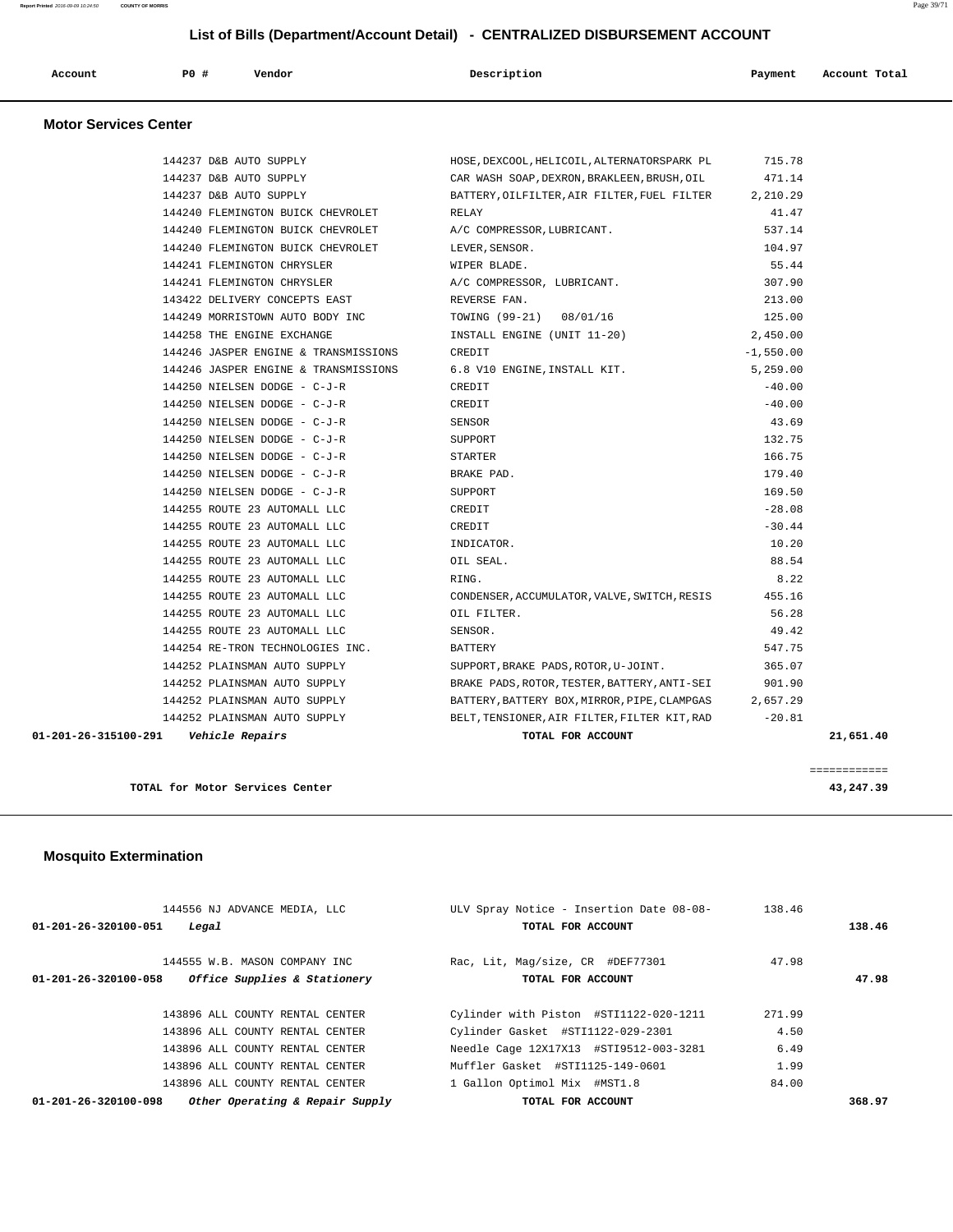| P0<br>Vendor<br>Description<br>Account<br>Payment<br>Account Total<br>.<br>. |  |
|------------------------------------------------------------------------------|--|
|------------------------------------------------------------------------------|--|

# **Motor Services Center**

| 01-201-26-315100-291    Vehicle Repairs                      | TOTAL FOR ACCOUNT                                                                 |             | 21,651.40 |
|--------------------------------------------------------------|-----------------------------------------------------------------------------------|-------------|-----------|
|                                                              | 144252 PLAINSMAN AUTO SUPPLY BELT, TENSIONER, AIR FILTER, FILTER KIT, RAD -20.81  |             |           |
|                                                              | 144252 PLAINSMAN AUTO SUPPLY BATTERY, BATTERY BOX, MIRROR, PIPE, CLAMPGAS         | 2,657.29    |           |
|                                                              | 144252 PLAINSMAN AUTO SUPPLY BRAKE PADS, ROTOR, TESTER, BATTERY, ANTI-SEI         | 901.90      |           |
| 144252 PLAINSMAN AUTO SUPPLY                                 | SUPPORT, BRAKE PADS, ROTOR, U-JOINT.                                              | 365.07      |           |
| 144254 RE-TRON TECHNOLOGIES INC.                             | BATTERY                                                                           | 547.75      |           |
| 144255 ROUTE 23 AUTOMALL LLC                                 | SENSOR.                                                                           | 49.42       |           |
| 144255 ROUTE 23 AUTOMALL LLC 61 CIL FILTER.                  |                                                                                   | 56.28       |           |
|                                                              | 144255 ROUTE 23 AUTOMALL LLC CONDENSER, ACCUMULATOR, VALVE, SWITCH, RESIS         | 455.16      |           |
| 144255 ROUTE 23 AUTOMALL LLC                                 | RING.                                                                             | 8.22        |           |
| 144255 ROUTE 23 AUTOMALL LLC                                 | OIL SEAL.                                                                         | 88.54       |           |
| 144255 ROUTE 23 AUTOMALL LLC                                 | INDICATOR.                                                                        | 10.20       |           |
| 144255 ROUTE 23 AUTOMALL LLC CREDIT                          |                                                                                   | $-30.44$    |           |
| 144255 ROUTE 23 AUTOMALL LLC CREDIT                          |                                                                                   | $-28.08$    |           |
| 144250 NIELSEN DODGE - C-J-R SUPPORT                         |                                                                                   | 169.50      |           |
| 144250 NIELSEN DODGE - C-J-R                                 | BRAKE PAD.                                                                        | 179.40      |           |
| 144250 NIELSEN DODGE - C-J-R                                 | <b>STARTER</b>                                                                    | 166.75      |           |
| 144250 NIELSEN DODGE - C-J-R SUPPORT                         |                                                                                   | 132.75      |           |
| 144250 NIELSEN DODGE - C-J-R                                 | SENSOR                                                                            | 43.69       |           |
| 144250 NIELSEN DODGE - C-J-R CREDIT                          |                                                                                   | $-40.00$    |           |
| 144250 NIELSEN DODGE - C-J-R                                 | CREDIT                                                                            | $-40.00$    |           |
| 144246 JASPER ENGINE & TRANSMISSIONS                         | 6.8 V10 ENGINE, INSTALL KIT.                                                      | 5,259.00    |           |
| 144246 JASPER ENGINE & TRANSMISSIONS                         | CREDIT                                                                            | $-1,550.00$ |           |
| 144258 THE ENGINE EXCHANGE                                   | INSTALL ENGINE (UNIT 11-20) 2,450.00                                              |             |           |
| 144249 MORRISTOWN AUTO BODY INC TOWING (99-21) 08/01/16      |                                                                                   | 125.00      |           |
| 143422 DELIVERY CONCEPTS EAST REVERSE FAN.                   |                                                                                   | 213.00      |           |
| 144241 FLEMINGTON CHRYSLER                                   | A/C COMPRESSOR, LUBRICANT.                                                        | 307.90      |           |
| 144241 FLEMINGTON CHRYSLER                                   | WIPER BLADE.                                                                      | 55.44       |           |
| 144240 FLEMINGTON BUICK CHEVROLET                            | LEVER, SENSOR.                                                                    | 104.97      |           |
| 144240 FLEMINGTON BUICK CHEVROLET A/C COMPRESSOR, LUBRICANT. |                                                                                   | 537.14      |           |
| 144240 FLEMINGTON BUICK CHEVROLET RELAY                      |                                                                                   | 41.47       |           |
| 144237 D&B AUTO SUPPLY                                       | BATTERY, OILFILTER, AIR FILTER, FUEL FILTER 2, 210.29                             |             |           |
| 144237 D&B AUTO SUPPLY                                       | CAR WASH SOAP, DEXRON, BRAKLEEN, BRUSH, OIL                                       | 471.14      |           |
|                                                              | 144237 D&B AUTO SUPPLY TIS.78 (NOSE, DEXCOOL, HELICOIL, ALTERNATORSPARK PL 715.78 |             |           |
|                                                              |                                                                                   |             |           |

**TOTAL for Motor Services Center 43,247.39**

============

# **Mosquito Extermination**

| 144556 NJ ADVANCE MEDIA, LLC                            | ULV Spray Notice - Insertion Date 08-08- | 138.46 |        |
|---------------------------------------------------------|------------------------------------------|--------|--------|
| $01 - 201 - 26 - 320100 - 051$<br>Legal                 | TOTAL FOR ACCOUNT                        |        | 138.46 |
| 144555 W.B. MASON COMPANY INC                           | Rac, Lit, Mag/size, CR #DEF77301         | 47.98  |        |
| Office Supplies & Stationery<br>01-201-26-320100-058    | TOTAL FOR ACCOUNT                        |        | 47.98  |
| 143896 ALL COUNTY RENTAL CENTER                         | Cylinder with Piston #STI1122-020-1211   | 271.99 |        |
| 143896 ALL COUNTY RENTAL CENTER                         | Cylinder Gasket #STI1122-029-2301        | 4.50   |        |
| 143896 ALL COUNTY RENTAL CENTER                         | Needle Cage 12X17X13 #STI9512-003-3281   | 6.49   |        |
| 143896 ALL COUNTY RENTAL CENTER                         | Muffler Gasket #STI1125-149-0601         | 1.99   |        |
| 143896 ALL COUNTY RENTAL CENTER                         | 1 Gallon Optimol Mix #MST1.8             | 84.00  |        |
| Other Operating & Repair Supply<br>01-201-26-320100-098 | TOTAL FOR ACCOUNT                        |        | 368.97 |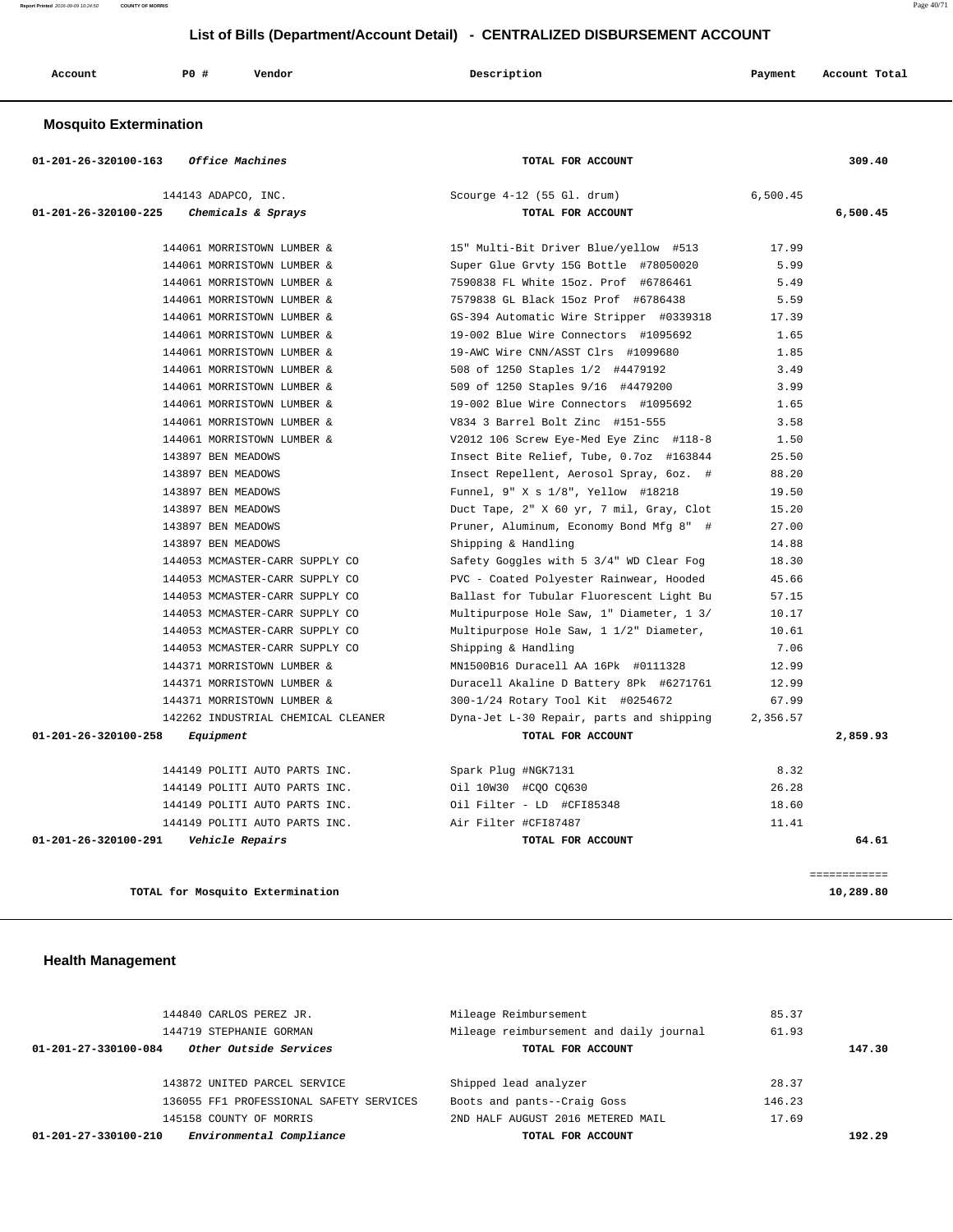**Report Printed** 2016-09-09 10:24:50 **COUNTY OF MORRIS** Page 40/71

# **List of Bills (Department/Account Detail) - CENTRALIZED DISBURSEMENT ACCOUNT**

| <b>PO #</b><br>Vendor<br>Description<br>Account<br>Payment<br>Account Total |  |
|-----------------------------------------------------------------------------|--|
|-----------------------------------------------------------------------------|--|

# **Mosquito Extermination**

| 01-201-26-320100-163 | Office Machines                                         | TOTAL FOR ACCOUNT                        |          | 309.40   |
|----------------------|---------------------------------------------------------|------------------------------------------|----------|----------|
|                      | 144143 ADAPCO, INC.                                     | Scourge 4-12 (55 Gl. drum)               | 6,500.45 |          |
| 01-201-26-320100-225 | <i>Chemicals &amp; Sprays</i>                           | TOTAL FOR ACCOUNT                        |          | 6,500.45 |
|                      | 144061 MORRISTOWN LUMBER &                              | 15" Multi-Bit Driver Blue/yellow #513    | 17.99    |          |
|                      | 144061 MORRISTOWN LUMBER &                              | Super Glue Grvty 15G Bottle #78050020    | 5.99     |          |
|                      | 144061 MORRISTOWN LUMBER &                              | 7590838 FL White 15oz. Prof #6786461     | 5.49     |          |
|                      | 144061 MORRISTOWN LUMBER &                              | 7579838 GL Black 15oz Prof #6786438      | 5.59     |          |
|                      | 144061 MORRISTOWN LUMBER &                              | GS-394 Automatic Wire Stripper #0339318  | 17.39    |          |
|                      | 144061 MORRISTOWN LUMBER &                              | 19-002 Blue Wire Connectors #1095692     | 1.65     |          |
|                      | 144061 MORRISTOWN LUMBER &                              | 19-AWC Wire CNN/ASST Clrs #1099680       | 1.85     |          |
|                      | 144061 MORRISTOWN LUMBER &                              | 508 of 1250 Staples 1/2 #4479192         | 3.49     |          |
|                      | 144061 MORRISTOWN LUMBER &                              | 509 of 1250 Staples 9/16 #4479200        | 3.99     |          |
|                      | 144061 MORRISTOWN LUMBER &                              | 19-002 Blue Wire Connectors #1095692     | 1.65     |          |
|                      | 144061 MORRISTOWN LUMBER &                              | V834 3 Barrel Bolt Zinc #151-555         | 3.58     |          |
|                      | 144061 MORRISTOWN LUMBER &                              | V2012 106 Screw Eye-Med Eye Zinc #118-8  | 1.50     |          |
|                      | 143897 BEN MEADOWS                                      | Insect Bite Relief, Tube, 0.7oz #163844  | 25.50    |          |
|                      | 143897 BEN MEADOWS                                      | Insect Repellent, Aerosol Spray, 60z. #  | 88.20    |          |
|                      | 143897 BEN MEADOWS                                      | Funnel, 9" X s 1/8", Yellow #18218       | 19.50    |          |
|                      | 143897 BEN MEADOWS                                      | Duct Tape, 2" X 60 yr, 7 mil, Gray, Clot | 15.20    |          |
|                      | 143897 BEN MEADOWS                                      | Pruner, Aluminum, Economy Bond Mfg 8" #  | 27.00    |          |
|                      | 143897 BEN MEADOWS                                      | Shipping & Handling                      | 14.88    |          |
|                      | 144053 MCMASTER-CARR SUPPLY CO                          | Safety Goggles with 5 3/4" WD Clear Fog  | 18.30    |          |
|                      | 144053 MCMASTER-CARR SUPPLY CO                          | PVC - Coated Polyester Rainwear, Hooded  | 45.66    |          |
|                      | 144053 MCMASTER-CARR SUPPLY CO                          | Ballast for Tubular Fluorescent Light Bu | 57.15    |          |
|                      | 144053 MCMASTER-CARR SUPPLY CO                          | Multipurpose Hole Saw, 1" Diameter, 1 3/ | 10.17    |          |
|                      | 144053 MCMASTER-CARR SUPPLY CO                          | Multipurpose Hole Saw, 1 1/2" Diameter,  | 10.61    |          |
|                      | 144053 MCMASTER-CARR SUPPLY CO                          | Shipping & Handling                      | 7.06     |          |
|                      | 144371 MORRISTOWN LUMBER &                              | MN1500B16 Duracell AA 16Pk #0111328      | 12.99    |          |
|                      | 144371 MORRISTOWN LUMBER &                              | Duracell Akaline D Battery 8Pk #6271761  | 12.99    |          |
|                      | 144371 MORRISTOWN LUMBER &                              | 300-1/24 Rotary Tool Kit #0254672        | 67.99    |          |
|                      | 142262 INDUSTRIAL CHEMICAL CLEANER                      | Dyna-Jet L-30 Repair, parts and shipping | 2,356.57 |          |
| 01-201-26-320100-258 | Equipment                                               | TOTAL FOR ACCOUNT                        |          | 2,859.93 |
|                      | 144149 POLITI AUTO PARTS INC.                           | Spark Plug #NGK7131                      | 8.32     |          |
|                      | 144149 POLITI AUTO PARTS INC.                           | Oil 10W30 #CQO CQ630                     | 26.28    |          |
|                      | 144149 POLITI AUTO PARTS INC. Oil Filter - LD #CFI85348 |                                          | 18.60    |          |
|                      | 144149 POLITI AUTO PARTS INC.                           | Air Filter #CFI87487                     | 11.41    |          |
| 01-201-26-320100-291 | <i><b>Vehicle Repairs</b></i>                           | TOTAL FOR ACCOUNT                        |          | 64.61    |

**TOTAL for Mosquito Extermination 10,289.80**

# **Health Management**

| 144840 CARLOS PEREZ JR.                          | Mileage Reimbursement                   | 85.37  |        |
|--------------------------------------------------|-----------------------------------------|--------|--------|
| 144719 STEPHANIE GORMAN                          | Mileage reimbursement and daily journal | 61.93  |        |
| Other Outside Services<br>01-201-27-330100-084   | TOTAL FOR ACCOUNT                       |        | 147.30 |
|                                                  |                                         |        |        |
| 143872 UNITED PARCEL SERVICE                     | Shipped lead analyzer                   | 28.37  |        |
| 136055 FF1 PROFESSIONAL SAFETY SERVICES          | Boots and pants--Craig Goss             | 146.23 |        |
| 145158 COUNTY OF MORRIS                          | 2ND HALF AUGUST 2016 METERED MAIL       | 17.69  |        |
| Environmental Compliance<br>01-201-27-330100-210 | TOTAL FOR ACCOUNT                       |        | 192.29 |

============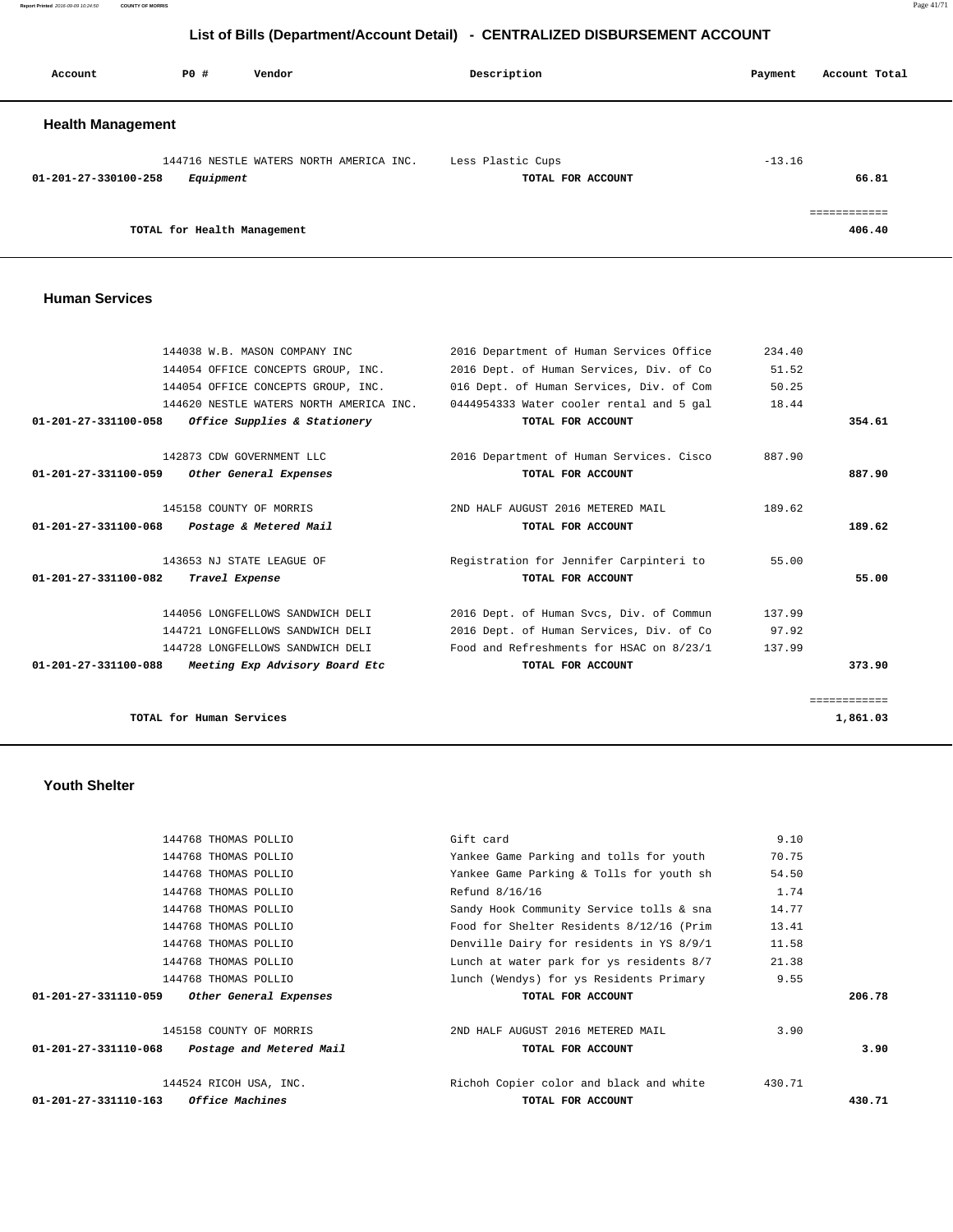**Report Printed** 2016-09-09 10:24:50 **COUNTY OF MORRIS** Page 41/71

# **List of Bills (Department/Account Detail) - CENTRALIZED DISBURSEMENT ACCOUNT**

| Account                  | PO#                         | Vendor                                  | Description                            | Account Total<br>Payment |
|--------------------------|-----------------------------|-----------------------------------------|----------------------------------------|--------------------------|
| <b>Health Management</b> |                             |                                         |                                        |                          |
| 01-201-27-330100-258     | Equipment                   | 144716 NESTLE WATERS NORTH AMERICA INC. | Less Plastic Cups<br>TOTAL FOR ACCOUNT | $-13.16$<br>66.81        |
|                          | TOTAL for Health Management |                                         |                                        | essessessess<br>406.40   |

### **Human Services**

| 144038 W.B. MASON COMPANY INC                                    | 2016 Department of Human Services Office | 234.40 |              |
|------------------------------------------------------------------|------------------------------------------|--------|--------------|
| 144054 OFFICE CONCEPTS GROUP, INC.                               | 2016 Dept. of Human Services, Div. of Co | 51.52  |              |
| 144054 OFFICE CONCEPTS GROUP, INC.                               | 016 Dept. of Human Services, Div. of Com | 50.25  |              |
| 144620 NESTLE WATERS NORTH AMERICA INC.                          | 0444954333 Water cooler rental and 5 gal | 18.44  |              |
| Office Supplies & Stationery<br>01-201-27-331100-058             | TOTAL FOR ACCOUNT                        |        | 354.61       |
| 142873 CDW GOVERNMENT LLC                                        | 2016 Department of Human Services. Cisco | 887.90 |              |
| Other General Expenses<br>01-201-27-331100-059                   | TOTAL FOR ACCOUNT                        |        | 887.90       |
| 145158 COUNTY OF MORRIS                                          | 2ND HALF AUGUST 2016 METERED MAIL        | 189.62 |              |
| 01-201-27-331100-068<br>Postage & Metered Mail                   | TOTAL FOR ACCOUNT                        |        | 189.62       |
| 143653 NJ STATE LEAGUE OF                                        | Registration for Jennifer Carpinteri to  | 55.00  |              |
| 01-201-27-331100-082<br>Travel Expense                           | TOTAL FOR ACCOUNT                        |        | 55.00        |
| 144056 LONGFELLOWS SANDWICH DELI                                 | 2016 Dept. of Human Svcs, Div. of Commun | 137.99 |              |
| 144721 LONGFELLOWS SANDWICH DELI                                 | 2016 Dept. of Human Services, Div. of Co | 97.92  |              |
| 144728 LONGFELLOWS SANDWICH DELI                                 | Food and Refreshments for HSAC on 8/23/1 | 137.99 |              |
| $01 - 201 - 27 - 331100 - 088$<br>Meeting Exp Advisory Board Etc | TOTAL FOR ACCOUNT                        |        | 373.90       |
|                                                                  |                                          |        | ============ |
| TOTAL for Human Services                                         |                                          |        | 1,861.03     |

# **Youth Shelter**

| <i><b>Office Machines</b></i><br>01-201-27-331110-163 | TOTAL FOR ACCOUNT                        |        | 430.71 |
|-------------------------------------------------------|------------------------------------------|--------|--------|
| 144524 RICOH USA, INC.                                | Richoh Copier color and black and white  | 430.71 |        |
| 01-201-27-331110-068<br>Postage and Metered Mail      | TOTAL FOR ACCOUNT                        |        | 3.90   |
| 145158 COUNTY OF MORRIS                               | 2ND HALF AUGUST 2016 METERED MAIL        | 3.90   |        |
| 01-201-27-331110-059<br>Other General Expenses        | TOTAL FOR ACCOUNT                        |        | 206.78 |
| 144768 THOMAS POLLIO                                  | lunch (Wendys) for ys Residents Primary  | 9.55   |        |
| 144768 THOMAS POLLIO                                  | Lunch at water park for ys residents 8/7 | 21.38  |        |
| 144768 THOMAS POLLIO                                  | Denville Dairy for residents in YS 8/9/1 | 11.58  |        |
| 144768 THOMAS POLLIO                                  | Food for Shelter Residents 8/12/16 (Prim | 13.41  |        |
| 144768 THOMAS POLLIO                                  | Sandy Hook Community Service tolls & sna | 14.77  |        |
| 144768 THOMAS POLLIO                                  | Refund 8/16/16                           | 1.74   |        |
| 144768 THOMAS POLLIO                                  | Yankee Game Parking & Tolls for youth sh | 54.50  |        |
| 144768 THOMAS POLLIO                                  | Yankee Game Parking and tolls for youth  | 70.75  |        |
| 144768 THOMAS POLLIO                                  | Gift card                                | 9.10   |        |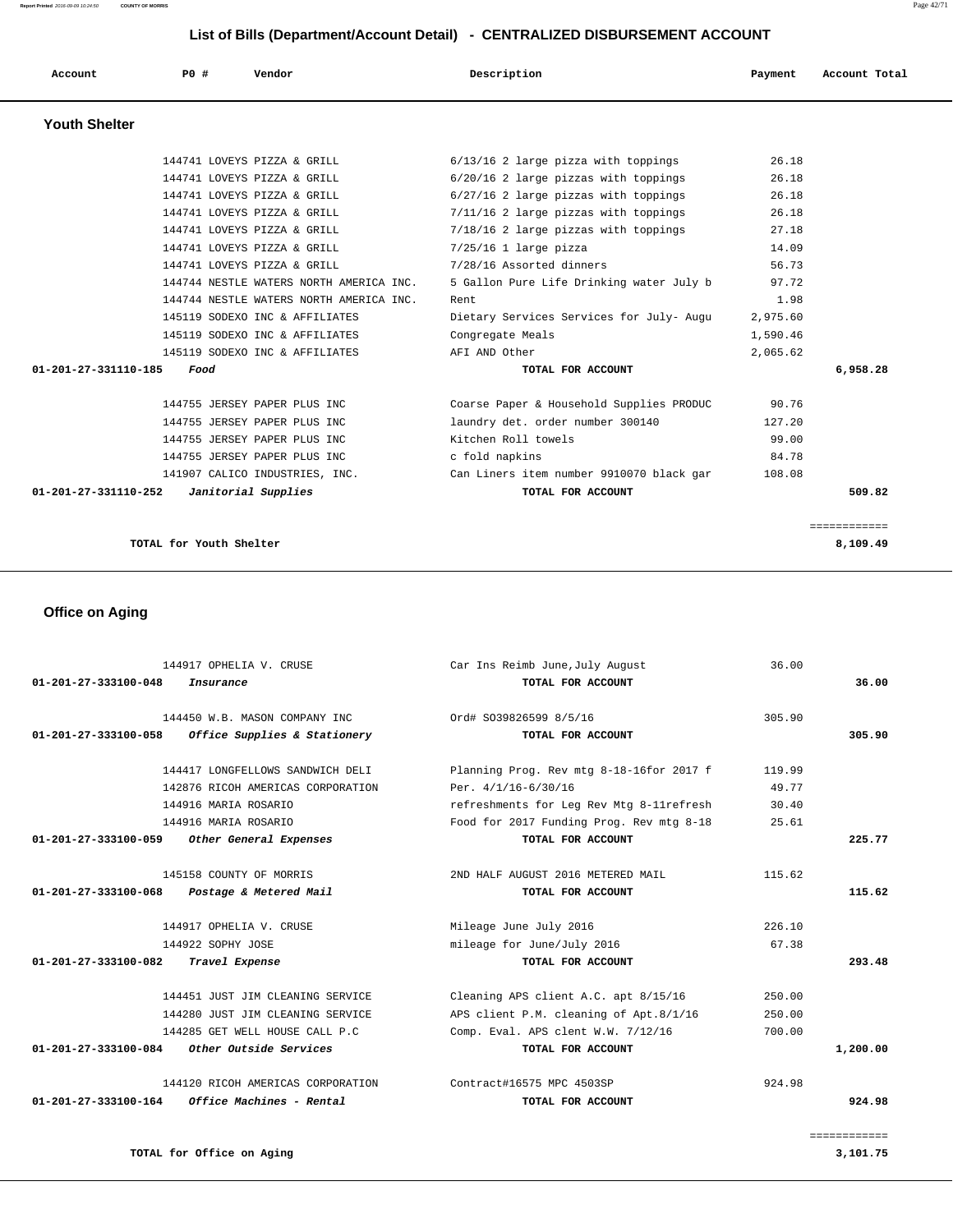| Account              | <b>PO #</b> | Vendor                                  | Description                              | Payment  | Account Total |
|----------------------|-------------|-----------------------------------------|------------------------------------------|----------|---------------|
| <b>Youth Shelter</b> |             |                                         |                                          |          |               |
|                      |             | 144741 LOVEYS PIZZA & GRILL             | 6/13/16 2 large pizza with toppings      | 26.18    |               |
|                      |             | 144741 LOVEYS PIZZA & GRILL             | 6/20/16 2 large pizzas with toppings     | 26.18    |               |
|                      |             | 144741 LOVEYS PIZZA & GRILL             | 6/27/16 2 large pizzas with toppings     | 26.18    |               |
|                      |             | 144741 LOVEYS PIZZA & GRILL             | 7/11/16 2 large pizzas with toppings     | 26.18    |               |
|                      |             | 144741 LOVEYS PIZZA & GRILL             | 7/18/16 2 large pizzas with toppings     | 27.18    |               |
|                      |             | 144741 LOVEYS PIZZA & GRILL             | $7/25/16$ 1 large pizza                  | 14.09    |               |
|                      |             | 144741 LOVEYS PIZZA & GRILL             | 7/28/16 Assorted dinners                 | 56.73    |               |
|                      |             | 144744 NESTLE WATERS NORTH AMERICA INC. | 5 Gallon Pure Life Drinking water July b | 97.72    |               |
|                      |             | 144744 NESTLE WATERS NORTH AMERICA INC. | Rent                                     | 1.98     |               |
|                      |             | 145119 SODEXO INC & AFFILIATES          | Dietary Services Services for July- Augu | 2,975.60 |               |
|                      |             | 145119 SODEXO INC & AFFILIATES          | Congregate Meals                         | 1,590.46 |               |
|                      |             | 145119 SODEXO INC & AFFILIATES          | AFT AND Other                            | 2,065.62 |               |
| 01-201-27-331110-185 | Food        |                                         | TOTAL FOR ACCOUNT                        |          | 6,958.28      |
|                      |             | 144755 JERSEY PAPER PLUS INC            | Coarse Paper & Household Supplies PRODUC | 90.76    |               |
|                      |             | 144755 JERSEY PAPER PLUS INC            | laundry det. order number 300140         | 127.20   |               |
|                      |             | 144755 JERSEY PAPER PLUS INC            | Kitchen Roll towels                      | 99.00    |               |
|                      |             | 144755 JERSEY PAPER PLUS INC            | c fold napkins                           | 84.78    |               |
|                      |             | 141907 CALICO INDUSTRIES, INC.          | Can Liners item number 9910070 black gar | 108.08   |               |
| 01-201-27-331110-252 |             | Janitorial Supplies                     | TOTAL FOR ACCOUNT                        |          | 509.82        |

============

```
 TOTAL for Youth Shelter 8,109.49
```
# **Office on Aging**

| 144917 OPHELIA V. CRUSE                               | Car Ins Reimb June, July August           | 36.00  |              |
|-------------------------------------------------------|-------------------------------------------|--------|--------------|
| 01-201-27-333100-048<br>Insurance                     | TOTAL FOR ACCOUNT                         |        | 36.00        |
| 144450 W.B. MASON COMPANY INC                         | Ord# S039826599 8/5/16                    | 305.90 |              |
| Office Supplies & Stationery<br>01-201-27-333100-058  | TOTAL FOR ACCOUNT                         |        | 305.90       |
| 144417 LONGFELLOWS SANDWICH DELI                      | Planning Prog. Rev mtg 8-18-16for 2017 f  | 119.99 |              |
| 142876 RICOH AMERICAS CORPORATION                     | Per. 4/1/16-6/30/16                       | 49.77  |              |
| 144916 MARIA ROSARIO                                  | refreshments for Leq Rev Mtq 8-11 refresh | 30.40  |              |
| 144916 MARIA ROSARIO                                  | Food for 2017 Funding Prog. Rev mtg 8-18  | 25.61  |              |
| Other General Expenses<br>01-201-27-333100-059        | TOTAL FOR ACCOUNT                         |        | 225.77       |
| 145158 COUNTY OF MORRIS                               | 2ND HALF AUGUST 2016 METERED MAIL         | 115.62 |              |
| 01-201-27-333100-068 Postage & Metered Mail           | TOTAL FOR ACCOUNT                         |        | 115.62       |
| 144917 OPHELIA V. CRUSE                               | Mileage June July 2016                    | 226.10 |              |
| 144922 SOPHY JOSE                                     | mileage for June/July 2016                | 67.38  |              |
| 01-201-27-333100-082<br>Travel Expense                | TOTAL FOR ACCOUNT                         |        | 293.48       |
| 144451 JUST JIM CLEANING SERVICE                      | Cleaning APS client A.C. apt 8/15/16      | 250.00 |              |
| 144280 JUST JIM CLEANING SERVICE                      | APS client P.M. cleaning of Apt.8/1/16    | 250.00 |              |
| 144285 GET WELL HOUSE CALL P.C                        | Comp. Eval. APS clent W.W. 7/12/16        | 700.00 |              |
| 01-201-27-333100-084<br><i>Other Outside Services</i> | TOTAL FOR ACCOUNT                         |        | 1,200.00     |
| 144120 RICOH AMERICAS CORPORATION                     | Contract#16575 MPC 4503SP                 | 924.98 |              |
| 01-201-27-333100-164<br>Office Machines - Rental      | TOTAL FOR ACCOUNT                         |        | 924.98       |
|                                                       |                                           |        | ============ |

**TOTAL for Office on Aging 3,101.75** 3,101.75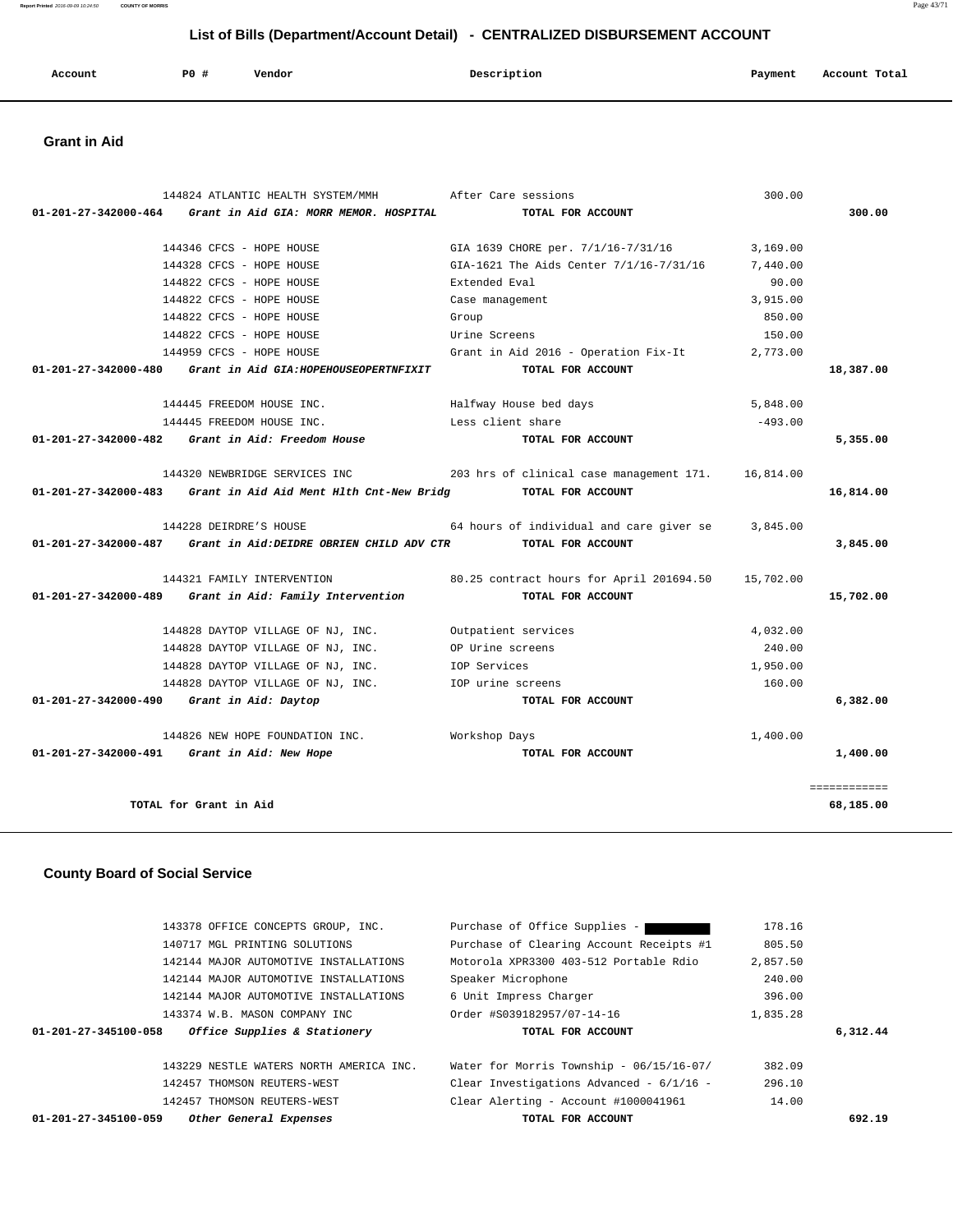| Account<br>. | <b>PO #</b> | Vendor | Description | Payment | Account Total |
|--------------|-------------|--------|-------------|---------|---------------|
|              |             |        |             |         |               |

# **Grant in Aid**

| 144824 ATLANTIC HEALTH SYSTEM/MMH                                               | After Care sessions                                                    | 300.00    |              |
|---------------------------------------------------------------------------------|------------------------------------------------------------------------|-----------|--------------|
| $01-201-27-342000-464$ Grant in Aid GIA: MORR MEMOR. HOSPITAL                   | TOTAL FOR ACCOUNT                                                      |           | 300.00       |
| 144346 CFCS - HOPE HOUSE                                                        | GIA 1639 CHORE per. 7/1/16-7/31/16                                     | 3,169.00  |              |
| 144328 CFCS - HOPE HOUSE                                                        | GIA-1621 The Aids Center 7/1/16-7/31/16                                | 7,440.00  |              |
| 144822 CFCS - HOPE HOUSE                                                        | Extended Eval                                                          | 90.00     |              |
| 144822 CFCS - HOPE HOUSE                                                        | Case management                                                        | 3,915.00  |              |
| 144822 CFCS - HOPE HOUSE                                                        | Group                                                                  | 850.00    |              |
| 144822 CFCS - HOPE HOUSE                                                        | Urine Screens                                                          | 150.00    |              |
| 144959 CFCS - HOPE HOUSE                                                        | Grant in Aid 2016 - Operation Fix-It $2,773.00$                        |           |              |
| 01-201-27-342000-480 Grant in Aid GIA: HOPEHOUSEOPERTNFIXIT                     | TOTAL FOR ACCOUNT                                                      |           | 18,387.00    |
| 144445 FREEDOM HOUSE INC.                                                       | Halfway House bed days                                                 | 5,848.00  |              |
| 144445 FREEDOM HOUSE INC.                                                       | Less client share                                                      | $-493.00$ |              |
| $01-201-27-342000-482$ Grant in Aid: Freedom House                              | TOTAL FOR ACCOUNT                                                      |           | 5,355.00     |
|                                                                                 | 144320 NEWBRIDGE SERVICES INC 203 hrs of clinical case management 171. | 16,814.00 |              |
| 01-201-27-342000-483 Grant in Aid Aid Ment Hlth Cnt-New Bridg TOTAL FOR ACCOUNT |                                                                        |           | 16,814.00    |
| 144228 DEIRDRE'S HOUSE                                                          | 64 hours of individual and care giver $se$ 3,845.00                    |           |              |
| 01-201-27-342000-487 Grant in Aid:DEIDRE OBRIEN CHILD ADV CTR TOTAL FOR ACCOUNT |                                                                        |           | 3,845.00     |
| 144321 FAMILY INTERVENTION                                                      | 80.25 contract hours for April 201694.50                               | 15,702.00 |              |
| 01-201-27-342000-489 Grant in Aid: Family Intervention                          | TOTAL FOR ACCOUNT                                                      |           | 15,702.00    |
| 144828 DAYTOP VILLAGE OF NJ, INC.                                               | Outpatient services                                                    | 4,032.00  |              |
| 144828 DAYTOP VILLAGE OF NJ, INC.                                               | OP Urine screens                                                       | 240.00    |              |
| 144828 DAYTOP VILLAGE OF NJ, INC.                                               | IOP Services                                                           | 1,950.00  |              |
| 144828 DAYTOP VILLAGE OF NJ, INC.                                               | IOP urine screens                                                      | 160.00    |              |
| 01-201-27-342000-490 Grant in Aid: Daytop                                       | TOTAL FOR ACCOUNT                                                      |           | 6,382.00     |
| 144826 NEW HOPE FOUNDATION INC. Workshop Days                                   |                                                                        | 1,400.00  |              |
| 01-201-27-342000-491 Grant in Aid: New Hope                                     | TOTAL FOR ACCOUNT                                                      |           | 1,400.00     |
|                                                                                 |                                                                        |           | ============ |
| TOTAL for Grant in Aid                                                          |                                                                        |           | 68,185.00    |
|                                                                                 |                                                                        |           |              |

# **County Board of Social Service**

| 143378 OFFICE CONCEPTS GROUP, INC.                   | Purchase of Office Supplies -            | 178.16   |          |
|------------------------------------------------------|------------------------------------------|----------|----------|
| 140717 MGL PRINTING SOLUTIONS                        | Purchase of Clearing Account Receipts #1 | 805.50   |          |
| 142144 MAJOR AUTOMOTIVE INSTALLATIONS                | Motorola XPR3300 403-512 Portable Rdio   | 2,857.50 |          |
| 142144 MAJOR AUTOMOTIVE INSTALLATIONS                | Speaker Microphone                       | 240.00   |          |
| 142144 MAJOR AUTOMOTIVE INSTALLATIONS                | 6 Unit Impress Charger                   | 396.00   |          |
| 143374 W.B. MASON COMPANY INC                        | Order #S039182957/07-14-16               | 1,835.28 |          |
|                                                      |                                          |          |          |
| Office Supplies & Stationery<br>01-201-27-345100-058 | TOTAL FOR ACCOUNT                        |          | 6,312.44 |
|                                                      |                                          |          |          |
| 143229 NESTLE WATERS NORTH AMERICA INC.              | Water for Morris Township - 06/15/16-07/ | 382.09   |          |
| 142457 THOMSON REUTERS-WEST                          | Clear Investigations Advanced - 6/1/16 - | 296.10   |          |
| 142457 THOMSON REUTERS-WEST                          | Clear Alerting - Account #1000041961     | 14.00    |          |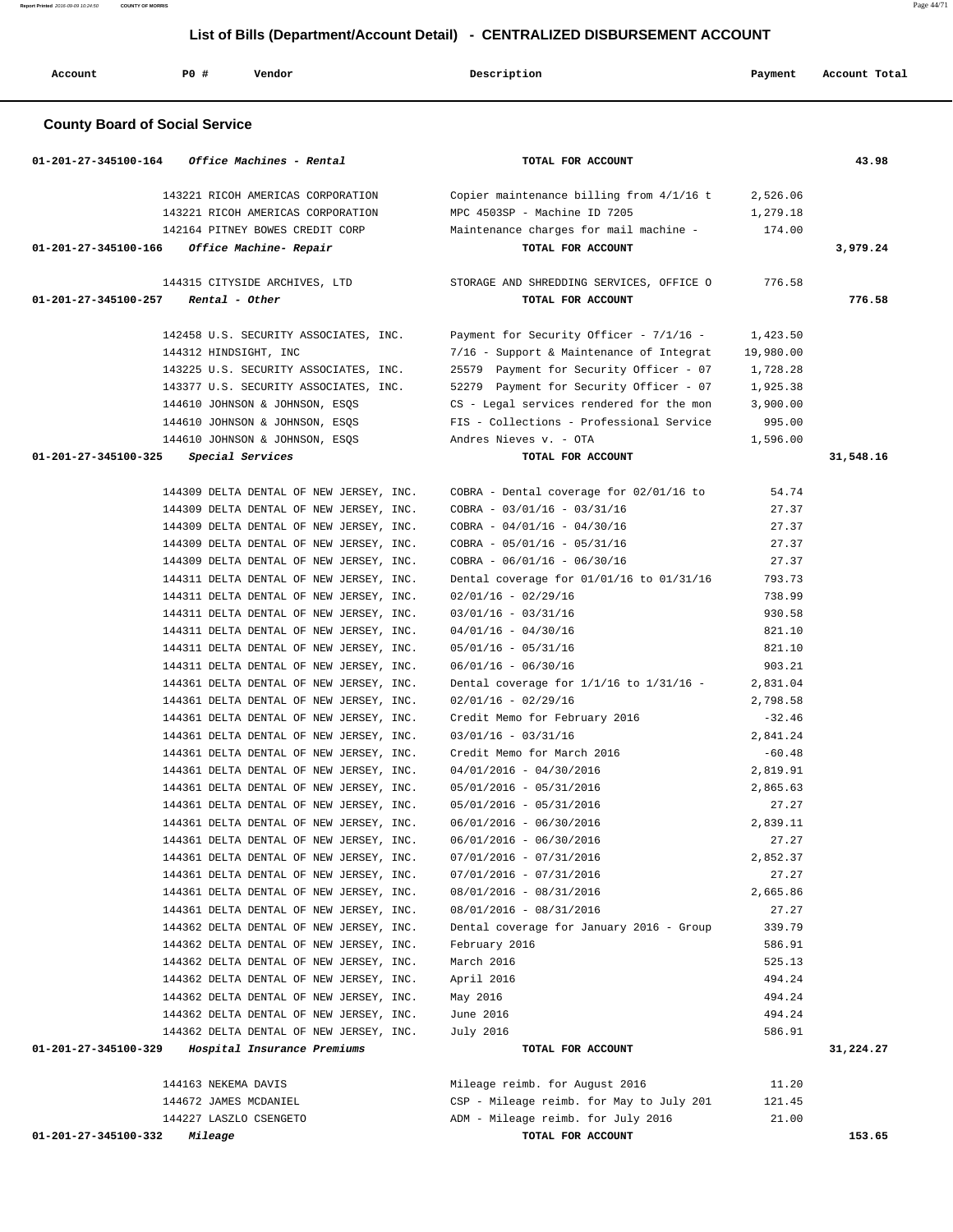| Account<br>PO#<br>Vendor                                                                                  | Description                                                                                                        | Payment                        | Account Total |
|-----------------------------------------------------------------------------------------------------------|--------------------------------------------------------------------------------------------------------------------|--------------------------------|---------------|
| <b>County Board of Social Service</b>                                                                     |                                                                                                                    |                                |               |
| Office Machines - Rental<br>01-201-27-345100-164                                                          | TOTAL FOR ACCOUNT                                                                                                  |                                | 43.98         |
| 143221 RICOH AMERICAS CORPORATION<br>143221 RICOH AMERICAS CORPORATION<br>142164 PITNEY BOWES CREDIT CORP | Copier maintenance billing from 4/1/16 t<br>MPC 4503SP - Machine ID 7205<br>Maintenance charges for mail machine - | 2,526.06<br>1,279.18<br>174.00 |               |
| 01-201-27-345100-166<br>Office Machine- Repair                                                            | TOTAL FOR ACCOUNT                                                                                                  |                                | 3,979.24      |
| 144315 CITYSIDE ARCHIVES, LTD<br>Rental - Other<br>01-201-27-345100-257                                   | STORAGE AND SHREDDING SERVICES, OFFICE O<br>TOTAL FOR ACCOUNT                                                      | 776.58                         | 776.58        |
|                                                                                                           |                                                                                                                    |                                |               |
| 142458 U.S. SECURITY ASSOCIATES, INC.<br>144312 HINDSIGHT, INC                                            | Payment for Security Officer - 7/1/16 -<br>7/16 - Support & Maintenance of Integrat                                | 1,423.50<br>19,980.00          |               |
| 143225 U.S. SECURITY ASSOCIATES, INC.                                                                     | 25579 Payment for Security Officer - 07                                                                            | 1,728.28                       |               |
| 143377 U.S. SECURITY ASSOCIATES, INC.                                                                     | 52279 Payment for Security Officer - 07                                                                            | 1,925.38                       |               |
| 144610 JOHNSON & JOHNSON, ESQS                                                                            | CS - Legal services rendered for the mon                                                                           | 3,900.00                       |               |
| 144610 JOHNSON & JOHNSON, ESQS                                                                            | FIS - Collections - Professional Service                                                                           | 995.00                         |               |
| 144610 JOHNSON & JOHNSON, ESQS                                                                            | Andres Nieves v. - OTA                                                                                             | 1,596.00                       |               |
| 01-201-27-345100-325<br>Special Services                                                                  | TOTAL FOR ACCOUNT                                                                                                  |                                | 31,548.16     |
| 144309 DELTA DENTAL OF NEW JERSEY, INC.                                                                   | COBRA - Dental coverage for 02/01/16 to                                                                            | 54.74                          |               |
| 144309 DELTA DENTAL OF NEW JERSEY, INC.                                                                   | $COBRA - 03/01/16 - 03/31/16$                                                                                      | 27.37                          |               |
| 144309 DELTA DENTAL OF NEW JERSEY, INC.                                                                   | $COBRA - 04/01/16 - 04/30/16$                                                                                      | 27.37                          |               |
| 144309 DELTA DENTAL OF NEW JERSEY, INC.                                                                   | $COBRA - 05/01/16 - 05/31/16$                                                                                      | 27.37                          |               |
| 144309 DELTA DENTAL OF NEW JERSEY, INC.                                                                   | $COBRA - 06/01/16 - 06/30/16$                                                                                      | 27.37                          |               |
| 144311 DELTA DENTAL OF NEW JERSEY, INC.                                                                   | Dental coverage for 01/01/16 to 01/31/16                                                                           | 793.73<br>738.99               |               |
| 144311 DELTA DENTAL OF NEW JERSEY, INC.<br>144311 DELTA DENTAL OF NEW JERSEY, INC.                        | $02/01/16 - 02/29/16$<br>$03/01/16 - 03/31/16$                                                                     | 930.58                         |               |
| 144311 DELTA DENTAL OF NEW JERSEY, INC.                                                                   | $04/01/16 - 04/30/16$                                                                                              | 821.10                         |               |
| 144311 DELTA DENTAL OF NEW JERSEY, INC.                                                                   | $05/01/16 - 05/31/16$                                                                                              | 821.10                         |               |
| 144311 DELTA DENTAL OF NEW JERSEY, INC.                                                                   | $06/01/16 - 06/30/16$                                                                                              | 903.21                         |               |
| 144361 DELTA DENTAL OF NEW JERSEY, INC.                                                                   | Dental coverage for $1/1/16$ to $1/31/16$ -                                                                        | 2,831.04                       |               |
| 144361 DELTA DENTAL OF NEW JERSEY, INC.                                                                   | $02/01/16 - 02/29/16$                                                                                              | 2,798.58                       |               |
| 144361 DELTA DENTAL OF NEW JERSEY, INC.                                                                   | Credit Memo for February 2016                                                                                      | $-32.46$                       |               |
| 144361 DELTA DENTAL OF NEW JERSEY, INC.                                                                   | $03/01/16 - 03/31/16$                                                                                              | 2,841.24                       |               |
| 144361 DELTA DENTAL OF NEW JERSEY, INC.                                                                   | Credit Memo for March 2016                                                                                         | $-60.48$                       |               |
| 144361 DELTA DENTAL OF NEW JERSEY, INC.                                                                   | $04/01/2016 - 04/30/2016$                                                                                          | 2,819.91                       |               |
| 144361 DELTA DENTAL OF NEW JERSEY, INC.                                                                   | $05/01/2016 - 05/31/2016$                                                                                          | 2,865.63                       |               |
| 144361 DELTA DENTAL OF NEW JERSEY, INC.<br>144361 DELTA DENTAL OF NEW JERSEY, INC.                        | $05/01/2016 - 05/31/2016$<br>$06/01/2016 - 06/30/2016$                                                             | 27.27<br>2,839.11              |               |
| 144361 DELTA DENTAL OF NEW JERSEY, INC.                                                                   | $06/01/2016 - 06/30/2016$                                                                                          | 27.27                          |               |
| 144361 DELTA DENTAL OF NEW JERSEY, INC.                                                                   | $07/01/2016 - 07/31/2016$                                                                                          | 2,852.37                       |               |
| 144361 DELTA DENTAL OF NEW JERSEY, INC.                                                                   | $07/01/2016 - 07/31/2016$                                                                                          | 27.27                          |               |
| 144361 DELTA DENTAL OF NEW JERSEY, INC.                                                                   | $08/01/2016 - 08/31/2016$                                                                                          | 2,665.86                       |               |
| 144361 DELTA DENTAL OF NEW JERSEY, INC.                                                                   | $08/01/2016 - 08/31/2016$                                                                                          | 27.27                          |               |
| 144362 DELTA DENTAL OF NEW JERSEY, INC.                                                                   | Dental coverage for January 2016 - Group                                                                           | 339.79                         |               |
| 144362 DELTA DENTAL OF NEW JERSEY, INC.                                                                   | February 2016                                                                                                      | 586.91                         |               |
| 144362 DELTA DENTAL OF NEW JERSEY, INC.                                                                   | March 2016                                                                                                         | 525.13                         |               |
| 144362 DELTA DENTAL OF NEW JERSEY, INC.                                                                   | April 2016                                                                                                         | 494.24                         |               |
| 144362 DELTA DENTAL OF NEW JERSEY, INC.                                                                   | May 2016                                                                                                           | 494.24                         |               |
| 144362 DELTA DENTAL OF NEW JERSEY, INC.<br>144362 DELTA DENTAL OF NEW JERSEY, INC.                        | June 2016<br>July 2016                                                                                             | 494.24<br>586.91               |               |
| 01-201-27-345100-329<br>Hospital Insurance Premiums                                                       | TOTAL FOR ACCOUNT                                                                                                  |                                | 31,224.27     |
| 144163 NEKEMA DAVIS                                                                                       | Mileage reimb. for August 2016                                                                                     | 11.20                          |               |
| 144672 JAMES MCDANIEL                                                                                     | CSP - Mileage reimb. for May to July 201                                                                           | 121.45                         |               |
| 144227 LASZLO CSENGETO                                                                                    | ADM - Mileage reimb. for July 2016                                                                                 | 21.00                          |               |
| 01-201-27-345100-332<br><i>Mileage</i>                                                                    | TOTAL FOR ACCOUNT                                                                                                  |                                | 153.65        |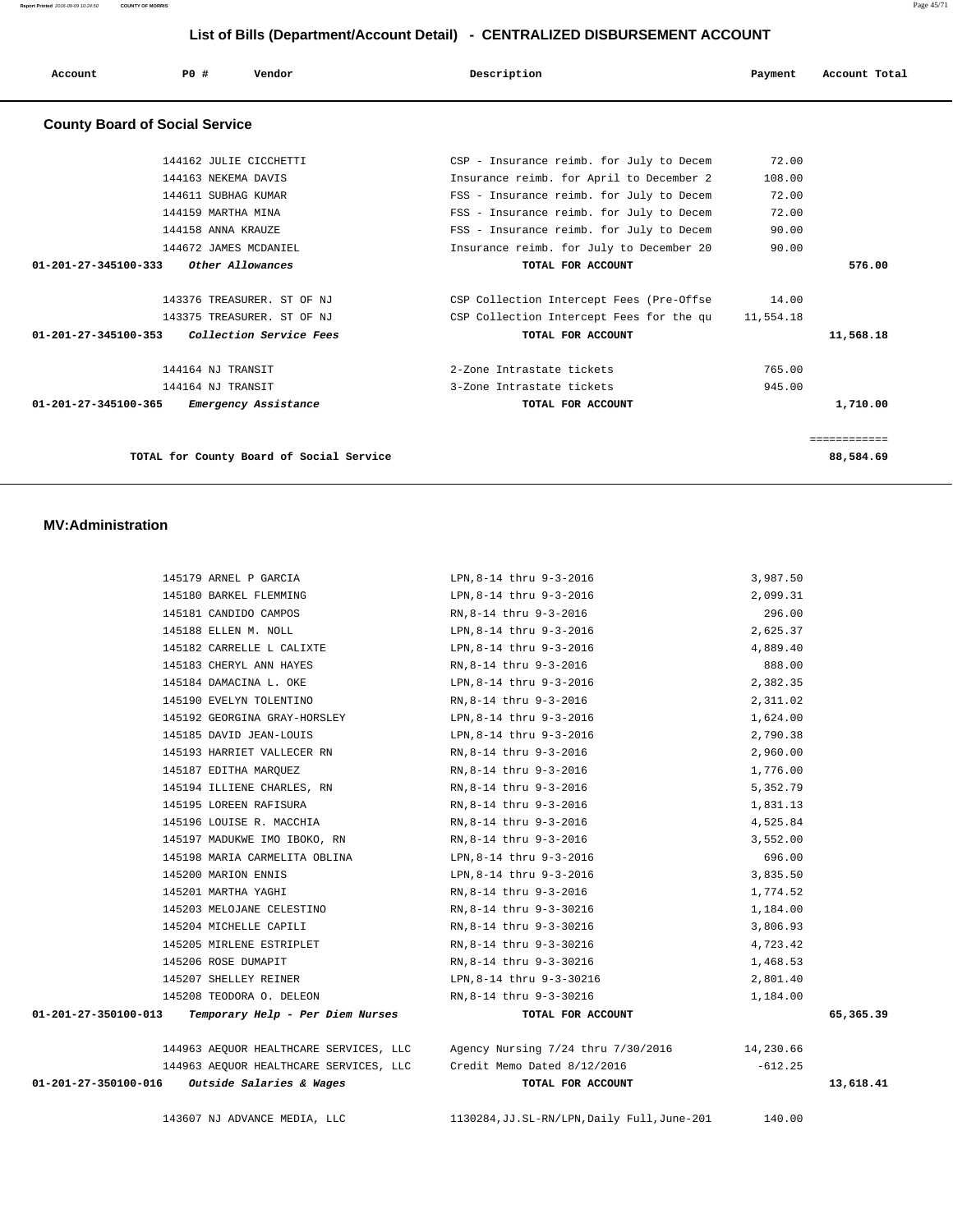**Report Printed** 2016-09-09 10:24:50 **COUNTY OF MORRIS** Page 45/71

# **List of Bills (Department/Account Detail) - CENTRALIZED DISBURSEMENT ACCOUNT**

| Account                               | PO#<br>Vendor                            | Description                              | Payment   | Account Total |
|---------------------------------------|------------------------------------------|------------------------------------------|-----------|---------------|
| <b>County Board of Social Service</b> |                                          |                                          |           |               |
|                                       | 144162 JULIE CICCHETTI                   | CSP - Insurance reimb. for July to Decem | 72.00     |               |
|                                       | 144163 NEKEMA DAVIS                      | Insurance reimb. for April to December 2 | 108.00    |               |
|                                       | 144611 SUBHAG KUMAR                      | FSS - Insurance reimb. for July to Decem | 72.00     |               |
|                                       | 144159 MARTHA MINA                       | FSS - Insurance reimb. for July to Decem | 72.00     |               |
|                                       | 144158 ANNA KRAUZE                       | FSS - Insurance reimb. for July to Decem | 90.00     |               |
|                                       | 144672 JAMES MCDANIEL                    | Insurance reimb. for July to December 20 | 90.00     |               |
| $01 - 201 - 27 - 345100 - 333$        | Other Allowances                         | TOTAL FOR ACCOUNT                        |           | 576.00        |
|                                       | 143376 TREASURER. ST OF NJ               | CSP Collection Intercept Fees (Pre-Offse | 14.00     |               |
|                                       | 143375 TREASURER. ST OF NJ               | CSP Collection Intercept Fees for the qu | 11,554.18 |               |
| 01-201-27-345100-353                  | Collection Service Fees                  | TOTAL FOR ACCOUNT                        |           | 11,568.18     |
|                                       | 144164 NJ TRANSIT                        | 2-Zone Intrastate tickets                | 765.00    |               |
|                                       | 144164 NJ TRANSIT                        | 3-Zone Intrastate tickets                | 945.00    |               |
| $01 - 201 - 27 - 345100 - 365$        | Emergency Assistance                     | TOTAL FOR ACCOUNT                        |           | 1,710.00      |
|                                       |                                          |                                          |           | ============  |
|                                       | TOTAL for County Board of Social Service |                                          |           | 88,584.69     |

### **MV:Administration**

|                      | 145179 ARNEL P GARCIA                                              | LPN, 8-14 thru 9-3-2016                      | 3,987.50  |           |
|----------------------|--------------------------------------------------------------------|----------------------------------------------|-----------|-----------|
|                      | 145180 BARKEL FLEMMING                                             | LPN,8-14 thru 9-3-2016                       | 2,099.31  |           |
|                      | 145181 CANDIDO CAMPOS                                              | RN,8-14 thru 9-3-2016                        | 296.00    |           |
|                      | 145188 ELLEN M. NOLL                                               | LPN,8-14 thru 9-3-2016                       | 2,625.37  |           |
|                      | 145182 CARRELLE L CALIXTE                                          | LPN,8-14 thru 9-3-2016                       | 4,889.40  |           |
|                      | 145183 CHERYL ANN HAYES                                            | RN,8-14 thru 9-3-2016                        | 888.00    |           |
|                      | 145184 DAMACINA L. OKE                                             | LPN,8-14 thru 9-3-2016                       | 2,382.35  |           |
|                      | 145190 EVELYN TOLENTINO                                            | RN,8-14 thru 9-3-2016                        | 2,311.02  |           |
|                      | 145192 GEORGINA GRAY-HORSLEY                                       | LPN,8-14 thru 9-3-2016                       | 1,624.00  |           |
|                      | 145185 DAVID JEAN-LOUIS                                            | LPN,8-14 thru 9-3-2016                       | 2,790.38  |           |
|                      | 145193 HARRIET VALLECER RN                                         | RN,8-14 thru 9-3-2016                        | 2,960.00  |           |
|                      | 145187 EDITHA MARQUEZ                                              | RN,8-14 thru 9-3-2016                        | 1,776.00  |           |
|                      | 145194 ILLIENE CHARLES, RN                                         | RN,8-14 thru 9-3-2016                        | 5,352.79  |           |
|                      | 145195 LOREEN RAFISURA                                             | RN,8-14 thru 9-3-2016                        | 1,831.13  |           |
|                      | 145196 LOUISE R. MACCHIA                                           | RN,8-14 thru 9-3-2016                        | 4,525.84  |           |
|                      | 145197 MADUKWE IMO IBOKO, RN                                       | RN,8-14 thru 9-3-2016                        | 3,552.00  |           |
|                      | 145198 MARIA CARMELITA OBLINA                                      | LPN,8-14 thru 9-3-2016                       | 696.00    |           |
|                      | 145200 MARION ENNIS                                                | LPN,8-14 thru 9-3-2016                       | 3,835.50  |           |
|                      | 145201 MARTHA YAGHI                                                | RN, 8-14 thru 9-3-2016                       | 1,774.52  |           |
|                      | 145203 MELOJANE CELESTINO                                          | RN,8-14 thru 9-3-30216                       | 1,184.00  |           |
|                      | 145204 MICHELLE CAPILI                                             | RN,8-14 thru 9-3-30216                       | 3,806.93  |           |
|                      | 145205 MIRLENE ESTRIPLET                                           | RN,8-14 thru 9-3-30216                       | 4,723.42  |           |
|                      | 145206 ROSE DUMAPIT                                                | RN,8-14 thru 9-3-30216                       | 1,468.53  |           |
|                      | 145207 SHELLEY REINER                                              | LPN, 8-14 thru 9-3-30216                     | 2,801.40  |           |
|                      | 145208 TEODORA O. DELEON                                           | RN, 8-14 thru 9-3-30216                      | 1,184.00  |           |
| 01-201-27-350100-013 | Temporary Help - Per Diem Nurses                                   | TOTAL FOR ACCOUNT                            |           | 65,365.39 |
|                      | 144963 AEQUOR HEALTHCARE SERVICES, LLC                             | Agency Nursing 7/24 thru 7/30/2016 14,230.66 |           |           |
|                      | 144963 AEQUOR HEALTHCARE SERVICES, LLC Credit Memo Dated 8/12/2016 |                                              | $-612.25$ |           |
|                      | $01-201-27-350100-016$ Outside Salaries & Wages                    | TOTAL FOR ACCOUNT                            |           | 13,618.41 |
|                      | 143607 NJ ADVANCE MEDIA, LLC                                       | 1130284, JJ.SL-RN/LPN, Daily Full, June-201  | 140.00    |           |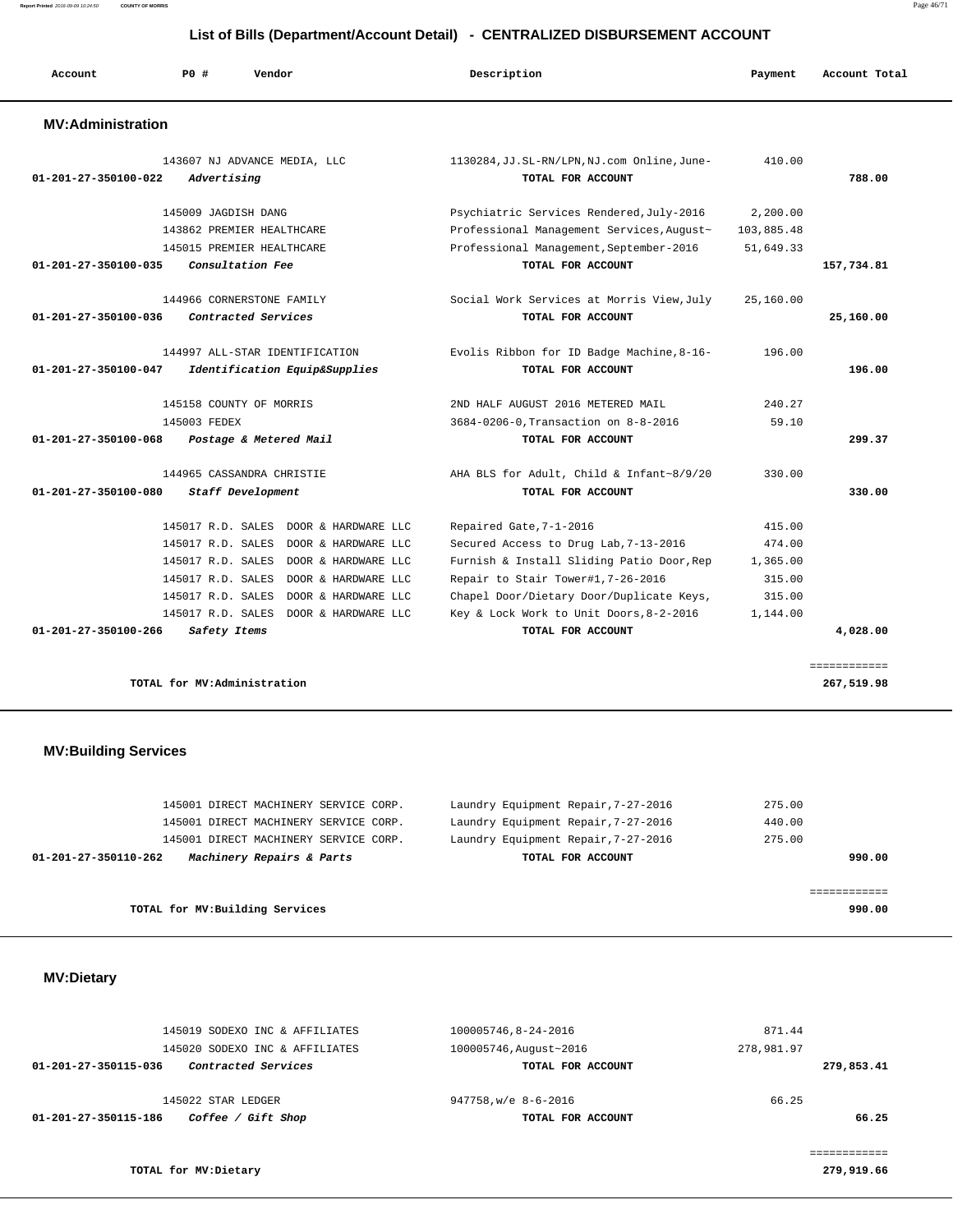**Report Printed** 2016-09-09 10:24:50 **COUNTY OF MORRIS** Page 46/71

#### **List of Bills (Department/Account Detail) - CENTRALIZED DISBURSEMENT ACCOUNT**

| Account                        | PO#                         | Vendor                                           | Description                                                      | Payment    | Account Total |
|--------------------------------|-----------------------------|--------------------------------------------------|------------------------------------------------------------------|------------|---------------|
| <b>MV:Administration</b>       |                             |                                                  |                                                                  |            |               |
| $01 - 201 - 27 - 350100 - 022$ | Advertising                 | 143607 NJ ADVANCE MEDIA, LLC                     | 1130284, JJ.SL-RN/LPN, NJ.com Online, June-<br>TOTAL FOR ACCOUNT | 410.00     | 788.00        |
|                                | 145009 JAGDISH DANG         |                                                  | Psychiatric Services Rendered, July-2016                         | 2,200.00   |               |
|                                |                             | 143862 PREMIER HEALTHCARE                        | Professional Management Services, August~                        | 103,885.48 |               |
|                                |                             | 145015 PREMIER HEALTHCARE                        | Professional Management, September-2016                          | 51,649.33  |               |
| 01-201-27-350100-035           |                             | Consultation Fee                                 | TOTAL FOR ACCOUNT                                                |            | 157,734.81    |
| 01-201-27-350100-036           |                             | 144966 CORNERSTONE FAMILY<br>Contracted Services | Social Work Services at Morris View, July<br>TOTAL FOR ACCOUNT   | 25,160.00  | 25,160.00     |
|                                |                             |                                                  |                                                                  |            |               |
|                                |                             | 144997 ALL-STAR IDENTIFICATION                   | Evolis Ribbon for ID Badge Machine, 8-16-                        | 196.00     |               |
| 01-201-27-350100-047           |                             | Identification Equip&Supplies                    | TOTAL FOR ACCOUNT                                                |            | 196.00        |
|                                |                             | 145158 COUNTY OF MORRIS                          | 2ND HALF AUGUST 2016 METERED MAIL                                | 240.27     |               |
|                                | 145003 FEDEX                |                                                  | 3684-0206-0, Transaction on 8-8-2016                             | 59.10      |               |
| 01-201-27-350100-068           |                             | Postage & Metered Mail                           | TOTAL FOR ACCOUNT                                                |            | 299.37        |
|                                |                             | 144965 CASSANDRA CHRISTIE                        | AHA BLS for Adult, Child & Infant~8/9/20                         | 330.00     |               |
| 01-201-27-350100-080           |                             | Staff Development                                | TOTAL FOR ACCOUNT                                                |            | 330.00        |
|                                |                             | 145017 R.D. SALES DOOR & HARDWARE LLC            | Repaired Gate, 7-1-2016                                          | 415.00     |               |
|                                |                             | 145017 R.D. SALES DOOR & HARDWARE LLC            | Secured Access to Drug Lab, 7-13-2016                            | 474.00     |               |
|                                | 145017 R.D. SALES           | DOOR & HARDWARE LLC                              | Furnish & Install Sliding Patio Door, Rep                        | 1,365.00   |               |
|                                | 145017 R.D. SALES           | DOOR & HARDWARE LLC                              | Repair to Stair Tower#1,7-26-2016                                | 315.00     |               |
|                                | 145017 R.D. SALES           | DOOR & HARDWARE LLC                              | Chapel Door/Dietary Door/Duplicate Keys,                         | 315.00     |               |
|                                |                             | 145017 R.D. SALES DOOR & HARDWARE LLC            | Key & Lock Work to Unit Doors, 8-2-2016                          | 1,144.00   |               |
| $01 - 201 - 27 - 350100 - 266$ | Safety Items                |                                                  | TOTAL FOR ACCOUNT                                                |            | 4,028.00      |
|                                |                             |                                                  |                                                                  |            | ============  |
|                                | TOTAL for MV:Administration |                                                  |                                                                  |            | 267,519.98    |

# **MV:Building Services**

|                                 | 145001 DIRECT MACHINERY SERVICE CORP. | Laundry Equipment Repair, 7-27-2016 | 275.00 |
|---------------------------------|---------------------------------------|-------------------------------------|--------|
|                                 | 145001 DIRECT MACHINERY SERVICE CORP. | Laundry Equipment Repair, 7-27-2016 | 440.00 |
|                                 | 145001 DIRECT MACHINERY SERVICE CORP. | Laundry Equipment Repair, 7-27-2016 | 275.00 |
| 01-201-27-350110-262            | Machinery Repairs & Parts             | TOTAL FOR ACCOUNT                   | 990.00 |
|                                 |                                       |                                     |        |
|                                 |                                       |                                     |        |
| TOTAL for MV: Building Services |                                       |                                     | 990.00 |

# **MV:Dietary**

|                      | 145019 SODEXO INC & AFFILIATES | 100005746,8-24-2016    | 871.44     |       |
|----------------------|--------------------------------|------------------------|------------|-------|
|                      | 145020 SODEXO INC & AFFILIATES | 100005746, August~2016 | 278,981.97 |       |
| 01-201-27-350115-036 | Contracted Services            | TOTAL FOR ACCOUNT      | 279,853.41 |       |
|                      | 145022 STAR LEDGER             | 947758, w/e 8-6-2016   | 66.25      |       |
| 01-201-27-350115-186 | Coffee / Gift Shop             | TOTAL FOR ACCOUNT      |            | 66.25 |
|                      |                                |                        |            |       |
|                      |                                |                        |            |       |

**TOTAL for MV:Dietary 279,919.66**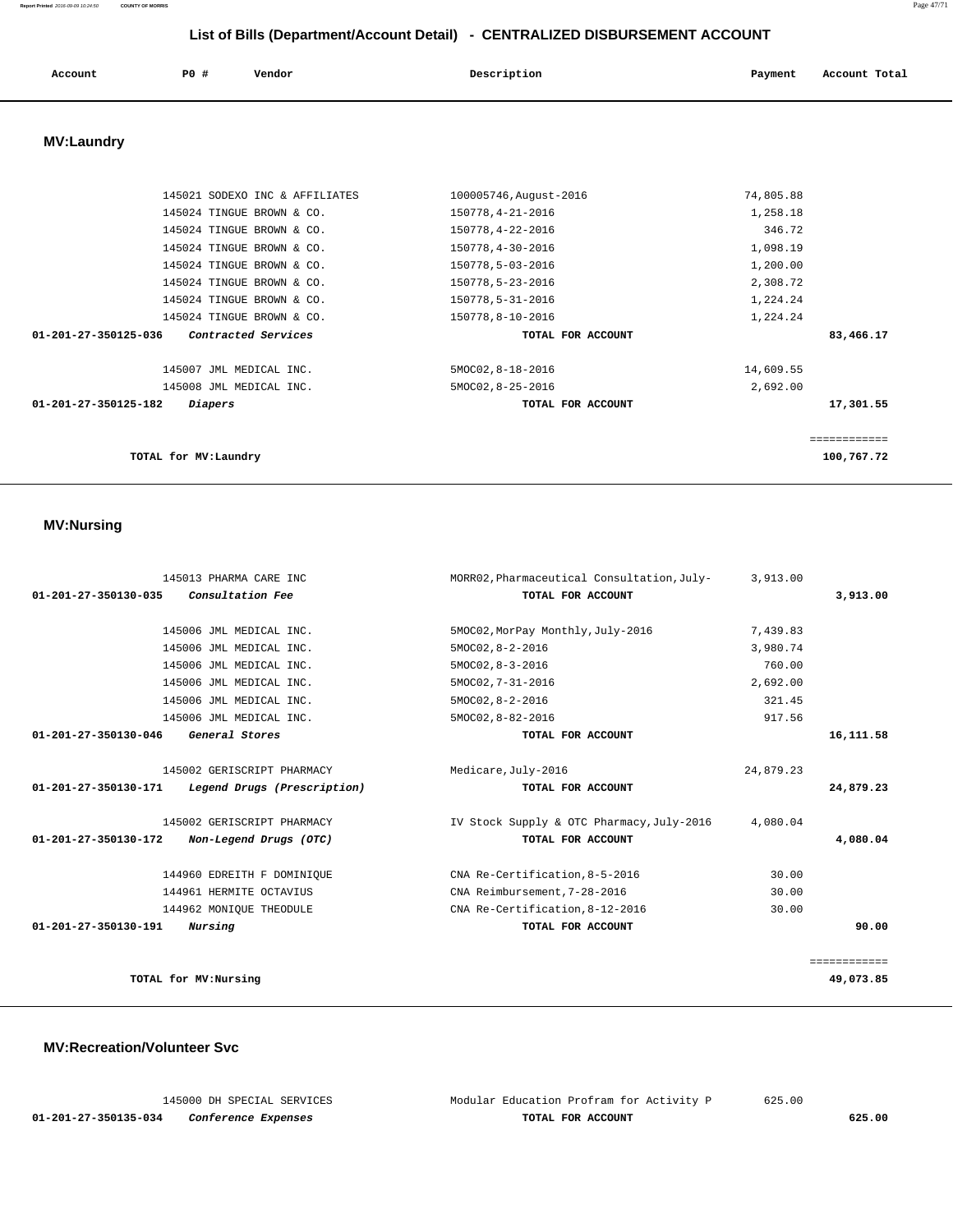# **Report Printed** 2016-09-09 10:24:50 **COUNTY OF MORRIS** Page 47/71

 **List of Bills (Department/Account Detail) - CENTRALIZED DISBURSEMENT ACCOUNT**

| Account | PO# | Vendor | Description | Payment | Account Total |
|---------|-----|--------|-------------|---------|---------------|
|         |     |        |             |         |               |

# **MV:Laundry**

| 145021 SODEXO INC & AFFILIATES                        | 100005746, August-2016 | 74,805.88    |
|-------------------------------------------------------|------------------------|--------------|
| 145024 TINGUE BROWN & CO.                             | 150778, 4-21-2016      | 1,258.18     |
| 145024 TINGUE BROWN & CO.                             | 150778, 4-22-2016      | 346.72       |
| 145024 TINGUE BROWN & CO.                             | 150778, 4-30-2016      | 1,098.19     |
| 145024 TINGUE BROWN & CO.                             | 150778,5-03-2016       | 1,200.00     |
| 145024 TINGUE BROWN & CO.                             | 150778,5-23-2016       | 2,308.72     |
| 145024 TINGUE BROWN & CO.                             | 150778,5-31-2016       | 1,224.24     |
| 145024 TINGUE BROWN & CO.                             | 150778,8-10-2016       | 1,224.24     |
| $01 - 201 - 27 - 350125 - 036$<br>Contracted Services | TOTAL FOR ACCOUNT      | 83,466.17    |
| 145007 JML MEDICAL INC.                               | 5MOC02, 8-18-2016      | 14,609.55    |
| 145008 JML MEDICAL INC.                               | 5MOC02, 8-25-2016      | 2,692.00     |
| 01-201-27-350125-182<br>Diapers                       | TOTAL FOR ACCOUNT      | 17,301.55    |
|                                                       |                        | ============ |
| TOTAL for MV: Laundry                                 |                        | 100,767.72   |

#### **MV:Nursing**

| 145013 PHARMA CARE INC                              | MORR02, Pharmaceutical Consultation, July- | 3,913.00  |              |
|-----------------------------------------------------|--------------------------------------------|-----------|--------------|
| Consultation Fee<br>01-201-27-350130-035            | TOTAL FOR ACCOUNT                          |           | 3,913.00     |
|                                                     |                                            |           |              |
| 145006 JML MEDICAL INC.                             | 5MOC02, MorPay Monthly, July-2016          | 7,439.83  |              |
| 145006 JML MEDICAL INC.                             | $5MOCO2, 8-2-2016$                         | 3,980.74  |              |
| 145006 JML MEDICAL INC.                             | $5MOCO2, 8-3-2016$                         | 760.00    |              |
| 145006 JML MEDICAL INC.                             | 5MOC02, 7-31-2016                          | 2,692.00  |              |
| 145006 JML MEDICAL INC.                             | $5MOCO2, 8-2-2016$                         | 321.45    |              |
| 145006 JML MEDICAL INC.                             | 5MOC02, 8-82-2016                          | 917.56    |              |
| General Stores<br>01-201-27-350130-046              | TOTAL FOR ACCOUNT                          |           | 16,111.58    |
| 145002 GERISCRIPT PHARMACY                          | Medicare, July-2016                        | 24,879.23 |              |
| 01-201-27-350130-171<br>Legend Drugs (Prescription) | TOTAL FOR ACCOUNT                          |           | 24,879.23    |
| 145002 GERISCRIPT PHARMACY                          | IV Stock Supply & OTC Pharmacy, July-2016  | 4,080.04  |              |
| Non-Legend Drugs (OTC)<br>01-201-27-350130-172      | TOTAL FOR ACCOUNT                          |           | 4,080.04     |
| 144960 EDREITH F DOMINIQUE                          | CNA Re-Certification, 8-5-2016             | 30.00     |              |
| 144961 HERMITE OCTAVIUS                             | CNA Reimbursement, 7-28-2016               | 30.00     |              |
| 144962 MONIQUE THEODULE                             | CNA Re-Certification, 8-12-2016            | 30.00     |              |
| 01-201-27-350130-191<br><i>Nursing</i>              | TOTAL FOR ACCOUNT                          |           | 90.00        |
|                                                     |                                            |           | ============ |
| TOTAL for MV:Nursing                                |                                            |           | 49,073.85    |

#### **MV:Recreation/Volunteer Svc**

|                    |  |                     | 145000 DH SPECIAL SERVICES |
|--------------------|--|---------------------|----------------------------|
| -201-27-350135-034 |  | Conference Expenses |                            |

Modular Education Profram for Activity P 625.00  **01-201-27-350135-034 Conference Expenses TOTAL FOR ACCOUNT 625.00**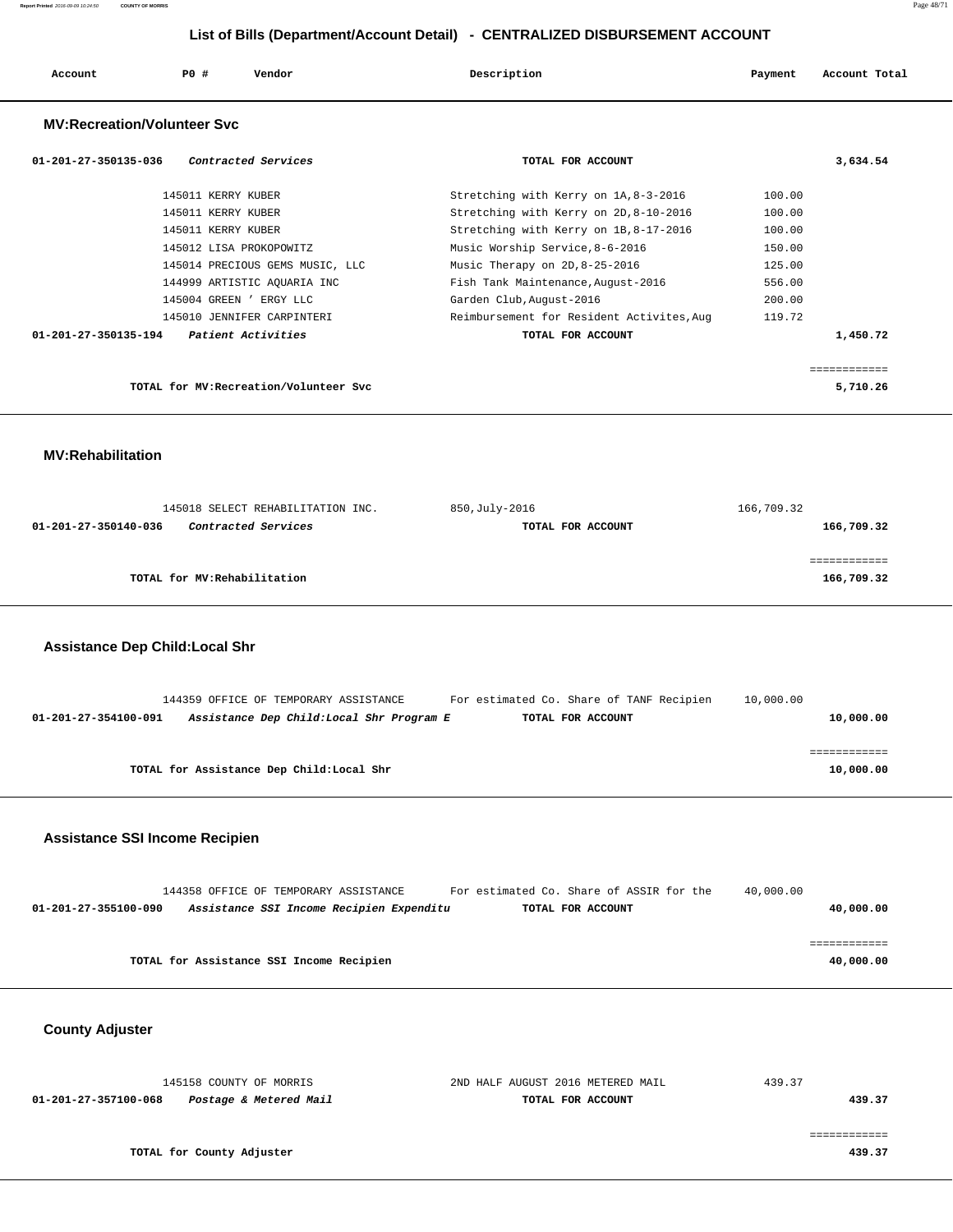| Account                            | PO#                | Vendor                          | Description                     |                                           | Payment | Account Total |
|------------------------------------|--------------------|---------------------------------|---------------------------------|-------------------------------------------|---------|---------------|
| <b>MV:Recreation/Volunteer Svc</b> |                    |                                 |                                 |                                           |         |               |
| 01-201-27-350135-036               |                    | Contracted Services             |                                 | TOTAL FOR ACCOUNT                         |         | 3,634.54      |
|                                    | 145011 KERRY KUBER |                                 |                                 | Stretching with Kerry on 1A, 8-3-2016     | 100.00  |               |
|                                    | 145011 KERRY KUBER |                                 |                                 | Stretching with Kerry on 2D, 8-10-2016    | 100.00  |               |
|                                    | 145011 KERRY KUBER |                                 |                                 | Stretching with Kerry on 1B, 8-17-2016    | 100.00  |               |
|                                    |                    | 145012 LISA PROKOPOWITZ         | Music Worship Service, 8-6-2016 |                                           | 150.00  |               |
|                                    |                    | 145014 PRECIOUS GEMS MUSIC, LLC | Music Therapy on 2D, 8-25-2016  |                                           | 125.00  |               |
|                                    |                    | 144999 ARTISTIC AQUARIA INC     |                                 | Fish Tank Maintenance, August-2016        | 556.00  |               |
|                                    |                    | 145004 GREEN ' ERGY LLC         | Garden Club, August-2016        |                                           | 200.00  |               |
|                                    |                    | 145010 JENNIFER CARPINTERI      |                                 | Reimbursement for Resident Activites, Aug | 119.72  |               |
| 01-201-27-350135-194               |                    | Patient Activities              |                                 | TOTAL FOR ACCOUNT                         |         | 1,450.72      |

**TOTAL for MV:Recreation/Volunteer Svc 5,710.26**

# **MV:Rehabilitation**

| 145018 SELECT REHABILITATION INC.           | 850,July-2016     | 166,709.32 |
|---------------------------------------------|-------------------|------------|
| Contracted Services<br>01-201-27-350140-036 | TOTAL FOR ACCOUNT | 166,709.32 |
|                                             |                   |            |
|                                             |                   |            |
| TOTAL for MV:Rehabilitation                 |                   | 166,709.32 |
|                                             |                   |            |

============

# **Assistance Dep Child:Local Shr**

|                      | 144359 OFFICE OF TEMPORARY ASSISTANCE     | For estimated Co. Share of TANF Recipien | 10,000.00 |
|----------------------|-------------------------------------------|------------------------------------------|-----------|
| 01-201-27-354100-091 | Assistance Dep Child: Local Shr Program E | TOTAL FOR ACCOUNT                        | 10,000.00 |
|                      |                                           |                                          |           |
|                      |                                           |                                          |           |
|                      | TOTAL for Assistance Dep Child: Local Shr |                                          | 10,000.00 |

# **Assistance SSI Income Recipien**

|                      | 144358 OFFICE OF TEMPORARY ASSISTANCE    |                                          | For estimated Co. Share of ASSIR for the | 40,000.00 |           |
|----------------------|------------------------------------------|------------------------------------------|------------------------------------------|-----------|-----------|
| 01-201-27-355100-090 |                                          | Assistance SSI Income Recipien Expenditu | TOTAL FOR ACCOUNT                        |           | 40,000.00 |
|                      |                                          |                                          |                                          |           |           |
|                      |                                          |                                          |                                          |           |           |
|                      | TOTAL for Assistance SSI Income Recipien |                                          |                                          |           | 40,000.00 |

# **County Adjuster**

| 145158 COUNTY OF MORRIS                        | 2ND HALF AUGUST 2016 METERED MAIL | 439.37 |
|------------------------------------------------|-----------------------------------|--------|
| Postage & Metered Mail<br>01-201-27-357100-068 | TOTAL FOR ACCOUNT                 | 439.37 |
|                                                |                                   |        |
|                                                |                                   |        |
| TOTAL for County Adjuster                      |                                   | 439.37 |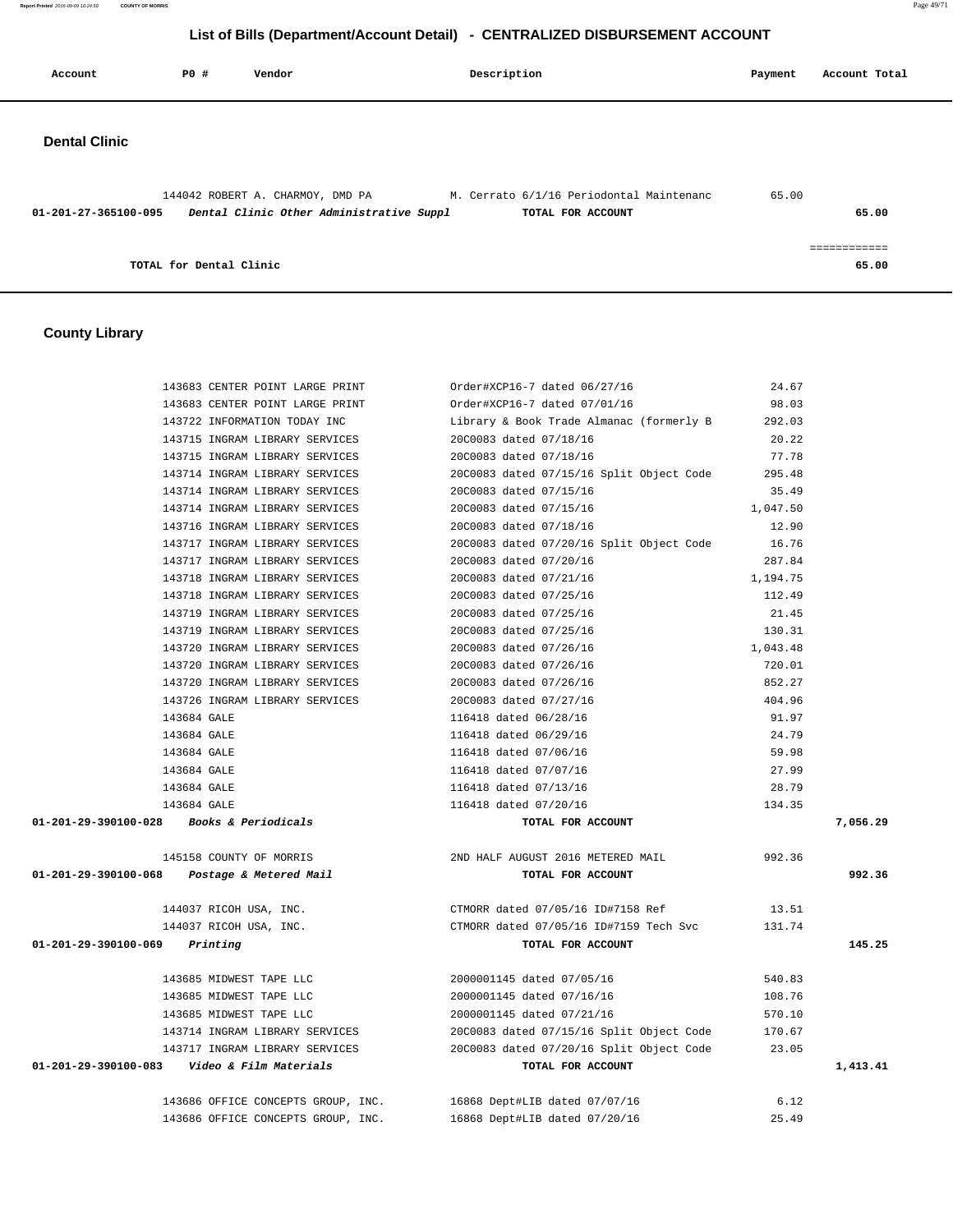**Report Printed** 2016-09-09 10:24:50 **COUNTY OF MORRIS** Page 49/71

# **List of Bills (Department/Account Detail) - CENTRALIZED DISBURSEMENT ACCOUNT**

| Account              | P0 #                    | Vendor                                                                                                                | Description       | Payment | Account Total         |  |
|----------------------|-------------------------|-----------------------------------------------------------------------------------------------------------------------|-------------------|---------|-----------------------|--|
| <b>Dental Clinic</b> |                         |                                                                                                                       |                   |         |                       |  |
| 01-201-27-365100-095 |                         | 144042 ROBERT A. CHARMOY, DMD PA M. Cerrato 6/1/16 Periodontal Maintenanc<br>Dental Clinic Other Administrative Suppl | TOTAL FOR ACCOUNT | 65.00   | 65.00                 |  |
|                      | TOTAL for Dental Clinic |                                                                                                                       |                   |         | ============<br>65.00 |  |

# **County Library**

| 143683 CENTER POINT LARGE PRINT                | Order#XCP16-7 dated 06/27/16                                     | 24.67    |          |
|------------------------------------------------|------------------------------------------------------------------|----------|----------|
| 143683 CENTER POINT LARGE PRINT                | Order#XCP16-7 dated 07/01/16                                     | 98.03    |          |
| 143722 INFORMATION TODAY INC                   | Library & Book Trade Almanac (formerly B                         | 292.03   |          |
| 143715 INGRAM LIBRARY SERVICES                 | 20C0083 dated 07/18/16                                           | 20.22    |          |
| 143715 INGRAM LIBRARY SERVICES                 | 20C0083 dated 07/18/16                                           | 77.78    |          |
| 143714 INGRAM LIBRARY SERVICES                 | 20C0083 dated 07/15/16 Split Object Code                         | 295.48   |          |
| 143714 INGRAM LIBRARY SERVICES                 | 20C0083 dated 07/15/16                                           | 35.49    |          |
| 143714 INGRAM LIBRARY SERVICES                 | 20C0083 dated 07/15/16                                           | 1,047.50 |          |
| 143716 INGRAM LIBRARY SERVICES                 | 20C0083 dated 07/18/16                                           | 12.90    |          |
| 143717 INGRAM LIBRARY SERVICES                 | 20C0083 dated 07/20/16 Split Object Code                         | 16.76    |          |
| 143717 INGRAM LIBRARY SERVICES                 | 20C0083 dated 07/20/16                                           | 287.84   |          |
| 143718 INGRAM LIBRARY SERVICES                 | 20C0083 dated 07/21/16                                           | 1,194.75 |          |
| 143718 INGRAM LIBRARY SERVICES                 | 20C0083 dated 07/25/16                                           | 112.49   |          |
| 143719 INGRAM LIBRARY SERVICES                 | 20C0083 dated 07/25/16                                           | 21.45    |          |
| 143719 INGRAM LIBRARY SERVICES                 | 20C0083 dated 07/25/16                                           | 130.31   |          |
| 143720 INGRAM LIBRARY SERVICES                 | 20C0083 dated 07/26/16                                           | 1,043.48 |          |
| 143720 INGRAM LIBRARY SERVICES                 | 20C0083 dated 07/26/16                                           | 720.01   |          |
| 143720 INGRAM LIBRARY SERVICES                 | 20C0083 dated 07/26/16                                           | 852.27   |          |
| 143726 INGRAM LIBRARY SERVICES                 | 20C0083 dated 07/27/16                                           | 404.96   |          |
| 143684 GALE                                    | 116418 dated 06/28/16                                            | 91.97    |          |
| 143684 GALE                                    | 116418 dated 06/29/16                                            | 24.79    |          |
| 143684 GALE                                    | 116418 dated 07/06/16                                            | 59.98    |          |
| 143684 GALE                                    | 116418 dated 07/07/16                                            | 27.99    |          |
| 143684 GALE                                    | 116418 dated 07/13/16                                            | 28.79    |          |
| 143684 GALE                                    | 116418 dated 07/20/16                                            | 134.35   |          |
| 01-201-29-390100-028 Books & Periodicals       | TOTAL FOR ACCOUNT                                                |          | 7,056.29 |
| 145158 COUNTY OF MORRIS                        | 2ND HALF AUGUST 2016 METERED MAIL                                | 992.36   |          |
| 01-201-29-390100-068 Postage & Metered Mail    | TOTAL FOR ACCOUNT                                                |          | 992.36   |
| 144037 RICOH USA, INC.                         | CTMORR dated 07/05/16 ID#7158 Ref                                | 13.51    |          |
| 144037 RICOH USA, INC.                         | CTMORR dated 07/05/16 ID#7159 Tech Svc                           | 131.74   |          |
| $01 - 201 - 29 - 390100 - 069$ Printing        | TOTAL FOR ACCOUNT                                                |          | 145.25   |
| 143685 MIDWEST TAPE LLC                        | 2000001145 dated 07/05/16                                        | 540.83   |          |
| 143685 MIDWEST TAPE LLC                        | 2000001145 dated 07/16/16                                        | 108.76   |          |
| 143685 MIDWEST TAPE LLC                        | 2000001145 dated 07/21/16                                        | 570.10   |          |
| 143714 INGRAM LIBRARY SERVICES                 | 20C0083 dated 07/15/16 Split Object Code                         | 170.67   |          |
| 143717 INGRAM LIBRARY SERVICES                 | 20C0083 dated 07/20/16 Split Object Code 23.05                   |          |          |
| 01-201-29-390100-083    Video & Film Materials | TOTAL FOR ACCOUNT                                                |          | 1,413.41 |
|                                                | 143686 OFFICE CONCEPTS GROUP, INC. 16868 Dept#LIB dated 07/07/16 | 6.12     |          |
| 143686 OFFICE CONCEPTS GROUP, INC.             | 16868 Dept#LIB dated 07/20/16                                    | 25.49    |          |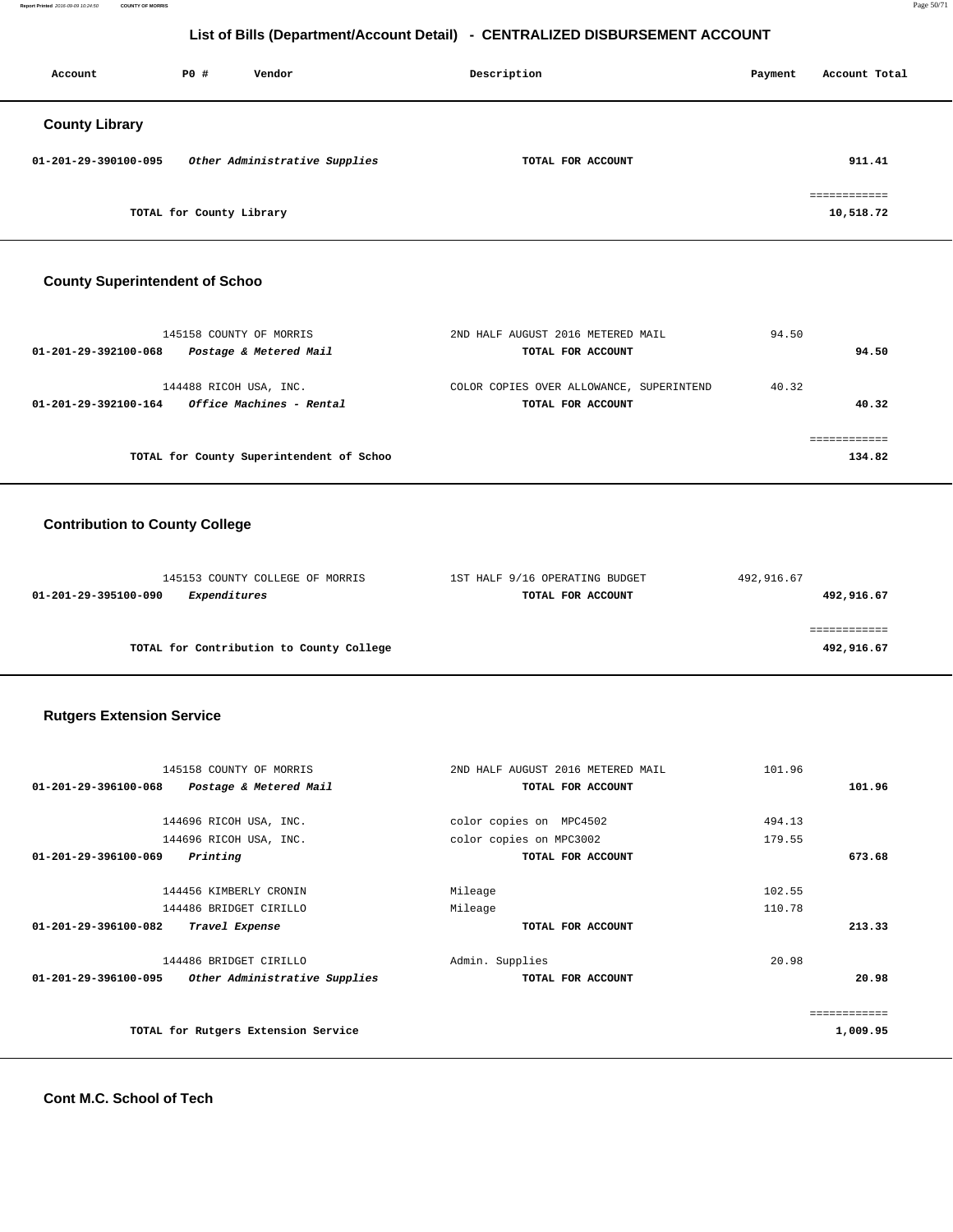**Report Printed** 2016-09-09 10:24:50 **COUNTY OF MORRIS** Page 50/71

# **List of Bills (Department/Account Detail) - CENTRALIZED DISBURSEMENT ACCOUNT**

| Account               | PO#                      | Vendor                        | Description       | Payment | Account Total |
|-----------------------|--------------------------|-------------------------------|-------------------|---------|---------------|
| <b>County Library</b> |                          |                               |                   |         |               |
| 01-201-29-390100-095  |                          | Other Administrative Supplies | TOTAL FOR ACCOUNT |         | 911.41        |
|                       |                          |                               |                   |         | ------------  |
|                       | TOTAL for County Library |                               |                   |         | 10,518.72     |

#### **County Superintendent of Schoo**

| 145158 COUNTY OF MORRIS                                                           | 2ND HALF AUGUST 2016 METERED MAIL                             | 94.50 |        |
|-----------------------------------------------------------------------------------|---------------------------------------------------------------|-------|--------|
| Postage & Metered Mail<br>01-201-29-392100-068                                    | TOTAL FOR ACCOUNT                                             |       | 94.50  |
| 144488 RICOH USA, INC.<br><i>Office Machines - Rental</i><br>01-201-29-392100-164 | COLOR COPIES OVER ALLOWANCE, SUPERINTEND<br>TOTAL FOR ACCOUNT | 40.32 | 40.32  |
| TOTAL for County Superintendent of Schoo                                          |                                                               |       | 134.82 |

# **Contribution to County College**

| 145153 COUNTY COLLEGE OF MORRIS          | 1ST HALF 9/16 OPERATING BUDGET | 492,916.67 |
|------------------------------------------|--------------------------------|------------|
| Expenditures<br>01-201-29-395100-090     | TOTAL FOR ACCOUNT              | 492,916.67 |
|                                          |                                |            |
|                                          |                                |            |
| TOTAL for Contribution to County College |                                | 492,916.67 |

#### **Rutgers Extension Service**

| 145158 COUNTY OF MORRIS                               | 2ND HALF AUGUST 2016 METERED MAIL | 101.96       |
|-------------------------------------------------------|-----------------------------------|--------------|
| 01-201-29-396100-068<br>Postage & Metered Mail        | TOTAL FOR ACCOUNT                 | 101.96       |
|                                                       |                                   |              |
| 144696 RICOH USA, INC.                                | color copies on MPC4502           | 494.13       |
| 144696 RICOH USA, INC.                                | color copies on MPC3002           | 179.55       |
| 01-201-29-396100-069<br>Printing                      | TOTAL FOR ACCOUNT                 | 673.68       |
|                                                       |                                   |              |
| 144456 KIMBERLY CRONIN                                | Mileage                           | 102.55       |
| 144486 BRIDGET CIRILLO                                | Mileage                           | 110.78       |
| 01-201-29-396100-082<br>Travel Expense                | TOTAL FOR ACCOUNT                 | 213.33       |
|                                                       |                                   |              |
| 144486 BRIDGET CIRILLO                                | Admin. Supplies                   | 20.98        |
| Other Administrative Supplies<br>01-201-29-396100-095 | TOTAL FOR ACCOUNT                 | 20.98        |
|                                                       |                                   |              |
|                                                       |                                   | ============ |
| TOTAL for Rutgers Extension Service                   |                                   | 1,009.95     |
|                                                       |                                   |              |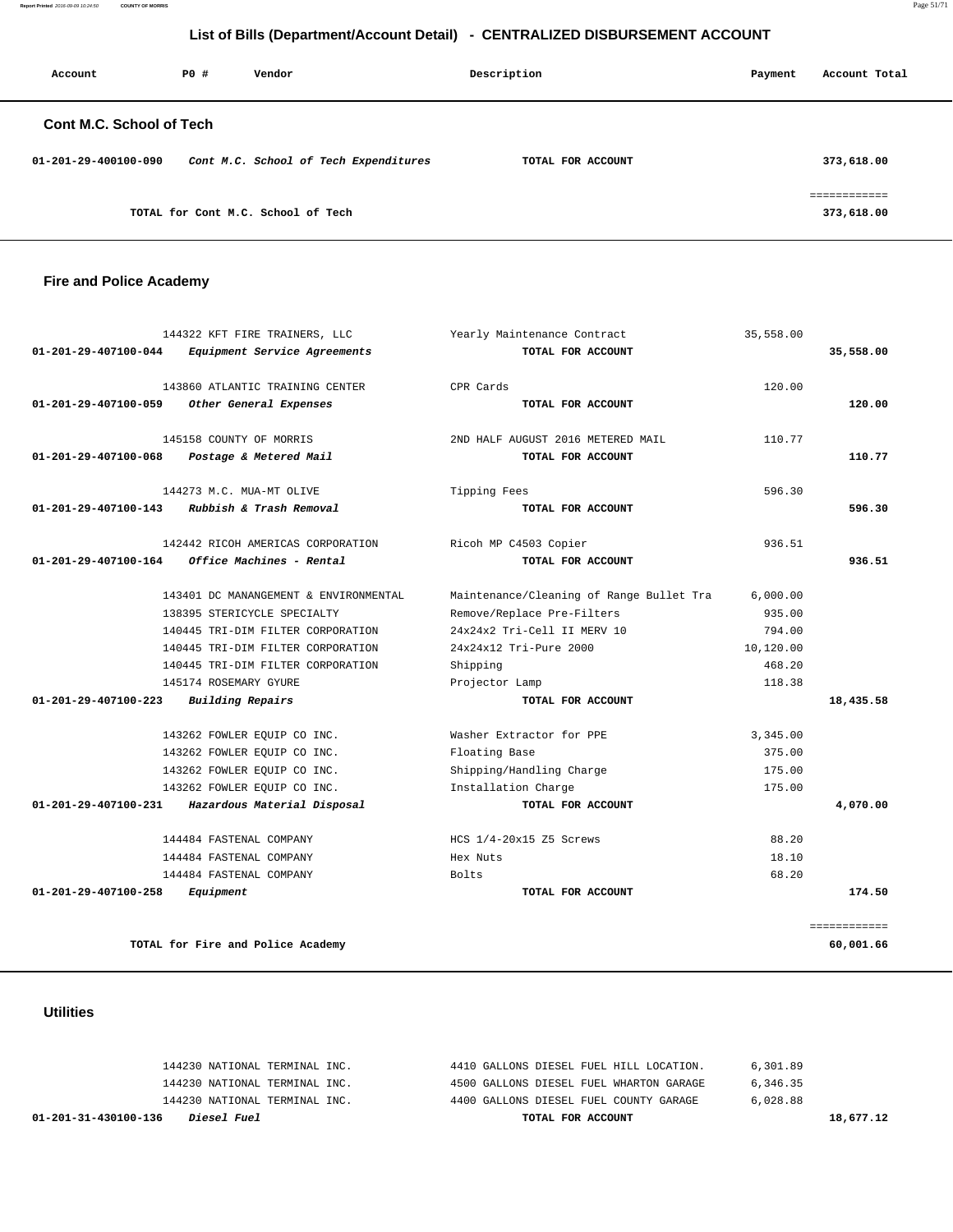**Report Printed** 2016-09-09 10:24:50 **COUNTY OF MORRIS** Page 51/71

# **List of Bills (Department/Account Detail) - CENTRALIZED DISBURSEMENT ACCOUNT**

| Account                         | PO# | Vendor                                | Description       | Payment | Account Total             |
|---------------------------------|-----|---------------------------------------|-------------------|---------|---------------------------|
| <b>Cont M.C. School of Tech</b> |     |                                       |                   |         |                           |
| 01-201-29-400100-090            |     | Cont M.C. School of Tech Expenditures | TOTAL FOR ACCOUNT |         | 373,618.00                |
|                                 |     | TOTAL for Cont M.C. School of Tech    |                   |         | ===========<br>373,618.00 |

# **Fire and Police Academy**

| 144322 KFT FIRE TRAINERS, LLC                        | Yearly Maintenance Contract              | 35,558.00 |              |
|------------------------------------------------------|------------------------------------------|-----------|--------------|
| 01-201-29-407100-044<br>Equipment Service Agreements | TOTAL FOR ACCOUNT                        |           | 35,558.00    |
| 143860 ATLANTIC TRAINING CENTER                      | CPR Cards                                | 120.00    |              |
| 01-201-29-407100-059<br>Other General Expenses       | TOTAL FOR ACCOUNT                        |           | 120.00       |
| 145158 COUNTY OF MORRIS                              | 2ND HALF AUGUST 2016 METERED MAIL        | 110.77    |              |
| 01-201-29-407100-068<br>Postage & Metered Mail       | TOTAL FOR ACCOUNT                        |           | 110.77       |
| 144273 M.C. MUA-MT OLIVE                             | Tipping Fees                             | 596.30    |              |
| Rubbish & Trash Removal<br>01-201-29-407100-143      | TOTAL FOR ACCOUNT                        |           | 596.30       |
| 142442 RICOH AMERICAS CORPORATION                    | Ricoh MP C4503 Copier                    | 936.51    |              |
| 01-201-29-407100-164<br>Office Machines - Rental     | TOTAL FOR ACCOUNT                        |           | 936.51       |
| 143401 DC MANANGEMENT & ENVIRONMENTAL                | Maintenance/Cleaning of Range Bullet Tra | 6,000.00  |              |
| 138395 STERICYCLE SPECIALTY                          | Remove/Replace Pre-Filters               | 935.00    |              |
| 140445 TRI-DIM FILTER CORPORATION                    | 24x24x2 Tri-Cell II MERV 10              | 794.00    |              |
| 140445 TRI-DIM FILTER CORPORATION                    | 24x24x12 Tri-Pure 2000                   | 10,120.00 |              |
| 140445 TRI-DIM FILTER CORPORATION                    | Shipping                                 | 468.20    |              |
| 145174 ROSEMARY GYURE                                | Projector Lamp                           | 118.38    |              |
| $01 - 201 - 29 - 407100 - 223$<br>Building Repairs   | TOTAL FOR ACCOUNT                        |           | 18,435.58    |
| 143262 FOWLER EQUIP CO INC.                          | Washer Extractor for PPE                 | 3,345.00  |              |
| 143262 FOWLER EQUIP CO INC.                          | Floating Base                            | 375.00    |              |
| 143262 FOWLER EQUIP CO INC.                          | Shipping/Handling Charge                 | 175.00    |              |
| 143262 FOWLER EOUIP CO INC.                          | Installation Charge                      | 175.00    |              |
| 01-201-29-407100-231<br>Hazardous Material Disposal  | TOTAL FOR ACCOUNT                        |           | 4,070.00     |
| 144484 FASTENAL COMPANY                              | HCS 1/4-20x15 Z5 Screws                  | 88.20     |              |
| 144484 FASTENAL COMPANY                              | Hex Nuts                                 | 18.10     |              |
| 144484 FASTENAL COMPANY                              | Bolts                                    | 68.20     |              |
| 01-201-29-407100-258<br>Equipment                    | TOTAL FOR ACCOUNT                        |           | 174.50       |
|                                                      |                                          |           | ============ |
| TOTAL for Fire and Police Academy                    |                                          |           | 60,001.66    |

# **Utilities**

| 01-201-31-430100-136<br><i>Diesel Fuel</i> | TOTAL FOR ACCOUNT                       | 18,677.12 |
|--------------------------------------------|-----------------------------------------|-----------|
| 144230 NATIONAL TERMINAL INC.              | 4400 GALLONS DIESEL FUEL COUNTY GARAGE  | 6.028.88  |
| 144230 NATIONAL TERMINAL INC.              | 4500 GALLONS DIESEL FUEL WHARTON GARAGE | 6,346.35  |
| 144230 NATIONAL TERMINAL INC.              | 4410 GALLONS DIESEL FUEL HILL LOCATION. | 6,301.89  |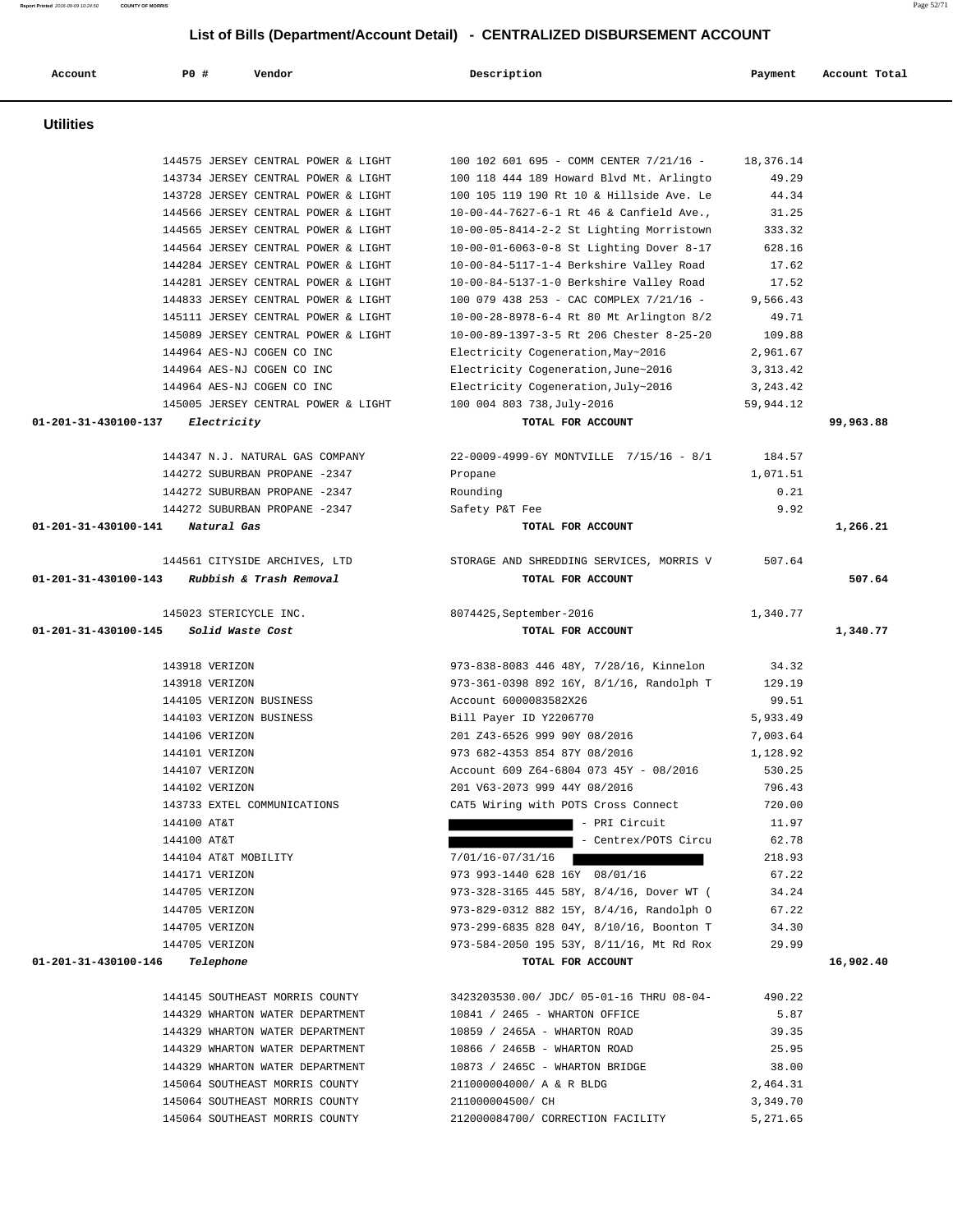| Account                        | PO#<br>Vendor                                                              | Description                                                                         | Payment            | Account Total |
|--------------------------------|----------------------------------------------------------------------------|-------------------------------------------------------------------------------------|--------------------|---------------|
| <b>Utilities</b>               |                                                                            |                                                                                     |                    |               |
|                                |                                                                            |                                                                                     |                    |               |
|                                | 144575 JERSEY CENTRAL POWER & LIGHT<br>143734 JERSEY CENTRAL POWER & LIGHT | 100 102 601 695 - COMM CENTER 7/21/16 -<br>100 118 444 189 Howard Blvd Mt. Arlingto | 18,376.14<br>49.29 |               |
|                                | 143728 JERSEY CENTRAL POWER & LIGHT                                        | 100 105 119 190 Rt 10 & Hillside Ave. Le                                            | 44.34              |               |
|                                | 144566 JERSEY CENTRAL POWER & LIGHT                                        | 10-00-44-7627-6-1 Rt 46 & Canfield Ave.,                                            | 31.25              |               |
|                                | 144565 JERSEY CENTRAL POWER & LIGHT                                        | 10-00-05-8414-2-2 St Lighting Morristown                                            | 333.32             |               |
|                                | 144564 JERSEY CENTRAL POWER & LIGHT                                        | 10-00-01-6063-0-8 St Lighting Dover 8-17                                            | 628.16             |               |
|                                | 144284 JERSEY CENTRAL POWER & LIGHT                                        | 10-00-84-5117-1-4 Berkshire Valley Road                                             | 17.62              |               |
|                                | 144281 JERSEY CENTRAL POWER & LIGHT                                        | 10-00-84-5137-1-0 Berkshire Valley Road                                             | 17.52              |               |
|                                | 144833 JERSEY CENTRAL POWER & LIGHT                                        | 100 079 438 253 - CAC COMPLEX 7/21/16 -                                             | 9,566.43           |               |
|                                | 145111 JERSEY CENTRAL POWER & LIGHT                                        | 10-00-28-8978-6-4 Rt 80 Mt Arlington 8/2                                            | 49.71              |               |
|                                | 145089 JERSEY CENTRAL POWER & LIGHT                                        | 10-00-89-1397-3-5 Rt 206 Chester 8-25-20                                            | 109.88             |               |
|                                | 144964 AES-NJ COGEN CO INC                                                 | Electricity Cogeneration, May~2016                                                  | 2,961.67           |               |
|                                | 144964 AES-NJ COGEN CO INC                                                 | Electricity Cogeneration, June~2016                                                 | 3, 313. 42         |               |
|                                | 144964 AES-NJ COGEN CO INC                                                 | Electricity Cogeneration, July~2016                                                 | 3, 243.42          |               |
|                                | 145005 JERSEY CENTRAL POWER & LIGHT                                        | 100 004 803 738, July-2016                                                          | 59,944.12          |               |
| 01-201-31-430100-137           | Electricity                                                                | TOTAL FOR ACCOUNT                                                                   |                    | 99,963.88     |
|                                | 144347 N.J. NATURAL GAS COMPANY                                            | 22-0009-4999-6Y MONTVILLE 7/15/16 - 8/1                                             | 184.57             |               |
|                                | 144272 SUBURBAN PROPANE -2347                                              | Propane                                                                             | 1,071.51           |               |
|                                | 144272 SUBURBAN PROPANE -2347                                              | Rounding                                                                            | 0.21               |               |
|                                | 144272 SUBURBAN PROPANE -2347                                              | Safety P&T Fee                                                                      | 9.92               |               |
| 01-201-31-430100-141           | Natural Gas                                                                | TOTAL FOR ACCOUNT                                                                   |                    | 1,266.21      |
|                                | 144561 CITYSIDE ARCHIVES, LTD                                              | STORAGE AND SHREDDING SERVICES, MORRIS V                                            | 507.64             |               |
| 01-201-31-430100-143           | Rubbish & Trash Removal                                                    | TOTAL FOR ACCOUNT                                                                   |                    | 507.64        |
|                                | 145023 STERICYCLE INC.                                                     | 8074425, September-2016                                                             | 1,340.77           |               |
| 01-201-31-430100-145           | Solid Waste Cost                                                           | TOTAL FOR ACCOUNT                                                                   |                    | 1,340.77      |
|                                | 143918 VERIZON                                                             | 973-838-8083 446 48Y, 7/28/16, Kinnelon                                             | 34.32              |               |
|                                | 143918 VERIZON                                                             | 973-361-0398 892 16Y, 8/1/16, Randolph T                                            | 129.19             |               |
|                                | 144105 VERIZON BUSINESS                                                    | Account 6000083582X26                                                               | 99.51              |               |
|                                | 144103 VERIZON BUSINESS                                                    | Bill Payer ID Y2206770                                                              | 5,933.49           |               |
|                                | 144106 VERIZON                                                             | 201 Z43-6526 999 90Y 08/2016                                                        | 7,003.64           |               |
|                                | 144101 VERIZON                                                             | 973 682-4353 854 87Y 08/2016                                                        | 1,128.92           |               |
|                                | 144107 VERIZON                                                             | Account 609 Z64-6804 073 45Y - 08/2016                                              | 530.25             |               |
|                                | 144102 VERIZON                                                             | 201 V63-2073 999 44Y 08/2016                                                        | 796.43             |               |
|                                | 143733 EXTEL COMMUNICATIONS                                                | CAT5 Wiring with POTS Cross Connect                                                 | 720.00             |               |
|                                | 144100 AT&T                                                                | - PRI Circuit                                                                       | 11.97              |               |
|                                | 144100 AT&T                                                                | - Centrex/POTS Circu                                                                | 62.78              |               |
|                                | 144104 AT&T MOBILITY                                                       | $7/01/16 - 07/31/16$                                                                | 218.93             |               |
|                                | 144171 VERIZON                                                             | 973 993-1440 628 16Y 08/01/16                                                       | 67.22              |               |
|                                | 144705 VERIZON                                                             | 973-328-3165 445 58Y, 8/4/16, Dover WT (                                            | 34.24              |               |
|                                | 144705 VERIZON                                                             | 973-829-0312 882 15Y, 8/4/16, Randolph O                                            | 67.22              |               |
|                                | 144705 VERIZON                                                             | 973-299-6835 828 04Y, 8/10/16, Boonton T                                            | 34.30              |               |
|                                | 144705 VERIZON                                                             | 973-584-2050 195 53Y, 8/11/16, Mt Rd Rox                                            | 29.99              |               |
| 01-201-31-430100-146 Telephone |                                                                            | TOTAL FOR ACCOUNT                                                                   |                    | 16,902.40     |
|                                | 144145 SOUTHEAST MORRIS COUNTY                                             | 3423203530.00/ JDC/ 05-01-16 THRU 08-04-                                            | 490.22             |               |
|                                | 144329 WHARTON WATER DEPARTMENT                                            | 10841 / 2465 - WHARTON OFFICE                                                       | 5.87               |               |
|                                | 144329 WHARTON WATER DEPARTMENT                                            | 10859 / 2465A - WHARTON ROAD                                                        | 39.35              |               |
|                                | 144329 WHARTON WATER DEPARTMENT                                            | 10866 / 2465B - WHARTON ROAD                                                        | 25.95              |               |
|                                | 144329 WHARTON WATER DEPARTMENT                                            | 10873 / 2465C - WHARTON BRIDGE                                                      | 38.00              |               |
|                                | 145064 SOUTHEAST MORRIS COUNTY                                             | 211000004000/ A & R BLDG                                                            | 2,464.31           |               |
|                                | 145064 SOUTHEAST MORRIS COUNTY                                             | 211000004500/ CH                                                                    | 3,349.70           |               |

145064 SOUTHEAST MORRIS COUNTY 212000084700/ CORRECTION FACILITY 5,271.65

**Report Printed** 2016-09-09 10:24:50 **COUNTY OF MORRIS** Page 52/71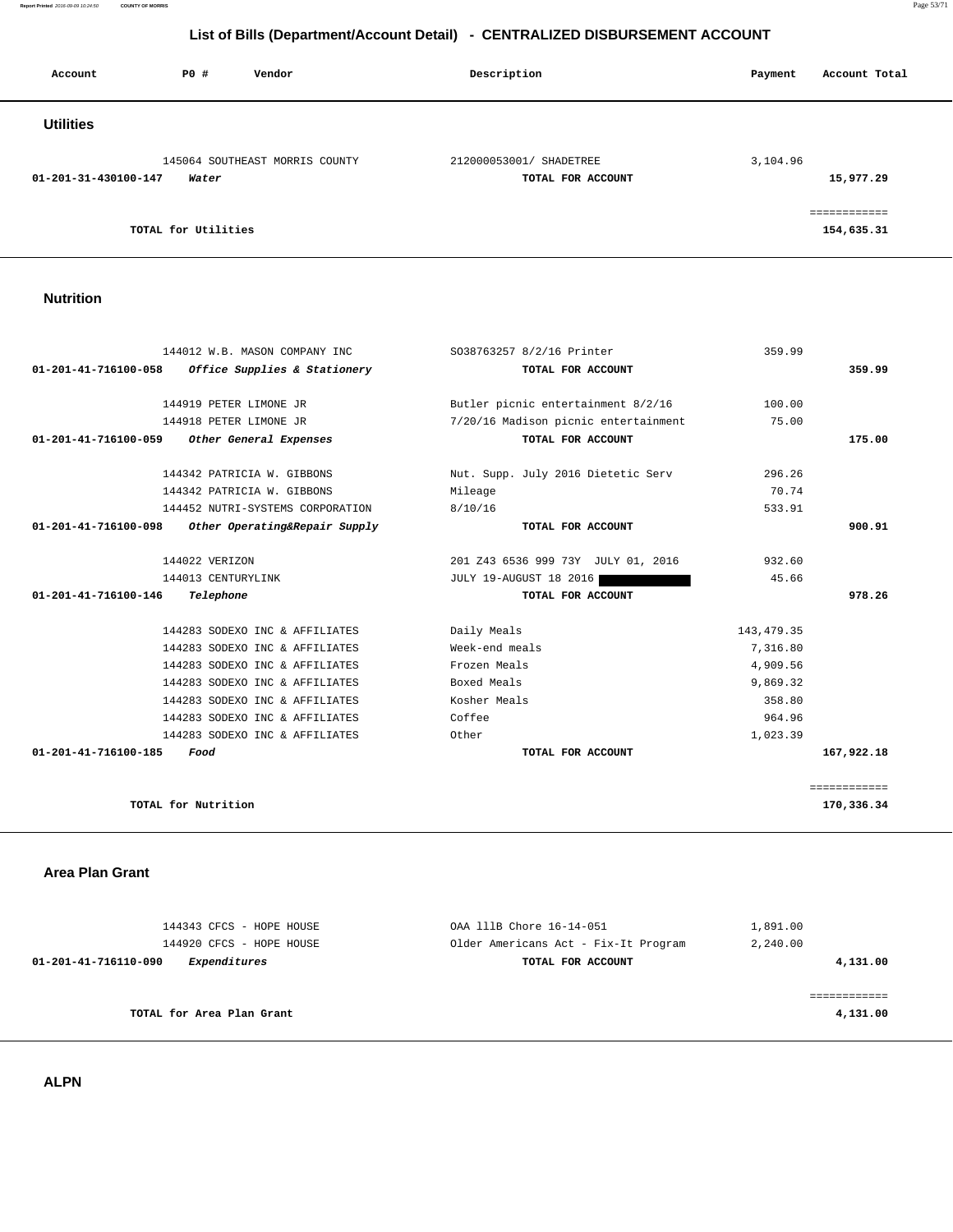**Report Printed** 2016-09-09 10:24:50 **COUNTY OF MORRIS** Page 53/71

# **List of Bills (Department/Account Detail) - CENTRALIZED DISBURSEMENT ACCOUNT**

| Account              | PO#                 | Vendor                         | Description                                  | Account Total<br>Payment   |
|----------------------|---------------------|--------------------------------|----------------------------------------------|----------------------------|
| <b>Utilities</b>     |                     |                                |                                              |                            |
| 01-201-31-430100-147 | Water               | 145064 SOUTHEAST MORRIS COUNTY | 212000053001/ SHADETREE<br>TOTAL FOR ACCOUNT | 3,104.96<br>15,977.29      |
|                      | TOTAL for Utilities |                                |                                              | ============<br>154,635.31 |

<u> 1989 - Johann Stoff, deutscher Stoff, der Stoff, der Stoff, der Stoff, der Stoff, der Stoff, der Stoff, der S</u>

# **Nutrition**

| 144012 W.B. MASON COMPANY INC                         | S038763257 8/2/16 Printer            | 359.99      |              |
|-------------------------------------------------------|--------------------------------------|-------------|--------------|
| Office Supplies & Stationery<br>01-201-41-716100-058  | TOTAL FOR ACCOUNT                    |             | 359.99       |
|                                                       |                                      |             |              |
| 144919 PETER LIMONE JR                                | Butler picnic entertainment 8/2/16   | 100.00      |              |
| 144918 PETER LIMONE JR                                | 7/20/16 Madison picnic entertainment | 75.00       |              |
| 01-201-41-716100-059 Other General Expenses           | TOTAL FOR ACCOUNT                    |             | 175.00       |
| 144342 PATRICIA W. GIBBONS                            | Nut. Supp. July 2016 Dietetic Serv   | 296.26      |              |
| 144342 PATRICIA W. GIBBONS                            | Mileage                              | 70.74       |              |
| 144452 NUTRI-SYSTEMS CORPORATION                      | 8/10/16                              | 533.91      |              |
| 01-201-41-716100-098<br>Other Operating&Repair Supply | TOTAL FOR ACCOUNT                    |             | 900.91       |
|                                                       |                                      |             |              |
| 144022 VERIZON                                        | 201 Z43 6536 999 73Y JULY 01, 2016   | 932.60      |              |
| 144013 CENTURYLINK                                    | <b>JULY 19-AUGUST 18 2016</b>        | 45.66       |              |
| 01-201-41-716100-146<br>Telephone                     | TOTAL FOR ACCOUNT                    |             | 978.26       |
|                                                       |                                      |             |              |
| 144283 SODEXO INC & AFFILIATES                        | Daily Meals                          | 143, 479.35 |              |
| 144283 SODEXO INC & AFFILIATES                        | Week-end meals                       | 7,316.80    |              |
| 144283 SODEXO INC & AFFILIATES                        | Frozen Meals                         | 4,909.56    |              |
| 144283 SODEXO INC & AFFILIATES                        | Boxed Meals                          | 9,869.32    |              |
| 144283 SODEXO INC & AFFILIATES                        | Kosher Meals                         | 358.80      |              |
| 144283 SODEXO INC & AFFILIATES                        | Coffee                               | 964.96      |              |
| 144283 SODEXO INC & AFFILIATES                        | Other                                | 1,023.39    |              |
| 01-201-41-716100-185<br>Food                          | TOTAL FOR ACCOUNT                    |             | 167,922.18   |
|                                                       |                                      |             |              |
|                                                       |                                      |             | ============ |
| TOTAL for Nutrition                                   |                                      |             | 170,336.34   |
|                                                       |                                      |             |              |

 **Area Plan Grant** 

| 144343 CFCS - HOPE HOUSE             | OAA 111B Chore 16-14-051             | 1,891.00 |
|--------------------------------------|--------------------------------------|----------|
| 144920 CFCS - HOPE HOUSE             | Older Americans Act - Fix-It Program | 2,240.00 |
| Expenditures<br>01-201-41-716110-090 | TOTAL FOR ACCOUNT                    | 4,131.00 |
|                                      |                                      |          |
|                                      |                                      |          |
| TOTAL for Area Plan Grant            |                                      | 4,131.00 |
|                                      |                                      |          |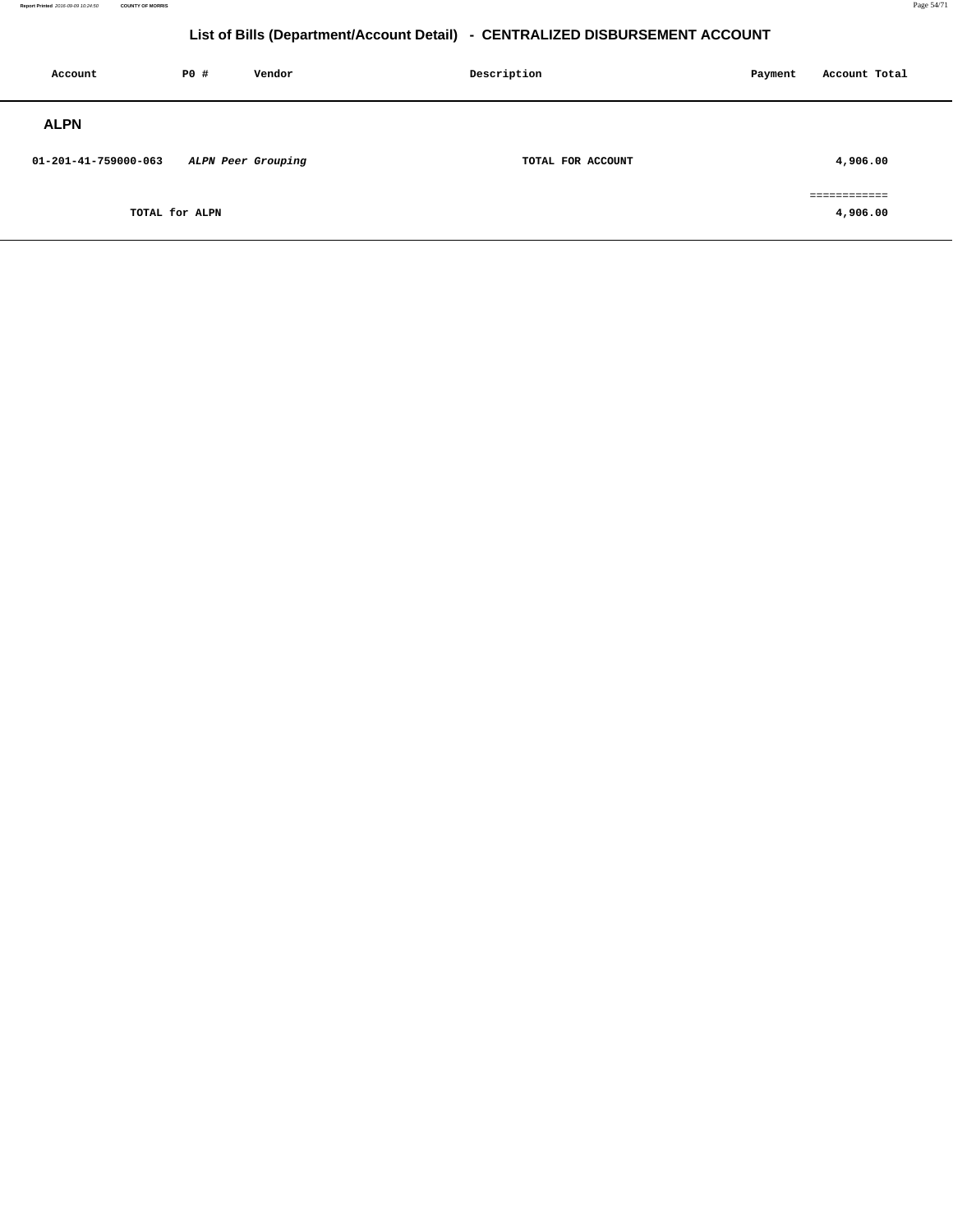| Account              | <b>PO #</b>    | Vendor             | Description<br>Payment |  | Account Total            |  |
|----------------------|----------------|--------------------|------------------------|--|--------------------------|--|
| <b>ALPN</b>          |                |                    |                        |  |                          |  |
| 01-201-41-759000-063 |                | ALPN Peer Grouping | TOTAL FOR ACCOUNT      |  | 4,906.00                 |  |
|                      | TOTAL for ALPN |                    |                        |  | ============<br>4,906.00 |  |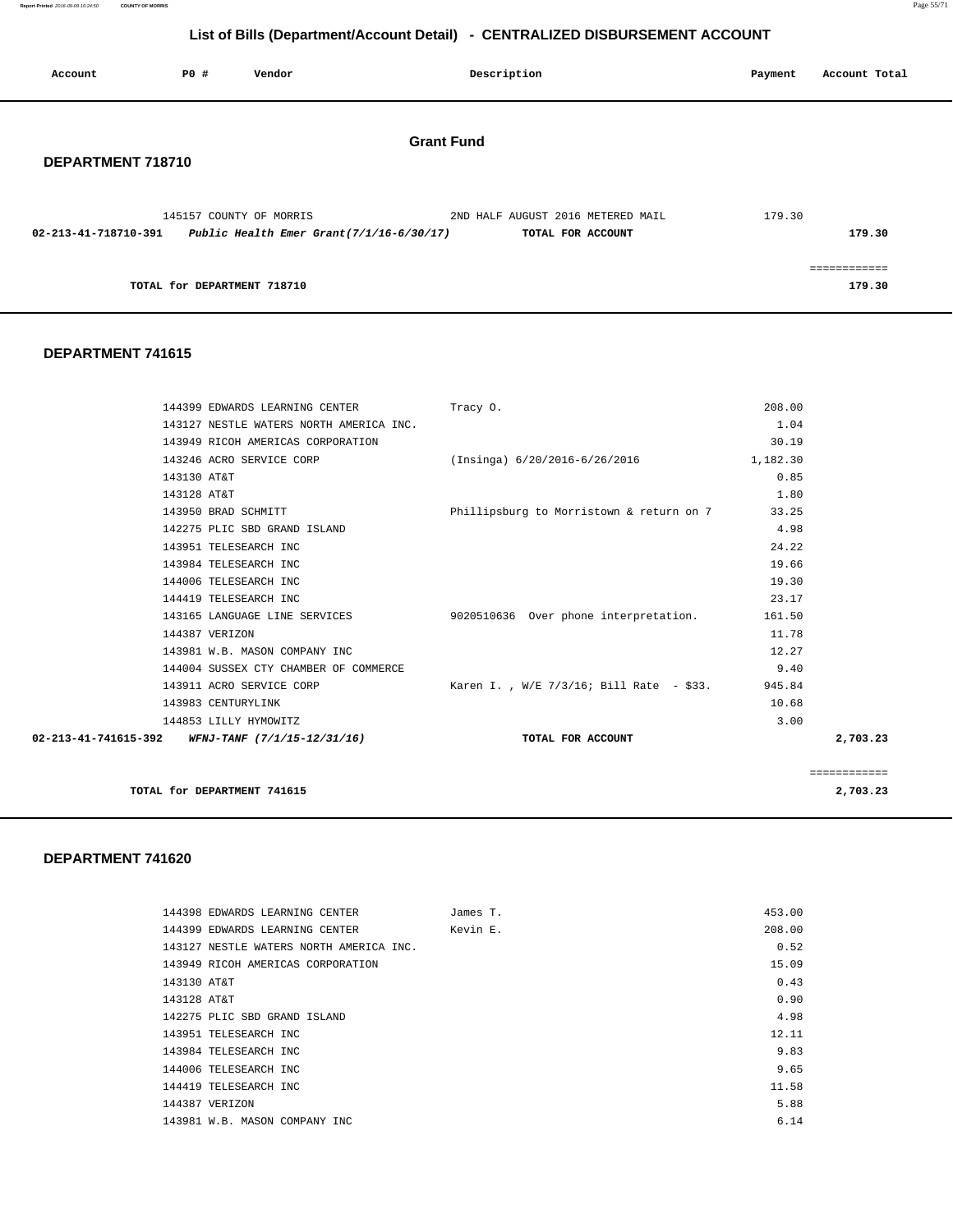**Report Printed** 2016-09-09 10:24:50 **COUNTY OF MORRIS** Page 55/71

# **List of Bills (Department/Account Detail) - CENTRALIZED DISBURSEMENT ACCOUNT**

| Account              | P0 # | Vendor                                      |                   | Description                       | Payment | Account Total |
|----------------------|------|---------------------------------------------|-------------------|-----------------------------------|---------|---------------|
| DEPARTMENT 718710    |      |                                             | <b>Grant Fund</b> |                                   |         |               |
|                      |      | 145157 COUNTY OF MORRIS                     |                   | 2ND HALF AUGUST 2016 METERED MAIL | 179.30  |               |
| 02-213-41-718710-391 |      | Public Health Emer Grant $(7/1/16-6/30/17)$ |                   | TOTAL FOR ACCOUNT                 |         | 179.30        |
|                      |      |                                             |                   |                                   |         | ============  |
|                      |      | TOTAL for DEPARTMENT 718710                 |                   |                                   |         | 179.30        |

#### **DEPARTMENT 741615**

| 144399 EDWARDS LEARNING CENTER Tracy 0.                        |                                           | 208.00   |              |
|----------------------------------------------------------------|-------------------------------------------|----------|--------------|
| 143127 NESTLE WATERS NORTH AMERICA INC.                        |                                           | 1.04     |              |
| 143949 RICOH AMERICAS CORPORATION                              |                                           | 30.19    |              |
| 143246 ACRO SERVICE CORP                                       | (Insinga) 6/20/2016-6/26/2016             | 1,182.30 |              |
| 143130 AT&T                                                    |                                           | 0.85     |              |
| 143128 AT&T                                                    |                                           | 1.80     |              |
| 143950 BRAD SCHMITT                                            | Phillipsburg to Morristown & return on 7  | 33.25    |              |
| 142275 PLIC SBD GRAND ISLAND                                   |                                           | 4.98     |              |
| 143951 TELESEARCH INC                                          |                                           | 24.22    |              |
| 143984 TELESEARCH INC                                          |                                           | 19.66    |              |
| 144006 TELESEARCH INC                                          |                                           | 19.30    |              |
| 144419 TELESEARCH INC                                          |                                           | 23.17    |              |
| 143165 LANGUAGE LINE SERVICES                                  | 9020510636 Over phone interpretation.     | 161.50   |              |
| 144387 VERIZON                                                 |                                           | 11.78    |              |
| 143981 W.B. MASON COMPANY INC                                  |                                           | 12.27    |              |
| 144004 SUSSEX CTY CHAMBER OF COMMERCE                          |                                           | 9.40     |              |
| 143911 ACRO SERVICE CORP                                       | Karen I. , W/E 7/3/16; Bill Rate  – \$33. | 945.84   |              |
| 143983 CENTURYLINK                                             |                                           | 10.68    |              |
| 144853 LILLY HYMOWITZ                                          |                                           | 3.00     |              |
| $02 - 213 - 41 - 741615 - 392$ WFNJ-TANF $(7/1/15 - 12/31/16)$ | TOTAL FOR ACCOUNT                         |          | 2,703.23     |
|                                                                |                                           |          |              |
|                                                                |                                           |          | ============ |
| TOTAL for DEPARTMENT 741615                                    |                                           |          | 2,703.23     |

|             | 144398 EDWARDS LEARNING CENTER          | James T. | 453.00 |
|-------------|-----------------------------------------|----------|--------|
|             | 144399 EDWARDS LEARNING CENTER          | Kevin E. | 208.00 |
|             | 143127 NESTLE WATERS NORTH AMERICA INC. |          | 0.52   |
|             | 143949 RICOH AMERICAS CORPORATION       |          | 15.09  |
| 143130 AT&T |                                         |          | 0.43   |
| 143128 AT&T |                                         |          | 0.90   |
|             | 142275 PLIC SBD GRAND ISLAND            |          | 4.98   |
|             | 143951 TELESEARCH INC                   |          | 12.11  |
|             | 143984 TELESEARCH INC                   |          | 9.83   |
|             | 144006 TELESEARCH INC                   |          | 9.65   |
|             | 144419 TELESEARCH INC                   |          | 11.58  |
|             | 144387 VERIZON                          |          | 5.88   |
|             | 143981 W.B. MASON COMPANY INC           |          | 6.14   |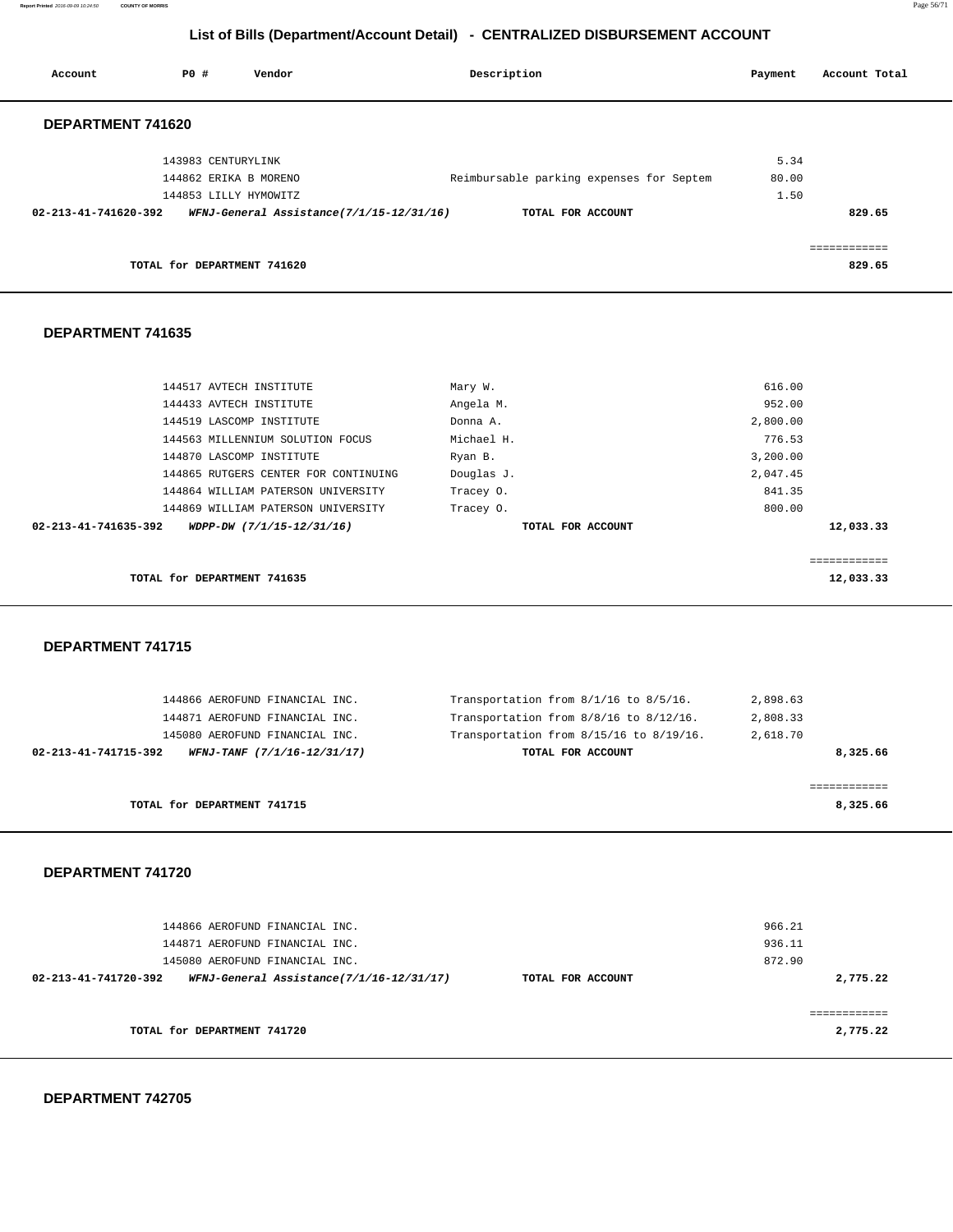**Report Printed** 2016-09-09 10:24:50 **COUNTY OF MORRIS** Page 56/71

# **List of Bills (Department/Account Detail) - CENTRALIZED DISBURSEMENT ACCOUNT**

| Vendor                                   | Description       | Payment                                  | Account Total |
|------------------------------------------|-------------------|------------------------------------------|---------------|
|                                          |                   |                                          |               |
| 143983 CENTURYLINK                       |                   | 5.34                                     |               |
| 144862 ERIKA B MORENO                    |                   | 80.00                                    |               |
| 144853 LILLY HYMOWITZ                    |                   | 1.50                                     |               |
| WFNJ-General Assistance(7/1/15-12/31/16) | TOTAL FOR ACCOUNT |                                          | 829.65        |
|                                          |                   |                                          |               |
| TOTAL for DEPARTMENT 741620              |                   |                                          | 829.65        |
|                                          |                   | Reimbursable parking expenses for Septem |               |

#### **DEPARTMENT 741635**

| 144517 AVTECH INSTITUTE                           | Mary W.           | 616.00      |
|---------------------------------------------------|-------------------|-------------|
| 144433 AVTECH INSTITUTE                           | Angela M.         | 952.00      |
| 144519 LASCOMP INSTITUTE                          | Donna A.          | 2,800.00    |
| 144563 MILLENNIUM SOLUTION FOCUS                  | Michael H.        | 776.53      |
| 144870 LASCOMP INSTITUTE                          | Ryan B.           | 3,200.00    |
| 144865 RUTGERS CENTER FOR CONTINUING              | Douglas J.        | 2,047.45    |
| 144864 WILLIAM PATERSON UNIVERSITY                | Tracey 0.         | 841.35      |
| 144869 WILLIAM PATERSON UNIVERSITY                | Tracey 0.         | 800.00      |
| 02-213-41-741635-392<br>WDPP-DW (7/1/15-12/31/16) | TOTAL FOR ACCOUNT | 12,033.33   |
|                                                   |                   |             |
|                                                   |                   | eeeeeeeeeee |
| TOTAL for DEPARTMENT 741635                       |                   | 12,033.33   |
|                                                   |                   |             |

#### **DEPARTMENT 741715**

| Transportation from $8/1/16$ to $8/5/16$ . | 2,898.63                                                                                                                          |
|--------------------------------------------|-----------------------------------------------------------------------------------------------------------------------------------|
| Transportation from 8/8/16 to 8/12/16.     | 2,808.33                                                                                                                          |
| Transportation from 8/15/16 to 8/19/16.    | 2,618.70                                                                                                                          |
| TOTAL FOR ACCOUNT                          | 8,325.66                                                                                                                          |
|                                            |                                                                                                                                   |
|                                            |                                                                                                                                   |
|                                            | 8,325.66                                                                                                                          |
|                                            | 144866 AEROFUND FINANCIAL INC.<br>144871 AEROFUND FINANCIAL INC.<br>145080 AEROFUND FINANCIAL INC.<br>WFNJ-TANF (7/1/16-12/31/17) |

| 144866 AEROFUND FINANCIAL INC.<br>144871 AEROFUND FINANCIAL INC.<br>145080 AEROFUND FINANCIAL INC. |                   | 966.21<br>936.11<br>872.90 |
|----------------------------------------------------------------------------------------------------|-------------------|----------------------------|
| WFNJ-General Assistance(7/1/16-12/31/17)<br>02-213-41-741720-392                                   | TOTAL FOR ACCOUNT | 2,775.22                   |
| TOTAL for DEPARTMENT 741720                                                                        |                   | 2,775.22                   |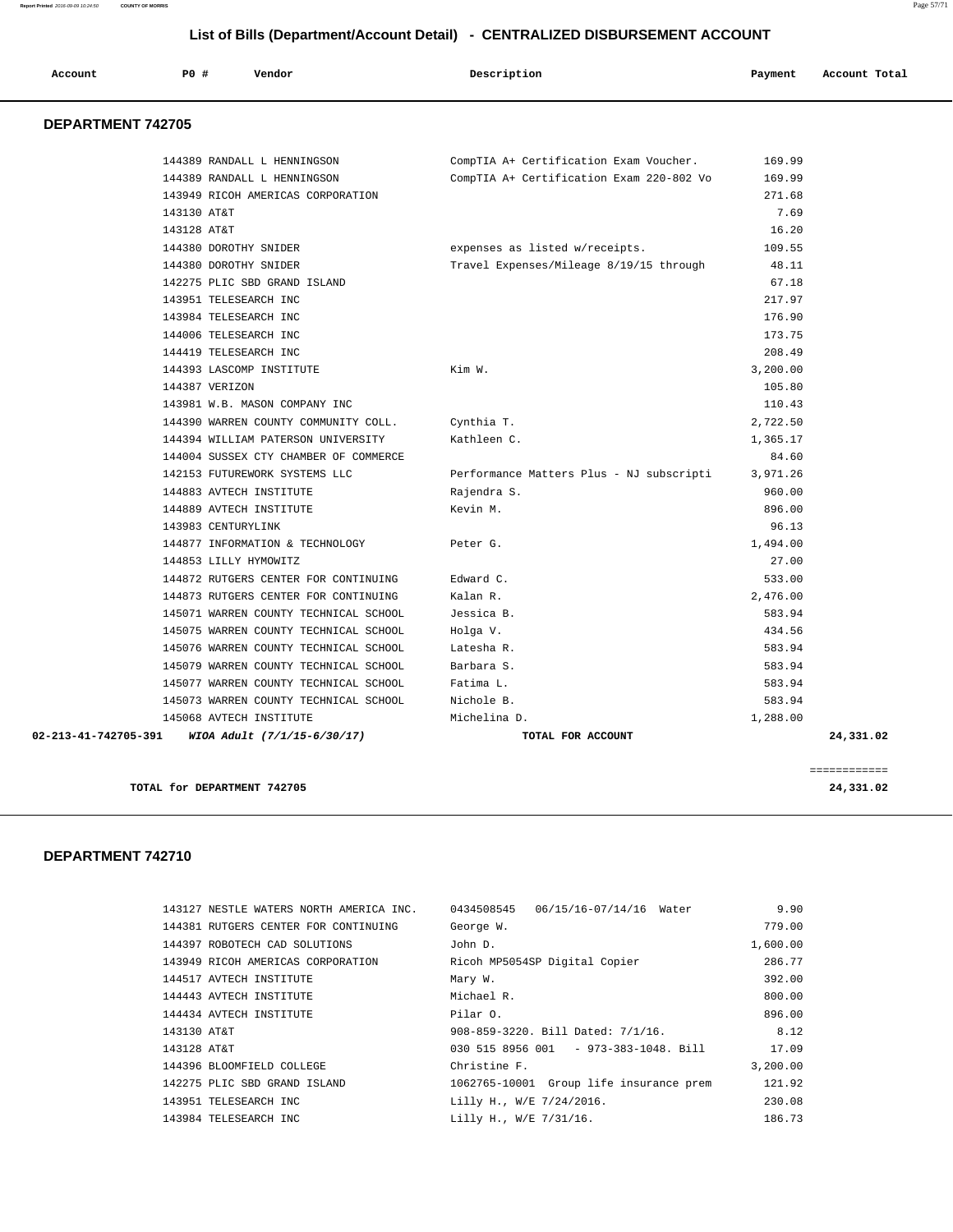| Account | PO# | Vendor | Description | Payment | Account Total |
|---------|-----|--------|-------------|---------|---------------|
|         |     |        |             |         |               |

### **DEPARTMENT 742705**

| 02-213-41-742705-391     | WIOA Adult (7/1/15-6/30/17)                                | TOTAL FOR ACCOUNT                                                                  |                  | 24,331.02 |
|--------------------------|------------------------------------------------------------|------------------------------------------------------------------------------------|------------------|-----------|
| 145068 AVTECH INSTITUTE  |                                                            | Michelina D.                                                                       | 1,288.00         |           |
|                          | 145073 WARREN COUNTY TECHNICAL SCHOOL                      | Nichole B.                                                                         | 583.94           |           |
|                          | 145077 WARREN COUNTY TECHNICAL SCHOOL                      | Fatima L.                                                                          | 583.94           |           |
|                          | 145079 WARREN COUNTY TECHNICAL SCHOOL                      | Barbara S.                                                                         | 583.94           |           |
|                          | 145076 WARREN COUNTY TECHNICAL SCHOOL                      | Latesha R.                                                                         | 583.94           |           |
|                          | 145075 WARREN COUNTY TECHNICAL SCHOOL                      | Holga V.                                                                           | 434.56           |           |
|                          | 145071 WARREN COUNTY TECHNICAL SCHOOL                      | Jessica B.                                                                         | 583.94           |           |
|                          | 144873 RUTGERS CENTER FOR CONTINUING                       | Kalan R.                                                                           | 2,476.00         |           |
|                          | 144872 RUTGERS CENTER FOR CONTINUING                       | Edward C.                                                                          | 533.00           |           |
| 144853 LILLY HYMOWITZ    |                                                            |                                                                                    | 27.00            |           |
|                          | 144877 INFORMATION & TECHNOLOGY                            | Peter G.                                                                           | 1,494.00         |           |
| 143983 CENTURYLINK       |                                                            |                                                                                    | 96.13            |           |
| 144889 AVTECH INSTITUTE  |                                                            | Kevin M.                                                                           | 896.00           |           |
| 144883 AVTECH INSTITUTE  |                                                            | Rajendra S.                                                                        | 960.00           |           |
|                          | 142153 FUTUREWORK SYSTEMS LLC                              | Performance Matters Plus - NJ subscripti                                           | 3,971.26         |           |
|                          | 144004 SUSSEX CTY CHAMBER OF COMMERCE                      |                                                                                    | 84.60            |           |
|                          | 144394 WILLIAM PATERSON UNIVERSITY                         | Kathleen C.                                                                        | 1,365.17         |           |
|                          | 144390 WARREN COUNTY COMMUNITY COLL.                       | Cynthia T.                                                                         | 2,722.50         |           |
|                          | 143981 W.B. MASON COMPANY INC                              |                                                                                    | 110.43           |           |
| 144387 VERIZON           |                                                            |                                                                                    | 105.80           |           |
| 144393 LASCOMP INSTITUTE |                                                            | Kim W.                                                                             | 3,200.00         |           |
| 144419 TELESEARCH INC    |                                                            |                                                                                    | 208.49           |           |
| 144006 TELESEARCH INC    |                                                            |                                                                                    | 173.75           |           |
| 143984 TELESEARCH INC    |                                                            |                                                                                    | 176.90           |           |
| 143951 TELESEARCH INC    |                                                            |                                                                                    | 217.97           |           |
|                          | 142275 PLIC SBD GRAND ISLAND                               |                                                                                    | 67.18            |           |
| 144380 DOROTHY SNIDER    |                                                            | Travel Expenses/Mileage 8/19/15 through                                            | 48.11            |           |
| 144380 DOROTHY SNIDER    |                                                            | expenses as listed w/receipts.                                                     | 109.55           |           |
| 143128 AT&T              |                                                            |                                                                                    | 16.20            |           |
| 143130 AT&T              |                                                            |                                                                                    | 7.69             |           |
|                          | 143949 RICOH AMERICAS CORPORATION                          |                                                                                    | 271.68           |           |
|                          | 144389 RANDALL L HENNINGSON<br>144389 RANDALL L HENNINGSON | CompTIA A+ Certification Exam Voucher.<br>CompTIA A+ Certification Exam 220-802 Vo | 169.99<br>169.99 |           |

**TOTAL for DEPARTMENT 742705 24,331.02**

| 143127 NESTLE WATERS NORTH AMERICA INC. | 0434508545<br>06/15/16-07/14/16 Water   | 9.90     |
|-----------------------------------------|-----------------------------------------|----------|
| 144381 RUTGERS CENTER FOR CONTINUING    | George W.                               | 779.00   |
| 144397 ROBOTECH CAD SOLUTIONS           | John D.                                 | 1,600.00 |
| 143949 RICOH AMERICAS CORPORATION       | Ricoh MP5054SP Digital Copier           | 286.77   |
| 144517 AVTECH INSTITUTE                 | Mary W.                                 | 392.00   |
| 144443 AVTECH INSTITUTE                 | Michael R.                              | 800.00   |
| 144434 AVTECH INSTITUTE                 | Pilar O.                                | 896.00   |
| 143130 AT&T                             | 908-859-3220. Bill Dated: 7/1/16.       | 8.12     |
| 143128 AT&T                             | 030 515 8956 001 - 973-383-1048. Bill   | 17.09    |
| 144396 BLOOMFIELD COLLEGE               | Christine F.                            | 3,200.00 |
| 142275 PLIC SBD GRAND ISLAND            | 1062765-10001 Group life insurance prem | 121.92   |
| 143951 TELESEARCH INC                   | Lilly H., W/E 7/24/2016.                | 230.08   |
| 143984 TELESEARCH INC                   | Lilly H., W/E 7/31/16.                  | 186.73   |
|                                         |                                         |          |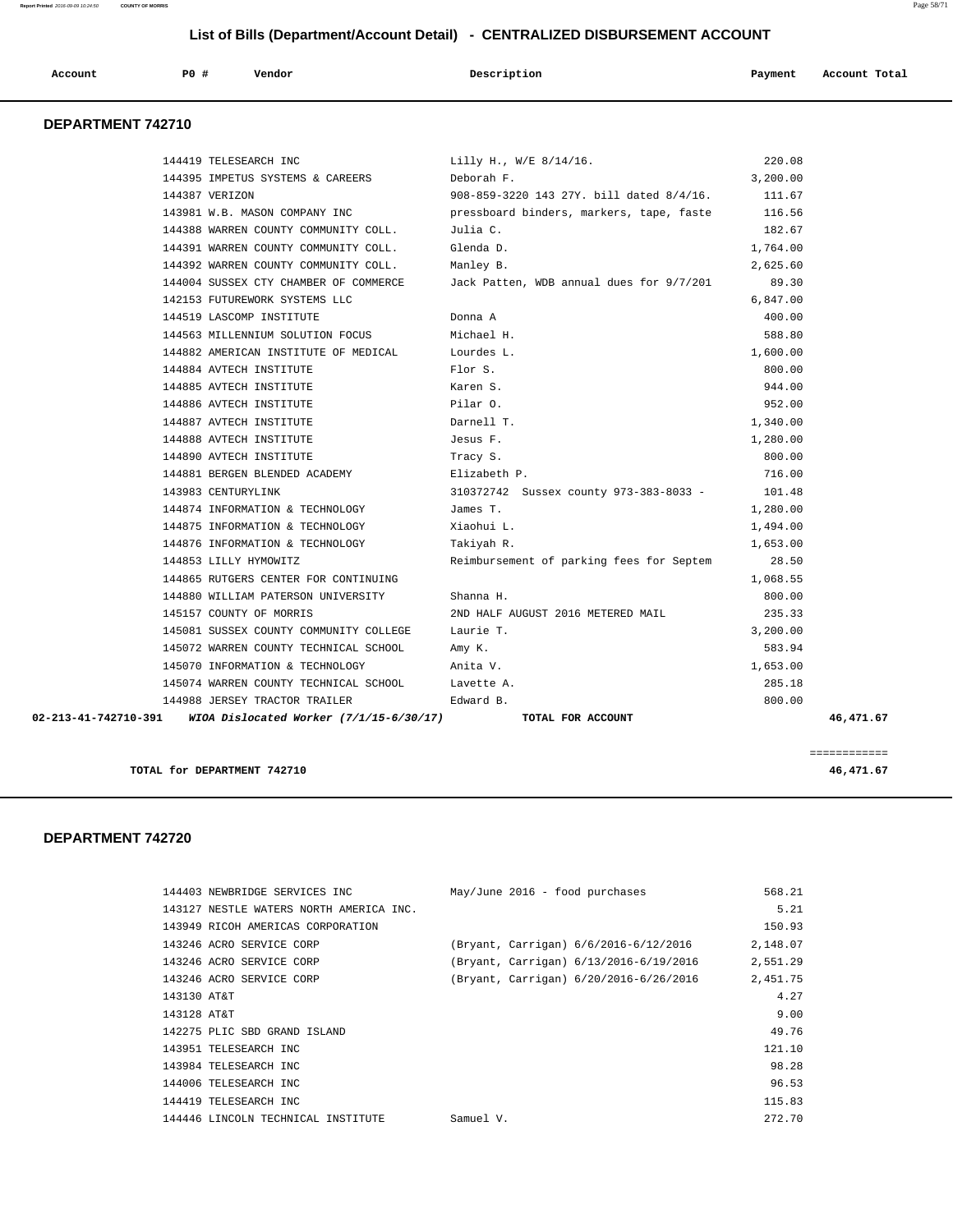**Report Printed** 2016-09-09 10:24:50 **COUNTY OF MORRIS** Page 58/71

# **List of Bills (Department/Account Detail) - CENTRALIZED DISBURSEMENT ACCOUNT**

| Account | <b>PO #</b> | Vendor | Description | Payment | Account Total |
|---------|-------------|--------|-------------|---------|---------------|
|         |             |        |             |         |               |

### **DEPARTMENT 742710**

|  | 145157 COUNTY OF MORRIS                         | 2ND HALF AUGUST 2016 METERED MAIL                    | 235.33   |  |
|--|-------------------------------------------------|------------------------------------------------------|----------|--|
|  |                                                 |                                                      |          |  |
|  | 144880 WILLIAM PATERSON UNIVERSITY              | Shanna H.                                            | 800.00   |  |
|  | 144865 RUTGERS CENTER FOR CONTINUING            |                                                      | 1,068.55 |  |
|  | 144853 LILLY HYMOWITZ                           | Reimbursement of parking fees for Septem             | 28.50    |  |
|  | 144876 INFORMATION & TECHNOLOGY                 | Takiyah R.                                           | 1,653.00 |  |
|  | 144875 INFORMATION & TECHNOLOGY                 | Xiaohui L.                                           | 1,494.00 |  |
|  | 144874 INFORMATION & TECHNOLOGY                 | James T.                                             | 1,280.00 |  |
|  | 143983 CENTURYLINK                              | 310372742 Sussex county 973-383-8033 -               | 101.48   |  |
|  | 144881 BERGEN BLENDED ACADEMY                   | Elizabeth P.                                         | 716.00   |  |
|  | 144890 AVTECH INSTITUTE                         | Tracy S.                                             | 800.00   |  |
|  | 144888 AVTECH INSTITUTE THE STATE SERIES F.     |                                                      | 1,280.00 |  |
|  | 144887 AVTECH INSTITUTE                         | Darnell T.                                           | 1,340.00 |  |
|  | 144886 AVTECH INSTITUTE                         | Pilar O.                                             | 952.00   |  |
|  | 144885 AVTECH INSTITUTE                         | Karen S.                                             | 944.00   |  |
|  | 144884 AVTECH INSTITUTE                         | Flor S.                                              | 800.00   |  |
|  | 144882 AMERICAN INSTITUTE OF MEDICAL Lourdes L. |                                                      | 1,600.00 |  |
|  | 144563 MILLENNIUM SOLUTION FOCUS                | Michael H.                                           | 588.80   |  |
|  | 144519 LASCOMP INSTITUTE                        | Donna A                                              | 400.00   |  |
|  | 142153 FUTUREWORK SYSTEMS LLC                   |                                                      | 6,847.00 |  |
|  | 144004 SUSSEX CTY CHAMBER OF COMMERCE           | Jack Patten, WDB annual dues for 9/7/201             | 89.30    |  |
|  | 144392 WARREN COUNTY COMMUNITY COLL.            | Manley B.                                            | 2,625.60 |  |
|  | 144391 WARREN COUNTY COMMUNITY COLL.            | Glenda D.                                            | 1,764.00 |  |
|  | 144388 WARREN COUNTY COMMUNITY COLL.            | Julia C.                                             | 182.67   |  |
|  | 143981 W.B. MASON COMPANY INC                   | pressboard binders, markers, tape, faste 116.56      |          |  |
|  | 144387 VERIZON                                  | $908-859-3220$ 143 27Y, bill dated $8/4/16$ . 111.67 |          |  |
|  | 144395 IMPETUS SYSTEMS & CAREERS                | Deborah F.                                           | 3,200.00 |  |
|  | 144419 TELESEARCH INC                           | Lilly H., W/E 8/14/16.                               | 220.08   |  |

**TOTAL for DEPARTMENT 742710 46,471.67**

 **DEPARTMENT 742720** 

| 144403 NEWBRIDGE SERVICES INC           | $May/June 2016 - food purchases$       | 568.21   |
|-----------------------------------------|----------------------------------------|----------|
| 143127 NESTLE WATERS NORTH AMERICA INC. |                                        | 5.21     |
| 143949 RICOH AMERICAS CORPORATION       |                                        | 150.93   |
| 143246 ACRO SERVICE CORP                | (Bryant, Carrigan) 6/6/2016-6/12/2016  | 2,148.07 |
| 143246 ACRO SERVICE CORP                | (Bryant, Carrigan) 6/13/2016-6/19/2016 | 2,551.29 |
| 143246 ACRO SERVICE CORP                | (Bryant, Carrigan) 6/20/2016-6/26/2016 | 2,451.75 |
| 143130 AT&T                             |                                        | 4.27     |
| 143128 AT&T                             |                                        | 9.00     |
| 142275 PLIC SBD GRAND ISLAND            |                                        | 49.76    |
| 143951 TELESEARCH INC                   |                                        | 121.10   |
| 143984 TELESEARCH INC                   |                                        | 98.28    |
| 144006 TELESEARCH INC                   |                                        | 96.53    |
| 144419 TELESEARCH INC                   |                                        | 115.83   |
| 144446 LINCOLN TECHNICAL INSTITUTE      | Samuel V.                              | 272.70   |

============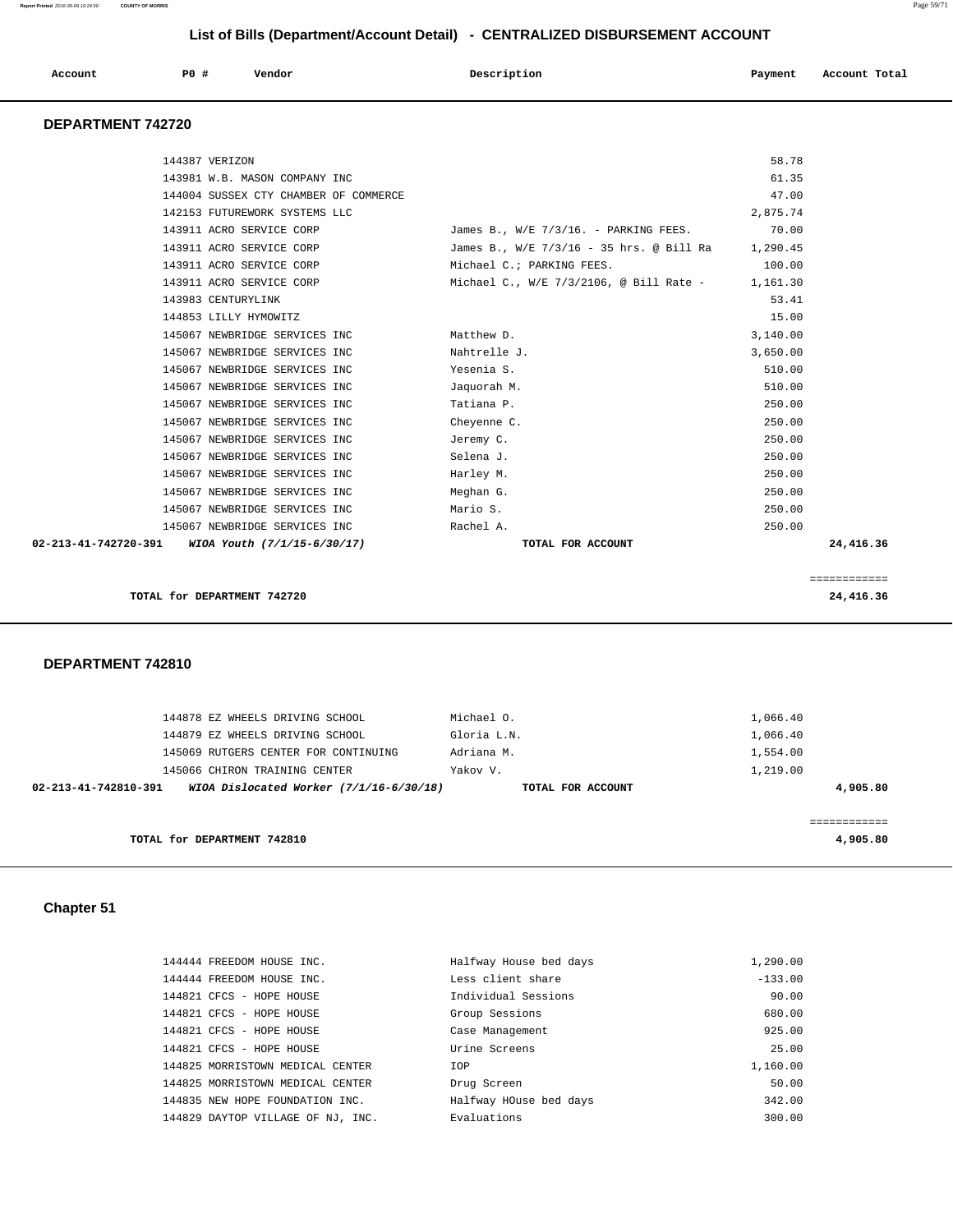| Account<br>. | PO# | Vendor | Description | Payment | Account Total<br>.<br>. |
|--------------|-----|--------|-------------|---------|-------------------------|
|--------------|-----|--------|-------------|---------|-------------------------|

# **DEPARTMENT 742720**

| 144387 VERIZON                                   |                                                   | 58.78    |              |
|--------------------------------------------------|---------------------------------------------------|----------|--------------|
| 143981 W.B. MASON COMPANY INC                    |                                                   | 61.35    |              |
| 144004 SUSSEX CTY CHAMBER OF COMMERCE            |                                                   | 47.00    |              |
|                                                  |                                                   |          |              |
| 142153 FUTUREWORK SYSTEMS LLC                    |                                                   | 2,875.74 |              |
| 143911 ACRO SERVICE CORP                         | James B., $W/E$ 7/3/16. - PARKING FEES.           | 70.00    |              |
| 143911 ACRO SERVICE CORP                         | James B., W/E 7/3/16 - 35 hrs. @ Bill Ra 1,290.45 |          |              |
| 143911 ACRO SERVICE CORP                         | Michael C.; PARKING FEES.                         | 100.00   |              |
| 143911 ACRO SERVICE CORP                         | Michael C., W/E $7/3/2106$ , @ Bill Rate -        | 1,161.30 |              |
| 143983 CENTURYLINK                               |                                                   | 53.41    |              |
| 144853 LILLY HYMOWITZ                            |                                                   | 15.00    |              |
| 145067 NEWBRIDGE SERVICES INC                    | Matthew D.                                        | 3,140.00 |              |
| 145067 NEWBRIDGE SERVICES INC                    | Nahtrelle J.                                      | 3,650.00 |              |
| 145067 NEWBRIDGE SERVICES INC                    | Yesenia S.                                        | 510.00   |              |
| 145067 NEWBRIDGE SERVICES INC                    | Jaquorah M.                                       | 510.00   |              |
| 145067 NEWBRIDGE SERVICES INC                    | Tatiana P.                                        | 250.00   |              |
| 145067 NEWBRIDGE SERVICES INC                    | Cheyenne C.                                       | 250.00   |              |
| 145067 NEWBRIDGE SERVICES INC                    | Jeremy C.                                         | 250.00   |              |
| 145067 NEWBRIDGE SERVICES INC                    | Selena J.                                         | 250.00   |              |
| 145067 NEWBRIDGE SERVICES INC                    | Harley M.                                         | 250.00   |              |
| 145067 NEWBRIDGE SERVICES INC                    | Meghan G.                                         | 250.00   |              |
| 145067 NEWBRIDGE SERVICES INC                    | Mario S.                                          | 250.00   |              |
| 145067 NEWBRIDGE SERVICES INC                    | Rachel A.                                         | 250.00   |              |
| 02-213-41-742720-391 WIOA Youth (7/1/15-6/30/17) | TOTAL FOR ACCOUNT                                 |          | 24,416.36    |
|                                                  |                                                   |          |              |
|                                                  |                                                   |          | ============ |
| TOTAL for DEPARTMENT 742720                      |                                                   |          | 24,416.36    |
|                                                  |                                                   |          |              |

#### **DEPARTMENT 742810**

| 144878 EZ WHEELS DRIVING SCHOOL<br>144879 EZ WHEELS DRIVING SCHOOL | Michael O.<br>Gloria L.N. | 1,066.40<br>1,066.40 |
|--------------------------------------------------------------------|---------------------------|----------------------|
| 145069 RUTGERS CENTER FOR CONTINUING                               | Adriana M.                | 1,554.00             |
| 145066 CHIRON TRAINING CENTER                                      | Yakov V.                  | 1,219.00             |
| WIOA Dislocated Worker (7/1/16-6/30/18)<br>02-213-41-742810-391    | TOTAL FOR ACCOUNT         | 4,905.80             |
| TOTAL for DEPARTMENT 742810                                        |                           | 4,905.80             |

# **Chapter 51**

| 144444 FREEDOM HOUSE INC.         | Halfway House bed days | 1,290.00  |
|-----------------------------------|------------------------|-----------|
| 144444 FREEDOM HOUSE INC.         | Less client share      | $-133.00$ |
| 144821 CFCS - HOPE HOUSE          | Individual Sessions    | 90.00     |
| 144821 CFCS - HOPE HOUSE          | Group Sessions         | 680.00    |
| 144821 CFCS - HOPE HOUSE          | Case Management        | 925.00    |
| 144821 CFCS - HOPE HOUSE          | Urine Screens          | 25.00     |
| 144825 MORRISTOWN MEDICAL CENTER  | IOP                    | 1,160.00  |
| 144825 MORRISTOWN MEDICAL CENTER  | Drug Screen            | 50.00     |
| 144835 NEW HOPE FOUNDATION INC.   | Halfway HOuse bed days | 342.00    |
| 144829 DAYTOP VILLAGE OF NJ. INC. | Evaluations            | 300.00    |
|                                   |                        |           |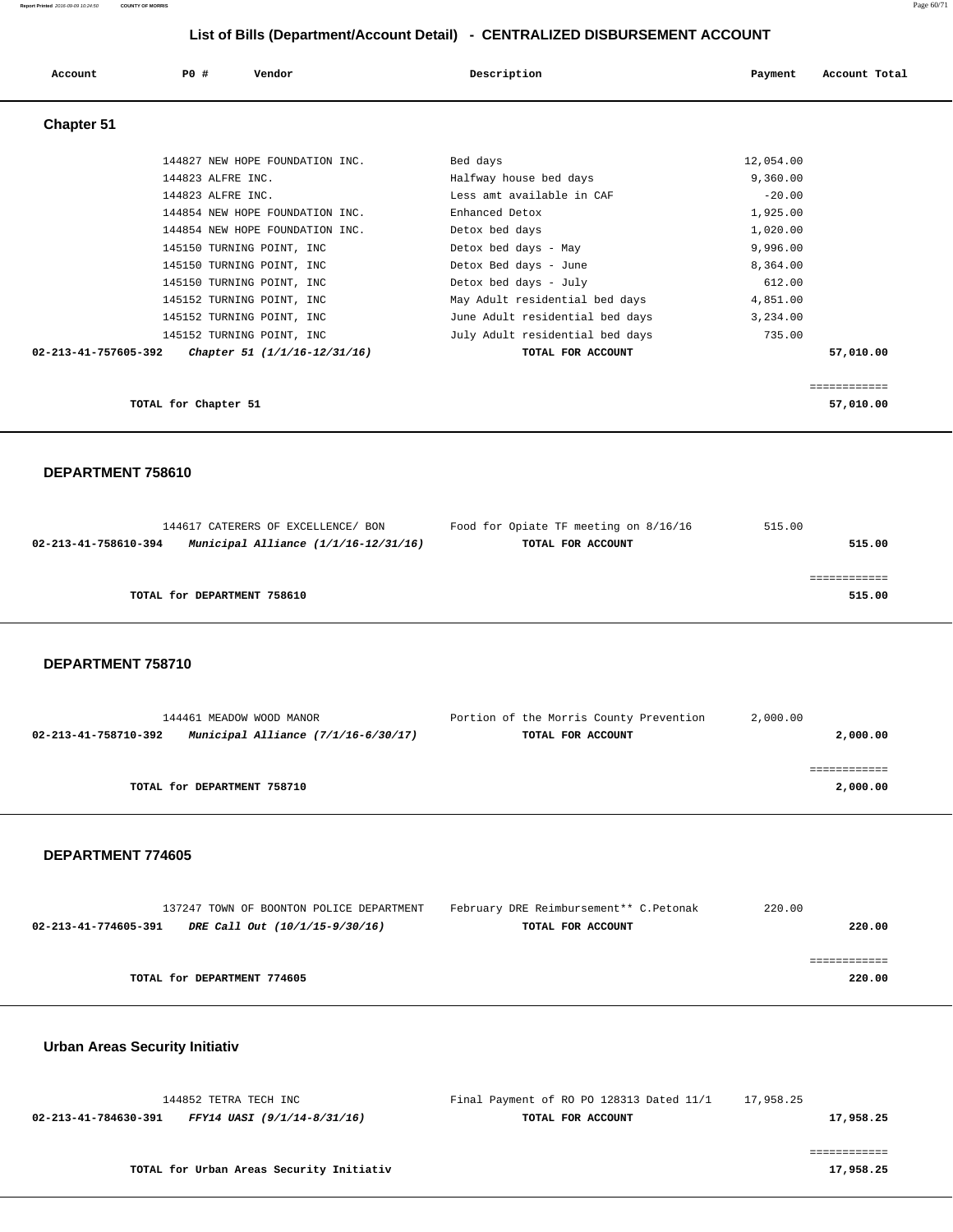| Account              | PO#<br>Vendor                   | Description                     | Payment   | Account Total |
|----------------------|---------------------------------|---------------------------------|-----------|---------------|
| <b>Chapter 51</b>    |                                 |                                 |           |               |
|                      | 144827 NEW HOPE FOUNDATION INC. | Bed days                        | 12,054.00 |               |
|                      | 144823 ALFRE INC.               | Halfway house bed days          | 9,360.00  |               |
|                      | 144823 ALFRE INC.               | Less amt available in CAF       | $-20.00$  |               |
|                      | 144854 NEW HOPE FOUNDATION INC. | Enhanced Detox                  | 1,925.00  |               |
|                      | 144854 NEW HOPE FOUNDATION INC. | Detox bed days                  | 1,020.00  |               |
|                      | 145150 TURNING POINT, INC       | Detox bed days - May            | 9,996.00  |               |
|                      | 145150 TURNING POINT, INC       | Detox Bed days - June           | 8,364.00  |               |
|                      | 145150 TURNING POINT, INC       | Detox bed days - July           | 612.00    |               |
|                      | 145152 TURNING POINT, INC       | May Adult residential bed days  | 4,851.00  |               |
|                      | 145152 TURNING POINT, INC       | June Adult residential bed days | 3,234.00  |               |
|                      | 145152 TURNING POINT, INC       | July Adult residential bed days | 735.00    |               |
| 02-213-41-757605-392 | Chapter 51 (1/1/16-12/31/16)    | TOTAL FOR ACCOUNT               |           | 57,010.00     |
|                      |                                 |                                 |           |               |
|                      | TOTAL for Chapter 51            |                                 |           | 57,010.00     |

 **DEPARTMENT 758610** 

|                      | 144617 CATERERS OF EXCELLENCE/ BON       | Food for Opiate TF meeting on 8/16/16 | 515.00 |
|----------------------|------------------------------------------|---------------------------------------|--------|
| 02-213-41-758610-394 | Municipal Alliance $(1/1/16 - 12/31/16)$ | TOTAL FOR ACCOUNT                     | 515.00 |
|                      |                                          |                                       |        |
|                      |                                          |                                       |        |
|                      | TOTAL for DEPARTMENT 758610              |                                       | 515.00 |
|                      |                                          |                                       |        |

 **DEPARTMENT 758710** 

| 144461 MEADOW WOOD MANOR                                      | Portion of the Morris County Prevention | 2,000.00 |
|---------------------------------------------------------------|-----------------------------------------|----------|
| Municipal Alliance $(7/1/16-6/30/17)$<br>02-213-41-758710-392 | TOTAL FOR ACCOUNT                       | 2,000.00 |
|                                                               |                                         |          |
|                                                               |                                         |          |
| TOTAL for DEPARTMENT 758710                                   |                                         | 2,000.00 |

#### **DEPARTMENT 774605**

| 137247 TOWN OF BOONTON POLICE DEPARTMENT               | February DRE Reimbursement** C.Petonak | 220.00 |
|--------------------------------------------------------|----------------------------------------|--------|
| 02-213-41-774605-391<br>DRE Call Out (10/1/15-9/30/16) | TOTAL FOR ACCOUNT                      | 220.00 |
|                                                        |                                        |        |
|                                                        |                                        |        |
| TOTAL for DEPARTMENT 774605                            |                                        | 220.00 |
|                                                        |                                        |        |

# **Urban Areas Security Initiativ**

|                      | 144852 TETRA TECH INC       | Final Payment of RO PO 128313 Dated 11/1 | 17,958.25 |
|----------------------|-----------------------------|------------------------------------------|-----------|
| 02-213-41-784630-391 | FFY14 UASI (9/1/14-8/31/16) | TOTAL FOR ACCOUNT                        | 17,958.25 |
|                      |                             |                                          |           |
|                      |                             |                                          |           |

**TOTAL for Urban Areas Security Initiativ 17,958.25**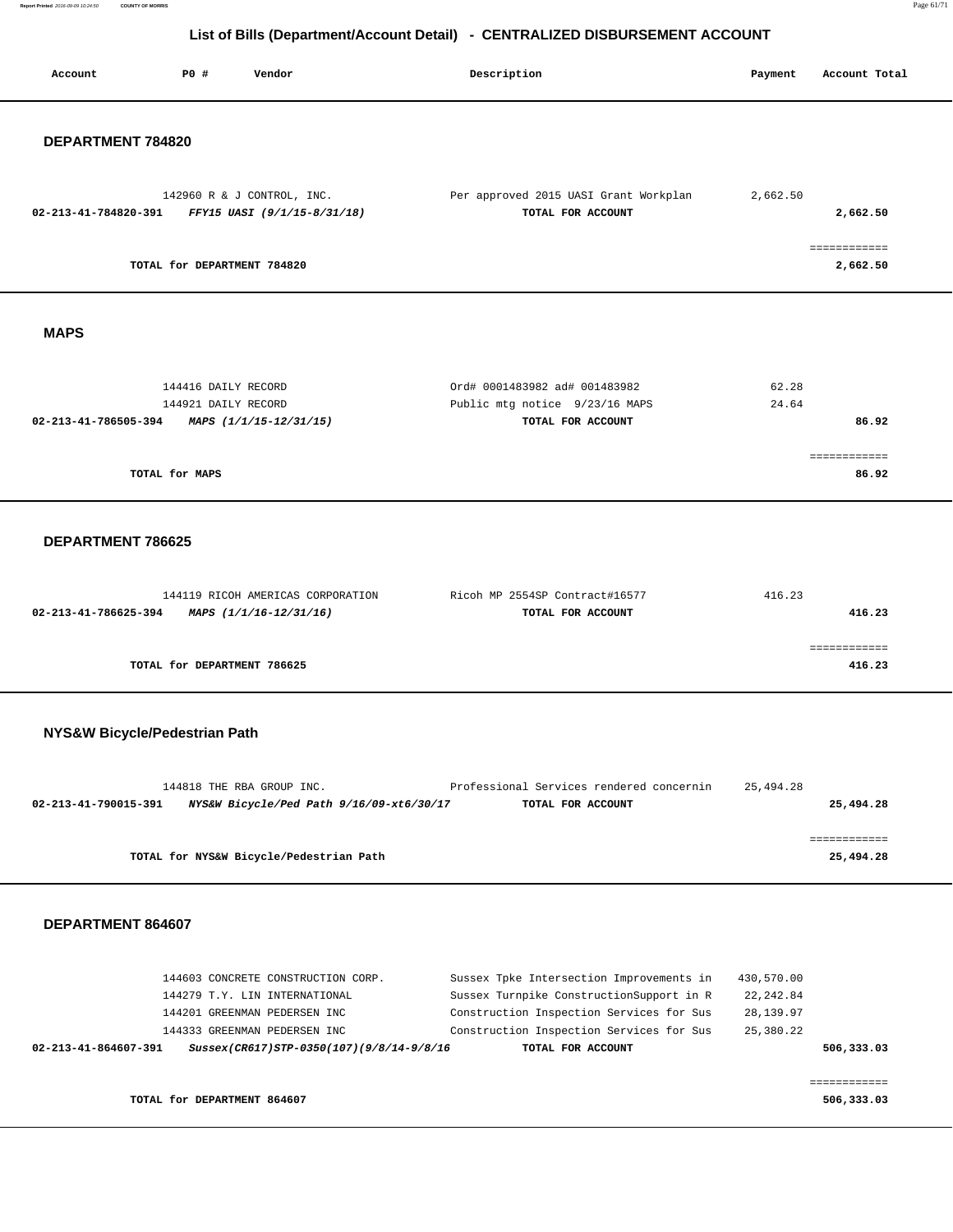**Report Printed** 2016-09-09 10:24:50 **COUNTY OF MORRIS** Page 61/71

# **List of Bills (Department/Account Detail) - CENTRALIZED DISBURSEMENT ACCOUNT**

| Account              | PO#                         | Vendor                                                    | Description                                                | Payment  | Account Total         |
|----------------------|-----------------------------|-----------------------------------------------------------|------------------------------------------------------------|----------|-----------------------|
| DEPARTMENT 784820    |                             |                                                           |                                                            |          |                       |
| 02-213-41-784820-391 |                             | 142960 R & J CONTROL, INC.<br>FFY15 UASI (9/1/15-8/31/18) | Per approved 2015 UASI Grant Workplan<br>TOTAL FOR ACCOUNT | 2,662.50 | 2,662.50              |
|                      | TOTAL for DEPARTMENT 784820 |                                                           |                                                            |          | 2,662.50              |
| <b>MAPS</b>          |                             |                                                           |                                                            |          |                       |
|                      | 144416 DAILY RECORD         |                                                           | Ord# 0001483982 ad# 001483982                              | 62.28    |                       |
| 02-213-41-786505-394 | 144921 DAILY RECORD         | MAPS (1/1/15-12/31/15)                                    | Public mtg notice 9/23/16 MAPS<br>TOTAL FOR ACCOUNT        | 24.64    | 86.92                 |
|                      |                             |                                                           |                                                            |          |                       |
|                      | TOTAL for MAPS              |                                                           |                                                            |          | ============<br>86.92 |
| DEPARTMENT 786625    |                             |                                                           |                                                            |          |                       |
|                      |                             | 144119 RICOH AMERICAS CORPORATION                         | Ricoh MP 2554SP Contract#16577                             | 416.23   |                       |
| 02-213-41-786625-394 |                             | MAPS (1/1/16-12/31/16)                                    | TOTAL FOR ACCOUNT                                          |          | 416.23                |
|                      |                             |                                                           |                                                            |          | ============          |
|                      | TOTAL for DEPARTMENT 786625 |                                                           |                                                            |          | 416.23                |

# **NYS&W Bicycle/Pedestrian Path**

| 25,494.28 | Professional Services rendered concernin |                                          | 144818 THE RBA GROUP INC.               |                      |
|-----------|------------------------------------------|------------------------------------------|-----------------------------------------|----------------------|
| 25,494.28 | TOTAL FOR ACCOUNT                        | NYS&W Bicycle/Ped Path 9/16/09-xt6/30/17 |                                         | 02-213-41-790015-391 |
|           |                                          |                                          |                                         |                      |
|           |                                          |                                          |                                         |                      |
| 25,494.28 |                                          |                                          | TOTAL for NYS&W Bicycle/Pedestrian Path |                      |

|                               | 144603 CONCRETE CONSTRUCTION CORP.       | Sussex Tpke Intersection Improvements in | 430,570.00 |            |
|-------------------------------|------------------------------------------|------------------------------------------|------------|------------|
| 144279 T.Y. LIN INTERNATIONAL |                                          | Sussex Turnpike ConstructionSupport in R | 22, 242.84 |            |
| 144201 GREENMAN PEDERSEN INC  |                                          | Construction Inspection Services for Sus | 28,139.97  |            |
| 144333 GREENMAN PEDERSEN INC  |                                          | Construction Inspection Services for Sus | 25,380.22  |            |
| 02-213-41-864607-391          | Sussex(CR617)STP-0350(107)(9/8/14-9/8/16 | TOTAL FOR ACCOUNT                        |            | 506,333.03 |
|                               |                                          |                                          |            |            |
|                               |                                          |                                          |            |            |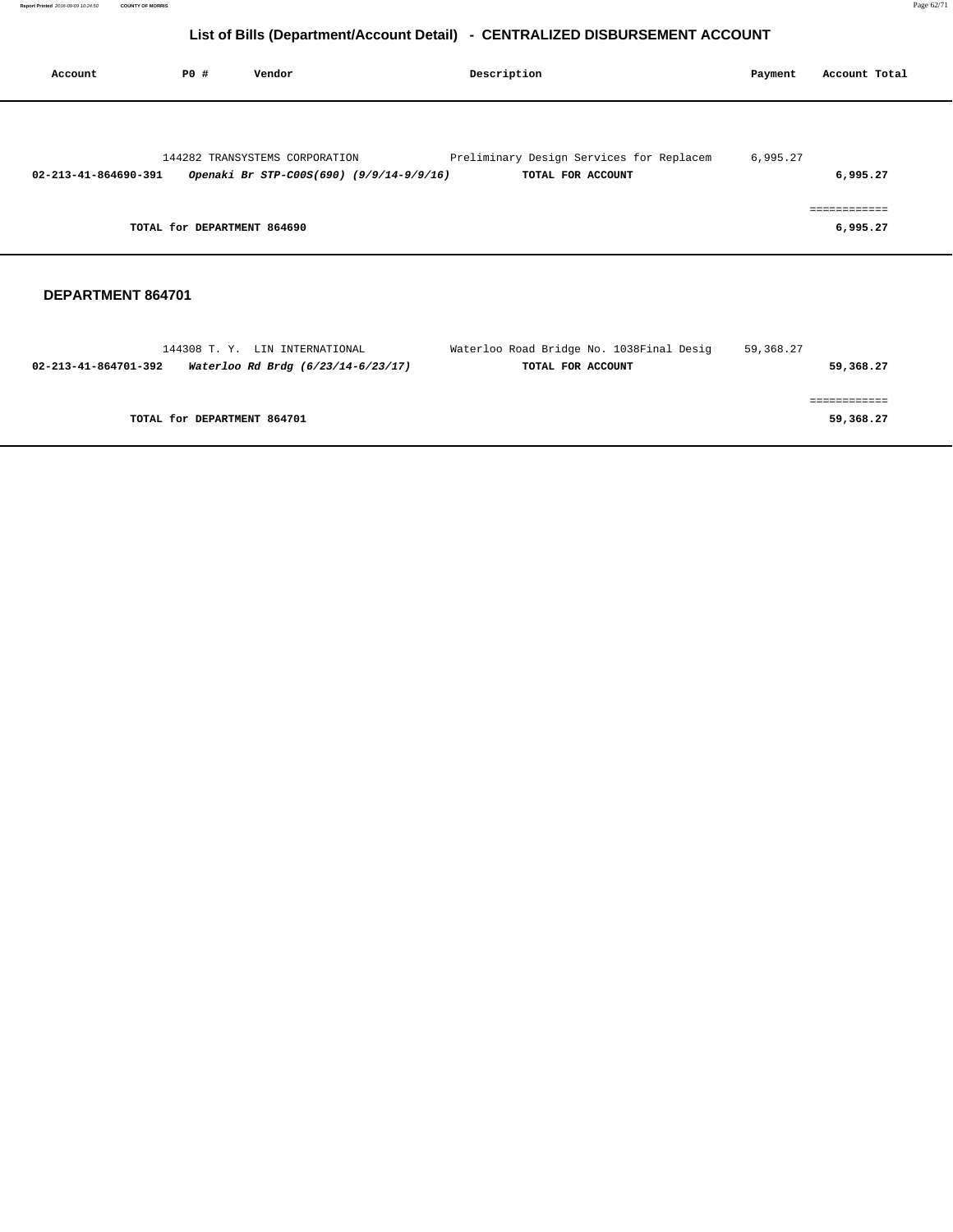| Account              | P0 #                        | Vendor                                                                     | Description                                                   | Payment  | Account Total            |  |
|----------------------|-----------------------------|----------------------------------------------------------------------------|---------------------------------------------------------------|----------|--------------------------|--|
| 02-213-41-864690-391 |                             | 144282 TRANSYSTEMS CORPORATION<br>Openaki Br STP-C00S(690) (9/9/14-9/9/16) | Preliminary Design Services for Replacem<br>TOTAL FOR ACCOUNT | 6,995.27 | 6,995.27                 |  |
|                      | TOTAL for DEPARTMENT 864690 |                                                                            |                                                               |          | ============<br>6,995.27 |  |

| 144308 T.Y. LIN INTERNATIONAL                              | Waterloo Road Bridge No. 1038Final Desig | 59,368.27 |
|------------------------------------------------------------|------------------------------------------|-----------|
| Waterloo Rd Brdg (6/23/14-6/23/17)<br>02-213-41-864701-392 | TOTAL FOR ACCOUNT                        | 59,368.27 |
|                                                            |                                          |           |
|                                                            |                                          |           |
| TOTAL for DEPARTMENT 864701                                |                                          | 59,368.27 |
|                                                            |                                          |           |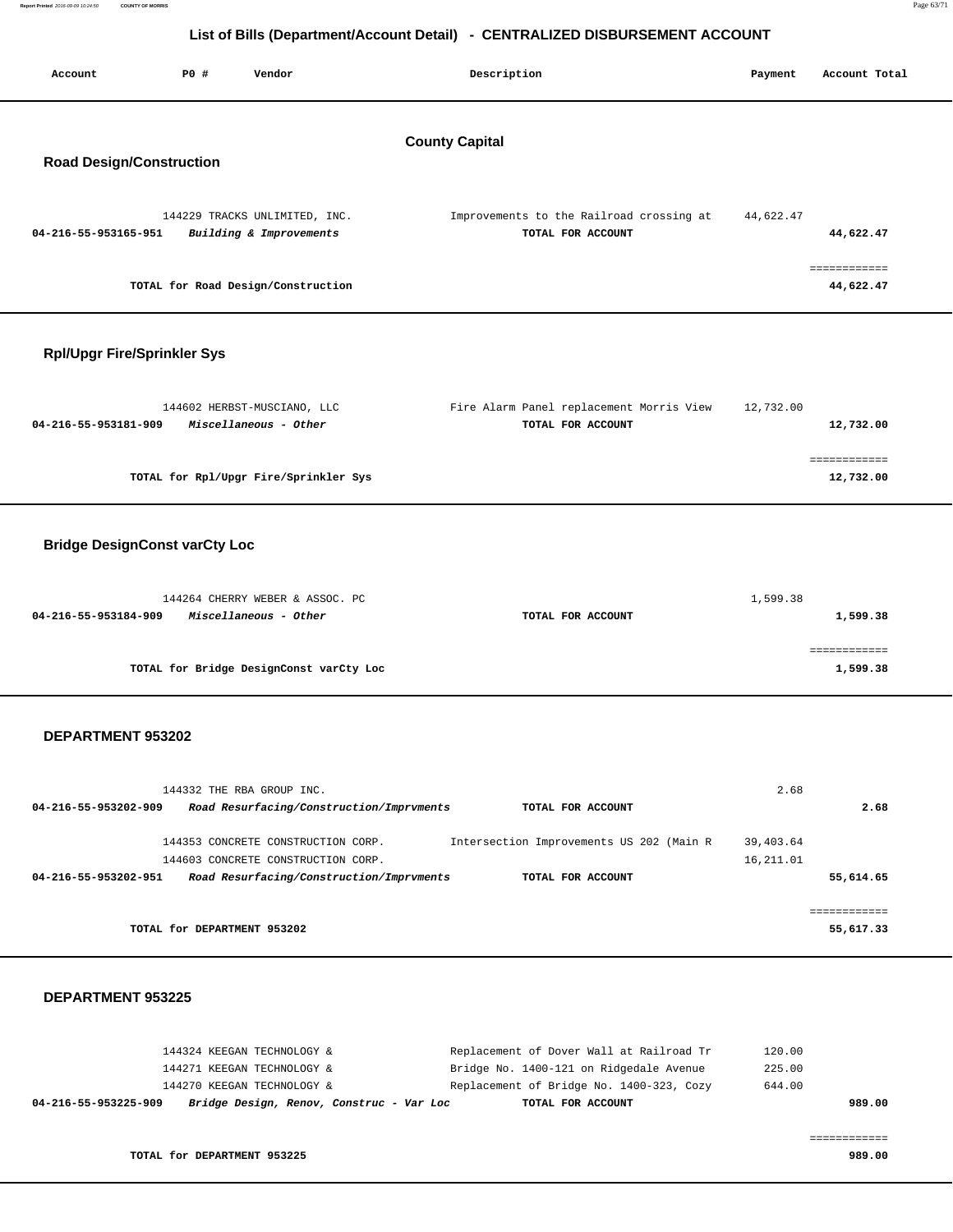| Report Printed 2016-09-09 10:24:50<br><b>COUNTY OF MORRIS</b> | Page 63/71 |
|---------------------------------------------------------------|------------|
|                                                               |            |

| List of Dins (Department/Account Detail)<br><b>PLITINGLIZED DIODONOLINENT APPOOINT</b> |             |                                                                          |                       |                                                               |                         |                           |
|----------------------------------------------------------------------------------------|-------------|--------------------------------------------------------------------------|-----------------------|---------------------------------------------------------------|-------------------------|---------------------------|
| Account                                                                                | <b>PO #</b> | Vendor                                                                   |                       | Description                                                   | Payment                 | Account Total             |
|                                                                                        |             |                                                                          | <b>County Capital</b> |                                                               |                         |                           |
| <b>Road Design/Construction</b>                                                        |             |                                                                          |                       |                                                               |                         |                           |
| 04-216-55-953165-951                                                                   |             | 144229 TRACKS UNLIMITED, INC.<br>Building & Improvements                 |                       | Improvements to the Railroad crossing at<br>TOTAL FOR ACCOUNT | 44,622.47               | 44,622.47                 |
|                                                                                        |             | TOTAL for Road Design/Construction                                       |                       |                                                               |                         | ============<br>44,622.47 |
| <b>Rpl/Upgr Fire/Sprinkler Sys</b>                                                     |             |                                                                          |                       |                                                               |                         |                           |
| 04-216-55-953181-909                                                                   |             | 144602 HERBST-MUSCIANO, LLC<br>Miscellaneous - Other                     |                       | Fire Alarm Panel replacement Morris View<br>TOTAL FOR ACCOUNT | 12,732.00               | 12,732.00                 |
|                                                                                        |             | TOTAL for Rpl/Upgr Fire/Sprinkler Sys                                    |                       |                                                               |                         | ============<br>12,732.00 |
| <b>Bridge DesignConst varCty Loc</b>                                                   |             |                                                                          |                       |                                                               |                         |                           |
| 04-216-55-953184-909                                                                   |             | 144264 CHERRY WEBER & ASSOC. PC<br>Miscellaneous - Other                 |                       | TOTAL FOR ACCOUNT                                             | 1,599.38                | 1,599.38                  |
|                                                                                        |             | TOTAL for Bridge DesignConst varCty Loc                                  |                       |                                                               |                         | ============<br>1,599.38  |
| DEPARTMENT 953202                                                                      |             |                                                                          |                       |                                                               |                         |                           |
|                                                                                        |             | 144332 THE RBA GROUP INC.                                                |                       |                                                               | 2.68                    |                           |
| 04-216-55-953202-909                                                                   |             | Road Resurfacing/Construction/Imprvments                                 |                       | TOTAL FOR ACCOUNT                                             |                         | 2.68                      |
|                                                                                        |             | 144353 CONCRETE CONSTRUCTION CORP.<br>144603 CONCRETE CONSTRUCTION CORP. |                       | Intersection Improvements US 202 (Main R                      | 39,403.64<br>16, 211.01 |                           |
| 04-216-55-953202-951                                                                   |             | Road Resurfacing/Construction/Imprvments                                 |                       | TOTAL FOR ACCOUNT                                             |                         | 55,614.65                 |

**TOTAL for DEPARTMENT 953202 55,617.33**

#### **DEPARTMENT 953225**

| Bridge Design, Renov, Construc - Var Loc<br>04-216-55-953225-909 | TOTAL FOR ACCOUNT                        | 989.00 |
|------------------------------------------------------------------|------------------------------------------|--------|
| 144270 KEEGAN TECHNOLOGY &                                       | Replacement of Bridge No. 1400-323, Cozy | 644.00 |
| 144271 KEEGAN TECHNOLOGY &                                       | Bridge No. 1400-121 on Ridgedale Avenue  | 225.00 |
| 144324 KEEGAN TECHNOLOGY &                                       | Replacement of Dover Wall at Railroad Tr | 120.00 |

============

============

**TOTAL for DEPARTMENT 953225 989.00**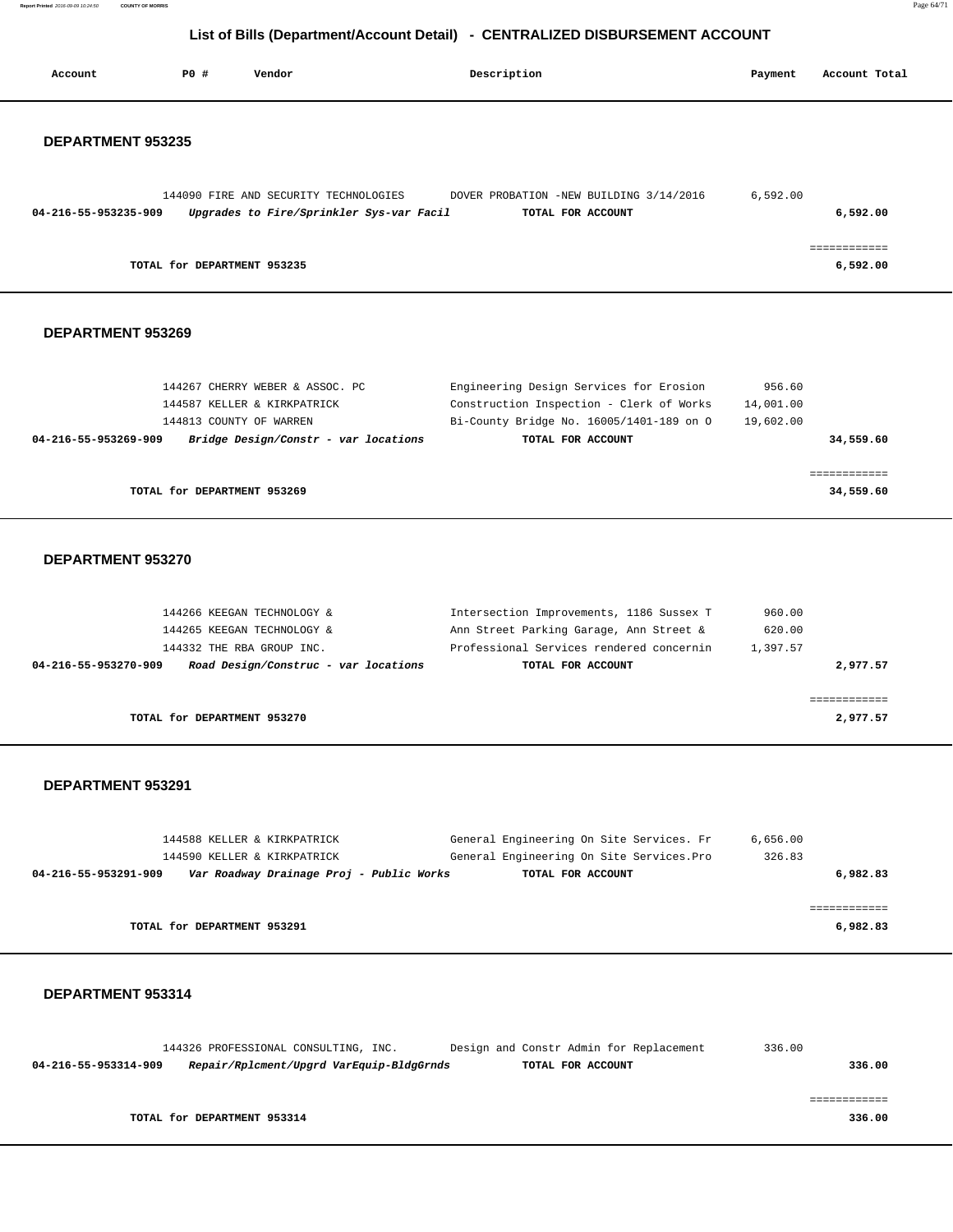**Report Printed** 2016-09-09 10:24:50 **COUNTY OF MORRIS** Page 64/71

# **List of Bills (Department/Account Detail) - CENTRALIZED DISBURSEMENT ACCOUNT**

| Account              | <b>PO #</b> | Vendor                                                                            | Description                                                                           | Payment                | Account Total |
|----------------------|-------------|-----------------------------------------------------------------------------------|---------------------------------------------------------------------------------------|------------------------|---------------|
|                      |             |                                                                                   |                                                                                       |                        |               |
|                      |             |                                                                                   |                                                                                       |                        |               |
| DEPARTMENT 953235    |             |                                                                                   |                                                                                       |                        |               |
|                      |             |                                                                                   |                                                                                       |                        |               |
|                      |             |                                                                                   |                                                                                       |                        |               |
| 04-216-55-953235-909 |             | 144090 FIRE AND SECURITY TECHNOLOGIES<br>Upgrades to Fire/Sprinkler Sys-var Facil | DOVER PROBATION -NEW BUILDING 3/14/2016<br>TOTAL FOR ACCOUNT                          | 6,592.00               | 6,592.00      |
|                      |             |                                                                                   |                                                                                       |                        |               |
|                      |             |                                                                                   |                                                                                       |                        | ============  |
|                      |             | TOTAL for DEPARTMENT 953235                                                       |                                                                                       |                        | 6,592.00      |
|                      |             |                                                                                   |                                                                                       |                        |               |
|                      |             |                                                                                   |                                                                                       |                        |               |
| DEPARTMENT 953269    |             |                                                                                   |                                                                                       |                        |               |
|                      |             |                                                                                   |                                                                                       |                        |               |
|                      |             |                                                                                   |                                                                                       |                        |               |
|                      |             | 144267 CHERRY WEBER & ASSOC. PC                                                   | Engineering Design Services for Erosion                                               | 956.60                 |               |
|                      |             | 144587 KELLER & KIRKPATRICK<br>144813 COUNTY OF WARREN                            | Construction Inspection - Clerk of Works<br>Bi-County Bridge No. 16005/1401-189 on O  | 14,001.00<br>19,602.00 |               |
| 04-216-55-953269-909 |             | Bridge Design/Constr - var locations                                              | TOTAL FOR ACCOUNT                                                                     |                        | 34,559.60     |
|                      |             |                                                                                   |                                                                                       |                        |               |
|                      |             |                                                                                   |                                                                                       |                        | ============  |
|                      |             | TOTAL for DEPARTMENT 953269                                                       |                                                                                       |                        | 34,559.60     |
|                      |             |                                                                                   |                                                                                       |                        |               |
|                      |             |                                                                                   |                                                                                       |                        |               |
| DEPARTMENT 953270    |             |                                                                                   |                                                                                       |                        |               |
|                      |             |                                                                                   |                                                                                       |                        |               |
|                      |             |                                                                                   |                                                                                       |                        |               |
|                      |             | 144266 KEEGAN TECHNOLOGY &<br>144265 KEEGAN TECHNOLOGY &                          | Intersection Improvements, 1186 Sussex T<br>Ann Street Parking Garage, Ann Street &   | 960.00<br>620.00       |               |
|                      |             | 144332 THE RBA GROUP INC.                                                         | Professional Services rendered concernin                                              | 1,397.57               |               |
| 04-216-55-953270-909 |             | Road Design/Construc - var locations                                              | TOTAL FOR ACCOUNT                                                                     |                        | 2,977.57      |
|                      |             |                                                                                   |                                                                                       |                        |               |
|                      |             |                                                                                   |                                                                                       |                        | ============  |
|                      |             | TOTAL for DEPARTMENT 953270                                                       |                                                                                       |                        | 2,977.57      |
|                      |             |                                                                                   |                                                                                       |                        |               |
|                      |             |                                                                                   |                                                                                       |                        |               |
| DEPARTMENT 953291    |             |                                                                                   |                                                                                       |                        |               |
|                      |             |                                                                                   |                                                                                       |                        |               |
|                      |             |                                                                                   |                                                                                       |                        |               |
|                      |             | 144588 KELLER & KIRKPATRICK<br>144590 KELLER & KIRKPATRICK                        | General Engineering On Site Services. Fr<br>General Engineering On Site Services. Pro | 6,656.00<br>326.83     |               |
| 04-216-55-953291-909 |             | Var Roadway Drainage Proj - Public Works                                          | TOTAL FOR ACCOUNT                                                                     |                        | 6,982.83      |
|                      |             |                                                                                   |                                                                                       |                        |               |
|                      |             |                                                                                   |                                                                                       |                        | ============  |
|                      |             | TOTAL for DEPARTMENT 953291                                                       |                                                                                       |                        | 6,982.83      |
|                      |             |                                                                                   |                                                                                       |                        |               |
|                      |             |                                                                                   |                                                                                       |                        |               |
| DEPARTMENT 953314    |             |                                                                                   |                                                                                       |                        |               |
|                      |             |                                                                                   |                                                                                       |                        |               |
|                      |             |                                                                                   |                                                                                       |                        |               |

|                      | 144326 PROFESSIONAL CONSULTING, INC.     |  |  | Design and Constr Admin for Replacement | 336.00 |        |
|----------------------|------------------------------------------|--|--|-----------------------------------------|--------|--------|
| 04-216-55-953314-909 | Repair/Rplcment/Upgrd VarEquip-BldgGrnds |  |  | TOTAL FOR ACCOUNT                       |        | 336.00 |
|                      |                                          |  |  |                                         |        |        |
|                      |                                          |  |  |                                         |        |        |
|                      | TOTAL for DEPARTMENT 953314              |  |  |                                         |        | 336.00 |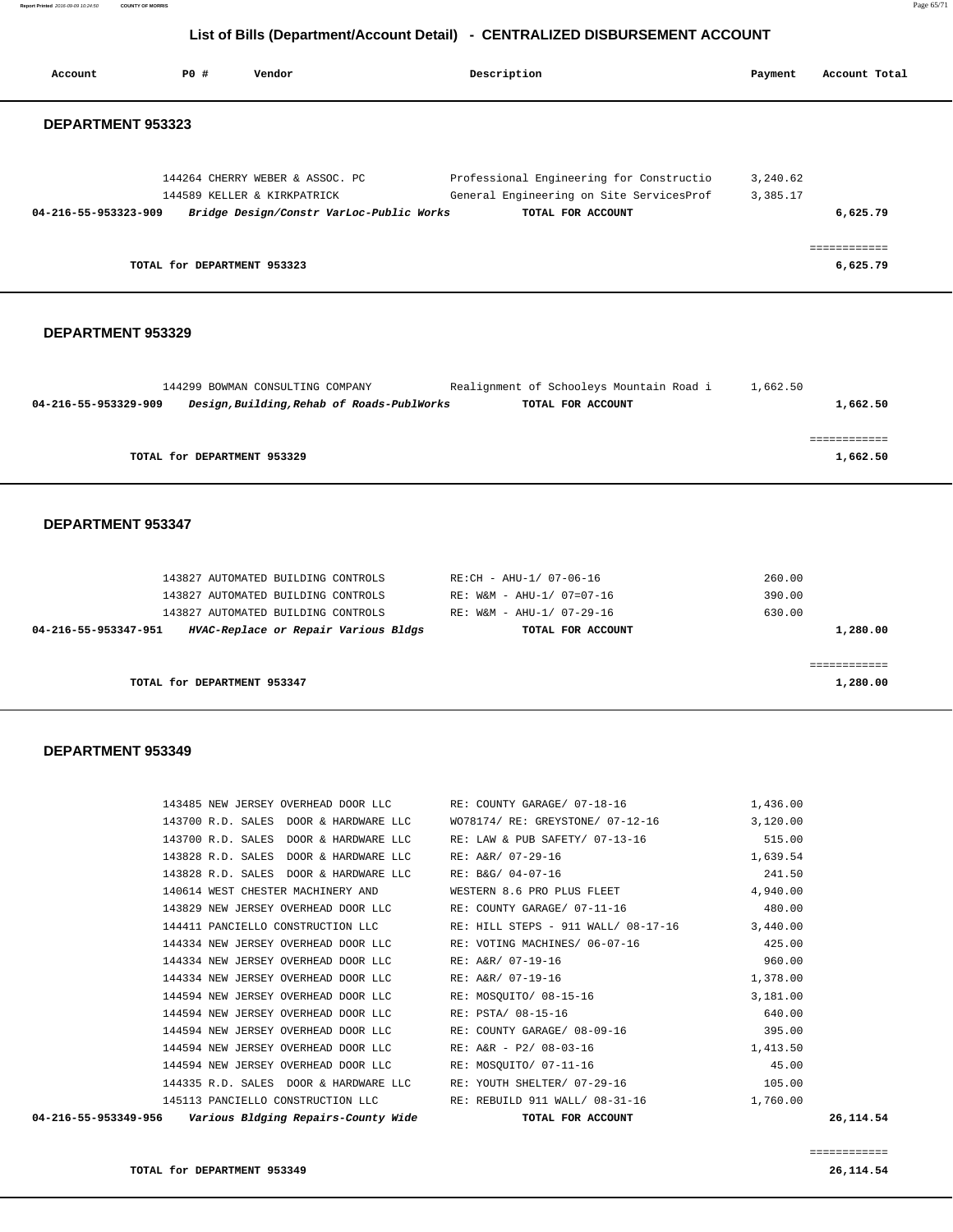**Report Printed** 2016-09-09 10:24:50 **COUNTY OF MORRIS** Page 65/71

# **List of Bills (Department/Account Detail) - CENTRALIZED DISBURSEMENT ACCOUNT**

| Account                  | P0 #<br>Vendor                                                                                                                                                                                                                                                            | Description                                                                                                                                                                                                    | Payment                                                        | Account Total                        |
|--------------------------|---------------------------------------------------------------------------------------------------------------------------------------------------------------------------------------------------------------------------------------------------------------------------|----------------------------------------------------------------------------------------------------------------------------------------------------------------------------------------------------------------|----------------------------------------------------------------|--------------------------------------|
| <b>DEPARTMENT 953323</b> |                                                                                                                                                                                                                                                                           |                                                                                                                                                                                                                |                                                                |                                      |
| 04-216-55-953323-909     | 144264 CHERRY WEBER & ASSOC. PC<br>144589 KELLER & KIRKPATRICK<br>Bridge Design/Constr VarLoc-Public Works<br>TOTAL for DEPARTMENT 953323                                                                                                                                 | Professional Engineering for Constructio<br>General Engineering on Site ServicesProf<br>TOTAL FOR ACCOUNT                                                                                                      | 3,240.62<br>3,385.17                                           | 6,625.79<br>============<br>6,625.79 |
|                          |                                                                                                                                                                                                                                                                           |                                                                                                                                                                                                                |                                                                |                                      |
| DEPARTMENT 953329        |                                                                                                                                                                                                                                                                           |                                                                                                                                                                                                                |                                                                |                                      |
| 04-216-55-953329-909     | 144299 BOWMAN CONSULTING COMPANY<br>Design, Building, Rehab of Roads-PublWorks                                                                                                                                                                                            | Realignment of Schooleys Mountain Road i<br>TOTAL FOR ACCOUNT                                                                                                                                                  | 1,662.50                                                       | 1,662.50                             |
|                          | TOTAL for DEPARTMENT 953329                                                                                                                                                                                                                                               |                                                                                                                                                                                                                |                                                                | ------------<br>1,662.50             |
| <b>DEPARTMENT 953347</b> |                                                                                                                                                                                                                                                                           |                                                                                                                                                                                                                |                                                                |                                      |
| 04-216-55-953347-951     | 143827 AUTOMATED BUILDING CONTROLS<br>143827 AUTOMATED BUILDING CONTROLS<br>143827 AUTOMATED BUILDING CONTROLS<br>HVAC-Replace or Repair Various Bldgs                                                                                                                    | RE:CH - AHU-1/ 07-06-16<br>RE: W&M - AHU-1/ 07=07-16<br>RE: W&M - AHU-1/ 07-29-16<br>TOTAL FOR ACCOUNT                                                                                                         | 260.00<br>390.00<br>630.00                                     | 1,280.00                             |
|                          | TOTAL for DEPARTMENT 953347                                                                                                                                                                                                                                               |                                                                                                                                                                                                                |                                                                | ============<br>1,280.00             |
| DEPARTMENT 953349        |                                                                                                                                                                                                                                                                           |                                                                                                                                                                                                                |                                                                |                                      |
|                          | 143700 R.D. SALES DOOR & HARDWARE LLC<br>143700 R.D. SALES DOOR & HARDWARE LLC<br>143828 R.D. SALES DOOR & HARDWARE LLC<br>143828 R.D. SALES DOOR & HARDWARE LLC                                                                                                          | 143485 NEW JERSEY OVERHEAD DOOR LLC RE: COUNTY GARAGE/ 07-18-16<br>WO78174/ RE: GREYSTONE/ 07-12-16 3,120.00<br>RE: LAW & PUB SAFETY/ 07-13-16<br>RE: A&R/ 07-29-16<br>RE: B&G/ 04-07-16                       | 1,436.00<br>515.00<br>1,639.54<br>241.50                       |                                      |
|                          | 140614 WEST CHESTER MACHINERY AND<br>143829 NEW JERSEY OVERHEAD DOOR LLC<br>144411 PANCIELLO CONSTRUCTION LLC<br>144334 NEW JERSEY OVERHEAD DOOR LLC<br>144334 NEW JERSEY OVERHEAD DOOR LLC<br>144334 NEW JERSEY OVERHEAD DOOR LLC<br>144594 NEW JERSEY OVERHEAD DOOR LLC | WESTERN 8.6 PRO PLUS FLEET<br>RE: COUNTY GARAGE/ 07-11-16<br>RE: HILL STEPS - 911 WALL/ 08-17-16 3,440.00<br>RE: VOTING MACHINES/ 06-07-16<br>RE: A&R/ 07-19-16<br>RE: A&R/ 07-19-16<br>RE: MOSQUITO/ 08-15-16 | 4,940.00<br>480.00<br>425.00<br>960.00<br>1,378.00<br>3,181.00 |                                      |
|                          | 144594 NEW JERSEY OVERHEAD DOOR LLC<br>144594 NEW JERSEY OVERHEAD DOOR LLC<br>144594 NEW JERSEY OVERHEAD DOOR LLC<br>144594 NEW JERSEY OVERHEAD DOOR LLC<br>144335 R.D. SALES DOOR & HARDWARE LLC<br>145113 PANCIELLO CONSTRUCTION LLC                                    | RE: PSTA/ 08-15-16<br>RE: COUNTY GARAGE/ 08-09-16<br>RE: A&R - P2/ 08-03-16<br>RE: MOSQUITO/ 07-11-16<br>RE: YOUTH SHELTER/ 07-29-16<br>RE: REBUILD 911 WALL/ 08-31-16                                         | 640.00<br>395.00<br>1,413.50<br>45.00<br>105.00<br>1,760.00    |                                      |

============

 **04-216-55-953349-956 Various Bldging Repairs-County Wide TOTAL FOR ACCOUNT 26,114.54**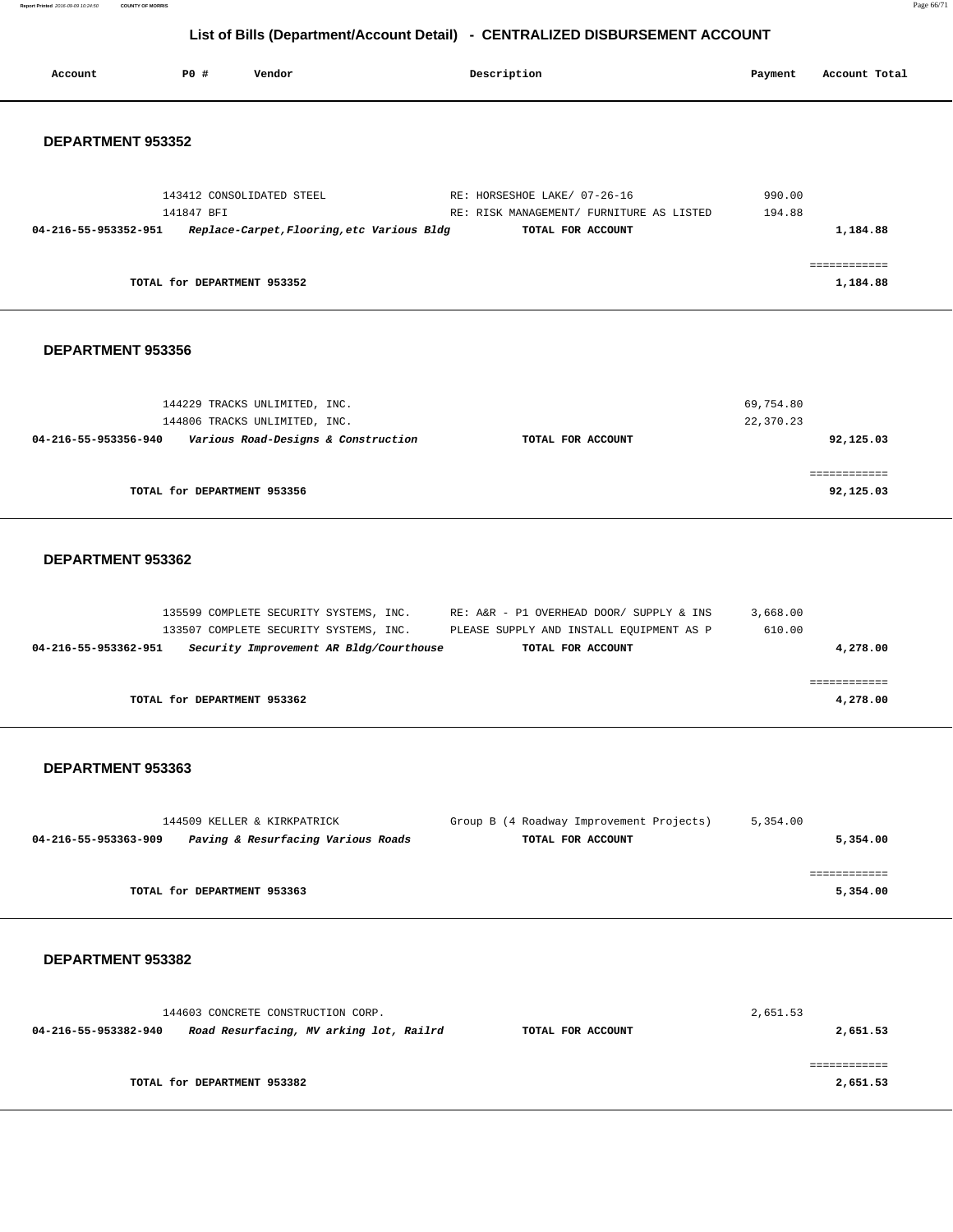**Report Printed** 2016-09-09 10:24:50 **COUNTY OF MORRIS** Page 66/71

# **List of Bills (Department/Account Detail) - CENTRALIZED DISBURSEMENT ACCOUNT**

|                      |                                                                |                                                                                   | LIST OF DIIIS (Department/Account Detail) - CENTRALIZED DISBORSEMENT ACCOUNT                                                                     |                        |                                |
|----------------------|----------------------------------------------------------------|-----------------------------------------------------------------------------------|--------------------------------------------------------------------------------------------------------------------------------------------------|------------------------|--------------------------------|
| Account              | P0 #                                                           | Vendor                                                                            | Description                                                                                                                                      | Payment                | Account Total                  |
| DEPARTMENT 953352    |                                                                |                                                                                   |                                                                                                                                                  |                        |                                |
| 04-216-55-953352-951 | 143412 CONSOLIDATED STEEL<br>141847 BFI                        | Replace-Carpet, Flooring, etc Various Bldg                                        | RE: HORSESHOE LAKE/ 07-26-16<br>RE: RISK MANAGEMENT/ FURNITURE AS LISTED<br>TOTAL FOR ACCOUNT                                                    | 990.00<br>194.88       | 1,184.88                       |
|                      | TOTAL for DEPARTMENT 953352                                    |                                                                                   |                                                                                                                                                  |                        | <b>BEBEEBEEBEE</b><br>1,184.88 |
| DEPARTMENT 953356    |                                                                |                                                                                   |                                                                                                                                                  |                        |                                |
| 04-216-55-953356-940 | 144229 TRACKS UNLIMITED, INC.<br>144806 TRACKS UNLIMITED, INC. | Various Road-Designs & Construction                                               | TOTAL FOR ACCOUNT                                                                                                                                | 69,754.80<br>22,370.23 | 92,125.03                      |
|                      | TOTAL for DEPARTMENT 953356                                    |                                                                                   |                                                                                                                                                  |                        | ============<br>92,125.03      |
| DEPARTMENT 953362    |                                                                |                                                                                   |                                                                                                                                                  |                        |                                |
| 04-216-55-953362-951 |                                                                | 133507 COMPLETE SECURITY SYSTEMS, INC.<br>Security Improvement AR Bldg/Courthouse | 135599 COMPLETE SECURITY SYSTEMS, INC. RE: A&R - P1 OVERHEAD DOOR/ SUPPLY & INS<br>PLEASE SUPPLY AND INSTALL EQUIPMENT AS P<br>TOTAL FOR ACCOUNT | 3,668.00<br>610.00     | 4,278.00                       |
|                      | TOTAL for DEPARTMENT 953362                                    |                                                                                   |                                                                                                                                                  |                        | 4,278.00                       |
| DEPARTMENT 953363    |                                                                |                                                                                   |                                                                                                                                                  |                        |                                |
| 04-216-55-953363-909 | 144509 KELLER & KIRKPATRICK                                    | Paving & Resurfacing Various Roads                                                | Group B (4 Roadway Improvement Projects)<br>TOTAL FOR ACCOUNT                                                                                    | 5,354.00               | 5,354.00                       |
|                      | TOTAL for DEPARTMENT 953363                                    |                                                                                   |                                                                                                                                                  |                        | ============<br>5,354.00       |

| 144603 CONCRETE CONSTRUCTION CORP.                              |                   | 2,651.53 |  |  |
|-----------------------------------------------------------------|-------------------|----------|--|--|
| Road Resurfacing, MV arking lot, Railrd<br>04-216-55-953382-940 | TOTAL FOR ACCOUNT | 2,651.53 |  |  |
|                                                                 |                   |          |  |  |
|                                                                 |                   |          |  |  |
| TOTAL for DEPARTMENT 953382                                     |                   | 2,651.53 |  |  |
|                                                                 |                   |          |  |  |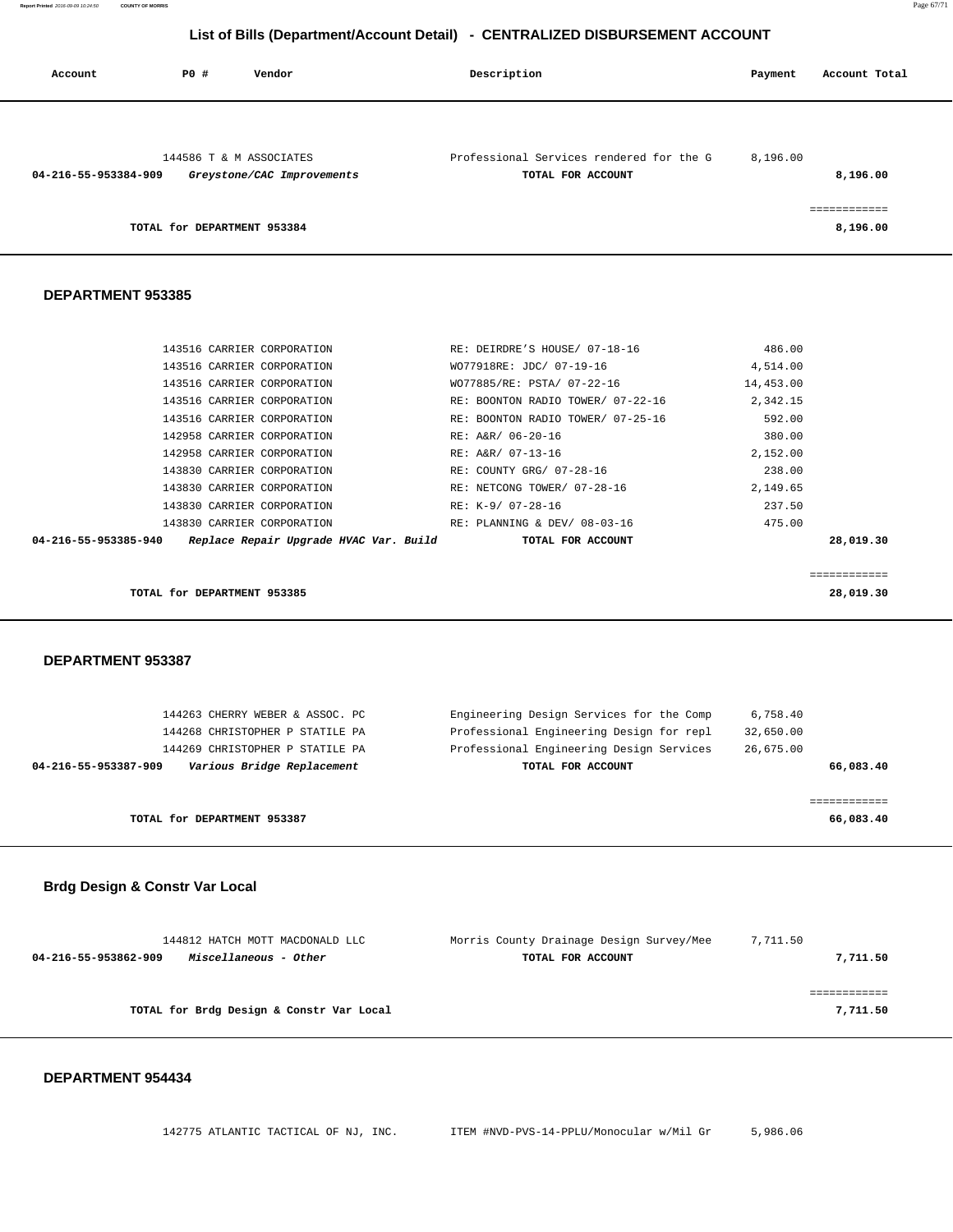**Report Printed** 2016-09-09 10:24:50 **COUNTY OF MORRIS** Page 67/71

# **List of Bills (Department/Account Detail) - CENTRALIZED DISBURSEMENT ACCOUNT**

| Account              | PO# | Vendor                                                | Description                                                   | Payment   | Account Total            |
|----------------------|-----|-------------------------------------------------------|---------------------------------------------------------------|-----------|--------------------------|
| 04-216-55-953384-909 |     | 144586 T & M ASSOCIATES<br>Greystone/CAC Improvements | Professional Services rendered for the G<br>TOTAL FOR ACCOUNT | 8,196.00  | 8,196.00<br>============ |
|                      |     | TOTAL for DEPARTMENT 953384                           |                                                               |           | 8,196.00                 |
| DEPARTMENT 953385    |     |                                                       |                                                               |           |                          |
|                      |     | 143516 CARRIER CORPORATION                            | RE: DEIRDRE'S HOUSE/ 07-18-16                                 | 486.00    |                          |
|                      |     | 143516 CARRIER CORPORATION                            | WO77918RE: JDC/ 07-19-16                                      | 4,514.00  |                          |
|                      |     | 143516 CARRIER CORPORATION                            | WO77885/RE: PSTA/ 07-22-16                                    | 14,453.00 |                          |
|                      |     | 143516 CARRIER CORPORATION                            | RE: BOONTON RADIO TOWER/ 07-22-16                             | 2,342.15  |                          |
|                      |     | 143516 CARRIER CORPORATION                            | RE: BOONTON RADIO TOWER/ 07-25-16                             | 592.00    |                          |
|                      |     | 142958 CARRIER CORPORATION                            | RE: A&R/ 06-20-16                                             | 380.00    |                          |
|                      |     | 142958 CARRIER CORPORATION                            | RE: A&R/ 07-13-16                                             | 2,152.00  |                          |
|                      |     | 143830 CARRIER CORPORATION                            | RE: COUNTY GRG/ 07-28-16                                      | 238.00    |                          |
|                      |     | 143830 CARRIER CORPORATION                            | RE: NETCONG TOWER/ 07-28-16                                   | 2,149.65  |                          |
|                      |     | ------------------------                              |                                                               | $    -$   |                          |

|                             | 143830 CARRIER CORPORATION |                                        |  | RE: K-9/ 07-28-16            | 237.50 |           |
|-----------------------------|----------------------------|----------------------------------------|--|------------------------------|--------|-----------|
|                             | 143830 CARRIER CORPORATION |                                        |  | RE: PLANNING & DEV/ 08-03-16 | 475.00 |           |
| 04-216-55-953385-940        |                            | Replace Repair Upgrade HVAC Var. Build |  | TOTAL FOR ACCOUNT            |        | 28,019.30 |
|                             |                            |                                        |  |                              |        |           |
|                             |                            |                                        |  |                              |        |           |
| TOTAL for DEPARTMENT 953385 |                            |                                        |  |                              |        | 28,019.30 |
|                             |                            |                                        |  |                              |        |           |
|                             |                            |                                        |  |                              |        |           |
|                             |                            |                                        |  |                              |        |           |

#### **DEPARTMENT 953387**

| 144263 CHERRY WEBER & ASSOC. PC<br>144268 CHRISTOPHER P STATILE PA<br>144269 CHRISTOPHER P STATILE PA | Engineering Design Services for the Comp<br>Professional Engineering Design for repl<br>Professional Engineering Design Services | 6,758.40<br>32,650.00<br>26,675.00 |
|-------------------------------------------------------------------------------------------------------|----------------------------------------------------------------------------------------------------------------------------------|------------------------------------|
| Various Bridge Replacement<br>04-216-55-953387-909                                                    | TOTAL FOR ACCOUNT                                                                                                                | 66,083.40                          |
| TOTAL for DEPARTMENT 953387                                                                           |                                                                                                                                  | 66,083.40                          |

# **Brdg Design & Constr Var Local**

| 144812 HATCH MOTT MACDONALD LLC<br>Miscellaneous - Other<br>04-216-55-953862-909 | Morris County Drainage Design Survey/Mee<br>TOTAL FOR ACCOUNT | 7,711.50<br>7,711.50 |
|----------------------------------------------------------------------------------|---------------------------------------------------------------|----------------------|
| TOTAL for Brdg Design & Constr Var Local                                         |                                                               | 7,711.50             |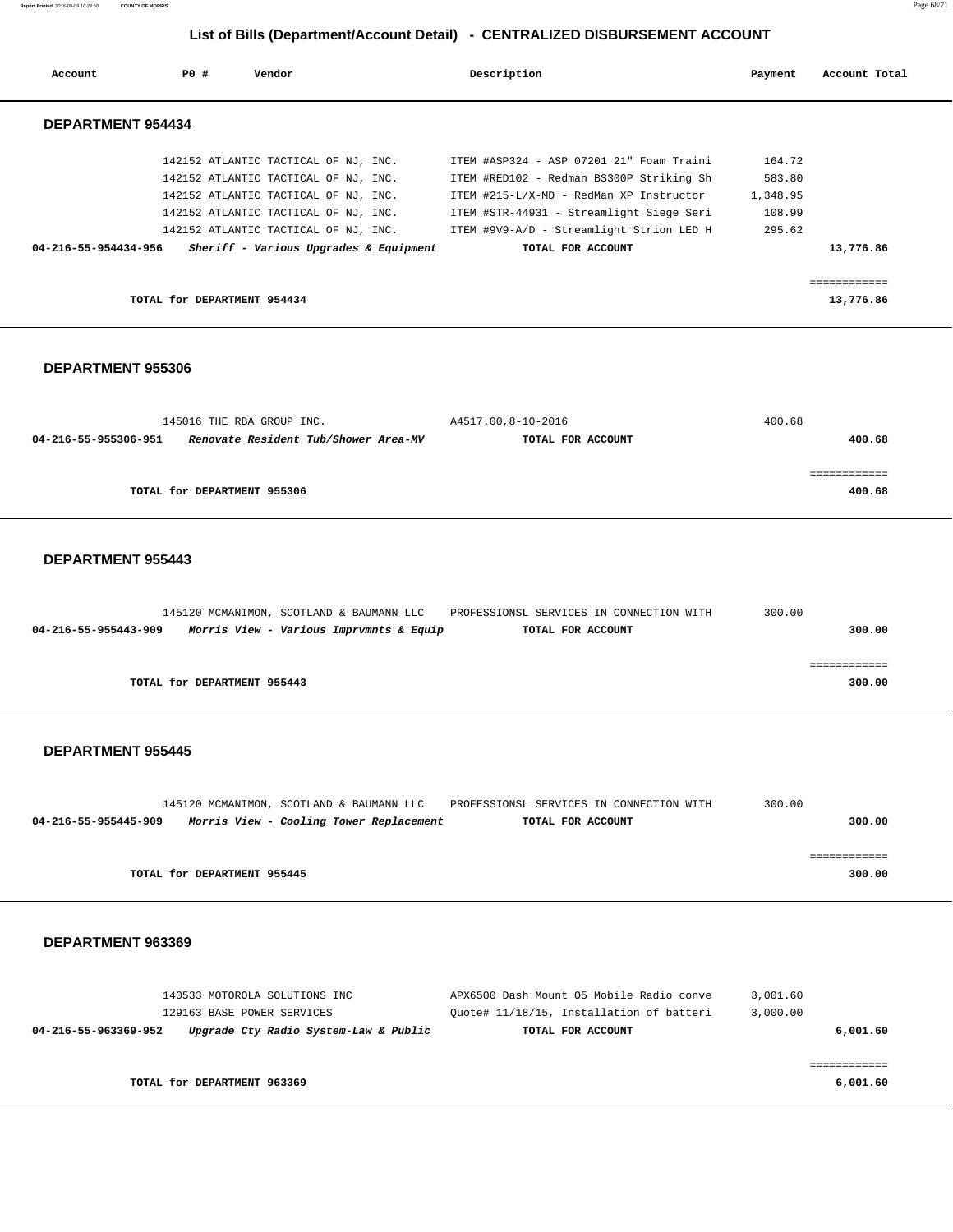**Report Printed** 2016-09-09 10:24:50 **COUNTY OF MORRIS** Page 68/71

# **List of Bills (Department/Account Detail) - CENTRALIZED DISBURSEMENT ACCOUNT**

| Account                  | PO#                         | Vendor                                 | Description |                                          | Payment  | Account Total |  |
|--------------------------|-----------------------------|----------------------------------------|-------------|------------------------------------------|----------|---------------|--|
| <b>DEPARTMENT 954434</b> |                             |                                        |             |                                          |          |               |  |
|                          |                             | 142152 ATLANTIC TACTICAL OF NJ, INC.   |             | ITEM #ASP324 - ASP 07201 21" Foam Traini | 164.72   |               |  |
|                          |                             | 142152 ATLANTIC TACTICAL OF NJ, INC.   |             | ITEM #RED102 - Redman BS300P Striking Sh | 583.80   |               |  |
|                          |                             | 142152 ATLANTIC TACTICAL OF NJ, INC.   |             | ITEM #215-L/X-MD - RedMan XP Instructor  | 1,348.95 |               |  |
|                          |                             | 142152 ATLANTIC TACTICAL OF NJ, INC.   |             | ITEM #STR-44931 - Streamlight Siege Seri | 108.99   |               |  |
|                          |                             | 142152 ATLANTIC TACTICAL OF NJ, INC.   |             | ITEM #9V9-A/D - Streamlight Strion LED H | 295.62   |               |  |
| 04-216-55-954434-956     |                             | Sheriff - Various Upgrades & Equipment |             | TOTAL FOR ACCOUNT                        |          | 13,776.86     |  |
|                          |                             |                                        |             |                                          |          | ------------  |  |
|                          | TOTAL for DEPARTMENT 954434 |                                        |             |                                          |          | 13,776.86     |  |

#### **DEPARTMENT 955306**

| 145016 THE RBA GROUP INC.                                    | A4517.00,8-10-2016 | 400.68 |
|--------------------------------------------------------------|--------------------|--------|
| Renovate Resident Tub/Shower Area-MV<br>04-216-55-955306-951 | TOTAL FOR ACCOUNT  | 400.68 |
|                                                              |                    |        |
|                                                              |                    |        |
| TOTAL for DEPARTMENT 955306                                  |                    | 400.68 |
|                                                              |                    |        |

#### **DEPARTMENT 955443**

|                      |                             | 145120 MCMANIMON, SCOTLAND & BAUMANN LLC | PROFESSIONSL SERVICES IN CONNECTION WITH | 300.00 |
|----------------------|-----------------------------|------------------------------------------|------------------------------------------|--------|
| 04-216-55-955443-909 |                             | Morris View - Various Imprvmnts & Equip  | TOTAL FOR ACCOUNT                        | 300.00 |
|                      |                             |                                          |                                          |        |
|                      |                             |                                          |                                          |        |
|                      | TOTAL for DEPARTMENT 955443 |                                          |                                          | 300.00 |

#### **DEPARTMENT 955445**

|                      |                             | 145120 MCMANIMON, SCOTLAND & BAUMANN LLC | PROFESSIONSL SERVICES IN CONNECTION WITH | 300.00 |  |
|----------------------|-----------------------------|------------------------------------------|------------------------------------------|--------|--|
| 04-216-55-955445-909 |                             | Morris View - Cooling Tower Replacement  | TOTAL FOR ACCOUNT                        | 300.00 |  |
|                      |                             |                                          |                                          |        |  |
|                      |                             |                                          |                                          |        |  |
|                      | TOTAL for DEPARTMENT 955445 |                                          |                                          | 300.00 |  |

| 140533 MOTOROLA SOLUTIONS INC                                 | APX6500 Dash Mount 05 Mobile Radio conve | 3,001.60 |
|---------------------------------------------------------------|------------------------------------------|----------|
| 129163 BASE POWER SERVICES                                    | Ouote# 11/18/15, Installation of batteri | 3,000.00 |
| Upgrade Cty Radio System-Law & Public<br>04-216-55-963369-952 | TOTAL FOR ACCOUNT                        | 6,001.60 |
|                                                               |                                          |          |
|                                                               |                                          |          |
| TOTAL for DEPARTMENT 963369                                   |                                          | 6,001.60 |
|                                                               |                                          |          |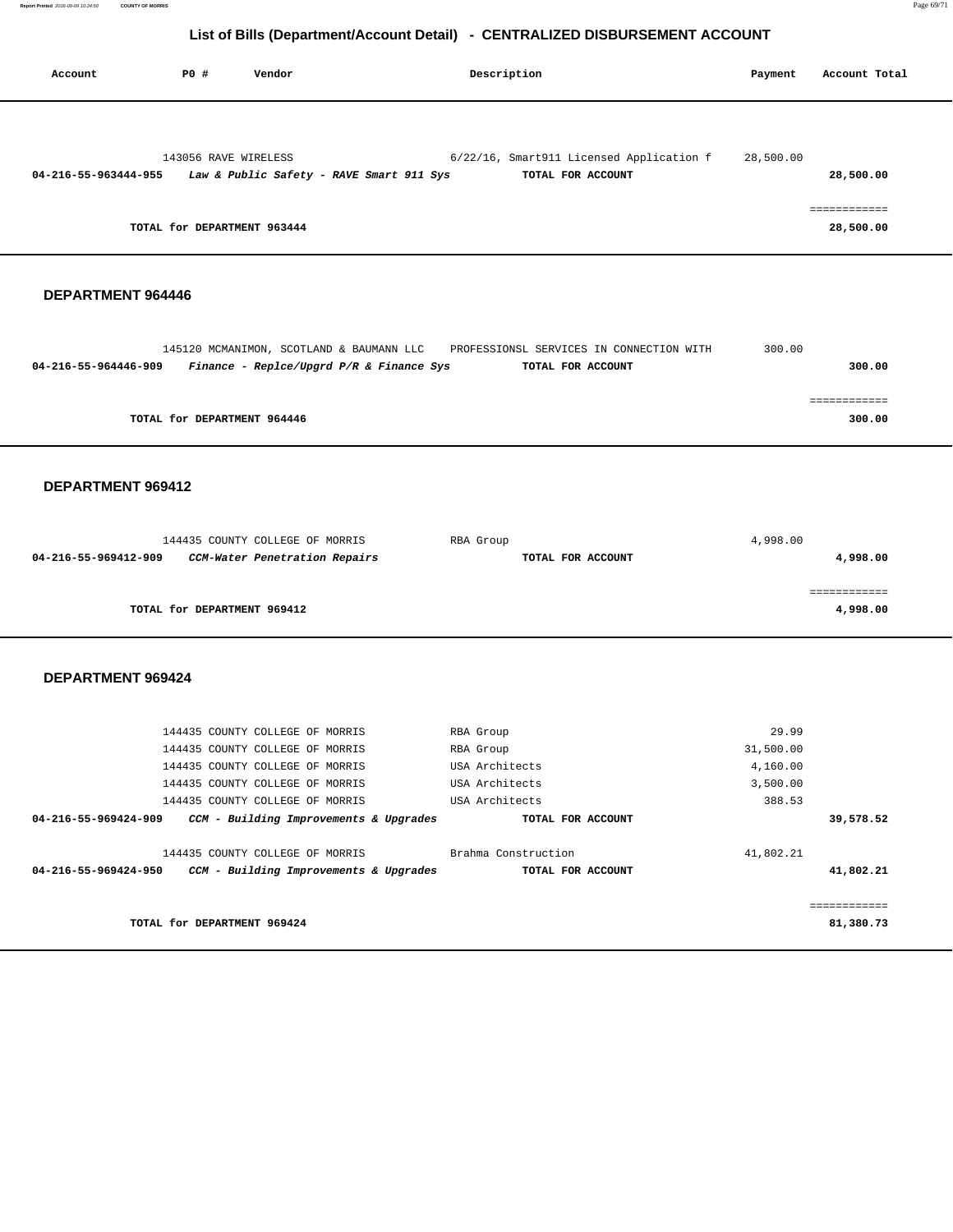**Report Printed** 2016-09-09 10:24:50 **COUNTY OF MORRIS** Page 69/71

# **List of Bills (Department/Account Detail) - CENTRALIZED DISBURSEMENT ACCOUNT**

| Account              | P0 #                        | Vendor                                   | Description                              | Payment   | Account Total             |
|----------------------|-----------------------------|------------------------------------------|------------------------------------------|-----------|---------------------------|
|                      | 143056 RAVE WIRELESS        |                                          | 6/22/16, Smart911 Licensed Application f | 28,500.00 |                           |
| 04-216-55-963444-955 |                             | Law & Public Safety - RAVE Smart 911 Sys | TOTAL FOR ACCOUNT                        |           | 28,500.00                 |
|                      | TOTAL for DEPARTMENT 963444 |                                          |                                          |           | ============<br>28,500.00 |

#### **DEPARTMENT 964446**

|                      | 145120 MCMANIMON, SCOTLAND & BAUMANN LLC   | PROFESSIONSL SERVICES IN CONNECTION WITH | 300.00 |
|----------------------|--------------------------------------------|------------------------------------------|--------|
| 04-216-55-964446-909 | Finance - Replce/Upgrd $P/R$ & Finance Sys | TOTAL FOR ACCOUNT                        | 300.00 |
|                      |                                            |                                          |        |
|                      |                                            |                                          |        |
|                      | TOTAL for DEPARTMENT 964446                |                                          | 300.00 |

 **DEPARTMENT 969412** 

|                      | 144435 COUNTY COLLEGE OF MORRIS | RBA Group         | 4,998.00 |
|----------------------|---------------------------------|-------------------|----------|
| 04-216-55-969412-909 | CCM-Water Penetration Repairs   | TOTAL FOR ACCOUNT | 4,998.00 |
|                      |                                 |                   |          |
|                      |                                 |                   |          |
|                      | TOTAL for DEPARTMENT 969412     |                   | 4,998.00 |
|                      |                                 |                   |          |

| RBA Group           | 29.99     |             |
|---------------------|-----------|-------------|
| RBA Group           | 31,500.00 |             |
| USA Architects      | 4,160.00  |             |
| USA Architects      | 3,500.00  |             |
| USA Architects      | 388.53    |             |
| TOTAL FOR ACCOUNT   |           | 39,578.52   |
|                     |           |             |
| Brahma Construction | 41,802.21 |             |
| TOTAL FOR ACCOUNT   |           | 41,802.21   |
|                     |           |             |
|                     |           | =========== |
|                     |           | 81,380.73   |
|                     |           |             |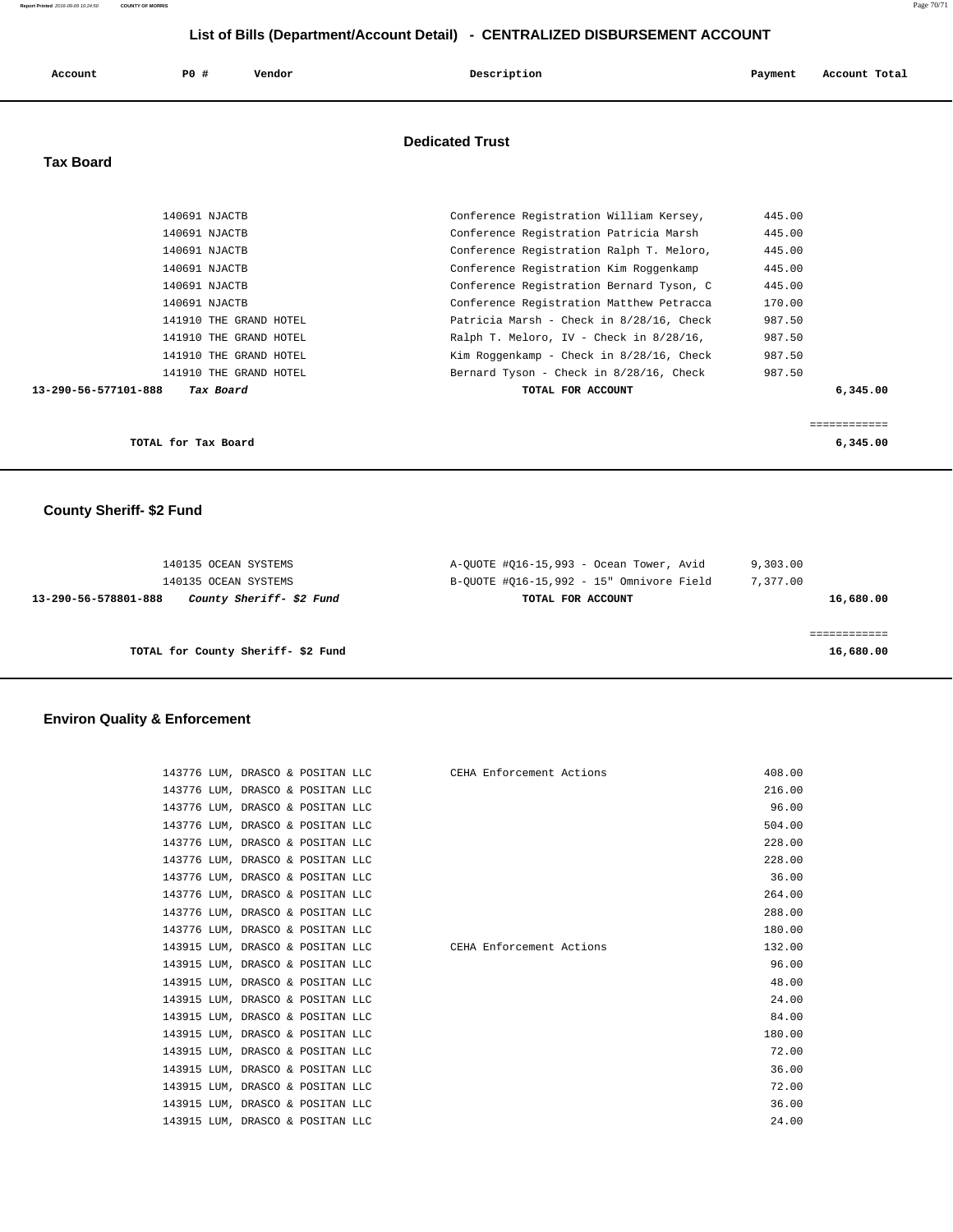| Account              | P0 #<br>Vendor         | Description                                 | Account Total<br>Payment |
|----------------------|------------------------|---------------------------------------------|--------------------------|
|                      |                        | <b>Dedicated Trust</b>                      |                          |
| <b>Tax Board</b>     |                        |                                             |                          |
|                      | 140691 NJACTB          | Conference Registration William Kersey,     | 445.00                   |
|                      | 140691 NJACTB          | Conference Registration Patricia Marsh      | 445.00                   |
|                      | 140691 NJACTB          | Conference Registration Ralph T. Meloro,    | 445.00                   |
|                      | 140691 NJACTB          | Conference Registration Kim Roggenkamp      | 445.00                   |
|                      | 140691 NJACTB          | Conference Registration Bernard Tyson, C    | 445.00                   |
|                      | 140691 NJACTB          | Conference Registration Matthew Petracca    | 170.00                   |
|                      | 141910 THE GRAND HOTEL | Patricia Marsh - Check in 8/28/16, Check    | 987.50                   |
|                      | 141910 THE GRAND HOTEL | Ralph T. Meloro, IV - Check in 8/28/16,     | 987.50                   |
|                      | 141910 THE GRAND HOTEL | Kim Roggenkamp - Check in $8/28/16$ , Check | 987.50                   |
|                      | 141910 THE GRAND HOTEL | Bernard Tyson - Check in 8/28/16, Check     | 987.50                   |
| 13-290-56-577101-888 | Tax Board              | TOTAL FOR ACCOUNT                           | 6,345.00                 |
|                      |                        |                                             |                          |
|                      |                        |                                             | ============             |
|                      | TOTAL for Tax Board    |                                             | 6,345.00                 |

 **County Sheriff- \$2 Fund** 

| 9,303.00  | A-OUOTE #016-15,993 - Ocean Tower, Avid  | 140135 OCEAN SYSTEMS                             |
|-----------|------------------------------------------|--------------------------------------------------|
| 7,377.00  | B-OUOTE #016-15,992 - 15" Omnivore Field | 140135 OCEAN SYSTEMS                             |
| 16,680.00 | TOTAL FOR ACCOUNT                        | County Sheriff- \$2 Fund<br>13-290-56-578801-888 |
|           |                                          |                                                  |
|           |                                          |                                                  |
| 16,680.00 |                                          | TOTAL for County Sheriff-\$2 Fund                |

# **Environ Quality & Enforcement**

| 143776 LUM, DRASCO & POSITAN LLC CEHA Enforcement Actions |  | 408.00 |
|-----------------------------------------------------------|--|--------|
| 143776 LUM, DRASCO & POSITAN LLC                          |  | 216.00 |
| 143776 LUM, DRASCO & POSITAN LLC                          |  | 96.00  |
| 143776 LUM, DRASCO & POSITAN LLC                          |  | 504.00 |
| 143776 LUM, DRASCO & POSITAN LLC                          |  | 228.00 |
| 143776 LUM, DRASCO & POSITAN LLC                          |  | 228.00 |
| 143776 LUM, DRASCO & POSITAN LLC                          |  | 36.00  |
| 143776 LUM, DRASCO & POSITAN LLC                          |  | 264.00 |
| 143776 LUM, DRASCO & POSITAN LLC                          |  | 288.00 |
| 143776 LUM, DRASCO & POSITAN LLC                          |  | 180.00 |
| 143915 LUM, DRASCO & POSITAN LLC CEHA Enforcement Actions |  | 132.00 |
| 143915 LUM, DRASCO & POSITAN LLC                          |  | 96.00  |
| 143915 LUM, DRASCO & POSITAN LLC                          |  | 48.00  |
| 143915 LUM, DRASCO & POSITAN LLC                          |  | 24.00  |
| 143915 LUM, DRASCO & POSITAN LLC                          |  | 84.00  |
| 143915 LUM, DRASCO & POSITAN LLC                          |  | 180.00 |
| 143915 LUM, DRASCO & POSITAN LLC                          |  | 72.00  |
| 143915 LUM, DRASCO & POSITAN LLC                          |  | 36.00  |
| 143915 LUM, DRASCO & POSITAN LLC                          |  | 72.00  |
| 143915 LUM, DRASCO & POSITAN LLC                          |  | 36.00  |
| 143915 LUM, DRASCO & POSITAN LLC                          |  | 24.00  |

**Report Printed** 2016-09-09 10:24:50 **COUNTY OF MORRIS** Page 70/71